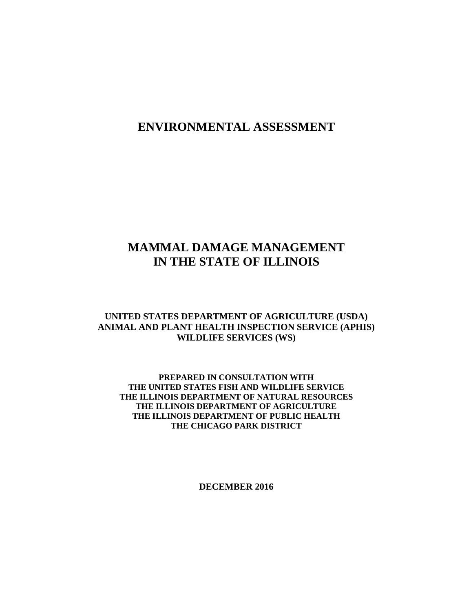# **ENVIRONMENTAL ASSESSMENT**

# **MAMMAL DAMAGE MANAGEMENT IN THE STATE OF ILLINOIS**

# **UNITED STATES DEPARTMENT OF AGRICULTURE (USDA) ANIMAL AND PLANT HEALTH INSPECTION SERVICE (APHIS) WILDLIFE SERVICES (WS)**

## **PREPARED IN CONSULTATION WITH THE UNITED STATES FISH AND WILDLIFE SERVICE THE ILLINOIS DEPARTMENT OF NATURAL RESOURCES THE ILLINOIS DEPARTMENT OF AGRICULTURE THE ILLINOIS DEPARTMENT OF PUBLIC HEALTH THE CHICAGO PARK DISTRICT**

**DECEMBER 2016**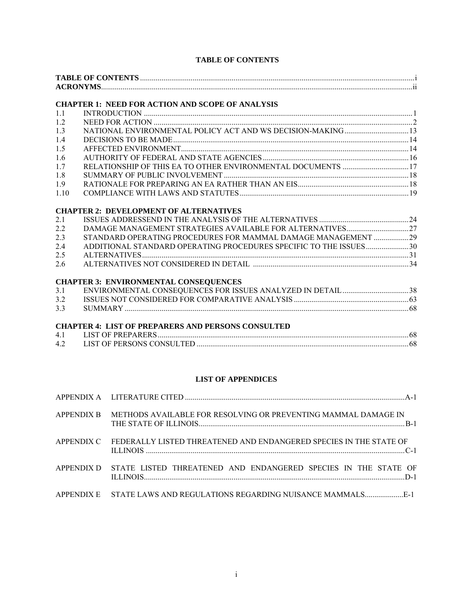## **TABLE OF CONTENTS**

| <b>ACRONYMS.</b> |  |
|------------------|--|

#### **CHAPTER 1: NEED FOR ACTION AND SCOPE OF ANALYSIS**

| 1.1  |  |
|------|--|
| 1.2  |  |
| 1.3  |  |
| 1.4  |  |
| 1.5  |  |
| 1.6  |  |
| 1.7  |  |
| 1.8  |  |
| 1.9  |  |
| 1.10 |  |

#### **CHAPTER 2: DEVELOPMENT OF ALTERNATIVES**

| $2.2^{\circ}$ |                                                                   |  |
|---------------|-------------------------------------------------------------------|--|
| 2.3           | STANDARD OPERATING PROCEDURES FOR MAMMAL DAMAGE MANAGEMENT 29     |  |
| 2.4           | ADDITIONAL STANDARD OPERATING PROCEDURES SPECIFIC TO THE ISSUES30 |  |
| 2.5           |                                                                   |  |
| 2.6           |                                                                   |  |
|               |                                                                   |  |

#### **CHAPTER 3: ENVIRONMENTAL CONSEQUENCES**

| 3.1 | ENVIRONMENTAL CONSEQUENCES FOR ISSUES ANALYZED IN DETAIL 38 |  |
|-----|-------------------------------------------------------------|--|
|     |                                                             |  |
| 3.3 |                                                             |  |

#### **CHAPTER 4: LIST OF PREPARERS AND PERSONS CONSULTED**

| 4.1 |  |
|-----|--|
| 4.2 |  |

#### **LIST OF APPENDICES**

| APPENDIX B METHODS AVAILABLE FOR RESOLVING OR PREVENTING MAMMAL DAMAGE IN     |
|-------------------------------------------------------------------------------|
| APPENDIX C FEDERALLY LISTED THREATENED AND ENDANGERED SPECIES IN THE STATE OF |
| APPENDIX D STATE LISTED THREATENED AND ENDANGERED SPECIES IN THE STATE OF     |
|                                                                               |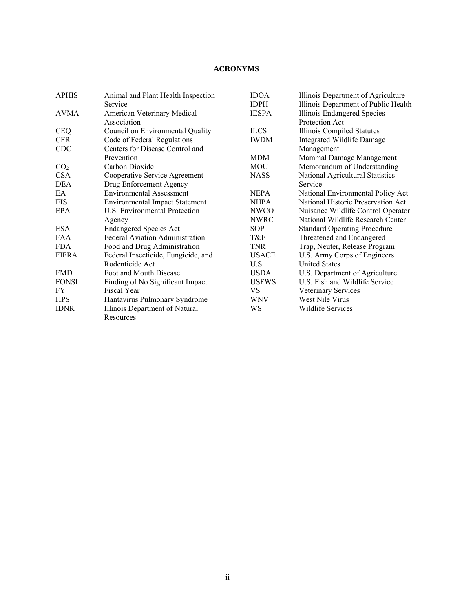## **ACRONYMS**

| <b>APHIS</b>    | Animal and Plant Health Inspection     | <b>IDOA</b>  | Illinois Department of Agriculture   |
|-----------------|----------------------------------------|--------------|--------------------------------------|
|                 | Service                                | <b>IDPH</b>  | Illinois Department of Public Health |
| AVMA            | American Veterinary Medical            | <b>IESPA</b> | Illinois Endangered Species          |
|                 | Association                            |              | Protection Act                       |
| <b>CEQ</b>      | Council on Environmental Quality       | <b>ILCS</b>  | Illinois Compiled Statutes           |
| <b>CFR</b>      | Code of Federal Regulations            | <b>IWDM</b>  | Integrated Wildlife Damage           |
| <b>CDC</b>      | Centers for Disease Control and        |              | Management                           |
|                 | Prevention                             | MDM          | Mammal Damage Management             |
| CO <sub>2</sub> | Carbon Dioxide                         | MOU          | Memorandum of Understanding          |
| <b>CSA</b>      | Cooperative Service Agreement          | <b>NASS</b>  | National Agricultural Statistics     |
| DEA             | Drug Enforcement Agency                |              | Service                              |
| EA.             | <b>Environmental Assessment</b>        | <b>NEPA</b>  | National Environmental Policy Act    |
| <b>EIS</b>      | <b>Environmental Impact Statement</b>  | <b>NHPA</b>  | National Historic Preservation Act   |
| EPA             | U.S. Environmental Protection          | <b>NWCO</b>  | Nuisance Wildlife Control Operator   |
|                 | Agency                                 | <b>NWRC</b>  | National Wildlife Research Center    |
| <b>ESA</b>      | <b>Endangered Species Act</b>          | <b>SOP</b>   | <b>Standard Operating Procedure</b>  |
| <b>FAA</b>      | <b>Federal Aviation Administration</b> | T&E          | Threatened and Endangered            |
| <b>FDA</b>      | Food and Drug Administration           | TNR          | Trap, Neuter, Release Program        |
| <b>FIFRA</b>    | Federal Insecticide, Fungicide, and    | <b>USACE</b> | U.S. Army Corps of Engineers         |
|                 | Rodenticide Act                        | U.S.         | <b>United States</b>                 |
| <b>FMD</b>      | Foot and Mouth Disease                 | <b>USDA</b>  | U.S. Department of Agriculture       |
| <b>FONSI</b>    | Finding of No Significant Impact       | <b>USFWS</b> | U.S. Fish and Wildlife Service       |
| FY              | Fiscal Year                            | <b>VS</b>    | Veterinary Services                  |
| <b>HPS</b>      | Hantavirus Pulmonary Syndrome          | <b>WNV</b>   | West Nile Virus                      |
| <b>IDNR</b>     | Illinois Department of Natural         | WS           | <b>Wildlife Services</b>             |
|                 | Resources                              |              |                                      |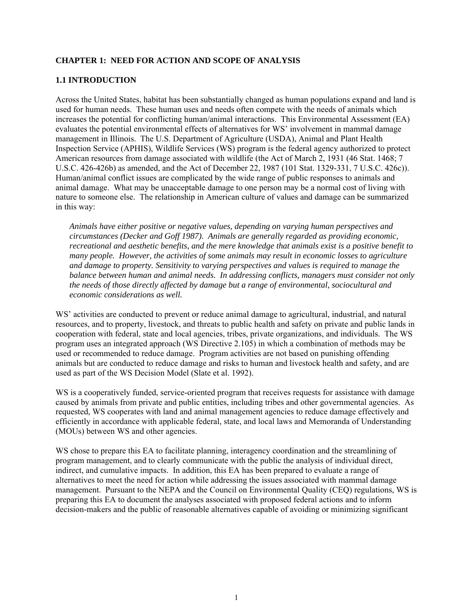#### **CHAPTER 1: NEED FOR ACTION AND SCOPE OF ANALYSIS**

#### **1.1 INTRODUCTION**

Across the United States, habitat has been substantially changed as human populations expand and land is used for human needs. These human uses and needs often compete with the needs of animals which increases the potential for conflicting human/animal interactions. This Environmental Assessment (EA) evaluates the potential environmental effects of alternatives for WS' involvement in mammal damage management in Illinois. The U.S. Department of Agriculture (USDA), Animal and Plant Health Inspection Service (APHIS), Wildlife Services (WS) program is the federal agency authorized to protect American resources from damage associated with wildlife (the Act of March 2, 1931 (46 Stat. 1468; 7 U.S.C. 426-426b) as amended, and the Act of December 22, 1987 (101 Stat. 1329-331, 7 U.S.C. 426c)). Human/animal conflict issues are complicated by the wide range of public responses to animals and animal damage. What may be unacceptable damage to one person may be a normal cost of living with nature to someone else. The relationship in American culture of values and damage can be summarized in this way:

*Animals have either positive or negative values, depending on varying human perspectives and circumstances (Decker and Goff 1987). Animals are generally regarded as providing economic, recreational and aesthetic benefits, and the mere knowledge that animals exist is a positive benefit to many people. However, the activities of some animals may result in economic losses to agriculture and damage to property. Sensitivity to varying perspectives and values is required to manage the balance between human and animal needs. In addressing conflicts, managers must consider not only the needs of those directly affected by damage but a range of environmental, sociocultural and economic considerations as well.* 

WS' activities are conducted to prevent or reduce animal damage to agricultural, industrial, and natural resources, and to property, livestock, and threats to public health and safety on private and public lands in cooperation with federal, state and local agencies, tribes, private organizations, and individuals. The WS program uses an integrated approach (WS Directive 2.105) in which a combination of methods may be used or recommended to reduce damage. Program activities are not based on punishing offending animals but are conducted to reduce damage and risks to human and livestock health and safety, and are used as part of the WS Decision Model (Slate et al. 1992).

WS is a cooperatively funded, service-oriented program that receives requests for assistance with damage caused by animals from private and public entities, including tribes and other governmental agencies. As requested, WS cooperates with land and animal management agencies to reduce damage effectively and efficiently in accordance with applicable federal, state, and local laws and Memoranda of Understanding (MOUs) between WS and other agencies.

WS chose to prepare this EA to facilitate planning, interagency coordination and the streamlining of program management, and to clearly communicate with the public the analysis of individual direct, indirect, and cumulative impacts. In addition, this EA has been prepared to evaluate a range of alternatives to meet the need for action while addressing the issues associated with mammal damage management. Pursuant to the NEPA and the Council on Environmental Quality (CEQ) regulations, WS is preparing this EA to document the analyses associated with proposed federal actions and to inform decision-makers and the public of reasonable alternatives capable of avoiding or minimizing significant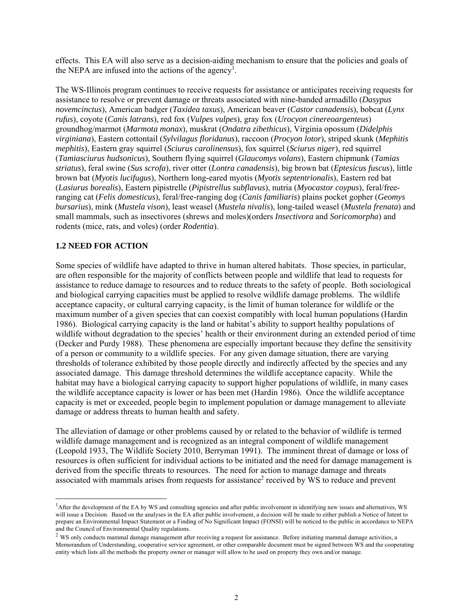effects. This EA will also serve as a decision-aiding mechanism to ensure that the policies and goals of the NEPA are infused into the actions of the agency<sup>1</sup>.

The WS-Illinois program continues to receive requests for assistance or anticipates receiving requests for assistance to resolve or prevent damage or threats associated with nine-banded armadillo (*Dasypus novemcinctus*), American badger (*Taxidea taxus*), American beaver (*Castor canadensis*), bobcat (*Lynx rufus*), coyote (*Canis latrans*), red fox (*Vulpes vulpes*), gray fox (*Urocyon cinereoargenteus*) groundhog/marmot (*Marmota monax*), muskrat (*Ondatra zibethicus*), Virginia opossum (*Didelphis virginiana*), Eastern cottontail (*Sylvilagus floridanus*), raccoon (*Procyon lotor*), striped skunk (*Mephitis mephitis*), Eastern gray squirrel (*Sciurus carolinensus*), fox squirrel (*Sciurus niger*), red squirrel (*Tamiasciurus hudsonicus*), Southern flying squirrel (*Glaucomys volans*), Eastern chipmunk (*Tamias striatus*), feral swine (*Sus scrofa*), river otter (*Lontra canadensis*), big brown bat (*Eptesicus fuscus*), little brown bat (*Myotis lucifugus*), Northern long-eared myotis (*Myotis septentrionalis*), Eastern red bat (*Lasiurus borealis*), Eastern pipistrelle (*Pipistrellus subflavus*), nutria (*Myocastor coypus*), feral/freeranging cat (*Felis domesticus*), feral/free-ranging dog (*Canis familiaris*) plains pocket gopher (*Geomys bursarius*), mink (*Mustela vison*), least weasel (*Mustela nivalis*), long-tailed weasel (*Mustela frenata*) and small mammals, such as insectivores (shrews and moles)(orders *Insectivora* and *Soricomorpha*) and rodents (mice, rats, and voles) (order *Rodentia*).

## **1.2 NEED FOR ACTION**

l

Some species of wildlife have adapted to thrive in human altered habitats. Those species, in particular, are often responsible for the majority of conflicts between people and wildlife that lead to requests for assistance to reduce damage to resources and to reduce threats to the safety of people. Both sociological and biological carrying capacities must be applied to resolve wildlife damage problems. The wildlife acceptance capacity, or cultural carrying capacity, is the limit of human tolerance for wildlife or the maximum number of a given species that can coexist compatibly with local human populations (Hardin 1986). Biological carrying capacity is the land or habitat's ability to support healthy populations of wildlife without degradation to the species' health or their environment during an extended period of time (Decker and Purdy 1988). These phenomena are especially important because they define the sensitivity of a person or community to a wildlife species. For any given damage situation, there are varying thresholds of tolerance exhibited by those people directly and indirectly affected by the species and any associated damage. This damage threshold determines the wildlife acceptance capacity. While the habitat may have a biological carrying capacity to support higher populations of wildlife, in many cases the wildlife acceptance capacity is lower or has been met (Hardin 1986). Once the wildlife acceptance capacity is met or exceeded, people begin to implement population or damage management to alleviate damage or address threats to human health and safety.

The alleviation of damage or other problems caused by or related to the behavior of wildlife is termed wildlife damage management and is recognized as an integral component of wildlife management (Leopold 1933, The Wildlife Society 2010, Berryman 1991). The imminent threat of damage or loss of resources is often sufficient for individual actions to be initiated and the need for damage management is derived from the specific threats to resources. The need for action to manage damage and threats associated with mammals arises from requests for assistance<sup>2</sup> received by WS to reduce and prevent

<sup>&</sup>lt;sup>1</sup>After the development of the EA by WS and consulting agencies and after public involvement in identifying new issues and alternatives, WS will issue a Decision. Based on the analyses in the EA after public involvement, a decision will be made to either publish a Notice of Intent to prepare an Environmental Impact Statement or a Finding of No Significant Impact (FONSI) will be noticed to the public in accordance to NEPA and the Council of Environmental Quality regulations.

<sup>&</sup>lt;sup>2</sup> WS only conducts mammal damage management after receiving a request for assistance. Before initiating mammal damage activities, a Memorandum of Understanding, cooperative service agreement, or other comparable document must be signed between WS and the cooperating entity which lists all the methods the property owner or manager will allow to be used on property they own and/or manage.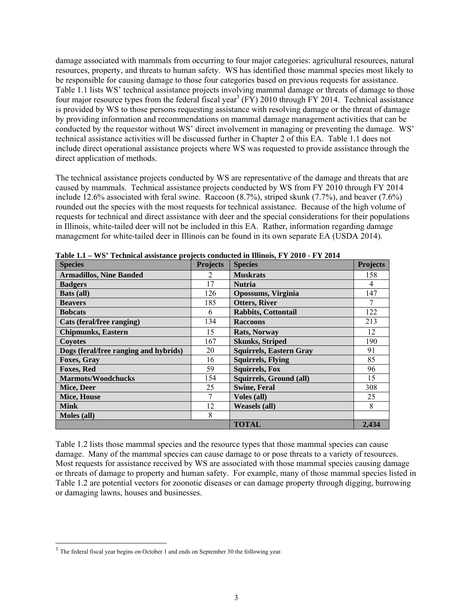damage associated with mammals from occurring to four major categories: agricultural resources, natural resources, property, and threats to human safety. WS has identified those mammal species most likely to be responsible for causing damage to those four categories based on previous requests for assistance. Table 1.1 lists WS' technical assistance projects involving mammal damage or threats of damage to those four major resource types from the federal fiscal year<sup>3</sup> (FY) 2010 through FY 2014. Technical assistance is provided by WS to those persons requesting assistance with resolving damage or the threat of damage by providing information and recommendations on mammal damage management activities that can be conducted by the requestor without WS' direct involvement in managing or preventing the damage. WS' technical assistance activities will be discussed further in Chapter 2 of this EA. Table 1.1 does not include direct operational assistance projects where WS was requested to provide assistance through the direct application of methods.

The technical assistance projects conducted by WS are representative of the damage and threats that are caused by mammals. Technical assistance projects conducted by WS from FY 2010 through FY 2014 include 12.6% associated with feral swine. Raccoon (8.7%), striped skunk (7.7%), and beaver (7.6%) rounded out the species with the most requests for technical assistance. Because of the high volume of requests for technical and direct assistance with deer and the special considerations for their populations in Illinois, white-tailed deer will not be included in this EA. Rather, information regarding damage management for white-tailed deer in Illinois can be found in its own separate EA (USDA 2014).

| <b>Species</b>                        | <b>Projects</b> | <b>Species</b>                 | <b>Projects</b> |
|---------------------------------------|-----------------|--------------------------------|-----------------|
| <b>Armadillos, Nine Banded</b>        | 2               | <b>Muskrats</b>                | 158             |
| <b>Badgers</b>                        | 17              | <b>Nutria</b>                  | 4               |
| Bats (all)                            | 126             | <b>Opossums, Virginia</b>      | 147             |
| <b>Beavers</b>                        | 185             | <b>Otters, River</b>           |                 |
| <b>Bobcats</b>                        | 6               | <b>Rabbits, Cottontail</b>     | 122             |
| Cats (feral/free ranging)             | 134             | <b>Raccoons</b>                | 213             |
| <b>Chipmunks, Eastern</b>             | 15              | <b>Rats, Norway</b>            | 12              |
| <b>Covotes</b>                        | 167             | <b>Skunks, Striped</b>         | 190             |
| Dogs (feral/free ranging and hybrids) | 20              | <b>Squirrels, Eastern Gray</b> | 91              |
| <b>Foxes, Gray</b>                    | 16              | <b>Squirrels, Flying</b>       | 85              |
| <b>Foxes, Red</b>                     | 59              | <b>Squirrels, Fox</b>          | 96              |
| <b>Marmots/Woodchucks</b>             | 154             | Squirrels, Ground (all)        | 15              |
| Mice, Deer                            | 25              | <b>Swine, Feral</b>            | 308             |
| Mice, House                           |                 | <b>Voles</b> (all)             | 25              |
| <b>Mink</b>                           | 12              | <b>Weasels (all)</b>           | 8               |
| Moles (all)                           | 8               |                                |                 |
|                                       |                 | <b>TOTAL</b>                   | 2,434           |

**Table 1.1 – WS' Technical assistance projects conducted in Illinois, FY 2010 - FY 2014** 

Table 1.2 lists those mammal species and the resource types that those mammal species can cause damage. Many of the mammal species can cause damage to or pose threats to a variety of resources. Most requests for assistance received by WS are associated with those mammal species causing damage or threats of damage to property and human safety. For example, many of those mammal species listed in Table 1.2 are potential vectors for zoonotic diseases or can damage property through digging, burrowing or damaging lawns, houses and businesses.

 $\overline{a}$ 

<sup>&</sup>lt;sup>3</sup> The federal fiscal year begins on October 1 and ends on September 30 the following year.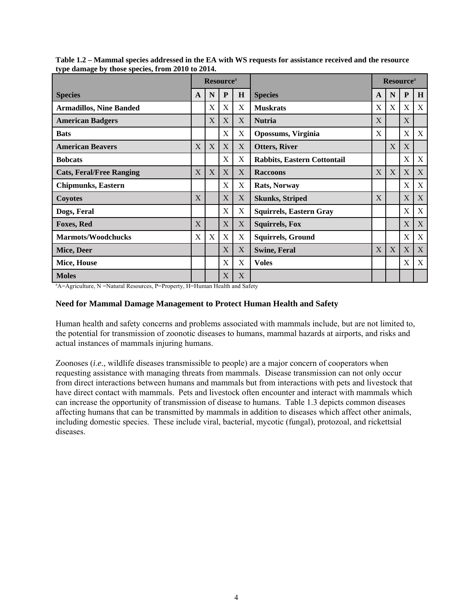| type daniage by those species, if our 2010 to 2014.                                     | <b>Resource</b> <sup>a</sup> |   |              |                |                                | <b>Resource</b> <sup>a</sup> |   |   |   |
|-----------------------------------------------------------------------------------------|------------------------------|---|--------------|----------------|--------------------------------|------------------------------|---|---|---|
| <b>Species</b>                                                                          | N<br>P<br>A                  |   | $\bf H$      | <b>Species</b> |                                | N                            | P | H |   |
| <b>Armadillos, Nine Banded</b>                                                          |                              | X | X            | X              | <b>Muskrats</b>                | X                            | X | X | X |
| <b>American Badgers</b>                                                                 |                              | X | X            | X              | <b>Nutria</b>                  | X                            |   | X |   |
| <b>Bats</b>                                                                             |                              |   | X            | X              | Opossums, Virginia             | X                            |   | X | X |
| <b>American Beavers</b>                                                                 | X                            | X | X            | X              | <b>Otters, River</b>           |                              | X | X |   |
| <b>Bobcats</b>                                                                          |                              |   | X            | X              | Rabbits, Eastern Cottontail    |                              |   | X | X |
| <b>Cats, Feral/Free Ranging</b>                                                         | X                            | X | X            | X              | <b>Raccoons</b>                | X                            | X | X | X |
| <b>Chipmunks</b> , Eastern                                                              |                              |   | X            | X              | Rats, Norway                   |                              |   | X | X |
| Coyotes                                                                                 | X                            |   | X            | X              | <b>Skunks, Striped</b>         | X                            |   | X | X |
| Dogs, Feral                                                                             |                              |   | X            | X              | <b>Squirrels, Eastern Gray</b> |                              |   | X | X |
| <b>Foxes, Red</b>                                                                       | X                            |   | X            | X              | <b>Squirrels, Fox</b>          |                              |   | X | X |
| <b>Marmots/Woodchucks</b>                                                               | X                            | X | X            | X              | <b>Squirrels, Ground</b>       |                              |   | X | X |
| Mice, Deer                                                                              |                              |   | X            | X              | <b>Swine, Feral</b>            | X                            | X | X | X |
| Mice, House                                                                             |                              |   | Χ            | X              | <b>Voles</b>                   |                              |   | Χ | X |
| <b>Moles</b>                                                                            |                              |   | $\mathbf{X}$ | X              |                                |                              |   |   |   |
| <sup>a</sup> A=Agriculture, N =Natural Resources, P=Property, H=Human Health and Safety |                              |   |              |                |                                |                              |   |   |   |

**Table 1.2 – Mammal species addressed in the EA with WS requests for assistance received and the resource type damage by those species, from 2010 to 2014.** 

#### **Need for Mammal Damage Management to Protect Human Health and Safety**

Human health and safety concerns and problems associated with mammals include, but are not limited to, the potential for transmission of zoonotic diseases to humans, mammal hazards at airports, and risks and actual instances of mammals injuring humans.

Zoonoses (*i*.*e*., wildlife diseases transmissible to people) are a major concern of cooperators when requesting assistance with managing threats from mammals. Disease transmission can not only occur from direct interactions between humans and mammals but from interactions with pets and livestock that have direct contact with mammals. Pets and livestock often encounter and interact with mammals which can increase the opportunity of transmission of disease to humans. Table 1.3 depicts common diseases affecting humans that can be transmitted by mammals in addition to diseases which affect other animals, including domestic species. These include viral, bacterial, mycotic (fungal), protozoal, and rickettsial diseases.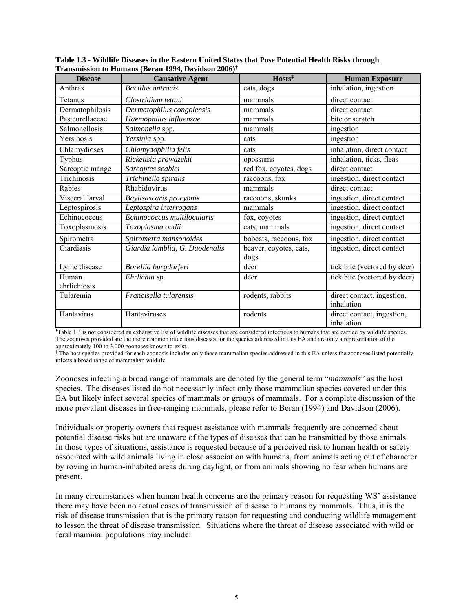| <b>Disease</b>        | <b>Causative Agent</b>                                                                                                                                          | Hosts <sup>‡</sup>             | <b>Human Exposure</b>                    |
|-----------------------|-----------------------------------------------------------------------------------------------------------------------------------------------------------------|--------------------------------|------------------------------------------|
| Anthrax               | <b>Bacillus</b> antracis                                                                                                                                        | cats, dogs                     | inhalation, ingestion                    |
| Tetanus               | Clostridium tetani                                                                                                                                              | mammals                        | direct contact                           |
| Dermatophilosis       | Dermatophilus congolensis                                                                                                                                       | mammals                        | direct contact                           |
| Pasteurellaceae       | Haemophilus influenzae                                                                                                                                          | mammals                        | bite or scratch                          |
| Salmonellosis         | Salmonella spp.                                                                                                                                                 | mammals                        | ingestion                                |
| Yersinosis            | Yersinia spp.                                                                                                                                                   | cats                           | ingestion                                |
| Chlamydioses          | Chlamydophilia felis                                                                                                                                            | cats                           | inhalation, direct contact               |
| Typhus                | Rickettsia prowazekii                                                                                                                                           | opossums                       | inhalation, ticks, fleas                 |
| Sarcoptic mange       | Sarcoptes scabiei                                                                                                                                               | red fox, coyotes, dogs         | direct contact                           |
| Trichinosis           | Trichinella spiralis                                                                                                                                            | raccoons, fox                  | ingestion, direct contact                |
| Rabies                | Rhabidovirus                                                                                                                                                    | mammals                        | direct contact                           |
| Visceral larval       | Baylisascaris procyonis                                                                                                                                         | raccoons, skunks               | ingestion, direct contact                |
| Leptospirosis         | Leptospira interrogans                                                                                                                                          | mammals                        | ingestion, direct contact                |
| Echinococcus          | Echinococcus multilocularis                                                                                                                                     | fox, coyotes                   | ingestion, direct contact                |
| Toxoplasmosis         | Toxoplasma ondii                                                                                                                                                | cats, mammals                  | ingestion, direct contact                |
| Spirometra            | Spirometra mansonoides                                                                                                                                          | bobcats, raccoons, fox         | ingestion, direct contact                |
| Giardiasis            | Giardia lamblia, G. Duodenalis                                                                                                                                  | beaver, coyotes, cats,<br>dogs | ingestion, direct contact                |
| Lyme disease          | Borellia burgdorferi                                                                                                                                            | deer                           | tick bite (vectored by deer)             |
| Human<br>ehrlichiosis | Ehrlichia sp.                                                                                                                                                   | deer                           | tick bite (vectored by deer)             |
| Tularemia             | Francisella tularensis                                                                                                                                          | rodents, rabbits               | direct contact, ingestion,<br>inhalation |
| Hantavirus            | Hantaviruses                                                                                                                                                    | rodents                        | direct contact, ingestion,<br>inhalation |
|                       | <sup>†</sup> Table 1.3 is not considered an exhaustive list of wildlife diseases that are considered infectious to humans that are carried by wildlife species. |                                |                                          |

**Table 1.3 - Wildlife Diseases in the Eastern United States that Pose Potential Health Risks through Transmission to Humans (Beran 1994, Davidson 2006)†**

The zoonoses provided are the more common infectious diseases for the species addressed in this EA and are only a representation of the

approximately 100 to 3,000 zoonoses known to exist. ‡ The host species provided for each zoonosis includes only those mammalian species addressed in this EA unless the zoonoses listed potentially infects a broad range of mammalian wildlife.

Zoonoses infecting a broad range of mammals are denoted by the general term "*mammals*" as the host species. The diseases listed do not necessarily infect only those mammalian species covered under this EA but likely infect several species of mammals or groups of mammals. For a complete discussion of the more prevalent diseases in free-ranging mammals, please refer to Beran (1994) and Davidson (2006).

Individuals or property owners that request assistance with mammals frequently are concerned about potential disease risks but are unaware of the types of diseases that can be transmitted by those animals. In those types of situations, assistance is requested because of a perceived risk to human health or safety associated with wild animals living in close association with humans, from animals acting out of character by roving in human-inhabited areas during daylight, or from animals showing no fear when humans are present.

In many circumstances when human health concerns are the primary reason for requesting WS' assistance there may have been no actual cases of transmission of disease to humans by mammals. Thus, it is the risk of disease transmission that is the primary reason for requesting and conducting wildlife management to lessen the threat of disease transmission. Situations where the threat of disease associated with wild or feral mammal populations may include: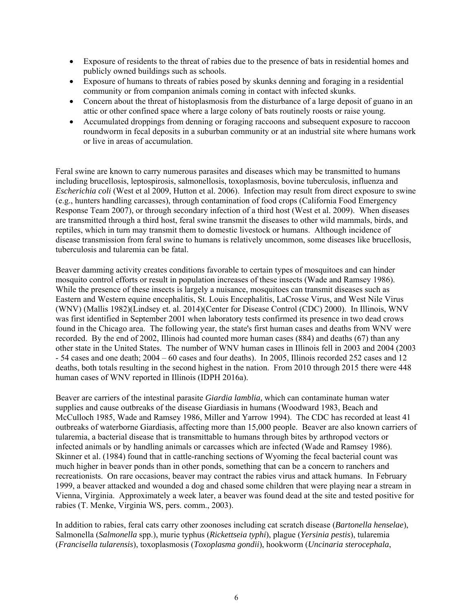- Exposure of residents to the threat of rabies due to the presence of bats in residential homes and publicly owned buildings such as schools.
- Exposure of humans to threats of rabies posed by skunks denning and foraging in a residential community or from companion animals coming in contact with infected skunks.
- Concern about the threat of histoplasmosis from the disturbance of a large deposit of guano in an attic or other confined space where a large colony of bats routinely roosts or raise young.
- Accumulated droppings from denning or foraging raccoons and subsequent exposure to raccoon roundworm in fecal deposits in a suburban community or at an industrial site where humans work or live in areas of accumulation.

Feral swine are known to carry numerous parasites and diseases which may be transmitted to humans including brucellosis, leptospirosis, salmonellosis, toxoplasmosis, bovine tuberculosis, influenza and *Escherichia coli* (West et al 2009, Hutton et al. 2006). Infection may result from direct exposure to swine (e.g., hunters handling carcasses), through contamination of food crops (California Food Emergency Response Team 2007), or through secondary infection of a third host (West et al. 2009). When diseases are transmitted through a third host, feral swine transmit the diseases to other wild mammals, birds, and reptiles, which in turn may transmit them to domestic livestock or humans. Although incidence of disease transmission from feral swine to humans is relatively uncommon, some diseases like brucellosis, tuberculosis and tularemia can be fatal.

Beaver damming activity creates conditions favorable to certain types of mosquitoes and can hinder mosquito control efforts or result in population increases of these insects (Wade and Ramsey 1986). While the presence of these insects is largely a nuisance, mosquitoes can transmit diseases such as Eastern and Western equine encephalitis, St. Louis Encephalitis, LaCrosse Virus, and West Nile Virus (WNV) (Mallis 1982)(Lindsey et. al. 2014)(Center for Disease Control (CDC) 2000). In Illinois, WNV was first identified in September 2001 when laboratory tests confirmed its presence in two dead crows found in the Chicago area. The following year, the state's first human cases and deaths from WNV were recorded. By the end of 2002, Illinois had counted more human cases (884) and deaths (67) than any other state in the United States. The number of WNV human cases in Illinois fell in 2003 and 2004 (2003 - 54 cases and one death; 2004 – 60 cases and four deaths). In 2005, Illinois recorded 252 cases and 12 deaths, both totals resulting in the second highest in the nation. From 2010 through 2015 there were 448 human cases of WNV reported in Illinois (IDPH 2016a).

Beaver are carriers of the intestinal parasite *Giardia lamblia,* which can contaminate human water supplies and cause outbreaks of the disease Giardiasis in humans (Woodward 1983, Beach and McCulloch 1985, Wade and Ramsey 1986, Miller and Yarrow 1994). The CDC has recorded at least 41 outbreaks of waterborne Giardiasis, affecting more than 15,000 people. Beaver are also known carriers of tularemia, a bacterial disease that is transmittable to humans through bites by arthropod vectors or infected animals or by handling animals or carcasses which are infected (Wade and Ramsey 1986). Skinner et al. (1984) found that in cattle-ranching sections of Wyoming the fecal bacterial count was much higher in beaver ponds than in other ponds, something that can be a concern to ranchers and recreationists. On rare occasions, beaver may contract the rabies virus and attack humans. In February 1999, a beaver attacked and wounded a dog and chased some children that were playing near a stream in Vienna, Virginia. Approximately a week later, a beaver was found dead at the site and tested positive for rabies (T. Menke, Virginia WS, pers. comm., 2003).

In addition to rabies, feral cats carry other zoonoses including cat scratch disease (*Bartonella henselae*), Salmonella (*Salmonella* spp.), murie typhus (*Rickettseia typhi*), plague (*Yersinia pestis*), tularemia (*Francisella tularensis*), toxoplasmosis (*Toxoplasma gondii*), hookworm (*Uncinaria sterocephala*,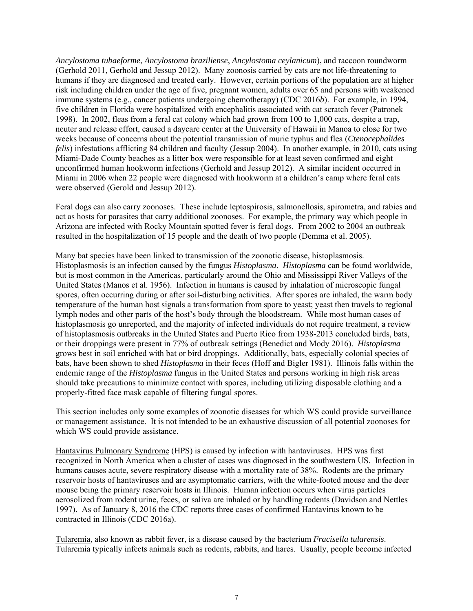*Ancylostoma tubaeforme*, *Ancylostoma braziliense*, *Ancylostoma ceylanicum*), and raccoon roundworm (Gerhold 2011, Gerhold and Jessup 2012). Many zoonosis carried by cats are not life-threatening to humans if they are diagnosed and treated early. However, certain portions of the population are at higher risk including children under the age of five, pregnant women, adults over 65 and persons with weakened immune systems (e.g., cancer patients undergoing chemotherapy) (CDC 2016*b*). For example, in 1994, five children in Florida were hospitalized with encephalitis associated with cat scratch fever (Patronek 1998). In 2002, fleas from a feral cat colony which had grown from 100 to 1,000 cats, despite a trap, neuter and release effort, caused a daycare center at the University of Hawaii in Manoa to close for two weeks because of concerns about the potential transmission of murie typhus and flea (*Ctenocephalides felis*) infestations afflicting 84 children and faculty (Jessup 2004). In another example, in 2010, cats using Miami-Dade County beaches as a litter box were responsible for at least seven confirmed and eight unconfirmed human hookworm infections (Gerhold and Jessup 2012). A similar incident occurred in Miami in 2006 when 22 people were diagnosed with hookworm at a children's camp where feral cats were observed (Gerold and Jessup 2012).

Feral dogs can also carry zoonoses. These include leptospirosis, salmonellosis, spirometra, and rabies and act as hosts for parasites that carry additional zoonoses. For example, the primary way which people in Arizona are infected with Rocky Mountain spotted fever is feral dogs. From 2002 to 2004 an outbreak resulted in the hospitalization of 15 people and the death of two people (Demma et al. 2005).

Many bat species have been linked to transmission of the zoonotic disease, histoplasmosis. Histoplasmosis is an infection caused by the fungus *Histoplasma*. *Histoplasma* can be found worldwide, but is most common in the Americas, particularly around the Ohio and Mississippi River Valleys of the United States (Manos et al. 1956). Infection in humans is caused by inhalation of microscopic fungal spores, often occurring during or after soil-disturbing activities. After spores are inhaled, the warm body temperature of the human host signals a transformation from spore to yeast; yeast then travels to regional lymph nodes and other parts of the host's body through the bloodstream. While most human cases of histoplasmosis go unreported, and the majority of infected individuals do not require treatment, a review of histoplasmosis outbreaks in the United States and Puerto Rico from 1938-2013 concluded birds, bats, or their droppings were present in 77% of outbreak settings (Benedict and Mody 2016). *Histoplasma*  grows best in soil enriched with bat or bird droppings. Additionally, bats, especially colonial species of bats, have been shown to shed *Histoplasma* in their feces (Hoff and Bigler 1981). Illinois falls within the endemic range of the *Histoplasma* fungus in the United States and persons working in high risk areas should take precautions to minimize contact with spores, including utilizing disposable clothing and a properly-fitted face mask capable of filtering fungal spores.

This section includes only some examples of zoonotic diseases for which WS could provide surveillance or management assistance. It is not intended to be an exhaustive discussion of all potential zoonoses for which WS could provide assistance.

Hantavirus Pulmonary Syndrome (HPS) is caused by infection with hantaviruses. HPS was first recognized in North America when a cluster of cases was diagnosed in the southwestern US. Infection in humans causes acute, severe respiratory disease with a mortality rate of 38%. Rodents are the primary reservoir hosts of hantaviruses and are asymptomatic carriers, with the white-footed mouse and the deer mouse being the primary reservoir hosts in Illinois. Human infection occurs when virus particles aerosolized from rodent urine, feces, or saliva are inhaled or by handling rodents (Davidson and Nettles 1997). As of January 8, 2016 the CDC reports three cases of confirmed Hantavirus known to be contracted in Illinois (CDC 2016a).

Tularemia, also known as rabbit fever, is a disease caused by the bacterium *Fracisella tularensis*. Tularemia typically infects animals such as rodents, rabbits, and hares. Usually, people become infected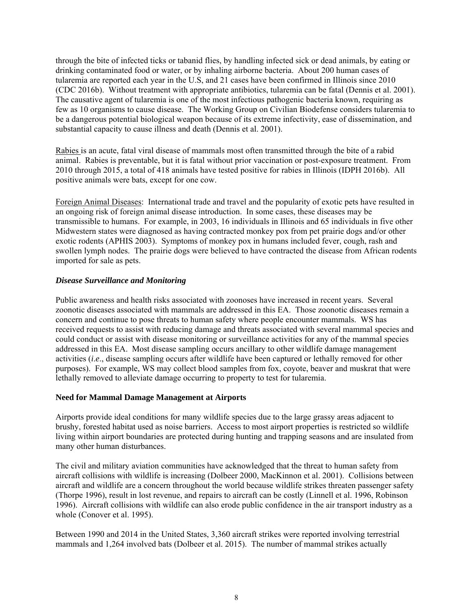through the bite of infected ticks or tabanid flies, by handling infected sick or dead animals, by eating or drinking contaminated food or water, or by inhaling airborne bacteria. About 200 human cases of tularemia are reported each year in the U.S, and 21 cases have been confirmed in Illinois since 2010 (CDC 2016b). Without treatment with appropriate antibiotics, tularemia can be fatal (Dennis et al. 2001). The causative agent of tularemia is one of the most infectious pathogenic bacteria known, requiring as few as 10 organisms to cause disease. The Working Group on Civilian Biodefense considers tularemia to be a dangerous potential biological weapon because of its extreme infectivity, ease of dissemination, and substantial capacity to cause illness and death (Dennis et al. 2001).

Rabies is an acute, fatal viral disease of mammals most often transmitted through the bite of a rabid animal. Rabies is preventable, but it is fatal without prior vaccination or post-exposure treatment. From 2010 through 2015, a total of 418 animals have tested positive for rabies in Illinois (IDPH 2016b). All positive animals were bats, except for one cow.

Foreign Animal Diseases: International trade and travel and the popularity of exotic pets have resulted in an ongoing risk of foreign animal disease introduction. In some cases, these diseases may be transmissible to humans. For example, in 2003, 16 individuals in Illinois and 65 individuals in five other Midwestern states were diagnosed as having contracted monkey pox from pet prairie dogs and/or other exotic rodents (APHIS 2003). Symptoms of monkey pox in humans included fever, cough, rash and swollen lymph nodes. The prairie dogs were believed to have contracted the disease from African rodents imported for sale as pets.

## *Disease Surveillance and Monitoring*

Public awareness and health risks associated with zoonoses have increased in recent years. Several zoonotic diseases associated with mammals are addressed in this EA. Those zoonotic diseases remain a concern and continue to pose threats to human safety where people encounter mammals. WS has received requests to assist with reducing damage and threats associated with several mammal species and could conduct or assist with disease monitoring or surveillance activities for any of the mammal species addressed in this EA. Most disease sampling occurs ancillary to other wildlife damage management activities (*i*.*e*., disease sampling occurs after wildlife have been captured or lethally removed for other purposes). For example, WS may collect blood samples from fox, coyote, beaver and muskrat that were lethally removed to alleviate damage occurring to property to test for tularemia.

#### **Need for Mammal Damage Management at Airports**

Airports provide ideal conditions for many wildlife species due to the large grassy areas adjacent to brushy, forested habitat used as noise barriers. Access to most airport properties is restricted so wildlife living within airport boundaries are protected during hunting and trapping seasons and are insulated from many other human disturbances.

The civil and military aviation communities have acknowledged that the threat to human safety from aircraft collisions with wildlife is increasing (Dolbeer 2000, MacKinnon et al. 2001). Collisions between aircraft and wildlife are a concern throughout the world because wildlife strikes threaten passenger safety (Thorpe 1996), result in lost revenue, and repairs to aircraft can be costly (Linnell et al. 1996, Robinson 1996). Aircraft collisions with wildlife can also erode public confidence in the air transport industry as a whole (Conover et al. 1995).

Between 1990 and 2014 in the United States, 3,360 aircraft strikes were reported involving terrestrial mammals and 1,264 involved bats (Dolbeer et al. 2015). The number of mammal strikes actually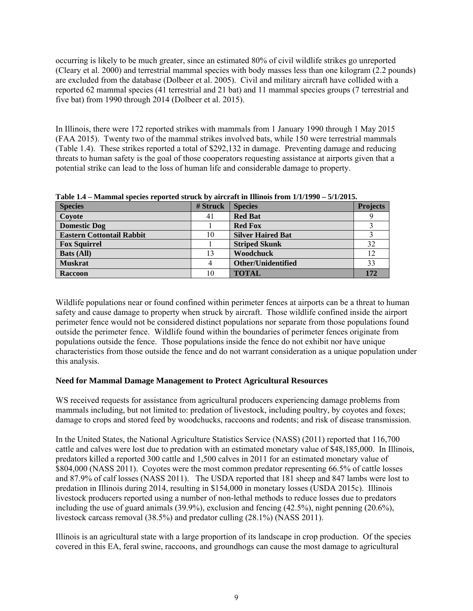occurring is likely to be much greater, since an estimated 80% of civil wildlife strikes go unreported (Cleary et al. 2000) and terrestrial mammal species with body masses less than one kilogram (2.2 pounds) are excluded from the database (Dolbeer et al. 2005). Civil and military aircraft have collided with a reported 62 mammal species (41 terrestrial and 21 bat) and 11 mammal species groups (7 terrestrial and five bat) from 1990 through 2014 (Dolbeer et al. 2015).

In Illinois, there were 172 reported strikes with mammals from 1 January 1990 through 1 May 2015 (FAA 2015). Twenty two of the mammal strikes involved bats, while 150 were terrestrial mammals (Table 1.4). These strikes reported a total of \$292,132 in damage. Preventing damage and reducing threats to human safety is the goal of those cooperators requesting assistance at airports given that a potential strike can lead to the loss of human life and considerable damage to property.

| <b>Species</b>                   | # Struck | <b>Species</b>           | <b>Projects</b> |
|----------------------------------|----------|--------------------------|-----------------|
| Coyote                           | 41       | <b>Red Bat</b>           |                 |
| <b>Domestic Dog</b>              |          | <b>Red Fox</b>           |                 |
| <b>Eastern Cottontail Rabbit</b> | 10       | <b>Silver Haired Bat</b> |                 |
| <b>Fox Squirrel</b>              |          | <b>Striped Skunk</b>     | 32              |
| <b>Bats (All)</b>                | 13       | <b>Woodchuck</b>         | 12              |
| <b>Muskrat</b>                   | 4        | Other/Unidentified       | 33              |
| <b>Raccoon</b>                   | 10       | <b>TOTAL</b>             | 172             |

**Table 1.4 – Mammal species reported struck by aircraft in Illinois from 1/1/1990 – 5/1/2015.** 

Wildlife populations near or found confined within perimeter fences at airports can be a threat to human safety and cause damage to property when struck by aircraft. Those wildlife confined inside the airport perimeter fence would not be considered distinct populations nor separate from those populations found outside the perimeter fence. Wildlife found within the boundaries of perimeter fences originate from populations outside the fence. Those populations inside the fence do not exhibit nor have unique characteristics from those outside the fence and do not warrant consideration as a unique population under this analysis.

#### **Need for Mammal Damage Management to Protect Agricultural Resources**

WS received requests for assistance from agricultural producers experiencing damage problems from mammals including, but not limited to: predation of livestock, including poultry, by coyotes and foxes; damage to crops and stored feed by woodchucks, raccoons and rodents; and risk of disease transmission.

In the United States, the National Agriculture Statistics Service (NASS) (2011) reported that 116,700 cattle and calves were lost due to predation with an estimated monetary value of \$48,185,000. In Illinois, predators killed a reported 300 cattle and 1,500 calves in 2011 for an estimated monetary value of \$804,000 (NASS 2011). Coyotes were the most common predator representing 66.5% of cattle losses and 87.9% of calf losses (NASS 2011). The USDA reported that 181 sheep and 847 lambs were lost to predation in Illinois during 2014, resulting in \$154,000 in monetary losses (USDA 2015c). Illinois livestock producers reported using a number of non-lethal methods to reduce losses due to predators including the use of guard animals (39.9%), exclusion and fencing (42.5%), night penning (20.6%), livestock carcass removal (38.5%) and predator culling (28.1%) (NASS 2011).

Illinois is an agricultural state with a large proportion of its landscape in crop production. Of the species covered in this EA, feral swine, raccoons, and groundhogs can cause the most damage to agricultural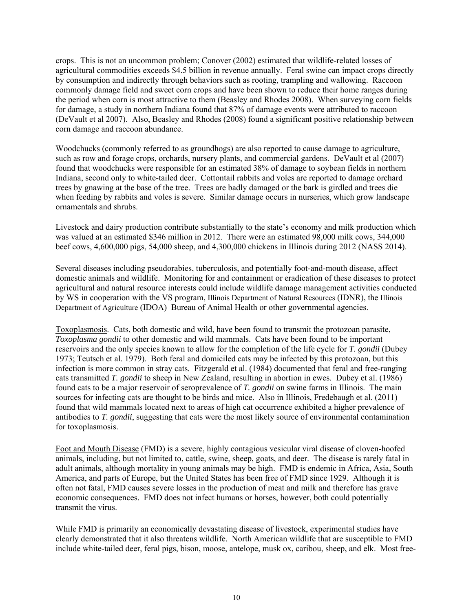crops. This is not an uncommon problem; Conover (2002) estimated that wildlife-related losses of agricultural commodities exceeds \$4.5 billion in revenue annually. Feral swine can impact crops directly by consumption and indirectly through behaviors such as rooting, trampling and wallowing. Raccoon commonly damage field and sweet corn crops and have been shown to reduce their home ranges during the period when corn is most attractive to them (Beasley and Rhodes 2008). When surveying corn fields for damage, a study in northern Indiana found that 87% of damage events were attributed to raccoon (DeVault et al 2007). Also, Beasley and Rhodes (2008) found a significant positive relationship between corn damage and raccoon abundance.

Woodchucks (commonly referred to as groundhogs) are also reported to cause damage to agriculture, such as row and forage crops, orchards, nursery plants, and commercial gardens. DeVault et al (2007) found that woodchucks were responsible for an estimated 38% of damage to soybean fields in northern Indiana, second only to white-tailed deer. Cottontail rabbits and voles are reported to damage orchard trees by gnawing at the base of the tree. Trees are badly damaged or the bark is girdled and trees die when feeding by rabbits and voles is severe. Similar damage occurs in nurseries, which grow landscape ornamentals and shrubs.

Livestock and dairy production contribute substantially to the state's economy and milk production which was valued at an estimated \$346 million in 2012. There were an estimated 98,000 milk cows, 344,000 beef cows, 4,600,000 pigs, 54,000 sheep, and 4,300,000 chickens in Illinois during 2012 (NASS 2014).

Several diseases including pseudorabies, tuberculosis, and potentially foot-and-mouth disease, affect domestic animals and wildlife. Monitoring for and containment or eradication of these diseases to protect agricultural and natural resource interests could include wildlife damage management activities conducted by WS in cooperation with the VS program, Illinois Department of Natural Resources (IDNR), the Illinois Department of Agriculture (IDOA) Bureau of Animal Health or other governmental agencies.

Toxoplasmosis. Cats, both domestic and wild, have been found to transmit the protozoan parasite, *Toxoplasma gondii* to other domestic and wild mammals. Cats have been found to be important reservoirs and the only species known to allow for the completion of the life cycle for *T. gondii* (Dubey 1973; Teutsch et al. 1979). Both feral and domiciled cats may be infected by this protozoan, but this infection is more common in stray cats. Fitzgerald et al. (1984) documented that feral and free-ranging cats transmitted *T. gondii* to sheep in New Zealand, resulting in abortion in ewes. Dubey et al. (1986) found cats to be a major reservoir of seroprevalence of *T. gondii* on swine farms in Illinois. The main sources for infecting cats are thought to be birds and mice. Also in Illinois, Fredebaugh et al. (2011) found that wild mammals located next to areas of high cat occurrence exhibited a higher prevalence of antibodies to *T. gondii*, suggesting that cats were the most likely source of environmental contamination for toxoplasmosis.

Foot and Mouth Disease (FMD) is a severe, highly contagious vesicular viral disease of cloven-hoofed animals, including, but not limited to, cattle, swine, sheep, goats, and deer. The disease is rarely fatal in adult animals, although mortality in young animals may be high. FMD is endemic in Africa, Asia, South America, and parts of Europe, but the United States has been free of FMD since 1929. Although it is often not fatal, FMD causes severe losses in the production of meat and milk and therefore has grave economic consequences. FMD does not infect humans or horses, however, both could potentially transmit the virus.

While FMD is primarily an economically devastating disease of livestock, experimental studies have clearly demonstrated that it also threatens wildlife. North American wildlife that are susceptible to FMD include white-tailed deer, feral pigs, bison, moose, antelope, musk ox, caribou, sheep, and elk. Most free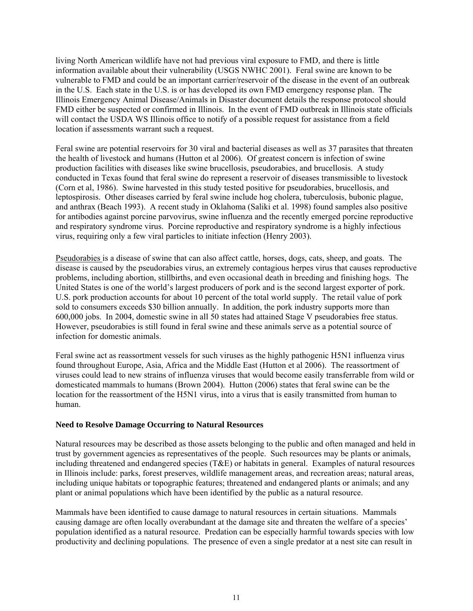living North American wildlife have not had previous viral exposure to FMD, and there is little information available about their vulnerability (USGS NWHC 2001). Feral swine are known to be vulnerable to FMD and could be an important carrier/reservoir of the disease in the event of an outbreak in the U.S. Each state in the U.S. is or has developed its own FMD emergency response plan. The Illinois Emergency Animal Disease/Animals in Disaster document details the response protocol should FMD either be suspected or confirmed in Illinois. In the event of FMD outbreak in Illinois state officials will contact the USDA WS Illinois office to notify of a possible request for assistance from a field location if assessments warrant such a request.

Feral swine are potential reservoirs for 30 viral and bacterial diseases as well as 37 parasites that threaten the health of livestock and humans (Hutton et al 2006). Of greatest concern is infection of swine production facilities with diseases like swine brucellosis, pseudorabies, and brucellosis. A study conducted in Texas found that feral swine do represent a reservoir of diseases transmissible to livestock (Corn et al, 1986). Swine harvested in this study tested positive for pseudorabies, brucellosis, and leptospirosis. Other diseases carried by feral swine include hog cholera, tuberculosis, bubonic plague, and anthrax (Beach 1993). A recent study in Oklahoma (Saliki et al. 1998) found samples also positive for antibodies against porcine parvovirus, swine influenza and the recently emerged porcine reproductive and respiratory syndrome virus. Porcine reproductive and respiratory syndrome is a highly infectious virus, requiring only a few viral particles to initiate infection (Henry 2003).

Pseudorabies is a disease of swine that can also affect cattle, horses, dogs, cats, sheep, and goats. The disease is caused by the pseudorabies virus, an extremely contagious herpes virus that causes reproductive problems, including abortion, stillbirths, and even occasional death in breeding and finishing hogs. The United States is one of the world's largest producers of pork and is the second largest exporter of pork. U.S. pork production accounts for about 10 percent of the total world supply. The retail value of pork sold to consumers exceeds \$30 billion annually. In addition, the pork industry supports more than 600,000 jobs. In 2004, domestic swine in all 50 states had attained Stage V pseudorabies free status. However, pseudorabies is still found in feral swine and these animals serve as a potential source of infection for domestic animals.

Feral swine act as reassortment vessels for such viruses as the highly pathogenic H5N1 influenza virus found throughout Europe, Asia, Africa and the Middle East (Hutton et al 2006). The reassortment of viruses could lead to new strains of influenza viruses that would become easily transferrable from wild or domesticated mammals to humans (Brown 2004). Hutton (2006) states that feral swine can be the location for the reassortment of the H5N1 virus, into a virus that is easily transmitted from human to human.

#### **Need to Resolve Damage Occurring to Natural Resources**

Natural resources may be described as those assets belonging to the public and often managed and held in trust by government agencies as representatives of the people. Such resources may be plants or animals, including threatened and endangered species (T&E) or habitats in general. Examples of natural resources in Illinois include: parks, forest preserves, wildlife management areas, and recreation areas; natural areas, including unique habitats or topographic features; threatened and endangered plants or animals; and any plant or animal populations which have been identified by the public as a natural resource.

Mammals have been identified to cause damage to natural resources in certain situations. Mammals causing damage are often locally overabundant at the damage site and threaten the welfare of a species' population identified as a natural resource. Predation can be especially harmful towards species with low productivity and declining populations. The presence of even a single predator at a nest site can result in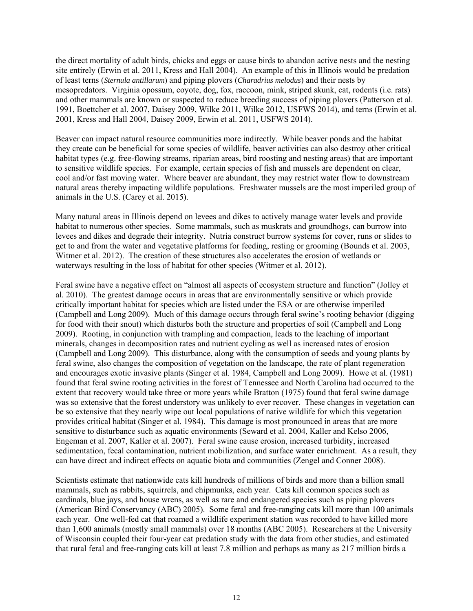the direct mortality of adult birds, chicks and eggs or cause birds to abandon active nests and the nesting site entirely (Erwin et al. 2011, Kress and Hall 2004). An example of this in Illinois would be predation of least terns (*Sternula antillarum*) and piping plovers (*Charadrius melodus*) and their nests by mesopredators. Virginia opossum, coyote, dog, fox, raccoon*,* mink*,* striped skunk, cat, rodents (i.e. rats) and other mammals are known or suspected to reduce breeding success of piping plovers (Patterson et al. 1991, Boettcher et al. 2007, Daisey 2009, Wilke 2011, Wilke 2012, USFWS 2014), and terns (Erwin et al. 2001, Kress and Hall 2004, Daisey 2009, Erwin et al. 2011, USFWS 2014).

Beaver can impact natural resource communities more indirectly. While beaver ponds and the habitat they create can be beneficial for some species of wildlife, beaver activities can also destroy other critical habitat types (e.g. free-flowing streams, riparian areas, bird roosting and nesting areas) that are important to sensitive wildlife species. For example, certain species of fish and mussels are dependent on clear, cool and/or fast moving water. Where beaver are abundant, they may restrict water flow to downstream natural areas thereby impacting wildlife populations. Freshwater mussels are the most imperiled group of animals in the U.S. (Carey et al. 2015).

Many natural areas in Illinois depend on levees and dikes to actively manage water levels and provide habitat to numerous other species. Some mammals, such as muskrats and groundhogs, can burrow into levees and dikes and degrade their integrity. Nutria construct burrow systems for cover, runs or slides to get to and from the water and vegetative platforms for feeding, resting or grooming (Bounds et al. 2003, Witmer et al. 2012). The creation of these structures also accelerates the erosion of wetlands or waterways resulting in the loss of habitat for other species (Witmer et al. 2012).

Feral swine have a negative effect on "almost all aspects of ecosystem structure and function" (Jolley et al. 2010). The greatest damage occurs in areas that are environmentally sensitive or which provide critically important habitat for species which are listed under the ESA or are otherwise imperiled (Campbell and Long 2009). Much of this damage occurs through feral swine's rooting behavior (digging for food with their snout) which disturbs both the structure and properties of soil (Campbell and Long 2009). Rooting, in conjunction with trampling and compaction, leads to the leaching of important minerals, changes in decomposition rates and nutrient cycling as well as increased rates of erosion (Campbell and Long 2009). This disturbance, along with the consumption of seeds and young plants by feral swine, also changes the composition of vegetation on the landscape, the rate of plant regeneration and encourages exotic invasive plants (Singer et al. 1984, Campbell and Long 2009). Howe et al. (1981) found that feral swine rooting activities in the forest of Tennessee and North Carolina had occurred to the extent that recovery would take three or more years while Bratton (1975) found that feral swine damage was so extensive that the forest understory was unlikely to ever recover. These changes in vegetation can be so extensive that they nearly wipe out local populations of native wildlife for which this vegetation provides critical habitat (Singer et al. 1984). This damage is most pronounced in areas that are more sensitive to disturbance such as aquatic environments (Seward et al. 2004, Kaller and Kelso 2006, Engeman et al. 2007, Kaller et al. 2007). Feral swine cause erosion, increased turbidity, increased sedimentation, fecal contamination, nutrient mobilization, and surface water enrichment. As a result, they can have direct and indirect effects on aquatic biota and communities (Zengel and Conner 2008).

Scientists estimate that nationwide cats kill hundreds of millions of birds and more than a billion small mammals, such as rabbits, squirrels, and chipmunks, each year. Cats kill common species such as cardinals, blue jays, and house wrens, as well as rare and endangered species such as piping plovers (American Bird Conservancy (ABC) 2005). Some feral and free-ranging cats kill more than 100 animals each year. One well-fed cat that roamed a wildlife experiment station was recorded to have killed more than 1,600 animals (mostly small mammals) over 18 months (ABC 2005). Researchers at the University of Wisconsin coupled their four-year cat predation study with the data from other studies, and estimated that rural feral and free-ranging cats kill at least 7.8 million and perhaps as many as 217 million birds a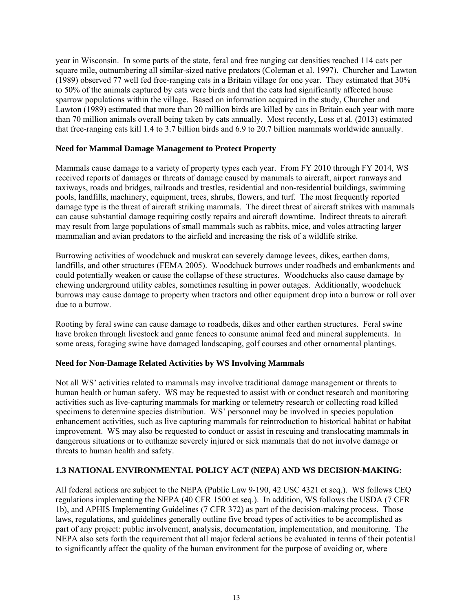year in Wisconsin. In some parts of the state, feral and free ranging cat densities reached 114 cats per square mile, outnumbering all similar-sized native predators (Coleman et al. 1997). Churcher and Lawton (1989) observed 77 well fed free-ranging cats in a Britain village for one year. They estimated that 30% to 50% of the animals captured by cats were birds and that the cats had significantly affected house sparrow populations within the village. Based on information acquired in the study, Churcher and Lawton (1989) estimated that more than 20 million birds are killed by cats in Britain each year with more than 70 million animals overall being taken by cats annually. Most recently, Loss et al. (2013) estimated that free-ranging cats kill 1.4 to 3.7 billion birds and 6.9 to 20.7 billion mammals worldwide annually.

## **Need for Mammal Damage Management to Protect Property**

Mammals cause damage to a variety of property types each year. From FY 2010 through FY 2014, WS received reports of damages or threats of damage caused by mammals to aircraft, airport runways and taxiways, roads and bridges, railroads and trestles, residential and non-residential buildings, swimming pools, landfills, machinery, equipment, trees, shrubs, flowers, and turf. The most frequently reported damage type is the threat of aircraft striking mammals. The direct threat of aircraft strikes with mammals can cause substantial damage requiring costly repairs and aircraft downtime. Indirect threats to aircraft may result from large populations of small mammals such as rabbits, mice, and voles attracting larger mammalian and avian predators to the airfield and increasing the risk of a wildlife strike.

Burrowing activities of woodchuck and muskrat can severely damage levees, dikes, earthen dams, landfills, and other structures (FEMA 2005). Woodchuck burrows under roadbeds and embankments and could potentially weaken or cause the collapse of these structures. Woodchucks also cause damage by chewing underground utility cables, sometimes resulting in power outages. Additionally, woodchuck burrows may cause damage to property when tractors and other equipment drop into a burrow or roll over due to a burrow.

Rooting by feral swine can cause damage to roadbeds, dikes and other earthen structures. Feral swine have broken through livestock and game fences to consume animal feed and mineral supplements. In some areas, foraging swine have damaged landscaping, golf courses and other ornamental plantings.

#### **Need for Non-Damage Related Activities by WS Involving Mammals**

Not all WS' activities related to mammals may involve traditional damage management or threats to human health or human safety. WS may be requested to assist with or conduct research and monitoring activities such as live-capturing mammals for marking or telemetry research or collecting road killed specimens to determine species distribution. WS' personnel may be involved in species population enhancement activities, such as live capturing mammals for reintroduction to historical habitat or habitat improvement. WS may also be requested to conduct or assist in rescuing and translocating mammals in dangerous situations or to euthanize severely injured or sick mammals that do not involve damage or threats to human health and safety.

# **1.3 NATIONAL ENVIRONMENTAL POLICY ACT (NEPA) AND WS DECISION-MAKING:**

All federal actions are subject to the NEPA (Public Law 9-190, 42 USC 4321 et seq.). WS follows CEQ regulations implementing the NEPA (40 CFR 1500 et seq.). In addition, WS follows the USDA (7 CFR 1b), and APHIS Implementing Guidelines (7 CFR 372) as part of the decision-making process. Those laws, regulations, and guidelines generally outline five broad types of activities to be accomplished as part of any project: public involvement, analysis, documentation, implementation, and monitoring. The NEPA also sets forth the requirement that all major federal actions be evaluated in terms of their potential to significantly affect the quality of the human environment for the purpose of avoiding or, where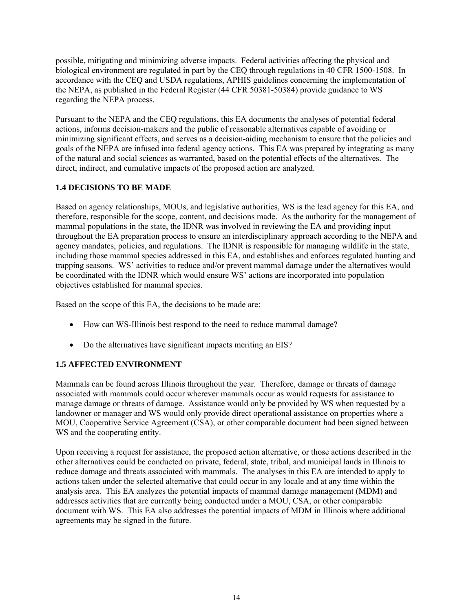possible, mitigating and minimizing adverse impacts. Federal activities affecting the physical and biological environment are regulated in part by the CEQ through regulations in 40 CFR 1500-1508. In accordance with the CEQ and USDA regulations, APHIS guidelines concerning the implementation of the NEPA, as published in the Federal Register (44 CFR 50381-50384) provide guidance to WS regarding the NEPA process.

Pursuant to the NEPA and the CEQ regulations, this EA documents the analyses of potential federal actions, informs decision-makers and the public of reasonable alternatives capable of avoiding or minimizing significant effects, and serves as a decision-aiding mechanism to ensure that the policies and goals of the NEPA are infused into federal agency actions. This EA was prepared by integrating as many of the natural and social sciences as warranted, based on the potential effects of the alternatives. The direct, indirect, and cumulative impacts of the proposed action are analyzed.

## **1.4 DECISIONS TO BE MADE**

Based on agency relationships, MOUs, and legislative authorities, WS is the lead agency for this EA, and therefore, responsible for the scope, content, and decisions made. As the authority for the management of mammal populations in the state, the IDNR was involved in reviewing the EA and providing input throughout the EA preparation process to ensure an interdisciplinary approach according to the NEPA and agency mandates, policies, and regulations. The IDNR is responsible for managing wildlife in the state, including those mammal species addressed in this EA, and establishes and enforces regulated hunting and trapping seasons. WS' activities to reduce and/or prevent mammal damage under the alternatives would be coordinated with the IDNR which would ensure WS' actions are incorporated into population objectives established for mammal species.

Based on the scope of this EA, the decisions to be made are:

- How can WS-Illinois best respond to the need to reduce mammal damage?
- Do the alternatives have significant impacts meriting an EIS?

# **1.5 AFFECTED ENVIRONMENT**

Mammals can be found across Illinois throughout the year. Therefore, damage or threats of damage associated with mammals could occur wherever mammals occur as would requests for assistance to manage damage or threats of damage. Assistance would only be provided by WS when requested by a landowner or manager and WS would only provide direct operational assistance on properties where a MOU, Cooperative Service Agreement (CSA), or other comparable document had been signed between WS and the cooperating entity.

Upon receiving a request for assistance, the proposed action alternative, or those actions described in the other alternatives could be conducted on private, federal, state, tribal, and municipal lands in Illinois to reduce damage and threats associated with mammals. The analyses in this EA are intended to apply to actions taken under the selected alternative that could occur in any locale and at any time within the analysis area. This EA analyzes the potential impacts of mammal damage management (MDM) and addresses activities that are currently being conducted under a MOU, CSA, or other comparable document with WS. This EA also addresses the potential impacts of MDM in Illinois where additional agreements may be signed in the future.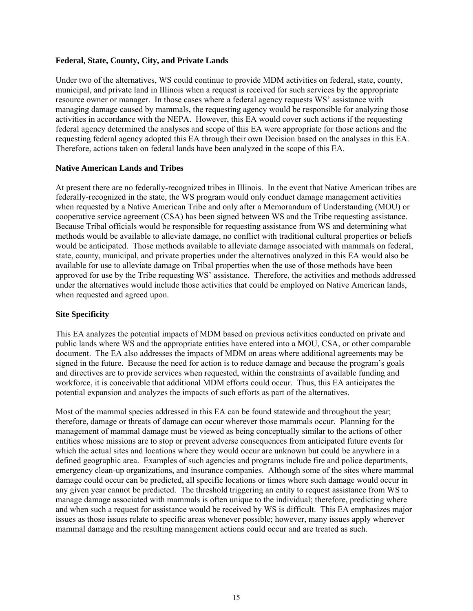#### **Federal, State, County, City, and Private Lands**

Under two of the alternatives, WS could continue to provide MDM activities on federal, state, county, municipal, and private land in Illinois when a request is received for such services by the appropriate resource owner or manager. In those cases where a federal agency requests WS' assistance with managing damage caused by mammals, the requesting agency would be responsible for analyzing those activities in accordance with the NEPA. However, this EA would cover such actions if the requesting federal agency determined the analyses and scope of this EA were appropriate for those actions and the requesting federal agency adopted this EA through their own Decision based on the analyses in this EA. Therefore, actions taken on federal lands have been analyzed in the scope of this EA.

#### **Native American Lands and Tribes**

At present there are no federally-recognized tribes in Illinois. In the event that Native American tribes are federally-recognized in the state, the WS program would only conduct damage management activities when requested by a Native American Tribe and only after a Memorandum of Understanding (MOU) or cooperative service agreement (CSA) has been signed between WS and the Tribe requesting assistance. Because Tribal officials would be responsible for requesting assistance from WS and determining what methods would be available to alleviate damage, no conflict with traditional cultural properties or beliefs would be anticipated. Those methods available to alleviate damage associated with mammals on federal, state, county, municipal, and private properties under the alternatives analyzed in this EA would also be available for use to alleviate damage on Tribal properties when the use of those methods have been approved for use by the Tribe requesting WS' assistance. Therefore, the activities and methods addressed under the alternatives would include those activities that could be employed on Native American lands, when requested and agreed upon.

#### **Site Specificity**

This EA analyzes the potential impacts of MDM based on previous activities conducted on private and public lands where WS and the appropriate entities have entered into a MOU, CSA, or other comparable document. The EA also addresses the impacts of MDM on areas where additional agreements may be signed in the future. Because the need for action is to reduce damage and because the program's goals and directives are to provide services when requested, within the constraints of available funding and workforce, it is conceivable that additional MDM efforts could occur. Thus, this EA anticipates the potential expansion and analyzes the impacts of such efforts as part of the alternatives.

Most of the mammal species addressed in this EA can be found statewide and throughout the year; therefore, damage or threats of damage can occur wherever those mammals occur. Planning for the management of mammal damage must be viewed as being conceptually similar to the actions of other entities whose missions are to stop or prevent adverse consequences from anticipated future events for which the actual sites and locations where they would occur are unknown but could be anywhere in a defined geographic area. Examples of such agencies and programs include fire and police departments, emergency clean-up organizations, and insurance companies. Although some of the sites where mammal damage could occur can be predicted, all specific locations or times where such damage would occur in any given year cannot be predicted. The threshold triggering an entity to request assistance from WS to manage damage associated with mammals is often unique to the individual; therefore, predicting where and when such a request for assistance would be received by WS is difficult. This EA emphasizes major issues as those issues relate to specific areas whenever possible; however, many issues apply wherever mammal damage and the resulting management actions could occur and are treated as such.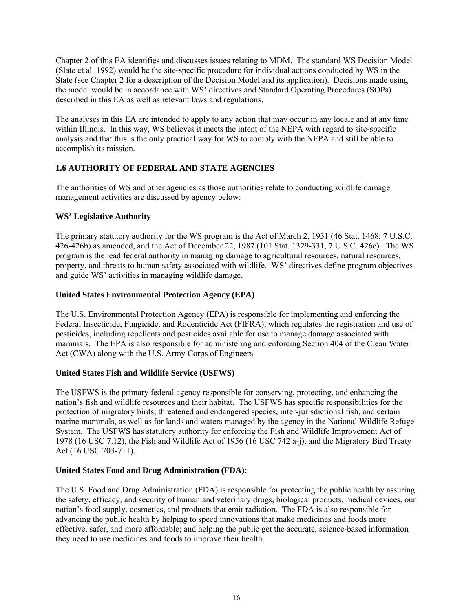Chapter 2 of this EA identifies and discusses issues relating to MDM. The standard WS Decision Model (Slate et al. 1992) would be the site-specific procedure for individual actions conducted by WS in the State (see Chapter 2 for a description of the Decision Model and its application). Decisions made using the model would be in accordance with WS' directives and Standard Operating Procedures (SOPs) described in this EA as well as relevant laws and regulations.

The analyses in this EA are intended to apply to any action that may occur in any locale and at any time within Illinois. In this way, WS believes it meets the intent of the NEPA with regard to site-specific analysis and that this is the only practical way for WS to comply with the NEPA and still be able to accomplish its mission.

# **1.6 AUTHORITY OF FEDERAL AND STATE AGENCIES**

The authorities of WS and other agencies as those authorities relate to conducting wildlife damage management activities are discussed by agency below:

# **WS' Legislative Authority**

The primary statutory authority for the WS program is the Act of March 2, 1931 (46 Stat. 1468; 7 U.S.C. 426-426b) as amended, and the Act of December 22, 1987 (101 Stat. 1329-331, 7 U.S.C. 426c). The WS program is the lead federal authority in managing damage to agricultural resources, natural resources, property, and threats to human safety associated with wildlife. WS' directives define program objectives and guide WS' activities in managing wildlife damage.

# **United States Environmental Protection Agency (EPA)**

The U.S. Environmental Protection Agency (EPA) is responsible for implementing and enforcing the Federal Insecticide, Fungicide, and Rodenticide Act (FIFRA), which regulates the registration and use of pesticides, including repellents and pesticides available for use to manage damage associated with mammals. The EPA is also responsible for administering and enforcing Section 404 of the Clean Water Act (CWA) along with the U.S. Army Corps of Engineers.

# **United States Fish and Wildlife Service (USFWS)**

The USFWS is the primary federal agency responsible for conserving, protecting, and enhancing the nation's fish and wildlife resources and their habitat. The USFWS has specific responsibilities for the protection of migratory birds, threatened and endangered species, inter-jurisdictional fish, and certain marine mammals, as well as for lands and waters managed by the agency in the National Wildlife Refuge System. The USFWS has statutory authority for enforcing the Fish and Wildlife Improvement Act of 1978 (16 USC 7.12), the Fish and Wildlife Act of 1956 (16 USC 742 a-j), and the Migratory Bird Treaty Act (16 USC 703-711).

# **United States Food and Drug Administration (FDA):**

The U.S. Food and Drug Administration (FDA) is responsible for protecting the public health by assuring the safety, efficacy, and security of human and veterinary drugs, biological products, medical devices, our nation's food supply, cosmetics, and products that emit radiation. The FDA is also responsible for advancing the public health by helping to speed innovations that make medicines and foods more effective, safer, and more affordable; and helping the public get the accurate, science-based information they need to use medicines and foods to improve their health.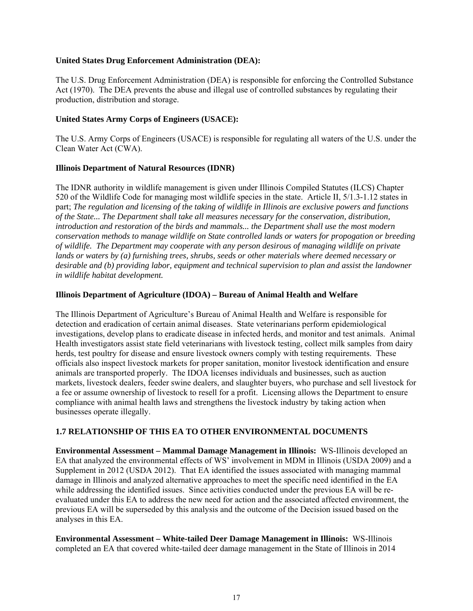#### **United States Drug Enforcement Administration (DEA):**

The U.S. Drug Enforcement Administration (DEA) is responsible for enforcing the Controlled Substance Act (1970). The DEA prevents the abuse and illegal use of controlled substances by regulating their production, distribution and storage.

## **United States Army Corps of Engineers (USACE):**

The U.S. Army Corps of Engineers (USACE) is responsible for regulating all waters of the U.S. under the Clean Water Act (CWA).

## **Illinois Department of Natural Resources (IDNR)**

The IDNR authority in wildlife management is given under Illinois Compiled Statutes (ILCS) Chapter 520 of the Wildlife Code for managing most wildlife species in the state. Article II, 5/1.3-1.12 states in part; *The regulation and licensing of the taking of wildlife in Illinois are exclusive powers and functions of the State... The Department shall take all measures necessary for the conservation, distribution, introduction and restoration of the birds and mammals... the Department shall use the most modern conservation methods to manage wildlife on State controlled lands or waters for propogation or breeding of wildlife. The Department may cooperate with any person desirous of managing wildlife on private lands or waters by (a) furnishing trees, shrubs, seeds or other materials where deemed necessary or desirable and (b) providing labor, equipment and technical supervision to plan and assist the landowner in wildlife habitat development.*

## **Illinois Department of Agriculture (IDOA) – Bureau of Animal Health and Welfare**

The Illinois Department of Agriculture's Bureau of Animal Health and Welfare is responsible for detection and eradication of certain animal diseases. State veterinarians perform epidemiological investigations, develop plans to eradicate disease in infected herds, and monitor and test animals. Animal Health investigators assist state field veterinarians with livestock testing, collect milk samples from dairy herds, test poultry for disease and ensure livestock owners comply with testing requirements. These officials also inspect livestock markets for proper sanitation, monitor livestock identification and ensure animals are transported properly. The IDOA licenses individuals and businesses, such as auction markets, livestock dealers, feeder swine dealers, and slaughter buyers, who purchase and sell livestock for a fee or assume ownership of livestock to resell for a profit. Licensing allows the Department to ensure compliance with animal health laws and strengthens the livestock industry by taking action when businesses operate illegally.

# **1.7 RELATIONSHIP OF THIS EA TO OTHER ENVIRONMENTAL DOCUMENTS**

**Environmental Assessment – Mammal Damage Management in Illinois:** WS-Illinois developed an EA that analyzed the environmental effects of WS' involvement in MDM in Illinois (USDA 2009) and a Supplement in 2012 (USDA 2012). That EA identified the issues associated with managing mammal damage in Illinois and analyzed alternative approaches to meet the specific need identified in the EA while addressing the identified issues. Since activities conducted under the previous EA will be reevaluated under this EA to address the new need for action and the associated affected environment, the previous EA will be superseded by this analysis and the outcome of the Decision issued based on the analyses in this EA.

**Environmental Assessment – White-tailed Deer Damage Management in Illinois:** WS-Illinois completed an EA that covered white-tailed deer damage management in the State of Illinois in 2014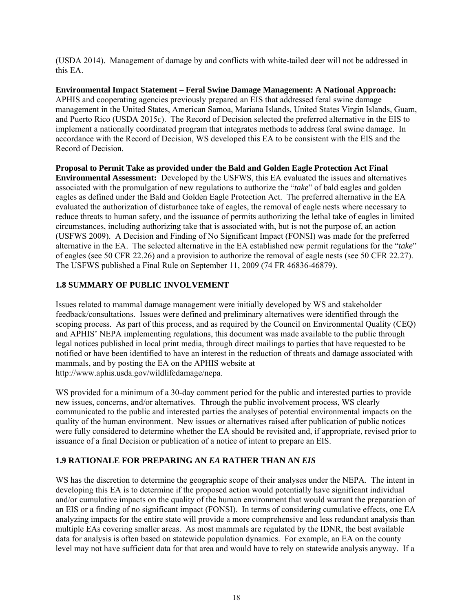(USDA 2014). Management of damage by and conflicts with white-tailed deer will not be addressed in this EA.

**Environmental Impact Statement – Feral Swine Damage Management: A National Approach:**  APHIS and cooperating agencies previously prepared an EIS that addressed feral swine damage management in the United States, American Samoa, Mariana Islands, United States Virgin Islands, Guam, and Puerto Rico (USDA 2015*c*). The Record of Decision selected the preferred alternative in the EIS to implement a nationally coordinated program that integrates methods to address feral swine damage. In accordance with the Record of Decision, WS developed this EA to be consistent with the EIS and the Record of Decision.

**Proposal to Permit Take as provided under the Bald and Golden Eagle Protection Act Final Environmental Assessment:** Developed by the USFWS, this EA evaluated the issues and alternatives associated with the promulgation of new regulations to authorize the "*take*" of bald eagles and golden eagles as defined under the Bald and Golden Eagle Protection Act. The preferred alternative in the EA evaluated the authorization of disturbance take of eagles, the removal of eagle nests where necessary to reduce threats to human safety, and the issuance of permits authorizing the lethal take of eagles in limited circumstances, including authorizing take that is associated with, but is not the purpose of, an action (USFWS 2009). A Decision and Finding of No Significant Impact (FONSI) was made for the preferred alternative in the EA. The selected alternative in the EA established new permit regulations for the "*take*" of eagles (see 50 CFR 22.26) and a provision to authorize the removal of eagle nests (see 50 CFR 22.27). The USFWS published a Final Rule on September 11, 2009 (74 FR 46836-46879).

# **1.8 SUMMARY OF PUBLIC INVOLVEMENT**

Issues related to mammal damage management were initially developed by WS and stakeholder feedback/consultations. Issues were defined and preliminary alternatives were identified through the scoping process. As part of this process, and as required by the Council on Environmental Quality (CEQ) and APHIS' NEPA implementing regulations, this document was made available to the public through legal notices published in local print media, through direct mailings to parties that have requested to be notified or have been identified to have an interest in the reduction of threats and damage associated with mammals, and by posting the EA on the APHIS website at http://www.aphis.usda.gov/wildlifedamage/nepa.

WS provided for a minimum of a 30-day comment period for the public and interested parties to provide new issues, concerns, and/or alternatives. Through the public involvement process, WS clearly communicated to the public and interested parties the analyses of potential environmental impacts on the quality of the human environment. New issues or alternatives raised after publication of public notices were fully considered to determine whether the EA should be revisited and, if appropriate, revised prior to issuance of a final Decision or publication of a notice of intent to prepare an EIS.

# **1.9 RATIONALE FOR PREPARING AN** *EA* **RATHER THAN AN** *EIS*

WS has the discretion to determine the geographic scope of their analyses under the NEPA. The intent in developing this EA is to determine if the proposed action would potentially have significant individual and/or cumulative impacts on the quality of the human environment that would warrant the preparation of an EIS or a finding of no significant impact (FONSI). In terms of considering cumulative effects, one EA analyzing impacts for the entire state will provide a more comprehensive and less redundant analysis than multiple EAs covering smaller areas. As most mammals are regulated by the IDNR, the best available data for analysis is often based on statewide population dynamics. For example, an EA on the county level may not have sufficient data for that area and would have to rely on statewide analysis anyway. If a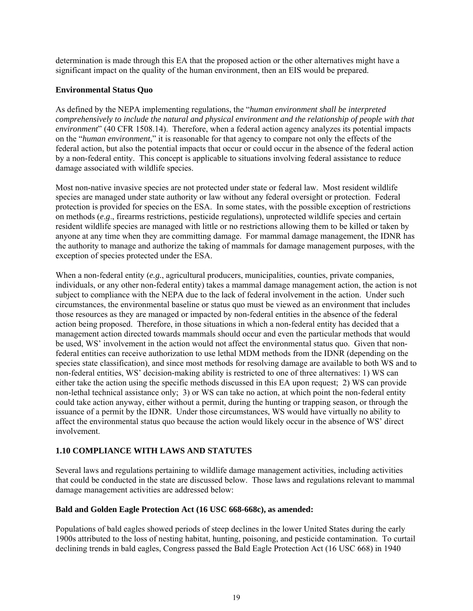determination is made through this EA that the proposed action or the other alternatives might have a significant impact on the quality of the human environment, then an EIS would be prepared.

#### **Environmental Status Quo**

As defined by the NEPA implementing regulations, the "*human environment shall be interpreted comprehensively to include the natural and physical environment and the relationship of people with that environment*" (40 CFR 1508.14). Therefore, when a federal action agency analyzes its potential impacts on the "*human environment*," it is reasonable for that agency to compare not only the effects of the federal action, but also the potential impacts that occur or could occur in the absence of the federal action by a non-federal entity. This concept is applicable to situations involving federal assistance to reduce damage associated with wildlife species.

Most non-native invasive species are not protected under state or federal law. Most resident wildlife species are managed under state authority or law without any federal oversight or protection. Federal protection is provided for species on the ESA. In some states, with the possible exception of restrictions on methods (*e*.*g*., firearms restrictions, pesticide regulations), unprotected wildlife species and certain resident wildlife species are managed with little or no restrictions allowing them to be killed or taken by anyone at any time when they are committing damage. For mammal damage management, the IDNR has the authority to manage and authorize the taking of mammals for damage management purposes, with the exception of species protected under the ESA.

When a non-federal entity (*e.g.*, agricultural producers, municipalities, counties, private companies, individuals, or any other non-federal entity) takes a mammal damage management action, the action is not subject to compliance with the NEPA due to the lack of federal involvement in the action. Under such circumstances, the environmental baseline or status quo must be viewed as an environment that includes those resources as they are managed or impacted by non-federal entities in the absence of the federal action being proposed. Therefore, in those situations in which a non-federal entity has decided that a management action directed towards mammals should occur and even the particular methods that would be used, WS' involvement in the action would not affect the environmental status quo. Given that nonfederal entities can receive authorization to use lethal MDM methods from the IDNR (depending on the species state classification), and since most methods for resolving damage are available to both WS and to non-federal entities, WS' decision-making ability is restricted to one of three alternatives: 1) WS can either take the action using the specific methods discussed in this EA upon request; 2) WS can provide non-lethal technical assistance only; 3) or WS can take no action, at which point the non-federal entity could take action anyway, either without a permit, during the hunting or trapping season, or through the issuance of a permit by the IDNR. Under those circumstances, WS would have virtually no ability to affect the environmental status quo because the action would likely occur in the absence of WS' direct involvement.

# **1.10 COMPLIANCE WITH LAWS AND STATUTES**

Several laws and regulations pertaining to wildlife damage management activities, including activities that could be conducted in the state are discussed below. Those laws and regulations relevant to mammal damage management activities are addressed below:

#### **Bald and Golden Eagle Protection Act (16 USC 668-668c), as amended:**

Populations of bald eagles showed periods of steep declines in the lower United States during the early 1900s attributed to the loss of nesting habitat, hunting, poisoning, and pesticide contamination. To curtail declining trends in bald eagles, Congress passed the Bald Eagle Protection Act (16 USC 668) in 1940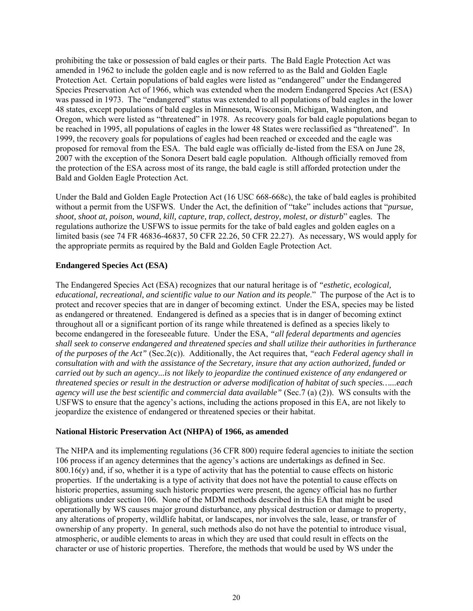prohibiting the take or possession of bald eagles or their parts. The Bald Eagle Protection Act was amended in 1962 to include the golden eagle and is now referred to as the Bald and Golden Eagle Protection Act. Certain populations of bald eagles were listed as "endangered" under the Endangered Species Preservation Act of 1966, which was extended when the modern Endangered Species Act (ESA) was passed in 1973. The "endangered" status was extended to all populations of bald eagles in the lower 48 states, except populations of bald eagles in Minnesota, Wisconsin, Michigan, Washington, and Oregon, which were listed as "threatened" in 1978. As recovery goals for bald eagle populations began to be reached in 1995, all populations of eagles in the lower 48 States were reclassified as "threatened". In 1999, the recovery goals for populations of eagles had been reached or exceeded and the eagle was proposed for removal from the ESA. The bald eagle was officially de-listed from the ESA on June 28, 2007 with the exception of the Sonora Desert bald eagle population. Although officially removed from the protection of the ESA across most of its range, the bald eagle is still afforded protection under the Bald and Golden Eagle Protection Act.

Under the Bald and Golden Eagle Protection Act (16 USC 668-668c), the take of bald eagles is prohibited without a permit from the USFWS. Under the Act, the definition of "take" includes actions that "*pursue, shoot, shoot at, poison, wound, kill, capture, trap, collect, destroy, molest, or disturb*" eagles. The regulations authorize the USFWS to issue permits for the take of bald eagles and golden eagles on a limited basis (see 74 FR 46836-46837, 50 CFR 22.26, 50 CFR 22.27). As necessary, WS would apply for the appropriate permits as required by the Bald and Golden Eagle Protection Act.

## **Endangered Species Act (ESA)**

The Endangered Species Act (ESA) recognizes that our natural heritage is of *"esthetic, ecological, educational, recreational, and scientific value to our Nation and its people*." The purpose of the Act is to protect and recover species that are in danger of becoming extinct. Under the ESA, species may be listed as endangered or threatened. Endangered is defined as a species that is in danger of becoming extinct throughout all or a significant portion of its range while threatened is defined as a species likely to become endangered in the foreseeable future. Under the ESA, *"all federal departments and agencies shall seek to conserve endangered and threatened species and shall utilize their authorities in furtherance of the purposes of the Act"* (Sec.2(c)). Additionally, the Act requires that, *"each Federal agency shall in consultation with and with the assistance of the Secretary, insure that any action authorized, funded or carried out by such an agency...is not likely to jeopardize the continued existence of any endangered or threatened species or result in the destruction or adverse modification of habitat of such species…...each agency will use the best scientific and commercial data available"* (Sec.7 (a) (2)). WS consults with the USFWS to ensure that the agency's actions, including the actions proposed in this EA, are not likely to jeopardize the existence of endangered or threatened species or their habitat.

#### **National Historic Preservation Act (NHPA) of 1966, as amended**

The NHPA and its implementing regulations (36 CFR 800) require federal agencies to initiate the section 106 process if an agency determines that the agency's actions are undertakings as defined in Sec.  $800.16(y)$  and, if so, whether it is a type of activity that has the potential to cause effects on historic properties. If the undertaking is a type of activity that does not have the potential to cause effects on historic properties, assuming such historic properties were present, the agency official has no further obligations under section 106. None of the MDM methods described in this EA that might be used operationally by WS causes major ground disturbance, any physical destruction or damage to property, any alterations of property, wildlife habitat, or landscapes, nor involves the sale, lease, or transfer of ownership of any property. In general, such methods also do not have the potential to introduce visual, atmospheric, or audible elements to areas in which they are used that could result in effects on the character or use of historic properties. Therefore, the methods that would be used by WS under the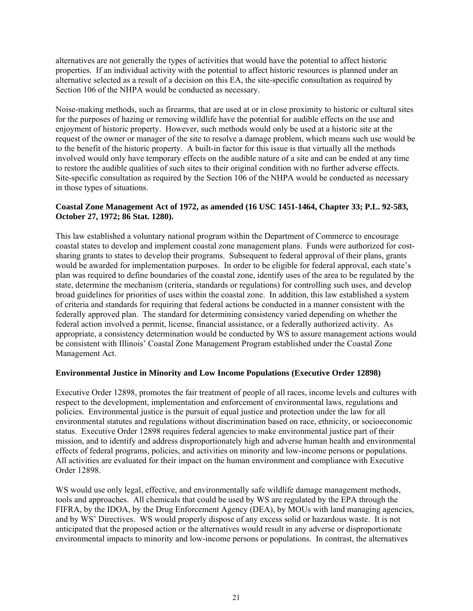alternatives are not generally the types of activities that would have the potential to affect historic properties. If an individual activity with the potential to affect historic resources is planned under an alternative selected as a result of a decision on this EA, the site-specific consultation as required by Section 106 of the NHPA would be conducted as necessary.

Noise-making methods, such as firearms, that are used at or in close proximity to historic or cultural sites for the purposes of hazing or removing wildlife have the potential for audible effects on the use and enjoyment of historic property. However, such methods would only be used at a historic site at the request of the owner or manager of the site to resolve a damage problem, which means such use would be to the benefit of the historic property. A built-in factor for this issue is that virtually all the methods involved would only have temporary effects on the audible nature of a site and can be ended at any time to restore the audible qualities of such sites to their original condition with no further adverse effects. Site-specific consultation as required by the Section 106 of the NHPA would be conducted as necessary in those types of situations.

#### **Coastal Zone Management Act of 1972, as amended (16 USC 1451-1464, Chapter 33; P.L. 92-583, October 27, 1972; 86 Stat. 1280).**

This law established a voluntary national program within the Department of Commerce to encourage coastal states to develop and implement coastal zone management plans. Funds were authorized for costsharing grants to states to develop their programs. Subsequent to federal approval of their plans, grants would be awarded for implementation purposes. In order to be eligible for federal approval, each state's plan was required to define boundaries of the coastal zone, identify uses of the area to be regulated by the state, determine the mechanism (criteria, standards or regulations) for controlling such uses, and develop broad guidelines for priorities of uses within the coastal zone. In addition, this law established a system of criteria and standards for requiring that federal actions be conducted in a manner consistent with the federally approved plan. The standard for determining consistency varied depending on whether the federal action involved a permit, license, financial assistance, or a federally authorized activity. As appropriate, a consistency determination would be conducted by WS to assure management actions would be consistent with Illinois' Coastal Zone Management Program established under the Coastal Zone Management Act.

#### **Environmental Justice in Minority and Low Income Populations (Executive Order 12898)**

Executive Order 12898, promotes the fair treatment of people of all races, income levels and cultures with respect to the development, implementation and enforcement of environmental laws, regulations and policies. Environmental justice is the pursuit of equal justice and protection under the law for all environmental statutes and regulations without discrimination based on race, ethnicity, or socioeconomic status. Executive Order 12898 requires federal agencies to make environmental justice part of their mission, and to identify and address disproportionately high and adverse human health and environmental effects of federal programs, policies, and activities on minority and low-income persons or populations. All activities are evaluated for their impact on the human environment and compliance with Executive Order 12898.

WS would use only legal, effective, and environmentally safe wildlife damage management methods, tools and approaches. All chemicals that could be used by WS are regulated by the EPA through the FIFRA, by the IDOA, by the Drug Enforcement Agency (DEA), by MOUs with land managing agencies, and by WS' Directives. WS would properly dispose of any excess solid or hazardous waste. It is not anticipated that the proposed action or the alternatives would result in any adverse or disproportionate environmental impacts to minority and low-income persons or populations. In contrast, the alternatives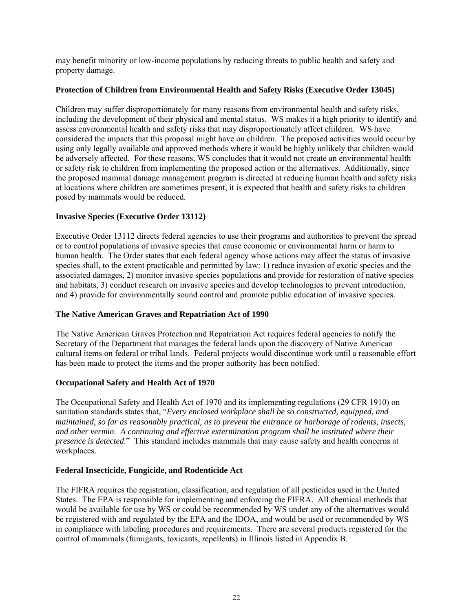may benefit minority or low-income populations by reducing threats to public health and safety and property damage.

#### **Protection of Children from Environmental Health and Safety Risks (Executive Order 13045)**

Children may suffer disproportionately for many reasons from environmental health and safety risks, including the development of their physical and mental status. WS makes it a high priority to identify and assess environmental health and safety risks that may disproportionately affect children. WS have considered the impacts that this proposal might have on children. The proposed activities would occur by using only legally available and approved methods where it would be highly unlikely that children would be adversely affected. For these reasons, WS concludes that it would not create an environmental health or safety risk to children from implementing the proposed action or the alternatives. Additionally, since the proposed mammal damage management program is directed at reducing human health and safety risks at locations where children are sometimes present, it is expected that health and safety risks to children posed by mammals would be reduced.

#### **Invasive Species (Executive Order 13112)**

Executive Order 13112 directs federal agencies to use their programs and authorities to prevent the spread or to control populations of invasive species that cause economic or environmental harm or harm to human health. The Order states that each federal agency whose actions may affect the status of invasive species shall, to the extent practicable and permitted by law: 1) reduce invasion of exotic species and the associated damages, 2) monitor invasive species populations and provide for restoration of native species and habitats, 3) conduct research on invasive species and develop technologies to prevent introduction, and 4) provide for environmentally sound control and promote public education of invasive species.

#### **The Native American Graves and Repatriation Act of 1990**

The Native American Graves Protection and Repatriation Act requires federal agencies to notify the Secretary of the Department that manages the federal lands upon the discovery of Native American cultural items on federal or tribal lands. Federal projects would discontinue work until a reasonable effort has been made to protect the items and the proper authority has been notified.

#### **Occupational Safety and Health Act of 1970**

The Occupational Safety and Health Act of 1970 and its implementing regulations (29 CFR 1910) on sanitation standards states that, "*Every enclosed workplace shall be so constructed, equipped, and maintained, so far as reasonably practical, as to prevent the entrance or harborage of rodents, insects, and other vermin. A continuing and effective extermination program shall be instituted where their presence is detected*." This standard includes mammals that may cause safety and health concerns at workplaces.

#### **Federal Insecticide, Fungicide, and Rodenticide Act**

The FIFRA requires the registration, classification, and regulation of all pesticides used in the United States. The EPA is responsible for implementing and enforcing the FIFRA. All chemical methods that would be available for use by WS or could be recommended by WS under any of the alternatives would be registered with and regulated by the EPA and the IDOA, and would be used or recommended by WS in compliance with labeling procedures and requirements. There are several products registered for the control of mammals (fumigants, toxicants, repellents) in Illinois listed in Appendix B.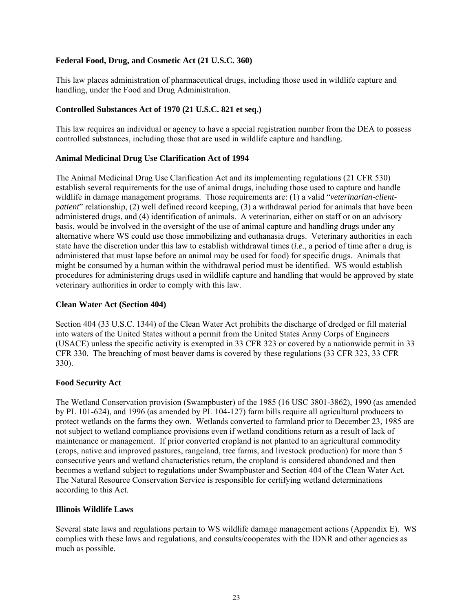#### **Federal Food, Drug, and Cosmetic Act (21 U.S.C. 360)**

This law places administration of pharmaceutical drugs, including those used in wildlife capture and handling, under the Food and Drug Administration.

#### **Controlled Substances Act of 1970 (21 U.S.C. 821 et seq.)**

This law requires an individual or agency to have a special registration number from the DEA to possess controlled substances, including those that are used in wildlife capture and handling.

#### **Animal Medicinal Drug Use Clarification Act of 1994**

The Animal Medicinal Drug Use Clarification Act and its implementing regulations (21 CFR 530) establish several requirements for the use of animal drugs, including those used to capture and handle wildlife in damage management programs. Those requirements are: (1) a valid "*veterinarian-clientpatient*" relationship, (2) well defined record keeping, (3) a withdrawal period for animals that have been administered drugs, and (4) identification of animals. A veterinarian, either on staff or on an advisory basis, would be involved in the oversight of the use of animal capture and handling drugs under any alternative where WS could use those immobilizing and euthanasia drugs. Veterinary authorities in each state have the discretion under this law to establish withdrawal times (*i*.*e*., a period of time after a drug is administered that must lapse before an animal may be used for food) for specific drugs. Animals that might be consumed by a human within the withdrawal period must be identified. WS would establish procedures for administering drugs used in wildlife capture and handling that would be approved by state veterinary authorities in order to comply with this law.

#### **Clean Water Act (Section 404)**

Section 404 (33 U.S.C. 1344) of the Clean Water Act prohibits the discharge of dredged or fill material into waters of the United States without a permit from the United States Army Corps of Engineers (USACE) unless the specific activity is exempted in 33 CFR 323 or covered by a nationwide permit in 33 CFR 330. The breaching of most beaver dams is covered by these regulations (33 CFR 323, 33 CFR 330).

#### **Food Security Act**

The Wetland Conservation provision (Swampbuster) of the 1985 (16 USC 3801-3862), 1990 (as amended by PL 101-624), and 1996 (as amended by PL 104-127) farm bills require all agricultural producers to protect wetlands on the farms they own. Wetlands converted to farmland prior to December 23, 1985 are not subject to wetland compliance provisions even if wetland conditions return as a result of lack of maintenance or management. If prior converted cropland is not planted to an agricultural commodity (crops, native and improved pastures, rangeland, tree farms, and livestock production) for more than 5 consecutive years and wetland characteristics return, the cropland is considered abandoned and then becomes a wetland subject to regulations under Swampbuster and Section 404 of the Clean Water Act. The Natural Resource Conservation Service is responsible for certifying wetland determinations according to this Act.

#### **Illinois Wildlife Laws**

Several state laws and regulations pertain to WS wildlife damage management actions (Appendix E). WS complies with these laws and regulations, and consults/cooperates with the IDNR and other agencies as much as possible.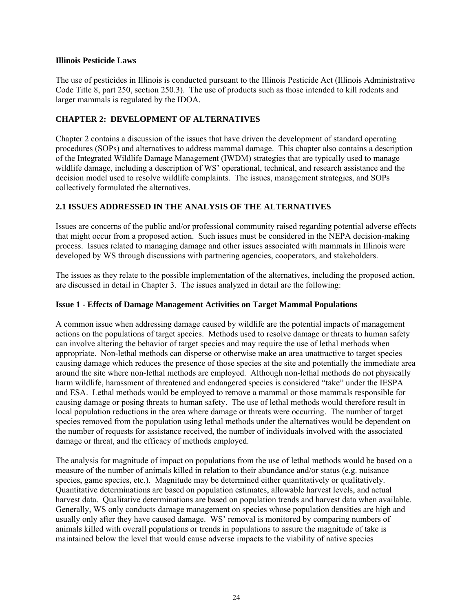#### **Illinois Pesticide Laws**

The use of pesticides in Illinois is conducted pursuant to the Illinois Pesticide Act (Illinois Administrative Code Title 8, part 250, section 250.3). The use of products such as those intended to kill rodents and larger mammals is regulated by the IDOA.

## **CHAPTER 2: DEVELOPMENT OF ALTERNATIVES**

Chapter 2 contains a discussion of the issues that have driven the development of standard operating procedures (SOPs) and alternatives to address mammal damage. This chapter also contains a description of the Integrated Wildlife Damage Management (IWDM) strategies that are typically used to manage wildlife damage, including a description of WS' operational, technical, and research assistance and the decision model used to resolve wildlife complaints. The issues, management strategies, and SOPs collectively formulated the alternatives.

## **2.1 ISSUES ADDRESSED IN THE ANALYSIS OF THE ALTERNATIVES**

Issues are concerns of the public and/or professional community raised regarding potential adverse effects that might occur from a proposed action. Such issues must be considered in the NEPA decision-making process. Issues related to managing damage and other issues associated with mammals in Illinois were developed by WS through discussions with partnering agencies, cooperators, and stakeholders.

The issues as they relate to the possible implementation of the alternatives, including the proposed action, are discussed in detail in Chapter 3. The issues analyzed in detail are the following:

#### **Issue 1 - Effects of Damage Management Activities on Target Mammal Populations**

A common issue when addressing damage caused by wildlife are the potential impacts of management actions on the populations of target species. Methods used to resolve damage or threats to human safety can involve altering the behavior of target species and may require the use of lethal methods when appropriate. Non-lethal methods can disperse or otherwise make an area unattractive to target species causing damage which reduces the presence of those species at the site and potentially the immediate area around the site where non-lethal methods are employed. Although non-lethal methods do not physically harm wildlife, harassment of threatened and endangered species is considered "take" under the IESPA and ESA. Lethal methods would be employed to remove a mammal or those mammals responsible for causing damage or posing threats to human safety. The use of lethal methods would therefore result in local population reductions in the area where damage or threats were occurring. The number of target species removed from the population using lethal methods under the alternatives would be dependent on the number of requests for assistance received, the number of individuals involved with the associated damage or threat, and the efficacy of methods employed.

The analysis for magnitude of impact on populations from the use of lethal methods would be based on a measure of the number of animals killed in relation to their abundance and/or status (e.g. nuisance species, game species, etc.). Magnitude may be determined either quantitatively or qualitatively. Quantitative determinations are based on population estimates, allowable harvest levels, and actual harvest data. Qualitative determinations are based on population trends and harvest data when available. Generally, WS only conducts damage management on species whose population densities are high and usually only after they have caused damage. WS' removal is monitored by comparing numbers of animals killed with overall populations or trends in populations to assure the magnitude of take is maintained below the level that would cause adverse impacts to the viability of native species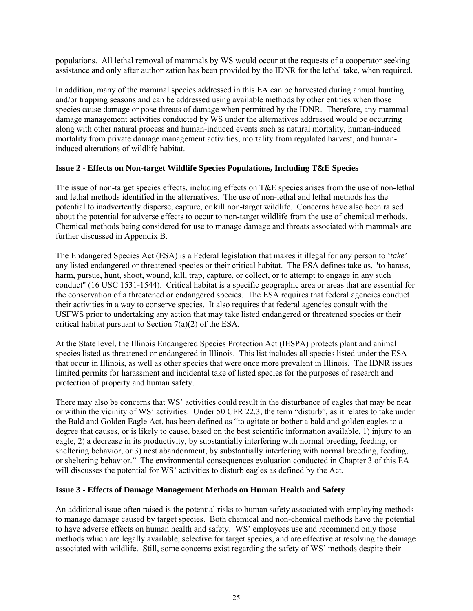populations. All lethal removal of mammals by WS would occur at the requests of a cooperator seeking assistance and only after authorization has been provided by the IDNR for the lethal take, when required.

In addition, many of the mammal species addressed in this EA can be harvested during annual hunting and/or trapping seasons and can be addressed using available methods by other entities when those species cause damage or pose threats of damage when permitted by the IDNR. Therefore, any mammal damage management activities conducted by WS under the alternatives addressed would be occurring along with other natural process and human-induced events such as natural mortality, human-induced mortality from private damage management activities, mortality from regulated harvest, and humaninduced alterations of wildlife habitat.

## **Issue 2 - Effects on Non-target Wildlife Species Populations, Including T&E Species**

The issue of non-target species effects, including effects on T&E species arises from the use of non-lethal and lethal methods identified in the alternatives. The use of non-lethal and lethal methods has the potential to inadvertently disperse, capture, or kill non-target wildlife. Concerns have also been raised about the potential for adverse effects to occur to non-target wildlife from the use of chemical methods. Chemical methods being considered for use to manage damage and threats associated with mammals are further discussed in Appendix B.

The Endangered Species Act (ESA) is a Federal legislation that makes it illegal for any person to '*take*' any listed endangered or threatened species or their critical habitat. The ESA defines take as, "to harass, harm, pursue, hunt, shoot, wound, kill, trap, capture, or collect, or to attempt to engage in any such conduct" (16 USC 1531-1544). Critical habitat is a specific geographic area or areas that are essential for the conservation of a threatened or endangered species. The ESA requires that federal agencies conduct their activities in a way to conserve species. It also requires that federal agencies consult with the USFWS prior to undertaking any action that may take listed endangered or threatened species or their critical habitat pursuant to Section 7(a)(2) of the ESA.

At the State level, the Illinois Endangered Species Protection Act (IESPA) protects plant and animal species listed as threatened or endangered in Illinois. This list includes all species listed under the ESA that occur in Illinois, as well as other species that were once more prevalent in Illinois. The IDNR issues limited permits for harassment and incidental take of listed species for the purposes of research and protection of property and human safety.

There may also be concerns that WS' activities could result in the disturbance of eagles that may be near or within the vicinity of WS' activities. Under 50 CFR 22.3, the term "disturb", as it relates to take under the Bald and Golden Eagle Act, has been defined as "to agitate or bother a bald and golden eagles to a degree that causes, or is likely to cause, based on the best scientific information available, 1) injury to an eagle, 2) a decrease in its productivity, by substantially interfering with normal breeding, feeding, or sheltering behavior, or 3) nest abandonment, by substantially interfering with normal breeding, feeding, or sheltering behavior." The environmental consequences evaluation conducted in Chapter 3 of this EA will discusses the potential for WS' activities to disturb eagles as defined by the Act.

#### **Issue 3 - Effects of Damage Management Methods on Human Health and Safety**

An additional issue often raised is the potential risks to human safety associated with employing methods to manage damage caused by target species. Both chemical and non-chemical methods have the potential to have adverse effects on human health and safety. WS' employees use and recommend only those methods which are legally available, selective for target species, and are effective at resolving the damage associated with wildlife. Still, some concerns exist regarding the safety of WS' methods despite their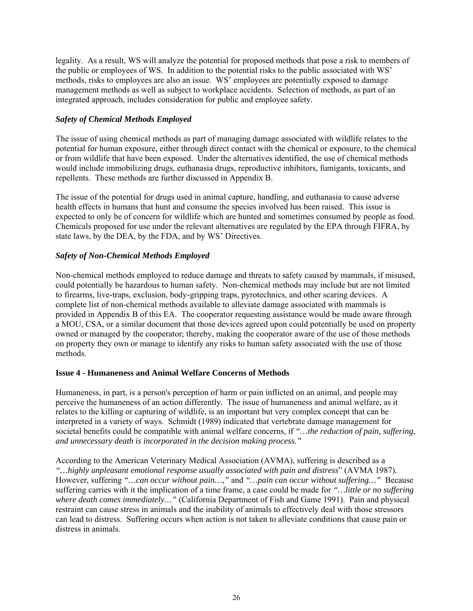legality. As a result, WS will analyze the potential for proposed methods that pose a risk to members of the public or employees of WS. In addition to the potential risks to the public associated with WS' methods, risks to employees are also an issue. WS' employees are potentially exposed to damage management methods as well as subject to workplace accidents. Selection of methods, as part of an integrated approach, includes consideration for public and employee safety.

## *Safety of Chemical Methods Employed*

The issue of using chemical methods as part of managing damage associated with wildlife relates to the potential for human exposure, either through direct contact with the chemical or exposure, to the chemical or from wildlife that have been exposed. Under the alternatives identified, the use of chemical methods would include immobilizing drugs, euthanasia drugs, reproductive inhibitors, fumigants, toxicants, and repellents. These methods are further discussed in Appendix B.

The issue of the potential for drugs used in animal capture, handling, and euthanasia to cause adverse health effects in humans that hunt and consume the species involved has been raised. This issue is expected to only be of concern for wildlife which are hunted and sometimes consumed by people as food. Chemicals proposed for use under the relevant alternatives are regulated by the EPA through FIFRA, by state laws, by the DEA, by the FDA, and by WS' Directives.

## *Safety of Non-Chemical Methods Employed*

Non-chemical methods employed to reduce damage and threats to safety caused by mammals, if misused, could potentially be hazardous to human safety. Non-chemical methods may include but are not limited to firearms, live-traps, exclusion, body-gripping traps, pyrotechnics, and other scaring devices. A complete list of non-chemical methods available to alleviate damage associated with mammals is provided in Appendix B of this EA. The cooperator requesting assistance would be made aware through a MOU, CSA, or a similar document that those devices agreed upon could potentially be used on property owned or managed by the cooperator; thereby, making the cooperator aware of the use of those methods on property they own or manage to identify any risks to human safety associated with the use of those methods.

#### **Issue 4 - Humaneness and Animal Welfare Concerns of Methods**

Humaneness, in part, is a person's perception of harm or pain inflicted on an animal, and people may perceive the humaneness of an action differently. The issue of humaneness and animal welfare, as it relates to the killing or capturing of wildlife, is an important but very complex concept that can be interpreted in a variety of ways. Schmidt (1989) indicated that vertebrate damage management for societal benefits could be compatible with animal welfare concerns, if *"…the reduction of pain, suffering, and unnecessary death is incorporated in the decision making process."*

According to the American Veterinary Medical Association (AVMA), suffering is described as a *"…highly unpleasant emotional response usually associated with pain and distress*" (AVMA 1987)*.* However, suffering *"…can occur without pain…*,*"* and *"…pain can occur without suffering…"* Because suffering carries with it the implication of a time frame, a case could be made for *"…little or no suffering where death comes immediately…"* (California Department of Fish and Game 1991). Pain and physical restraint can cause stress in animals and the inability of animals to effectively deal with those stressors can lead to distress. Suffering occurs when action is not taken to alleviate conditions that cause pain or distress in animals.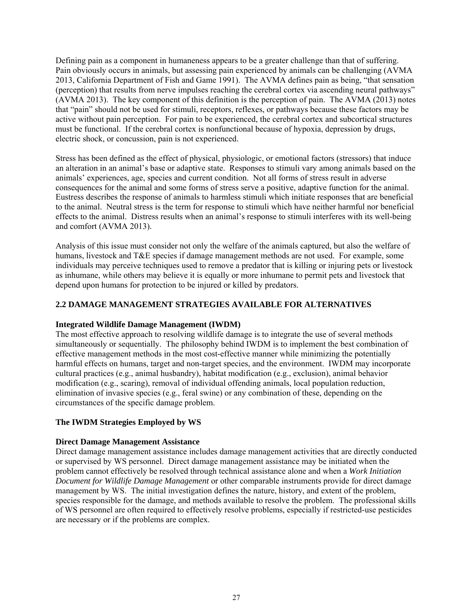Defining pain as a component in humaneness appears to be a greater challenge than that of suffering. Pain obviously occurs in animals, but assessing pain experienced by animals can be challenging (AVMA 2013, California Department of Fish and Game 1991). The AVMA defines pain as being, "that sensation (perception) that results from nerve impulses reaching the cerebral cortex via ascending neural pathways" (AVMA 2013). The key component of this definition is the perception of pain. The AVMA (2013) notes that "pain" should not be used for stimuli, receptors, reflexes, or pathways because these factors may be active without pain perception. For pain to be experienced, the cerebral cortex and subcortical structures must be functional. If the cerebral cortex is nonfunctional because of hypoxia, depression by drugs, electric shock, or concussion, pain is not experienced.

Stress has been defined as the effect of physical, physiologic, or emotional factors (stressors) that induce an alteration in an animal's base or adaptive state. Responses to stimuli vary among animals based on the animals' experiences, age, species and current condition. Not all forms of stress result in adverse consequences for the animal and some forms of stress serve a positive, adaptive function for the animal. Eustress describes the response of animals to harmless stimuli which initiate responses that are beneficial to the animal. Neutral stress is the term for response to stimuli which have neither harmful nor beneficial effects to the animal. Distress results when an animal's response to stimuli interferes with its well-being and comfort (AVMA 2013).

Analysis of this issue must consider not only the welfare of the animals captured, but also the welfare of humans, livestock and T&E species if damage management methods are not used. For example, some individuals may perceive techniques used to remove a predator that is killing or injuring pets or livestock as inhumane, while others may believe it is equally or more inhumane to permit pets and livestock that depend upon humans for protection to be injured or killed by predators.

## **2.2 DAMAGE MANAGEMENT STRATEGIES AVAILABLE FOR ALTERNATIVES**

#### **Integrated Wildlife Damage Management (IWDM)**

The most effective approach to resolving wildlife damage is to integrate the use of several methods simultaneously or sequentially. The philosophy behind IWDM is to implement the best combination of effective management methods in the most cost-effective manner while minimizing the potentially harmful effects on humans, target and non-target species, and the environment. IWDM may incorporate cultural practices (e.g., animal husbandry), habitat modification (e.g., exclusion), animal behavior modification (e.g., scaring), removal of individual offending animals, local population reduction, elimination of invasive species (e.g., feral swine) or any combination of these, depending on the circumstances of the specific damage problem.

# **The IWDM Strategies Employed by WS**

#### **Direct Damage Management Assistance**

Direct damage management assistance includes damage management activities that are directly conducted or supervised by WS personnel. Direct damage management assistance may be initiated when the problem cannot effectively be resolved through technical assistance alone and when a *Work Initiation Document for Wildlife Damage Management* or other comparable instruments provide for direct damage management by WS. The initial investigation defines the nature, history, and extent of the problem, species responsible for the damage, and methods available to resolve the problem. The professional skills of WS personnel are often required to effectively resolve problems, especially if restricted-use pesticides are necessary or if the problems are complex.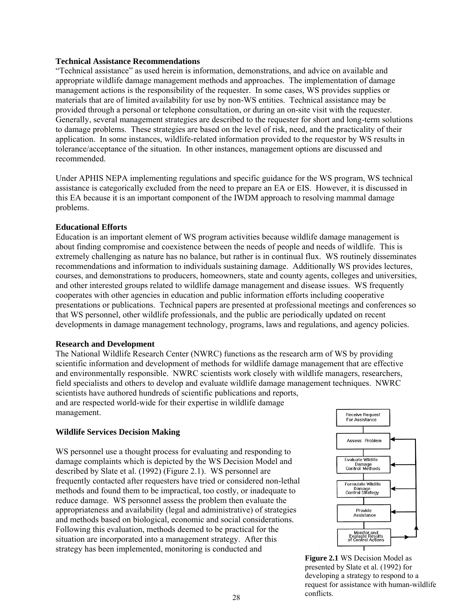#### **Technical Assistance Recommendations**

"Technical assistance" as used herein is information, demonstrations, and advice on available and appropriate wildlife damage management methods and approaches. The implementation of damage management actions is the responsibility of the requester. In some cases, WS provides supplies or materials that are of limited availability for use by non-WS entities. Technical assistance may be provided through a personal or telephone consultation, or during an on-site visit with the requester. Generally, several management strategies are described to the requester for short and long-term solutions to damage problems. These strategies are based on the level of risk, need, and the practicality of their application. In some instances, wildlife-related information provided to the requestor by WS results in tolerance/acceptance of the situation. In other instances, management options are discussed and recommended.

Under APHIS NEPA implementing regulations and specific guidance for the WS program, WS technical assistance is categorically excluded from the need to prepare an EA or EIS. However, it is discussed in this EA because it is an important component of the IWDM approach to resolving mammal damage problems.

#### **Educational Efforts**

Education is an important element of WS program activities because wildlife damage management is about finding compromise and coexistence between the needs of people and needs of wildlife. This is extremely challenging as nature has no balance, but rather is in continual flux. WS routinely disseminates recommendations and information to individuals sustaining damage. Additionally WS provides lectures, courses, and demonstrations to producers, homeowners, state and county agents, colleges and universities, and other interested groups related to wildlife damage management and disease issues. WS frequently cooperates with other agencies in education and public information efforts including cooperative presentations or publications. Technical papers are presented at professional meetings and conferences so that WS personnel, other wildlife professionals, and the public are periodically updated on recent developments in damage management technology, programs, laws and regulations, and agency policies.

#### **Research and Development**

The National Wildlife Research Center (NWRC) functions as the research arm of WS by providing scientific information and development of methods for wildlife damage management that are effective and environmentally responsible. NWRC scientists work closely with wildlife managers, researchers, field specialists and others to develop and evaluate wildlife damage management techniques. NWRC scientists have authored hundreds of scientific publications and reports, and are respected world-wide for their expertise in wildlife damage management. **Receive Request** 

#### **Wildlife Services Decision Making**

WS personnel use a thought process for evaluating and responding to damage complaints which is depicted by the WS Decision Model and described by Slate et al. (1992) (Figure 2.1). WS personnel are frequently contacted after requesters have tried or considered non-lethal methods and found them to be impractical, too costly, or inadequate to reduce damage. WS personnel assess the problem then evaluate the appropriateness and availability (legal and administrative) of strategies and methods based on biological, economic and social considerations. Following this evaluation, methods deemed to be practical for the situation are incorporated into a management strategy. After this strategy has been implemented, monitoring is conducted and



**Figure 2.1** WS Decision Model as presented by Slate et al. (1992) for developing a strategy to respond to a request for assistance with human-wildlife conflicts.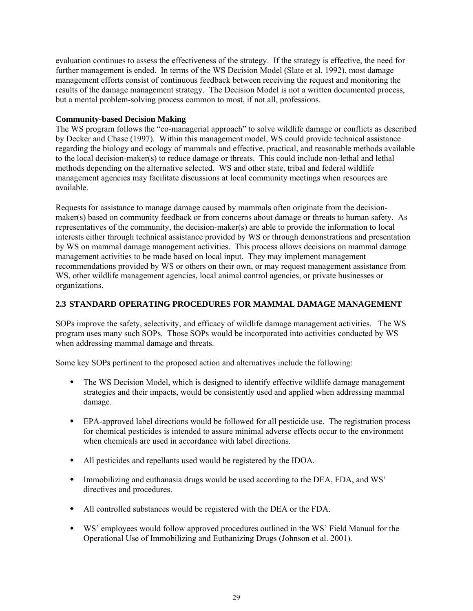evaluation continues to assess the effectiveness of the strategy. If the strategy is effective, the need for further management is ended. In terms of the WS Decision Model (Slate et al. 1992), most damage management efforts consist of continuous feedback between receiving the request and monitoring the results of the damage management strategy. The Decision Model is not a written documented process, but a mental problem-solving process common to most, if not all, professions.

## **Community-based Decision Making**

The WS program follows the "co-managerial approach" to solve wildlife damage or conflicts as described by Decker and Chase (1997). Within this management model, WS could provide technical assistance regarding the biology and ecology of mammals and effective, practical, and reasonable methods available to the local decision-maker(s) to reduce damage or threats. This could include non-lethal and lethal methods depending on the alternative selected. WS and other state, tribal and federal wildlife management agencies may facilitate discussions at local community meetings when resources are available.

Requests for assistance to manage damage caused by mammals often originate from the decisionmaker(s) based on community feedback or from concerns about damage or threats to human safety. As representatives of the community, the decision-maker(s) are able to provide the information to local interests either through technical assistance provided by WS or through demonstrations and presentation by WS on mammal damage management activities. This process allows decisions on mammal damage management activities to be made based on local input. They may implement management recommendations provided by WS or others on their own, or may request management assistance from WS, other wildlife management agencies, local animal control agencies, or private businesses or organizations.

#### **2.3 STANDARD OPERATING PROCEDURES FOR MAMMAL DAMAGE MANAGEMENT**

SOPs improve the safety, selectivity, and efficacy of wildlife damage management activities. The WS program uses many such SOPs. Those SOPs would be incorporated into activities conducted by WS when addressing mammal damage and threats.

Some key SOPs pertinent to the proposed action and alternatives include the following:

- The WS Decision Model, which is designed to identify effective wildlife damage management strategies and their impacts, would be consistently used and applied when addressing mammal damage.
- EPA-approved label directions would be followed for all pesticide use. The registration process for chemical pesticides is intended to assure minimal adverse effects occur to the environment when chemicals are used in accordance with label directions.
- All pesticides and repellants used would be registered by the IDOA.
- Immobilizing and euthanasia drugs would be used according to the DEA, FDA, and WS' directives and procedures.
- All controlled substances would be registered with the DEA or the FDA.
- WS' employees would follow approved procedures outlined in the WS' Field Manual for the Operational Use of Immobilizing and Euthanizing Drugs (Johnson et al. 2001).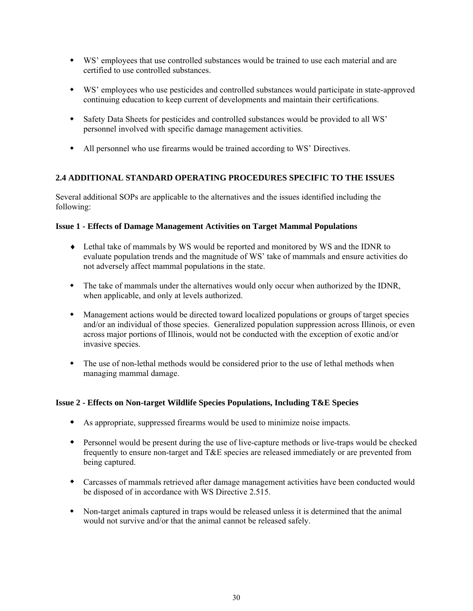- WS' employees that use controlled substances would be trained to use each material and are certified to use controlled substances.
- WS' employees who use pesticides and controlled substances would participate in state-approved continuing education to keep current of developments and maintain their certifications.
- Safety Data Sheets for pesticides and controlled substances would be provided to all WS' personnel involved with specific damage management activities.
- All personnel who use firearms would be trained according to WS' Directives.

# **2.4 ADDITIONAL STANDARD OPERATING PROCEDURES SPECIFIC TO THE ISSUES**

Several additional SOPs are applicable to the alternatives and the issues identified including the following:

## **Issue 1 - Effects of Damage Management Activities on Target Mammal Populations**

- Lethal take of mammals by WS would be reported and monitored by WS and the IDNR to evaluate population trends and the magnitude of WS' take of mammals and ensure activities do not adversely affect mammal populations in the state.
- The take of mammals under the alternatives would only occur when authorized by the IDNR, when applicable, and only at levels authorized.
- Management actions would be directed toward localized populations or groups of target species and/or an individual of those species. Generalized population suppression across Illinois, or even across major portions of Illinois, would not be conducted with the exception of exotic and/or invasive species.
- The use of non-lethal methods would be considered prior to the use of lethal methods when managing mammal damage.

# **Issue 2 - Effects on Non-target Wildlife Species Populations, Including T&E Species**

- As appropriate, suppressed firearms would be used to minimize noise impacts.
- Personnel would be present during the use of live-capture methods or live-traps would be checked frequently to ensure non-target and T&E species are released immediately or are prevented from being captured.
- Carcasses of mammals retrieved after damage management activities have been conducted would be disposed of in accordance with WS Directive 2.515.
- Non-target animals captured in traps would be released unless it is determined that the animal would not survive and/or that the animal cannot be released safely.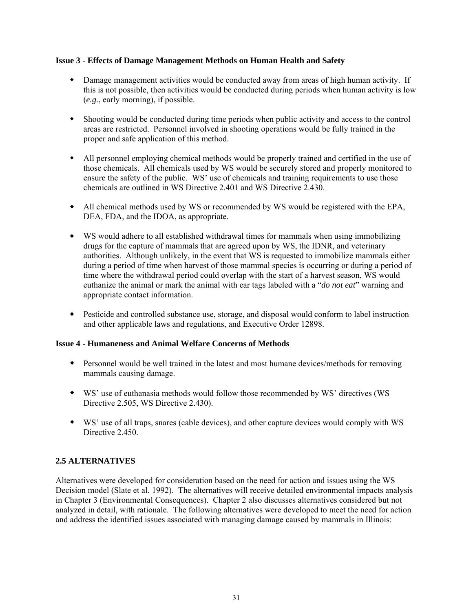#### **Issue 3 - Effects of Damage Management Methods on Human Health and Safety**

- Damage management activities would be conducted away from areas of high human activity. If this is not possible, then activities would be conducted during periods when human activity is low (*e.g.*, early morning), if possible.
- Shooting would be conducted during time periods when public activity and access to the control areas are restricted. Personnel involved in shooting operations would be fully trained in the proper and safe application of this method.
- All personnel employing chemical methods would be properly trained and certified in the use of those chemicals. All chemicals used by WS would be securely stored and properly monitored to ensure the safety of the public. WS' use of chemicals and training requirements to use those chemicals are outlined in WS Directive 2.401 and WS Directive 2.430.
- All chemical methods used by WS or recommended by WS would be registered with the EPA, DEA, FDA, and the IDOA, as appropriate.
- WS would adhere to all established withdrawal times for mammals when using immobilizing drugs for the capture of mammals that are agreed upon by WS, the IDNR, and veterinary authorities. Although unlikely, in the event that WS is requested to immobilize mammals either during a period of time when harvest of those mammal species is occurring or during a period of time where the withdrawal period could overlap with the start of a harvest season, WS would euthanize the animal or mark the animal with ear tags labeled with a "*do not eat*" warning and appropriate contact information.
- Pesticide and controlled substance use, storage, and disposal would conform to label instruction and other applicable laws and regulations, and Executive Order 12898.

#### **Issue 4 - Humaneness and Animal Welfare Concerns of Methods**

- Personnel would be well trained in the latest and most humane devices/methods for removing mammals causing damage.
- WS' use of euthanasia methods would follow those recommended by WS' directives (WS Directive 2.505, WS Directive 2.430).
- WS' use of all traps, snares (cable devices), and other capture devices would comply with WS Directive 2.450

#### **2.5 ALTERNATIVES**

Alternatives were developed for consideration based on the need for action and issues using the WS Decision model (Slate et al. 1992). The alternatives will receive detailed environmental impacts analysis in Chapter 3 (Environmental Consequences). Chapter 2 also discusses alternatives considered but not analyzed in detail, with rationale. The following alternatives were developed to meet the need for action and address the identified issues associated with managing damage caused by mammals in Illinois: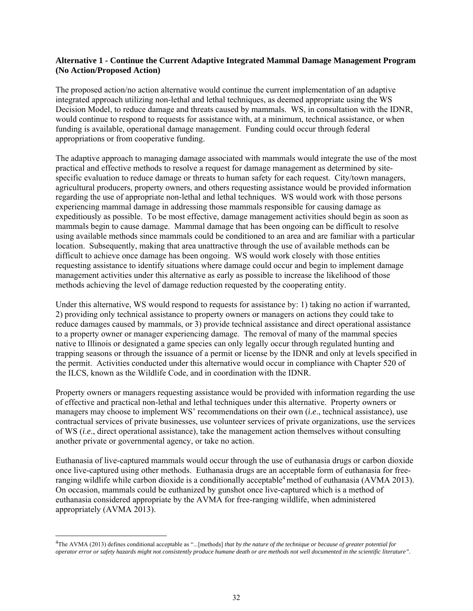#### **Alternative 1 - Continue the Current Adaptive Integrated Mammal Damage Management Program (No Action/Proposed Action)**

The proposed action/no action alternative would continue the current implementation of an adaptive integrated approach utilizing non-lethal and lethal techniques, as deemed appropriate using the WS Decision Model, to reduce damage and threats caused by mammals. WS, in consultation with the IDNR, would continue to respond to requests for assistance with, at a minimum, technical assistance, or when funding is available, operational damage management. Funding could occur through federal appropriations or from cooperative funding.

The adaptive approach to managing damage associated with mammals would integrate the use of the most practical and effective methods to resolve a request for damage management as determined by sitespecific evaluation to reduce damage or threats to human safety for each request. City/town managers, agricultural producers, property owners, and others requesting assistance would be provided information regarding the use of appropriate non-lethal and lethal techniques. WS would work with those persons experiencing mammal damage in addressing those mammals responsible for causing damage as expeditiously as possible. To be most effective, damage management activities should begin as soon as mammals begin to cause damage. Mammal damage that has been ongoing can be difficult to resolve using available methods since mammals could be conditioned to an area and are familiar with a particular location. Subsequently, making that area unattractive through the use of available methods can be difficult to achieve once damage has been ongoing. WS would work closely with those entities requesting assistance to identify situations where damage could occur and begin to implement damage management activities under this alternative as early as possible to increase the likelihood of those methods achieving the level of damage reduction requested by the cooperating entity.

Under this alternative, WS would respond to requests for assistance by: 1) taking no action if warranted, 2) providing only technical assistance to property owners or managers on actions they could take to reduce damages caused by mammals, or 3) provide technical assistance and direct operational assistance to a property owner or manager experiencing damage. The removal of many of the mammal species native to Illinois or designated a game species can only legally occur through regulated hunting and trapping seasons or through the issuance of a permit or license by the IDNR and only at levels specified in the permit. Activities conducted under this alternative would occur in compliance with Chapter 520 of the ILCS, known as the Wildlife Code, and in coordination with the IDNR.

Property owners or managers requesting assistance would be provided with information regarding the use of effective and practical non-lethal and lethal techniques under this alternative. Property owners or managers may choose to implement WS' recommendations on their own (*i*.*e*., technical assistance), use contractual services of private businesses, use volunteer services of private organizations, use the services of WS (*i*.*e*., direct operational assistance), take the management action themselves without consulting another private or governmental agency, or take no action.

Euthanasia of live-captured mammals would occur through the use of euthanasia drugs or carbon dioxide once live-captured using other methods. Euthanasia drugs are an acceptable form of euthanasia for freeranging wildlife while carbon dioxide is a conditionally acceptable<sup>4</sup> method of euthanasia (AVMA 2013). On occasion, mammals could be euthanized by gunshot once live-captured which is a method of euthanasia considered appropriate by the AVMA for free-ranging wildlife, when administered appropriately (AVMA 2013).

 $\overline{a}$ 

<sup>4</sup> The AVMA (2013) defines conditional acceptable as "...[methods] *that by the nature of the technique or because of greater potential for operator error or safety hazards might not consistently produce humane death or are methods not well documented in the scientific literature".*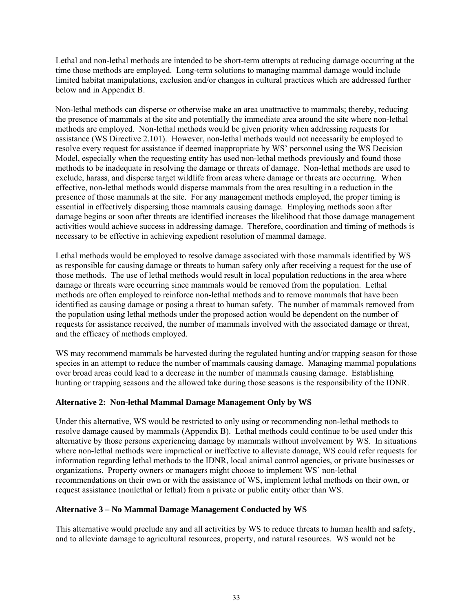Lethal and non-lethal methods are intended to be short-term attempts at reducing damage occurring at the time those methods are employed. Long-term solutions to managing mammal damage would include limited habitat manipulations, exclusion and/or changes in cultural practices which are addressed further below and in Appendix B.

Non-lethal methods can disperse or otherwise make an area unattractive to mammals; thereby, reducing the presence of mammals at the site and potentially the immediate area around the site where non-lethal methods are employed. Non-lethal methods would be given priority when addressing requests for assistance (WS Directive 2.101). However, non-lethal methods would not necessarily be employed to resolve every request for assistance if deemed inappropriate by WS' personnel using the WS Decision Model, especially when the requesting entity has used non-lethal methods previously and found those methods to be inadequate in resolving the damage or threats of damage. Non-lethal methods are used to exclude, harass, and disperse target wildlife from areas where damage or threats are occurring. When effective, non-lethal methods would disperse mammals from the area resulting in a reduction in the presence of those mammals at the site. For any management methods employed, the proper timing is essential in effectively dispersing those mammals causing damage. Employing methods soon after damage begins or soon after threats are identified increases the likelihood that those damage management activities would achieve success in addressing damage. Therefore, coordination and timing of methods is necessary to be effective in achieving expedient resolution of mammal damage.

Lethal methods would be employed to resolve damage associated with those mammals identified by WS as responsible for causing damage or threats to human safety only after receiving a request for the use of those methods. The use of lethal methods would result in local population reductions in the area where damage or threats were occurring since mammals would be removed from the population. Lethal methods are often employed to reinforce non-lethal methods and to remove mammals that have been identified as causing damage or posing a threat to human safety. The number of mammals removed from the population using lethal methods under the proposed action would be dependent on the number of requests for assistance received, the number of mammals involved with the associated damage or threat, and the efficacy of methods employed.

WS may recommend mammals be harvested during the regulated hunting and/or trapping season for those species in an attempt to reduce the number of mammals causing damage. Managing mammal populations over broad areas could lead to a decrease in the number of mammals causing damage. Establishing hunting or trapping seasons and the allowed take during those seasons is the responsibility of the IDNR.

#### **Alternative 2: Non-lethal Mammal Damage Management Only by WS**

Under this alternative, WS would be restricted to only using or recommending non-lethal methods to resolve damage caused by mammals (Appendix B). Lethal methods could continue to be used under this alternative by those persons experiencing damage by mammals without involvement by WS. In situations where non-lethal methods were impractical or ineffective to alleviate damage, WS could refer requests for information regarding lethal methods to the IDNR, local animal control agencies, or private businesses or organizations. Property owners or managers might choose to implement WS' non-lethal recommendations on their own or with the assistance of WS, implement lethal methods on their own, or request assistance (nonlethal or lethal) from a private or public entity other than WS.

#### **Alternative 3 – No Mammal Damage Management Conducted by WS**

This alternative would preclude any and all activities by WS to reduce threats to human health and safety, and to alleviate damage to agricultural resources, property, and natural resources. WS would not be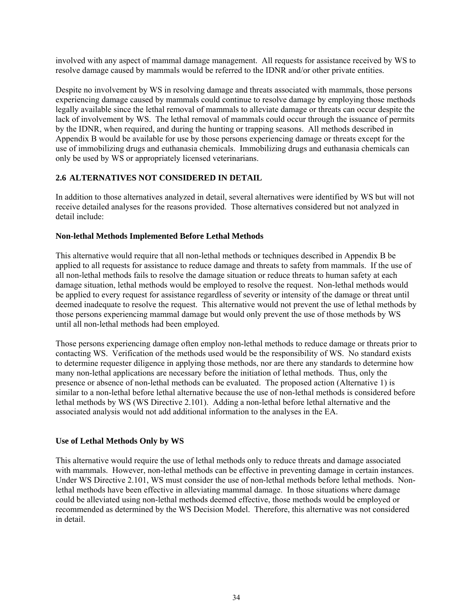involved with any aspect of mammal damage management. All requests for assistance received by WS to resolve damage caused by mammals would be referred to the IDNR and/or other private entities.

Despite no involvement by WS in resolving damage and threats associated with mammals, those persons experiencing damage caused by mammals could continue to resolve damage by employing those methods legally available since the lethal removal of mammals to alleviate damage or threats can occur despite the lack of involvement by WS. The lethal removal of mammals could occur through the issuance of permits by the IDNR, when required, and during the hunting or trapping seasons. All methods described in Appendix B would be available for use by those persons experiencing damage or threats except for the use of immobilizing drugs and euthanasia chemicals. Immobilizing drugs and euthanasia chemicals can only be used by WS or appropriately licensed veterinarians.

# **2.6 ALTERNATIVES NOT CONSIDERED IN DETAIL**

In addition to those alternatives analyzed in detail, several alternatives were identified by WS but will not receive detailed analyses for the reasons provided. Those alternatives considered but not analyzed in detail include:

## **Non-lethal Methods Implemented Before Lethal Methods**

This alternative would require that all non-lethal methods or techniques described in Appendix B be applied to all requests for assistance to reduce damage and threats to safety from mammals. If the use of all non-lethal methods fails to resolve the damage situation or reduce threats to human safety at each damage situation, lethal methods would be employed to resolve the request. Non-lethal methods would be applied to every request for assistance regardless of severity or intensity of the damage or threat until deemed inadequate to resolve the request. This alternative would not prevent the use of lethal methods by those persons experiencing mammal damage but would only prevent the use of those methods by WS until all non-lethal methods had been employed.

Those persons experiencing damage often employ non-lethal methods to reduce damage or threats prior to contacting WS. Verification of the methods used would be the responsibility of WS. No standard exists to determine requester diligence in applying those methods, nor are there any standards to determine how many non-lethal applications are necessary before the initiation of lethal methods. Thus, only the presence or absence of non-lethal methods can be evaluated. The proposed action (Alternative 1) is similar to a non-lethal before lethal alternative because the use of non-lethal methods is considered before lethal methods by WS (WS Directive 2.101). Adding a non-lethal before lethal alternative and the associated analysis would not add additional information to the analyses in the EA.

## **Use of Lethal Methods Only by WS**

This alternative would require the use of lethal methods only to reduce threats and damage associated with mammals. However, non-lethal methods can be effective in preventing damage in certain instances. Under WS Directive 2.101, WS must consider the use of non-lethal methods before lethal methods. Nonlethal methods have been effective in alleviating mammal damage. In those situations where damage could be alleviated using non-lethal methods deemed effective, those methods would be employed or recommended as determined by the WS Decision Model. Therefore, this alternative was not considered in detail.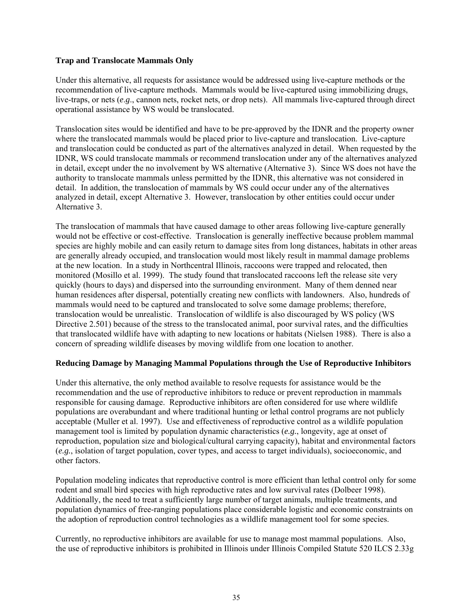## **Trap and Translocate Mammals Only**

Under this alternative, all requests for assistance would be addressed using live-capture methods or the recommendation of live-capture methods. Mammals would be live-captured using immobilizing drugs, live-traps, or nets (*e*.*g*., cannon nets, rocket nets, or drop nets). All mammals live-captured through direct operational assistance by WS would be translocated.

Translocation sites would be identified and have to be pre-approved by the IDNR and the property owner where the translocated mammals would be placed prior to live-capture and translocation. Live-capture and translocation could be conducted as part of the alternatives analyzed in detail. When requested by the IDNR, WS could translocate mammals or recommend translocation under any of the alternatives analyzed in detail, except under the no involvement by WS alternative (Alternative 3). Since WS does not have the authority to translocate mammals unless permitted by the IDNR, this alternative was not considered in detail. In addition, the translocation of mammals by WS could occur under any of the alternatives analyzed in detail, except Alternative 3. However, translocation by other entities could occur under Alternative 3.

The translocation of mammals that have caused damage to other areas following live-capture generally would not be effective or cost-effective. Translocation is generally ineffective because problem mammal species are highly mobile and can easily return to damage sites from long distances, habitats in other areas are generally already occupied, and translocation would most likely result in mammal damage problems at the new location. In a study in Northcentral Illinois, raccoons were trapped and relocated, then monitored (Mosillo et al. 1999). The study found that translocated raccoons left the release site very quickly (hours to days) and dispersed into the surrounding environment. Many of them denned near human residences after dispersal, potentially creating new conflicts with landowners. Also, hundreds of mammals would need to be captured and translocated to solve some damage problems; therefore, translocation would be unrealistic. Translocation of wildlife is also discouraged by WS policy (WS Directive 2.501) because of the stress to the translocated animal, poor survival rates, and the difficulties that translocated wildlife have with adapting to new locations or habitats (Nielsen 1988). There is also a concern of spreading wildlife diseases by moving wildlife from one location to another.

## **Reducing Damage by Managing Mammal Populations through the Use of Reproductive Inhibitors**

Under this alternative, the only method available to resolve requests for assistance would be the recommendation and the use of reproductive inhibitors to reduce or prevent reproduction in mammals responsible for causing damage. Reproductive inhibitors are often considered for use where wildlife populations are overabundant and where traditional hunting or lethal control programs are not publicly acceptable (Muller et al. 1997). Use and effectiveness of reproductive control as a wildlife population management tool is limited by population dynamic characteristics (*e.g.*, longevity, age at onset of reproduction, population size and biological/cultural carrying capacity), habitat and environmental factors (*e.g.*, isolation of target population, cover types, and access to target individuals), socioeconomic, and other factors.

Population modeling indicates that reproductive control is more efficient than lethal control only for some rodent and small bird species with high reproductive rates and low survival rates (Dolbeer 1998). Additionally, the need to treat a sufficiently large number of target animals, multiple treatments, and population dynamics of free-ranging populations place considerable logistic and economic constraints on the adoption of reproduction control technologies as a wildlife management tool for some species.

Currently, no reproductive inhibitors are available for use to manage most mammal populations. Also, the use of reproductive inhibitors is prohibited in Illinois under Illinois Compiled Statute 520 ILCS 2.33g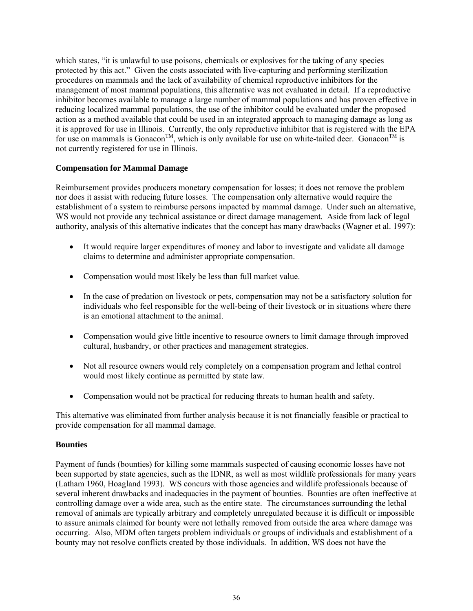which states, "it is unlawful to use poisons, chemicals or explosives for the taking of any species protected by this act." Given the costs associated with live-capturing and performing sterilization procedures on mammals and the lack of availability of chemical reproductive inhibitors for the management of most mammal populations, this alternative was not evaluated in detail. If a reproductive inhibitor becomes available to manage a large number of mammal populations and has proven effective in reducing localized mammal populations, the use of the inhibitor could be evaluated under the proposed action as a method available that could be used in an integrated approach to managing damage as long as it is approved for use in Illinois. Currently, the only reproductive inhibitor that is registered with the EPA for use on mammals is Gonacon<sup>TM</sup>, which is only available for use on white-tailed deer. Gonacon<sup>TM</sup> is not currently registered for use in Illinois.

## **Compensation for Mammal Damage**

Reimbursement provides producers monetary compensation for losses; it does not remove the problem nor does it assist with reducing future losses. The compensation only alternative would require the establishment of a system to reimburse persons impacted by mammal damage. Under such an alternative, WS would not provide any technical assistance or direct damage management. Aside from lack of legal authority, analysis of this alternative indicates that the concept has many drawbacks (Wagner et al. 1997):

- It would require larger expenditures of money and labor to investigate and validate all damage claims to determine and administer appropriate compensation.
- Compensation would most likely be less than full market value.
- In the case of predation on livestock or pets, compensation may not be a satisfactory solution for individuals who feel responsible for the well-being of their livestock or in situations where there is an emotional attachment to the animal.
- Compensation would give little incentive to resource owners to limit damage through improved cultural, husbandry, or other practices and management strategies.
- Not all resource owners would rely completely on a compensation program and lethal control would most likely continue as permitted by state law.
- Compensation would not be practical for reducing threats to human health and safety.

This alternative was eliminated from further analysis because it is not financially feasible or practical to provide compensation for all mammal damage.

## **Bounties**

Payment of funds (bounties) for killing some mammals suspected of causing economic losses have not been supported by state agencies, such as the IDNR, as well as most wildlife professionals for many years (Latham 1960, Hoagland 1993). WS concurs with those agencies and wildlife professionals because of several inherent drawbacks and inadequacies in the payment of bounties. Bounties are often ineffective at controlling damage over a wide area, such as the entire state. The circumstances surrounding the lethal removal of animals are typically arbitrary and completely unregulated because it is difficult or impossible to assure animals claimed for bounty were not lethally removed from outside the area where damage was occurring. Also, MDM often targets problem individuals or groups of individuals and establishment of a bounty may not resolve conflicts created by those individuals. In addition, WS does not have the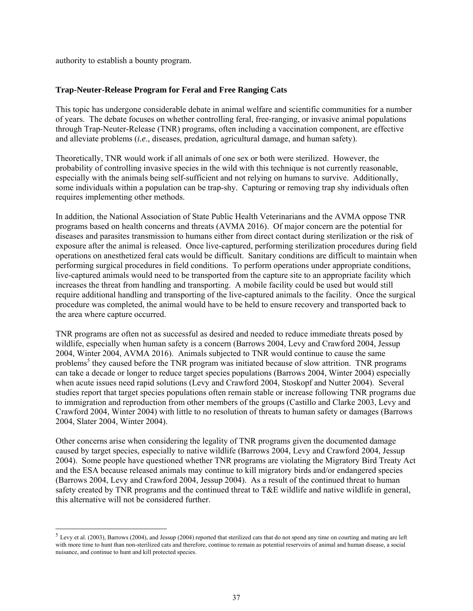authority to establish a bounty program.

 $\overline{a}$ 

## **Trap-Neuter-Release Program for Feral and Free Ranging Cats**

This topic has undergone considerable debate in animal welfare and scientific communities for a number of years. The debate focuses on whether controlling feral, free-ranging, or invasive animal populations through Trap-Neuter-Release (TNR) programs, often including a vaccination component, are effective and alleviate problems (*i.e*., diseases, predation, agricultural damage, and human safety).

Theoretically, TNR would work if all animals of one sex or both were sterilized. However, the probability of controlling invasive species in the wild with this technique is not currently reasonable, especially with the animals being self-sufficient and not relying on humans to survive. Additionally, some individuals within a population can be trap-shy. Capturing or removing trap shy individuals often requires implementing other methods.

In addition, the National Association of State Public Health Veterinarians and the AVMA oppose TNR programs based on health concerns and threats (AVMA 2016). Of major concern are the potential for diseases and parasites transmission to humans either from direct contact during sterilization or the risk of exposure after the animal is released. Once live-captured, performing sterilization procedures during field operations on anesthetized feral cats would be difficult. Sanitary conditions are difficult to maintain when performing surgical procedures in field conditions. To perform operations under appropriate conditions, live-captured animals would need to be transported from the capture site to an appropriate facility which increases the threat from handling and transporting. A mobile facility could be used but would still require additional handling and transporting of the live-captured animals to the facility. Once the surgical procedure was completed, the animal would have to be held to ensure recovery and transported back to the area where capture occurred.

TNR programs are often not as successful as desired and needed to reduce immediate threats posed by wildlife, especially when human safety is a concern (Barrows 2004, Levy and Crawford 2004, Jessup 2004, Winter 2004, AVMA 2016). Animals subjected to TNR would continue to cause the same problems<sup>5</sup> they caused before the TNR program was initiated because of slow attrition. TNR programs can take a decade or longer to reduce target species populations (Barrows 2004, Winter 2004) especially when acute issues need rapid solutions (Levy and Crawford 2004, Stoskopf and Nutter 2004). Several studies report that target species populations often remain stable or increase following TNR programs due to immigration and reproduction from other members of the groups (Castillo and Clarke 2003, Levy and Crawford 2004, Winter 2004) with little to no resolution of threats to human safety or damages (Barrows 2004, Slater 2004, Winter 2004).

Other concerns arise when considering the legality of TNR programs given the documented damage caused by target species, especially to native wildlife (Barrows 2004, Levy and Crawford 2004, Jessup 2004). Some people have questioned whether TNR programs are violating the Migratory Bird Treaty Act and the ESA because released animals may continue to kill migratory birds and/or endangered species (Barrows 2004, Levy and Crawford 2004, Jessup 2004). As a result of the continued threat to human safety created by TNR programs and the continued threat to T&E wildlife and native wildlife in general, this alternative will not be considered further.

 $<sup>5</sup>$  Levy et al. (2003), Barrows (2004), and Jessup (2004) reported that sterilized cats that do not spend any time on courting and mating are left</sup> with more time to hunt than non-sterilized cats and therefore, continue to remain as potential reservoirs of animal and human disease, a social nuisance, and continue to hunt and kill protected species.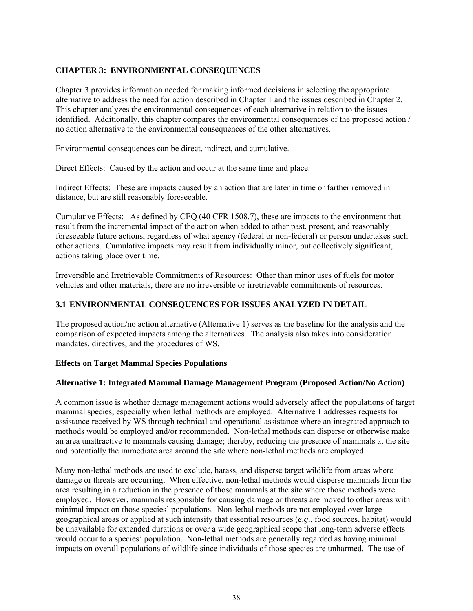# **CHAPTER 3: ENVIRONMENTAL CONSEQUENCES**

Chapter 3 provides information needed for making informed decisions in selecting the appropriate alternative to address the need for action described in Chapter 1 and the issues described in Chapter 2. This chapter analyzes the environmental consequences of each alternative in relation to the issues identified. Additionally, this chapter compares the environmental consequences of the proposed action / no action alternative to the environmental consequences of the other alternatives.

### Environmental consequences can be direct, indirect, and cumulative.

Direct Effects: Caused by the action and occur at the same time and place.

Indirect Effects: These are impacts caused by an action that are later in time or farther removed in distance, but are still reasonably foreseeable.

Cumulative Effects: As defined by CEQ (40 CFR 1508.7), these are impacts to the environment that result from the incremental impact of the action when added to other past, present, and reasonably foreseeable future actions, regardless of what agency (federal or non-federal) or person undertakes such other actions. Cumulative impacts may result from individually minor, but collectively significant, actions taking place over time.

Irreversible and Irretrievable Commitments of Resources: Other than minor uses of fuels for motor vehicles and other materials, there are no irreversible or irretrievable commitments of resources.

## **3.1 ENVIRONMENTAL CONSEQUENCES FOR ISSUES ANALYZED IN DETAIL**

The proposed action/no action alternative (Alternative 1) serves as the baseline for the analysis and the comparison of expected impacts among the alternatives. The analysis also takes into consideration mandates, directives, and the procedures of WS.

## **Effects on Target Mammal Species Populations**

## **Alternative 1: Integrated Mammal Damage Management Program (Proposed Action/No Action)**

A common issue is whether damage management actions would adversely affect the populations of target mammal species, especially when lethal methods are employed. Alternative 1 addresses requests for assistance received by WS through technical and operational assistance where an integrated approach to methods would be employed and/or recommended. Non-lethal methods can disperse or otherwise make an area unattractive to mammals causing damage; thereby, reducing the presence of mammals at the site and potentially the immediate area around the site where non-lethal methods are employed.

Many non-lethal methods are used to exclude, harass, and disperse target wildlife from areas where damage or threats are occurring. When effective, non-lethal methods would disperse mammals from the area resulting in a reduction in the presence of those mammals at the site where those methods were employed. However, mammals responsible for causing damage or threats are moved to other areas with minimal impact on those species' populations. Non-lethal methods are not employed over large geographical areas or applied at such intensity that essential resources (*e*.*g*., food sources, habitat) would be unavailable for extended durations or over a wide geographical scope that long-term adverse effects would occur to a species' population. Non-lethal methods are generally regarded as having minimal impacts on overall populations of wildlife since individuals of those species are unharmed. The use of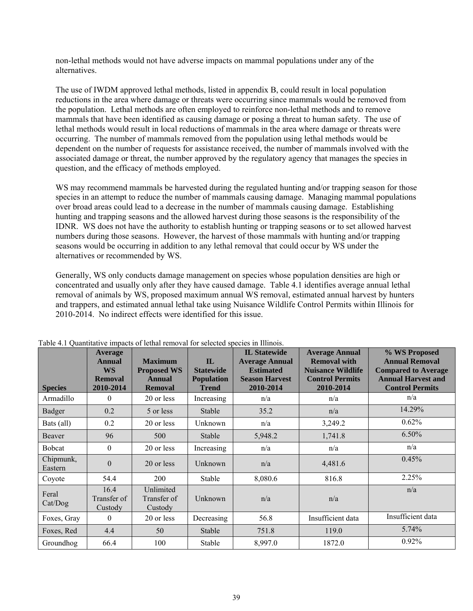non-lethal methods would not have adverse impacts on mammal populations under any of the alternatives.

The use of IWDM approved lethal methods, listed in appendix B, could result in local population reductions in the area where damage or threats were occurring since mammals would be removed from the population. Lethal methods are often employed to reinforce non-lethal methods and to remove mammals that have been identified as causing damage or posing a threat to human safety. The use of lethal methods would result in local reductions of mammals in the area where damage or threats were occurring. The number of mammals removed from the population using lethal methods would be dependent on the number of requests for assistance received, the number of mammals involved with the associated damage or threat, the number approved by the regulatory agency that manages the species in question, and the efficacy of methods employed.

WS may recommend mammals be harvested during the regulated hunting and/or trapping season for those species in an attempt to reduce the number of mammals causing damage. Managing mammal populations over broad areas could lead to a decrease in the number of mammals causing damage. Establishing hunting and trapping seasons and the allowed harvest during those seasons is the responsibility of the IDNR. WS does not have the authority to establish hunting or trapping seasons or to set allowed harvest numbers during those seasons. However, the harvest of those mammals with hunting and/or trapping seasons would be occurring in addition to any lethal removal that could occur by WS under the alternatives or recommended by WS.

Generally, WS only conducts damage management on species whose population densities are high or concentrated and usually only after they have caused damage. Table 4.1 identifies average annual lethal removal of animals by WS, proposed maximum annual WS removal, estimated annual harvest by hunters and trappers, and estimated annual lethal take using Nuisance Wildlife Control Permits within Illinois for 2010-2014. No indirect effects were identified for this issue.

| <b>Species</b>       | <b>Average</b><br><b>Annual</b><br><b>WS</b><br><b>Removal</b><br>2010-2014 | <b>Maximum</b><br><b>Proposed WS</b><br><b>Annual</b><br><b>Removal</b> | $\mathbf{L}$<br><b>Statewide</b><br><b>Population</b><br>Trend | <b>IL Statewide</b><br><b>Average Annual</b><br><b>Estimated</b><br><b>Season Harvest</b><br>2010-2014 | <b>Average Annual</b><br><b>Removal with</b><br><b>Nuisance Wildlife</b><br><b>Control Permits</b><br>2010-2014 | % WS Proposed<br><b>Annual Removal</b><br><b>Compared to Average</b><br><b>Annual Harvest and</b><br><b>Control Permits</b> |
|----------------------|-----------------------------------------------------------------------------|-------------------------------------------------------------------------|----------------------------------------------------------------|--------------------------------------------------------------------------------------------------------|-----------------------------------------------------------------------------------------------------------------|-----------------------------------------------------------------------------------------------------------------------------|
| Armadillo            | $\Omega$                                                                    | 20 or less                                                              | Increasing                                                     | n/a                                                                                                    | n/a                                                                                                             | n/a                                                                                                                         |
| Badger               | 0.2                                                                         | 5 or less                                                               | Stable                                                         | 35.2                                                                                                   | n/a                                                                                                             | 14.29%                                                                                                                      |
| Bats (all)           | 0.2                                                                         | 20 or less                                                              | Unknown                                                        | n/a                                                                                                    | 3,249.2                                                                                                         | 0.62%                                                                                                                       |
| Beaver               | 96                                                                          | 500                                                                     | <b>Stable</b>                                                  | 5,948.2                                                                                                | 1,741.8                                                                                                         | 6.50%                                                                                                                       |
| <b>Bobcat</b>        | $\boldsymbol{0}$                                                            | 20 or less                                                              | Increasing                                                     | n/a                                                                                                    | n/a                                                                                                             | n/a                                                                                                                         |
| Chipmunk,<br>Eastern | $\theta$                                                                    | 20 or less                                                              | Unknown                                                        | n/a                                                                                                    | 4,481.6                                                                                                         | 0.45%                                                                                                                       |
| Coyote               | 54.4                                                                        | <b>200</b>                                                              | Stable                                                         | 8,080.6                                                                                                | 816.8                                                                                                           | 2.25%                                                                                                                       |
| Feral<br>Cat/Dog     | 16.4<br>Transfer of<br>Custody                                              | Unlimited<br>Transfer of<br>Custody                                     | Unknown                                                        | n/a                                                                                                    | n/a                                                                                                             | n/a                                                                                                                         |
| Foxes, Gray          | $\theta$                                                                    | 20 or less                                                              | Decreasing                                                     | 56.8                                                                                                   | Insufficient data                                                                                               | Insufficient data                                                                                                           |
| Foxes, Red           | 4.4                                                                         | 50                                                                      | Stable                                                         | 751.8                                                                                                  | 119.0                                                                                                           | 5.74%                                                                                                                       |
| Groundhog            | 66.4                                                                        | 100                                                                     | Stable                                                         | 8,997.0                                                                                                | 1872.0                                                                                                          | 0.92%                                                                                                                       |

Table 4.1 Quantitative impacts of lethal removal for selected species in Illinois.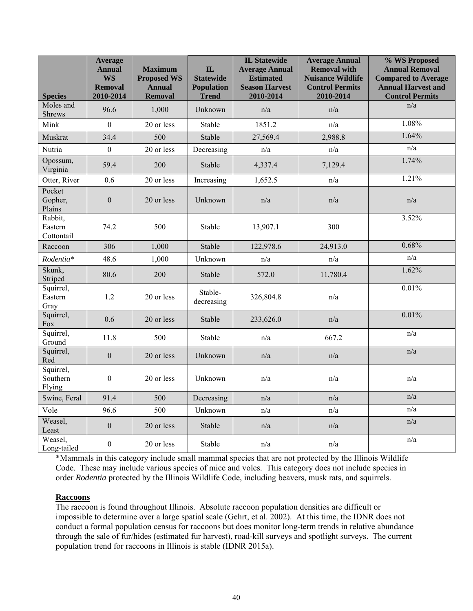| <b>Species</b>                   | <b>Average</b><br><b>Annual</b><br><b>WS</b><br><b>Removal</b><br>2010-2014 | <b>Maximum</b><br><b>Proposed WS</b><br><b>Annual</b><br><b>Removal</b> | $\mathbf{IL}$<br><b>Statewide</b><br><b>Population</b><br><b>Trend</b> | <b>IL Statewide</b><br><b>Average Annual</b><br><b>Estimated</b><br><b>Season Harvest</b><br>2010-2014 | <b>Average Annual</b><br><b>Removal with</b><br><b>Nuisance Wildlife</b><br><b>Control Permits</b><br>2010-2014 | % WS Proposed<br><b>Annual Removal</b><br><b>Compared to Average</b><br><b>Annual Harvest and</b><br><b>Control Permits</b> |
|----------------------------------|-----------------------------------------------------------------------------|-------------------------------------------------------------------------|------------------------------------------------------------------------|--------------------------------------------------------------------------------------------------------|-----------------------------------------------------------------------------------------------------------------|-----------------------------------------------------------------------------------------------------------------------------|
| Moles and<br><b>Shrews</b>       | 96.6                                                                        | 1,000                                                                   | Unknown                                                                | n/a                                                                                                    | n/a                                                                                                             | n/a                                                                                                                         |
| Mink                             | $\Omega$                                                                    | 20 or less                                                              | Stable                                                                 | 1851.2                                                                                                 | n/a                                                                                                             | 1.08%                                                                                                                       |
| Muskrat                          | 34.4                                                                        | 500                                                                     | Stable                                                                 | 27,569.4                                                                                               | 2,988.8                                                                                                         | 1.64%                                                                                                                       |
| Nutria                           | $\boldsymbol{0}$                                                            | 20 or less                                                              | Decreasing                                                             | n/a                                                                                                    | n/a                                                                                                             | n/a                                                                                                                         |
| Opossum,<br>Virginia             | 59.4                                                                        | 200                                                                     | Stable                                                                 | 4,337.4                                                                                                | 7,129.4                                                                                                         | 1.74%                                                                                                                       |
| Otter, River                     | 0.6                                                                         | 20 or less                                                              | Increasing                                                             | 1,652.5                                                                                                | n/a                                                                                                             | 1.21%                                                                                                                       |
| Pocket<br>Gopher,<br>Plains      | $\mathbf{0}$                                                                | 20 or less                                                              | Unknown                                                                | n/a                                                                                                    | n/a                                                                                                             | n/a                                                                                                                         |
| Rabbit,<br>Eastern<br>Cottontail | 74.2                                                                        | 500                                                                     | Stable                                                                 | 13,907.1                                                                                               | 300                                                                                                             | 3.52%                                                                                                                       |
| Raccoon                          | 306                                                                         | 1,000                                                                   | Stable                                                                 | 122,978.6                                                                                              | 24,913.0                                                                                                        | 0.68%                                                                                                                       |
| Rodentia*                        | 48.6                                                                        | 1,000                                                                   | Unknown                                                                | n/a                                                                                                    | n/a                                                                                                             | n/a                                                                                                                         |
| Skunk,<br>Striped                | 80.6                                                                        | 200                                                                     | Stable                                                                 | 572.0                                                                                                  | 11,780.4                                                                                                        | 1.62%                                                                                                                       |
| Squirrel,<br>Eastern<br>Gray     | 1.2                                                                         | 20 or less                                                              | Stable-<br>decreasing                                                  | 326,804.8                                                                                              | n/a                                                                                                             | 0.01%                                                                                                                       |
| Squirrel,<br>Fox                 | 0.6                                                                         | 20 or less                                                              | Stable                                                                 | 233,626.0                                                                                              | n/a                                                                                                             | 0.01%                                                                                                                       |
| Squirrel,<br>Ground              | 11.8                                                                        | 500                                                                     | Stable                                                                 | n/a                                                                                                    | 667.2                                                                                                           | n/a                                                                                                                         |
| Squirrel,<br>Red                 | $\mathbf{0}$                                                                | 20 or less                                                              | Unknown                                                                | n/a                                                                                                    | n/a                                                                                                             | n/a                                                                                                                         |
| Squirrel,<br>Southern<br>Flying  | $\mathbf{0}$                                                                | 20 or less                                                              | Unknown                                                                | n/a                                                                                                    | n/a                                                                                                             | n/a                                                                                                                         |
| Swine, Feral                     | 91.4                                                                        | 500                                                                     | Decreasing                                                             | n/a                                                                                                    | n/a                                                                                                             | n/a                                                                                                                         |
| Vole                             | 96.6                                                                        | 500                                                                     | Unknown                                                                | n/a                                                                                                    | n/a                                                                                                             | n/a                                                                                                                         |
| Weasel,<br>Least                 | $\boldsymbol{0}$                                                            | 20 or less                                                              | Stable                                                                 | n/a                                                                                                    | n/a                                                                                                             | n/a                                                                                                                         |
| Weasel,<br>Long-tailed           | $\boldsymbol{0}$                                                            | 20 or less                                                              | Stable                                                                 | n/a                                                                                                    | n/a                                                                                                             | n/a                                                                                                                         |

\*Mammals in this category include small mammal species that are not protected by the Illinois Wildlife Code. These may include various species of mice and voles. This category does not include species in order *Rodentia* protected by the Illinois Wildlife Code, including beavers, musk rats, and squirrels.

## **Raccoons**

The raccoon is found throughout Illinois. Absolute raccoon population densities are difficult or impossible to determine over a large spatial scale (Gehrt, et al. 2002). At this time, the IDNR does not conduct a formal population census for raccoons but does monitor long-term trends in relative abundance through the sale of fur/hides (estimated fur harvest), road-kill surveys and spotlight surveys. The current population trend for raccoons in Illinois is stable (IDNR 2015a).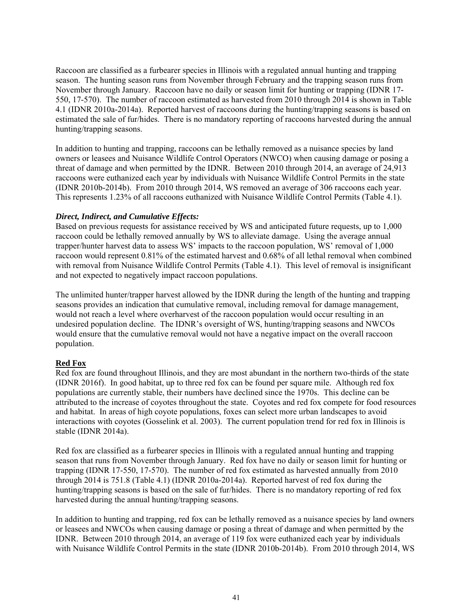Raccoon are classified as a furbearer species in Illinois with a regulated annual hunting and trapping season. The hunting season runs from November through February and the trapping season runs from November through January. Raccoon have no daily or season limit for hunting or trapping (IDNR 17- 550, 17-570). The number of raccoon estimated as harvested from 2010 through 2014 is shown in Table 4.1 (IDNR 2010a-2014a). Reported harvest of raccoons during the hunting/trapping seasons is based on estimated the sale of fur/hides. There is no mandatory reporting of raccoons harvested during the annual hunting/trapping seasons.

In addition to hunting and trapping, raccoons can be lethally removed as a nuisance species by land owners or leasees and Nuisance Wildlife Control Operators (NWCO) when causing damage or posing a threat of damage and when permitted by the IDNR. Between 2010 through 2014, an average of 24,913 raccoons were euthanized each year by individuals with Nuisance Wildlife Control Permits in the state (IDNR 2010b-2014b). From 2010 through 2014, WS removed an average of 306 raccoons each year. This represents 1.23% of all raccoons euthanized with Nuisance Wildlife Control Permits (Table 4.1).

## *Direct, Indirect, and Cumulative Effects:*

Based on previous requests for assistance received by WS and anticipated future requests, up to 1,000 raccoon could be lethally removed annually by WS to alleviate damage. Using the average annual trapper/hunter harvest data to assess WS' impacts to the raccoon population, WS' removal of 1,000 raccoon would represent 0.81% of the estimated harvest and 0.68% of all lethal removal when combined with removal from Nuisance Wildlife Control Permits (Table 4.1). This level of removal is insignificant and not expected to negatively impact raccoon populations.

The unlimited hunter/trapper harvest allowed by the IDNR during the length of the hunting and trapping seasons provides an indication that cumulative removal, including removal for damage management, would not reach a level where overharvest of the raccoon population would occur resulting in an undesired population decline. The IDNR's oversight of WS, hunting/trapping seasons and NWCOs would ensure that the cumulative removal would not have a negative impact on the overall raccoon population.

# **Red Fox**

Red fox are found throughout Illinois, and they are most abundant in the northern two-thirds of the state (IDNR 2016f). In good habitat, up to three red fox can be found per square mile. Although red fox populations are currently stable, their numbers have declined since the 1970s. This decline can be attributed to the increase of coyotes throughout the state. Coyotes and red fox compete for food resources and habitat. In areas of high coyote populations, foxes can select more urban landscapes to avoid interactions with coyotes (Gosselink et al. 2003). The current population trend for red fox in Illinois is stable (IDNR 2014a).

Red fox are classified as a furbearer species in Illinois with a regulated annual hunting and trapping season that runs from November through January. Red fox have no daily or season limit for hunting or trapping (IDNR 17-550, 17-570). The number of red fox estimated as harvested annually from 2010 through 2014 is 751.8 (Table 4.1) (IDNR 2010a-2014a). Reported harvest of red fox during the hunting/trapping seasons is based on the sale of fur/hides. There is no mandatory reporting of red fox harvested during the annual hunting/trapping seasons.

In addition to hunting and trapping, red fox can be lethally removed as a nuisance species by land owners or leasees and NWCOs when causing damage or posing a threat of damage and when permitted by the IDNR. Between 2010 through 2014, an average of 119 fox were euthanized each year by individuals with Nuisance Wildlife Control Permits in the state (IDNR 2010b-2014b). From 2010 through 2014, WS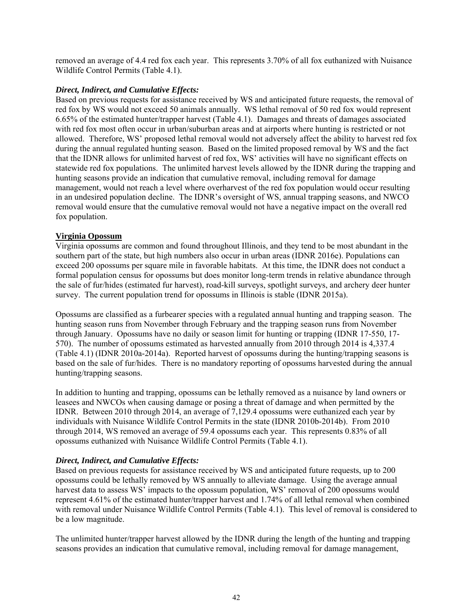removed an average of 4.4 red fox each year. This represents 3.70% of all fox euthanized with Nuisance Wildlife Control Permits (Table 4.1).

## *Direct, Indirect, and Cumulative Effects:*

Based on previous requests for assistance received by WS and anticipated future requests, the removal of red fox by WS would not exceed 50 animals annually. WS lethal removal of 50 red fox would represent 6.65% of the estimated hunter/trapper harvest (Table 4.1). Damages and threats of damages associated with red fox most often occur in urban/suburban areas and at airports where hunting is restricted or not allowed. Therefore, WS' proposed lethal removal would not adversely affect the ability to harvest red fox during the annual regulated hunting season. Based on the limited proposed removal by WS and the fact that the IDNR allows for unlimited harvest of red fox, WS' activities will have no significant effects on statewide red fox populations. The unlimited harvest levels allowed by the IDNR during the trapping and hunting seasons provide an indication that cumulative removal, including removal for damage management, would not reach a level where overharvest of the red fox population would occur resulting in an undesired population decline. The IDNR's oversight of WS, annual trapping seasons, and NWCO removal would ensure that the cumulative removal would not have a negative impact on the overall red fox population.

## **Virginia Opossum**

Virginia opossums are common and found throughout Illinois, and they tend to be most abundant in the southern part of the state, but high numbers also occur in urban areas (IDNR 2016e). Populations can exceed 200 opossums per square mile in favorable habitats. At this time, the IDNR does not conduct a formal population census for opossums but does monitor long-term trends in relative abundance through the sale of fur/hides (estimated fur harvest), road-kill surveys, spotlight surveys, and archery deer hunter survey. The current population trend for opossums in Illinois is stable (IDNR 2015a).

Opossums are classified as a furbearer species with a regulated annual hunting and trapping season. The hunting season runs from November through February and the trapping season runs from November through January. Opossums have no daily or season limit for hunting or trapping (IDNR 17-550, 17- 570). The number of opossums estimated as harvested annually from 2010 through 2014 is 4,337.4 (Table 4.1) (IDNR 2010a-2014a). Reported harvest of opossums during the hunting/trapping seasons is based on the sale of fur/hides. There is no mandatory reporting of opossums harvested during the annual hunting/trapping seasons.

In addition to hunting and trapping, opossums can be lethally removed as a nuisance by land owners or leasees and NWCOs when causing damage or posing a threat of damage and when permitted by the IDNR. Between 2010 through 2014, an average of 7,129.4 opossums were euthanized each year by individuals with Nuisance Wildlife Control Permits in the state (IDNR 2010b-2014b). From 2010 through 2014, WS removed an average of 59.4 opossums each year. This represents 0.83% of all opossums euthanized with Nuisance Wildlife Control Permits (Table 4.1).

# *Direct, Indirect, and Cumulative Effects:*

Based on previous requests for assistance received by WS and anticipated future requests, up to 200 opossums could be lethally removed by WS annually to alleviate damage. Using the average annual harvest data to assess WS' impacts to the opossum population, WS' removal of 200 opossums would represent 4.61% of the estimated hunter/trapper harvest and 1.74% of all lethal removal when combined with removal under Nuisance Wildlife Control Permits (Table 4.1). This level of removal is considered to be a low magnitude.

The unlimited hunter/trapper harvest allowed by the IDNR during the length of the hunting and trapping seasons provides an indication that cumulative removal, including removal for damage management,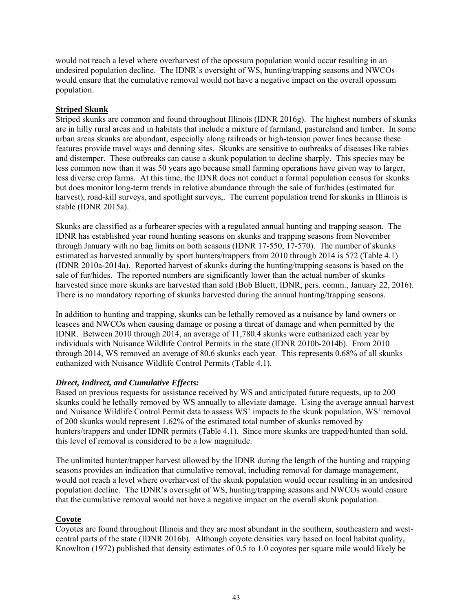would not reach a level where overharvest of the opossum population would occur resulting in an undesired population decline. The IDNR's oversight of WS, hunting/trapping seasons and NWCOs would ensure that the cumulative removal would not have a negative impact on the overall opossum population.

## **Striped Skunk**

Striped skunks are common and found throughout Illinois (IDNR 2016g). The highest numbers of skunks are in hilly rural areas and in habitats that include a mixture of farmland, pastureland and timber. In some urban areas skunks are abundant, especially along railroads or high-tension power lines because these features provide travel ways and denning sites. Skunks are sensitive to outbreaks of diseases like rabies and distemper. These outbreaks can cause a skunk population to decline sharply. This species may be less common now than it was 50 years ago because small farming operations have given way to larger, less diverse crop farms. At this time, the IDNR does not conduct a formal population census for skunks but does monitor long-term trends in relative abundance through the sale of fur/hides (estimated fur harvest), road-kill surveys, and spotlight surveys. The current population trend for skunks in Illinois is stable (IDNR 2015a).

Skunks are classified as a furbearer species with a regulated annual hunting and trapping season. The IDNR has established year round hunting seasons on skunks and trapping seasons from November through January with no bag limits on both seasons (IDNR 17-550, 17-570). The number of skunks estimated as harvested annually by sport hunters/trappers from 2010 through 2014 is 572 (Table 4.1) (IDNR 2010a-2014a). Reported harvest of skunks during the hunting/trapping seasons is based on the sale of fur/hides. The reported numbers are significantly lower than the actual number of skunks harvested since more skunks are harvested than sold (Bob Bluett, IDNR, pers. comm., January 22, 2016). There is no mandatory reporting of skunks harvested during the annual hunting/trapping seasons.

In addition to hunting and trapping, skunks can be lethally removed as a nuisance by land owners or leasees and NWCOs when causing damage or posing a threat of damage and when permitted by the IDNR. Between 2010 through 2014, an average of 11,780.4 skunks were euthanized each year by individuals with Nuisance Wildlife Control Permits in the state (IDNR 2010b-2014b). From 2010 through 2014, WS removed an average of 80.6 skunks each year. This represents 0.68% of all skunks euthanized with Nuisance Wildlife Control Permits (Table 4.1).

## *Direct, Indirect, and Cumulative Effects:*

Based on previous requests for assistance received by WS and anticipated future requests, up to 200 skunks could be lethally removed by WS annually to alleviate damage. Using the average annual harvest and Nuisance Wildlife Control Permit data to assess WS' impacts to the skunk population, WS' removal of 200 skunks would represent 1.62% of the estimated total number of skunks removed by hunters/trappers and under IDNR permits (Table 4.1). Since more skunks are trapped/hunted than sold, this level of removal is considered to be a low magnitude.

The unlimited hunter/trapper harvest allowed by the IDNR during the length of the hunting and trapping seasons provides an indication that cumulative removal, including removal for damage management, would not reach a level where overharvest of the skunk population would occur resulting in an undesired population decline. The IDNR's oversight of WS, hunting/trapping seasons and NWCOs would ensure that the cumulative removal would not have a negative impact on the overall skunk population.

## **Coyote**

Coyotes are found throughout Illinois and they are most abundant in the southern, southeastern and westcentral parts of the state (IDNR 2016b). Although coyote densities vary based on local habitat quality, Knowlton (1972) published that density estimates of 0.5 to 1.0 coyotes per square mile would likely be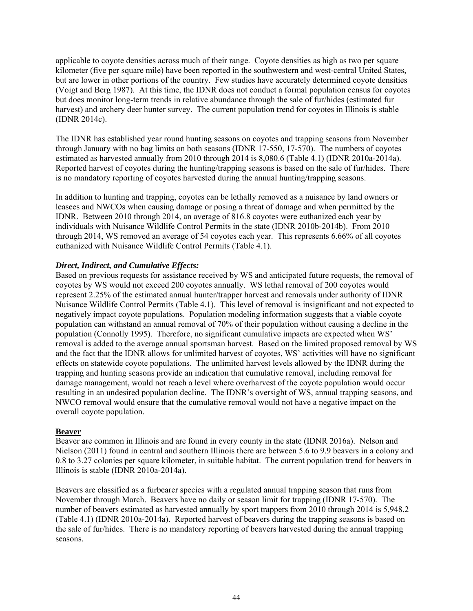applicable to coyote densities across much of their range. Coyote densities as high as two per square kilometer (five per square mile) have been reported in the southwestern and west-central United States, but are lower in other portions of the country. Few studies have accurately determined coyote densities (Voigt and Berg 1987). At this time, the IDNR does not conduct a formal population census for coyotes but does monitor long-term trends in relative abundance through the sale of fur/hides (estimated fur harvest) and archery deer hunter survey. The current population trend for coyotes in Illinois is stable (IDNR 2014c).

The IDNR has established year round hunting seasons on coyotes and trapping seasons from November through January with no bag limits on both seasons (IDNR 17-550, 17-570). The numbers of coyotes estimated as harvested annually from 2010 through 2014 is 8,080.6 (Table 4.1) (IDNR 2010a-2014a). Reported harvest of coyotes during the hunting/trapping seasons is based on the sale of fur/hides. There is no mandatory reporting of coyotes harvested during the annual hunting/trapping seasons.

In addition to hunting and trapping, coyotes can be lethally removed as a nuisance by land owners or leasees and NWCOs when causing damage or posing a threat of damage and when permitted by the IDNR. Between 2010 through 2014, an average of 816.8 coyotes were euthanized each year by individuals with Nuisance Wildlife Control Permits in the state (IDNR 2010b-2014b). From 2010 through 2014, WS removed an average of 54 coyotes each year. This represents 6.66% of all coyotes euthanized with Nuisance Wildlife Control Permits (Table 4.1).

## *Direct, Indirect, and Cumulative Effects:*

Based on previous requests for assistance received by WS and anticipated future requests, the removal of coyotes by WS would not exceed 200 coyotes annually. WS lethal removal of 200 coyotes would represent 2.25% of the estimated annual hunter/trapper harvest and removals under authority of IDNR Nuisance Wildlife Control Permits (Table 4.1). This level of removal is insignificant and not expected to negatively impact coyote populations. Population modeling information suggests that a viable coyote population can withstand an annual removal of 70% of their population without causing a decline in the population (Connolly 1995). Therefore, no significant cumulative impacts are expected when WS' removal is added to the average annual sportsman harvest. Based on the limited proposed removal by WS and the fact that the IDNR allows for unlimited harvest of coyotes, WS' activities will have no significant effects on statewide coyote populations. The unlimited harvest levels allowed by the IDNR during the trapping and hunting seasons provide an indication that cumulative removal, including removal for damage management, would not reach a level where overharvest of the coyote population would occur resulting in an undesired population decline. The IDNR's oversight of WS, annual trapping seasons, and NWCO removal would ensure that the cumulative removal would not have a negative impact on the overall coyote population.

## **Beaver**

Beaver are common in Illinois and are found in every county in the state (IDNR 2016a). Nelson and Nielson (2011) found in central and southern Illinois there are between 5.6 to 9.9 beavers in a colony and 0.8 to 3.27 colonies per square kilometer, in suitable habitat. The current population trend for beavers in Illinois is stable (IDNR 2010a-2014a).

Beavers are classified as a furbearer species with a regulated annual trapping season that runs from November through March. Beavers have no daily or season limit for trapping (IDNR 17-570). The number of beavers estimated as harvested annually by sport trappers from 2010 through 2014 is 5,948.2 (Table 4.1) (IDNR 2010a-2014a). Reported harvest of beavers during the trapping seasons is based on the sale of fur/hides. There is no mandatory reporting of beavers harvested during the annual trapping seasons.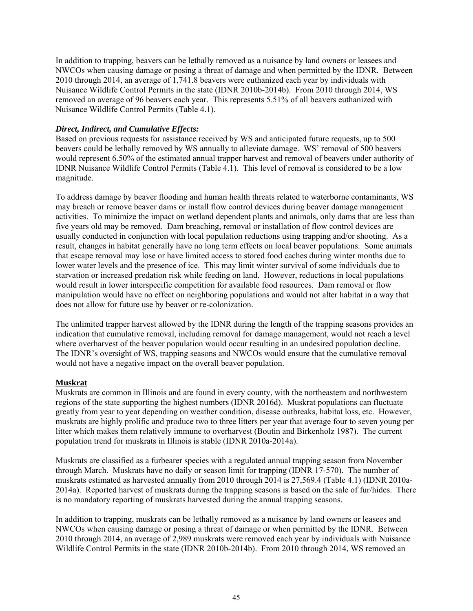In addition to trapping, beavers can be lethally removed as a nuisance by land owners or leasees and NWCOs when causing damage or posing a threat of damage and when permitted by the IDNR. Between 2010 through 2014, an average of 1,741.8 beavers were euthanized each year by individuals with Nuisance Wildlife Control Permits in the state (IDNR 2010b-2014b). From 2010 through 2014, WS removed an average of 96 beavers each year. This represents 5.51% of all beavers euthanized with Nuisance Wildlife Control Permits (Table 4.1).

## *Direct, Indirect, and Cumulative Effects:*

Based on previous requests for assistance received by WS and anticipated future requests, up to 500 beavers could be lethally removed by WS annually to alleviate damage. WS' removal of 500 beavers would represent 6.50% of the estimated annual trapper harvest and removal of beavers under authority of IDNR Nuisance Wildlife Control Permits (Table 4.1). This level of removal is considered to be a low magnitude.

To address damage by beaver flooding and human health threats related to waterborne contaminants, WS may breach or remove beaver dams or install flow control devices during beaver damage management activities. To minimize the impact on wetland dependent plants and animals, only dams that are less than five years old may be removed. Dam breaching, removal or installation of flow control devices are usually conducted in conjunction with local population reductions using trapping and/or shooting. As a result, changes in habitat generally have no long term effects on local beaver populations. Some animals that escape removal may lose or have limited access to stored food caches during winter months due to lower water levels and the presence of ice. This may limit winter survival of some individuals due to starvation or increased predation risk while feeding on land. However, reductions in local populations would result in lower interspecific competition for available food resources. Dam removal or flow manipulation would have no effect on neighboring populations and would not alter habitat in a way that does not allow for future use by beaver or re-colonization.

The unlimited trapper harvest allowed by the IDNR during the length of the trapping seasons provides an indication that cumulative removal, including removal for damage management, would not reach a level where overharvest of the beaver population would occur resulting in an undesired population decline. The IDNR's oversight of WS, trapping seasons and NWCOs would ensure that the cumulative removal would not have a negative impact on the overall beaver population.

## **Muskrat**

Muskrats are common in Illinois and are found in every county, with the northeastern and northwestern regions of the state supporting the highest numbers (IDNR 2016d). Muskrat populations can fluctuate greatly from year to year depending on weather condition, disease outbreaks, habitat loss, etc. However, muskrats are highly prolific and produce two to three litters per year that average four to seven young per litter which makes them relatively immune to overharvest (Boutin and Birkenholz 1987). The current population trend for muskrats in Illinois is stable (IDNR 2010a-2014a).

Muskrats are classified as a furbearer species with a regulated annual trapping season from November through March. Muskrats have no daily or season limit for trapping (IDNR 17-570). The number of muskrats estimated as harvested annually from 2010 through 2014 is 27,569.4 (Table 4.1) (IDNR 2010a-2014a). Reported harvest of muskrats during the trapping seasons is based on the sale of fur/hides. There is no mandatory reporting of muskrats harvested during the annual trapping seasons.

In addition to trapping, muskrats can be lethally removed as a nuisance by land owners or leasees and NWCOs when causing damage or posing a threat of damage or when permitted by the IDNR. Between 2010 through 2014, an average of 2,989 muskrats were removed each year by individuals with Nuisance Wildlife Control Permits in the state (IDNR 2010b-2014b). From 2010 through 2014, WS removed an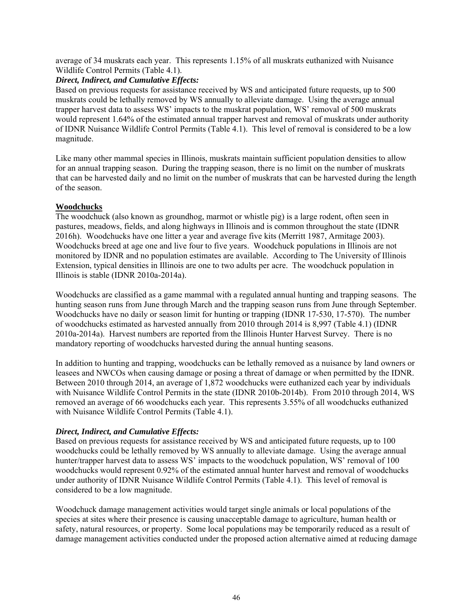average of 34 muskrats each year. This represents 1.15% of all muskrats euthanized with Nuisance Wildlife Control Permits (Table 4.1).

## *Direct, Indirect, and Cumulative Effects:*

Based on previous requests for assistance received by WS and anticipated future requests, up to 500 muskrats could be lethally removed by WS annually to alleviate damage. Using the average annual trapper harvest data to assess WS' impacts to the muskrat population, WS' removal of 500 muskrats would represent 1.64% of the estimated annual trapper harvest and removal of muskrats under authority of IDNR Nuisance Wildlife Control Permits (Table 4.1). This level of removal is considered to be a low magnitude.

Like many other mammal species in Illinois, muskrats maintain sufficient population densities to allow for an annual trapping season. During the trapping season, there is no limit on the number of muskrats that can be harvested daily and no limit on the number of muskrats that can be harvested during the length of the season.

## **Woodchucks**

The woodchuck (also known as groundhog, marmot or whistle pig) is a large rodent, often seen in pastures, meadows, fields, and along highways in Illinois and is common throughout the state (IDNR 2016h). Woodchucks have one litter a year and average five kits (Merritt 1987, Armitage 2003). Woodchucks breed at age one and live four to five years. Woodchuck populations in Illinois are not monitored by IDNR and no population estimates are available. According to The University of Illinois Extension, typical densities in Illinois are one to two adults per acre. The woodchuck population in Illinois is stable (IDNR 2010a-2014a).

Woodchucks are classified as a game mammal with a regulated annual hunting and trapping seasons. The hunting season runs from June through March and the trapping season runs from June through September. Woodchucks have no daily or season limit for hunting or trapping (IDNR 17-530, 17-570). The number of woodchucks estimated as harvested annually from 2010 through 2014 is 8,997 (Table 4.1) (IDNR 2010a-2014a). Harvest numbers are reported from the Illinois Hunter Harvest Survey. There is no mandatory reporting of woodchucks harvested during the annual hunting seasons.

In addition to hunting and trapping, woodchucks can be lethally removed as a nuisance by land owners or leasees and NWCOs when causing damage or posing a threat of damage or when permitted by the IDNR. Between 2010 through 2014, an average of 1,872 woodchucks were euthanized each year by individuals with Nuisance Wildlife Control Permits in the state (IDNR 2010b-2014b). From 2010 through 2014, WS removed an average of 66 woodchucks each year. This represents 3.55% of all woodchucks euthanized with Nuisance Wildlife Control Permits (Table 4.1).

## *Direct, Indirect, and Cumulative Effects:*

Based on previous requests for assistance received by WS and anticipated future requests, up to 100 woodchucks could be lethally removed by WS annually to alleviate damage. Using the average annual hunter/trapper harvest data to assess WS' impacts to the woodchuck population, WS' removal of 100 woodchucks would represent 0.92% of the estimated annual hunter harvest and removal of woodchucks under authority of IDNR Nuisance Wildlife Control Permits (Table 4.1). This level of removal is considered to be a low magnitude.

Woodchuck damage management activities would target single animals or local populations of the species at sites where their presence is causing unacceptable damage to agriculture, human health or safety, natural resources, or property. Some local populations may be temporarily reduced as a result of damage management activities conducted under the proposed action alternative aimed at reducing damage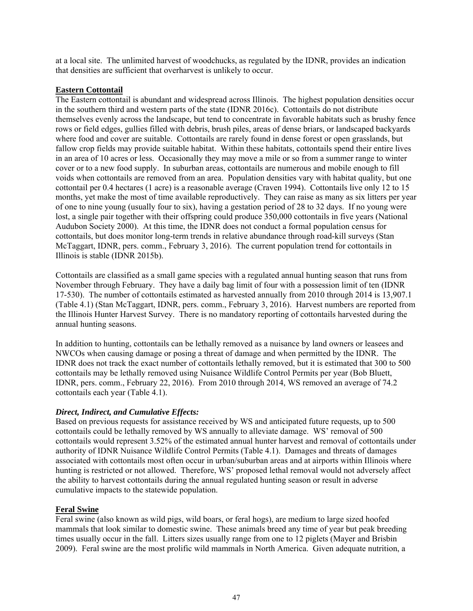at a local site. The unlimited harvest of woodchucks, as regulated by the IDNR, provides an indication that densities are sufficient that overharvest is unlikely to occur.

### **Eastern Cottontail**

The Eastern cottontail is abundant and widespread across Illinois. The highest population densities occur in the southern third and western parts of the state (IDNR 2016c). Cottontails do not distribute themselves evenly across the landscape, but tend to concentrate in favorable habitats such as brushy fence rows or field edges, gullies filled with debris, brush piles, areas of dense briars, or landscaped backyards where food and cover are suitable. Cottontails are rarely found in dense forest or open grasslands, but fallow crop fields may provide suitable habitat. Within these habitats, cottontails spend their entire lives in an area of 10 acres or less. Occasionally they may move a mile or so from a summer range to winter cover or to a new food supply. In suburban areas, cottontails are numerous and mobile enough to fill voids when cottontails are removed from an area. Population densities vary with habitat quality, but one cottontail per 0.4 hectares (1 acre) is a reasonable average (Craven 1994). Cottontails live only 12 to 15 months, yet make the most of time available reproductively. They can raise as many as six litters per year of one to nine young (usually four to six), having a gestation period of 28 to 32 days. If no young were lost, a single pair together with their offspring could produce 350,000 cottontails in five years (National Audubon Society 2000). At this time, the IDNR does not conduct a formal population census for cottontails, but does monitor long-term trends in relative abundance through road-kill surveys (Stan McTaggart, IDNR, pers. comm., February 3, 2016). The current population trend for cottontails in Illinois is stable (IDNR 2015b).

Cottontails are classified as a small game species with a regulated annual hunting season that runs from November through February. They have a daily bag limit of four with a possession limit of ten (IDNR 17-530). The number of cottontails estimated as harvested annually from 2010 through 2014 is 13,907.1 (Table 4.1) (Stan McTaggart, IDNR, pers. comm., February 3, 2016). Harvest numbers are reported from the Illinois Hunter Harvest Survey. There is no mandatory reporting of cottontails harvested during the annual hunting seasons.

In addition to hunting, cottontails can be lethally removed as a nuisance by land owners or leasees and NWCOs when causing damage or posing a threat of damage and when permitted by the IDNR. The IDNR does not track the exact number of cottontails lethally removed, but it is estimated that 300 to 500 cottontails may be lethally removed using Nuisance Wildlife Control Permits per year (Bob Bluett, IDNR, pers. comm., February 22, 2016). From 2010 through 2014, WS removed an average of 74.2 cottontails each year (Table 4.1).

## *Direct, Indirect, and Cumulative Effects:*

Based on previous requests for assistance received by WS and anticipated future requests, up to 500 cottontails could be lethally removed by WS annually to alleviate damage. WS' removal of 500 cottontails would represent 3.52% of the estimated annual hunter harvest and removal of cottontails under authority of IDNR Nuisance Wildlife Control Permits (Table 4.1). Damages and threats of damages associated with cottontails most often occur in urban/suburban areas and at airports within Illinois where hunting is restricted or not allowed. Therefore, WS' proposed lethal removal would not adversely affect the ability to harvest cottontails during the annual regulated hunting season or result in adverse cumulative impacts to the statewide population.

## **Feral Swine**

Feral swine (also known as wild pigs, wild boars, or feral hogs), are medium to large sized hoofed mammals that look similar to domestic swine. These animals breed any time of year but peak breeding times usually occur in the fall. Litters sizes usually range from one to 12 piglets (Mayer and Brisbin 2009). Feral swine are the most prolific wild mammals in North America. Given adequate nutrition, a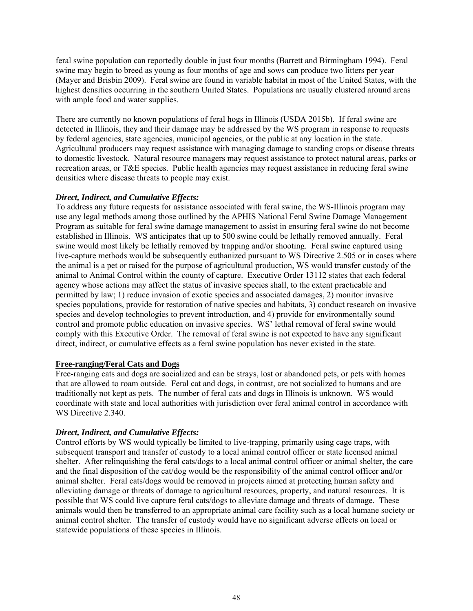feral swine population can reportedly double in just four months (Barrett and Birmingham 1994). Feral swine may begin to breed as young as four months of age and sows can produce two litters per year (Mayer and Brisbin 2009). Feral swine are found in variable habitat in most of the United States, with the highest densities occurring in the southern United States. Populations are usually clustered around areas with ample food and water supplies.

There are currently no known populations of feral hogs in Illinois (USDA 2015b). If feral swine are detected in Illinois, they and their damage may be addressed by the WS program in response to requests by federal agencies, state agencies, municipal agencies, or the public at any location in the state. Agricultural producers may request assistance with managing damage to standing crops or disease threats to domestic livestock. Natural resource managers may request assistance to protect natural areas, parks or recreation areas, or T&E species. Public health agencies may request assistance in reducing feral swine densities where disease threats to people may exist.

## *Direct, Indirect, and Cumulative Effects:*

To address any future requests for assistance associated with feral swine, the WS-Illinois program may use any legal methods among those outlined by the APHIS National Feral Swine Damage Management Program as suitable for feral swine damage management to assist in ensuring feral swine do not become established in Illinois. WS anticipates that up to 500 swine could be lethally removed annually. Feral swine would most likely be lethally removed by trapping and/or shooting. Feral swine captured using live-capture methods would be subsequently euthanized pursuant to WS Directive 2.505 or in cases where the animal is a pet or raised for the purpose of agricultural production, WS would transfer custody of the animal to Animal Control within the county of capture. Executive Order 13112 states that each federal agency whose actions may affect the status of invasive species shall, to the extent practicable and permitted by law; 1) reduce invasion of exotic species and associated damages, 2) monitor invasive species populations, provide for restoration of native species and habitats, 3) conduct research on invasive species and develop technologies to prevent introduction, and 4) provide for environmentally sound control and promote public education on invasive species. WS' lethal removal of feral swine would comply with this Executive Order. The removal of feral swine is not expected to have any significant direct, indirect, or cumulative effects as a feral swine population has never existed in the state.

## **Free-ranging/Feral Cats and Dogs**

Free-ranging cats and dogs are socialized and can be strays, lost or abandoned pets, or pets with homes that are allowed to roam outside. Feral cat and dogs, in contrast, are not socialized to humans and are traditionally not kept as pets. The number of feral cats and dogs in Illinois is unknown. WS would coordinate with state and local authorities with jurisdiction over feral animal control in accordance with WS Directive 2.340.

## *Direct, Indirect, and Cumulative Effects:*

Control efforts by WS would typically be limited to live-trapping, primarily using cage traps, with subsequent transport and transfer of custody to a local animal control officer or state licensed animal shelter. After relinquishing the feral cats/dogs to a local animal control officer or animal shelter, the care and the final disposition of the cat/dog would be the responsibility of the animal control officer and/or animal shelter. Feral cats/dogs would be removed in projects aimed at protecting human safety and alleviating damage or threats of damage to agricultural resources, property, and natural resources. It is possible that WS could live capture feral cats/dogs to alleviate damage and threats of damage. These animals would then be transferred to an appropriate animal care facility such as a local humane society or animal control shelter. The transfer of custody would have no significant adverse effects on local or statewide populations of these species in Illinois.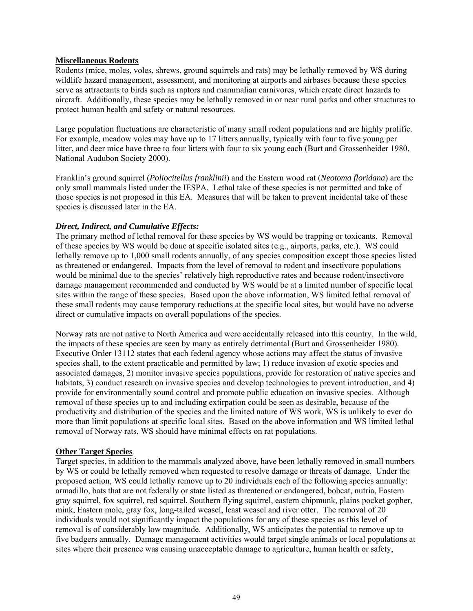## **Miscellaneous Rodents**

Rodents (mice, moles, voles, shrews, ground squirrels and rats) may be lethally removed by WS during wildlife hazard management, assessment, and monitoring at airports and airbases because these species serve as attractants to birds such as raptors and mammalian carnivores, which create direct hazards to aircraft. Additionally, these species may be lethally removed in or near rural parks and other structures to protect human health and safety or natural resources.

Large population fluctuations are characteristic of many small rodent populations and are highly prolific. For example, meadow voles may have up to 17 litters annually, typically with four to five young per litter, and deer mice have three to four litters with four to six young each (Burt and Grossenheider 1980, National Audubon Society 2000).

Franklin's ground squirrel (*Poliocitellus franklinii*) and the Eastern wood rat (*Neotoma floridana*) are the only small mammals listed under the IESPA. Lethal take of these species is not permitted and take of those species is not proposed in this EA. Measures that will be taken to prevent incidental take of these species is discussed later in the EA.

## *Direct, Indirect, and Cumulative Effects:*

The primary method of lethal removal for these species by WS would be trapping or toxicants. Removal of these species by WS would be done at specific isolated sites (e.g., airports, parks, etc.). WS could lethally remove up to 1,000 small rodents annually, of any species composition except those species listed as threatened or endangered. Impacts from the level of removal to rodent and insectivore populations would be minimal due to the species' relatively high reproductive rates and because rodent/insectivore damage management recommended and conducted by WS would be at a limited number of specific local sites within the range of these species. Based upon the above information, WS limited lethal removal of these small rodents may cause temporary reductions at the specific local sites, but would have no adverse direct or cumulative impacts on overall populations of the species.

Norway rats are not native to North America and were accidentally released into this country. In the wild, the impacts of these species are seen by many as entirely detrimental (Burt and Grossenheider 1980). Executive Order 13112 states that each federal agency whose actions may affect the status of invasive species shall, to the extent practicable and permitted by law; 1) reduce invasion of exotic species and associated damages, 2) monitor invasive species populations, provide for restoration of native species and habitats, 3) conduct research on invasive species and develop technologies to prevent introduction, and 4) provide for environmentally sound control and promote public education on invasive species. Although removal of these species up to and including extirpation could be seen as desirable, because of the productivity and distribution of the species and the limited nature of WS work, WS is unlikely to ever do more than limit populations at specific local sites. Based on the above information and WS limited lethal removal of Norway rats, WS should have minimal effects on rat populations.

## **Other Target Species**

Target species, in addition to the mammals analyzed above, have been lethally removed in small numbers by WS or could be lethally removed when requested to resolve damage or threats of damage. Under the proposed action, WS could lethally remove up to 20 individuals each of the following species annually: armadillo, bats that are not federally or state listed as threatened or endangered, bobcat, nutria, Eastern gray squirrel, fox squirrel, red squirrel, Southern flying squirrel, eastern chipmunk, plains pocket gopher, mink, Eastern mole, gray fox, long-tailed weasel, least weasel and river otter. The removal of 20 individuals would not significantly impact the populations for any of these species as this level of removal is of considerably low magnitude. Additionally, WS anticipates the potential to remove up to five badgers annually. Damage management activities would target single animals or local populations at sites where their presence was causing unacceptable damage to agriculture, human health or safety,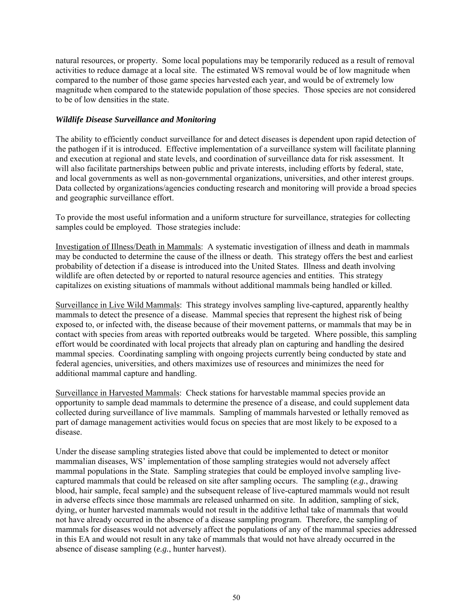natural resources, or property. Some local populations may be temporarily reduced as a result of removal activities to reduce damage at a local site. The estimated WS removal would be of low magnitude when compared to the number of those game species harvested each year, and would be of extremely low magnitude when compared to the statewide population of those species. Those species are not considered to be of low densities in the state.

## *Wildlife Disease Surveillance and Monitoring*

The ability to efficiently conduct surveillance for and detect diseases is dependent upon rapid detection of the pathogen if it is introduced. Effective implementation of a surveillance system will facilitate planning and execution at regional and state levels, and coordination of surveillance data for risk assessment. It will also facilitate partnerships between public and private interests, including efforts by federal, state, and local governments as well as non-governmental organizations, universities, and other interest groups. Data collected by organizations/agencies conducting research and monitoring will provide a broad species and geographic surveillance effort.

To provide the most useful information and a uniform structure for surveillance, strategies for collecting samples could be employed. Those strategies include:

Investigation of Illness/Death in Mammals: A systematic investigation of illness and death in mammals may be conducted to determine the cause of the illness or death. This strategy offers the best and earliest probability of detection if a disease is introduced into the United States. Illness and death involving wildlife are often detected by or reported to natural resource agencies and entities. This strategy capitalizes on existing situations of mammals without additional mammals being handled or killed.

Surveillance in Live Wild Mammals: This strategy involves sampling live-captured, apparently healthy mammals to detect the presence of a disease. Mammal species that represent the highest risk of being exposed to, or infected with, the disease because of their movement patterns, or mammals that may be in contact with species from areas with reported outbreaks would be targeted. Where possible, this sampling effort would be coordinated with local projects that already plan on capturing and handling the desired mammal species. Coordinating sampling with ongoing projects currently being conducted by state and federal agencies, universities, and others maximizes use of resources and minimizes the need for additional mammal capture and handling.

Surveillance in Harvested Mammals: Check stations for harvestable mammal species provide an opportunity to sample dead mammals to determine the presence of a disease, and could supplement data collected during surveillance of live mammals. Sampling of mammals harvested or lethally removed as part of damage management activities would focus on species that are most likely to be exposed to a disease.

Under the disease sampling strategies listed above that could be implemented to detect or monitor mammalian diseases, WS' implementation of those sampling strategies would not adversely affect mammal populations in the State. Sampling strategies that could be employed involve sampling livecaptured mammals that could be released on site after sampling occurs. The sampling (*e.g.*, drawing blood, hair sample, fecal sample) and the subsequent release of live-captured mammals would not result in adverse effects since those mammals are released unharmed on site. In addition, sampling of sick, dying, or hunter harvested mammals would not result in the additive lethal take of mammals that would not have already occurred in the absence of a disease sampling program. Therefore, the sampling of mammals for diseases would not adversely affect the populations of any of the mammal species addressed in this EA and would not result in any take of mammals that would not have already occurred in the absence of disease sampling (*e.g.*, hunter harvest).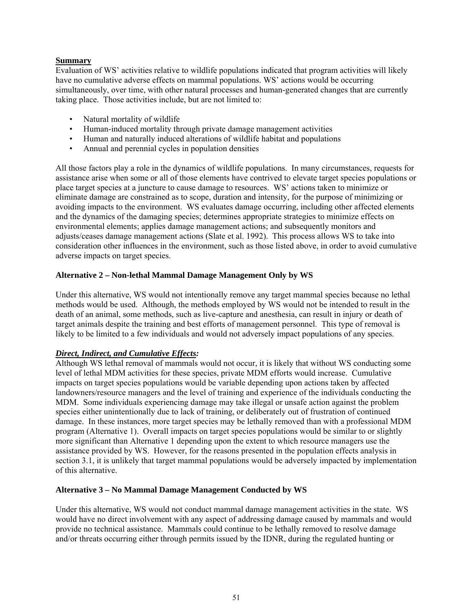## **Summary**

Evaluation of WS' activities relative to wildlife populations indicated that program activities will likely have no cumulative adverse effects on mammal populations. WS' actions would be occurring simultaneously, over time, with other natural processes and human-generated changes that are currently taking place. Those activities include, but are not limited to:

- Natural mortality of wildlife
- Human-induced mortality through private damage management activities
- Human and naturally induced alterations of wildlife habitat and populations
- Annual and perennial cycles in population densities

All those factors play a role in the dynamics of wildlife populations. In many circumstances, requests for assistance arise when some or all of those elements have contrived to elevate target species populations or place target species at a juncture to cause damage to resources. WS' actions taken to minimize or eliminate damage are constrained as to scope, duration and intensity, for the purpose of minimizing or avoiding impacts to the environment. WS evaluates damage occurring, including other affected elements and the dynamics of the damaging species; determines appropriate strategies to minimize effects on environmental elements; applies damage management actions; and subsequently monitors and adjusts/ceases damage management actions (Slate et al. 1992). This process allows WS to take into consideration other influences in the environment, such as those listed above, in order to avoid cumulative adverse impacts on target species.

## **Alternative 2 – Non-lethal Mammal Damage Management Only by WS**

Under this alternative, WS would not intentionally remove any target mammal species because no lethal methods would be used. Although, the methods employed by WS would not be intended to result in the death of an animal, some methods, such as live-capture and anesthesia, can result in injury or death of target animals despite the training and best efforts of management personnel. This type of removal is likely to be limited to a few individuals and would not adversely impact populations of any species.

## *Direct, Indirect, and Cumulative Effects:*

Although WS lethal removal of mammals would not occur, it is likely that without WS conducting some level of lethal MDM activities for these species, private MDM efforts would increase. Cumulative impacts on target species populations would be variable depending upon actions taken by affected landowners/resource managers and the level of training and experience of the individuals conducting the MDM. Some individuals experiencing damage may take illegal or unsafe action against the problem species either unintentionally due to lack of training, or deliberately out of frustration of continued damage. In these instances, more target species may be lethally removed than with a professional MDM program (Alternative 1). Overall impacts on target species populations would be similar to or slightly more significant than Alternative 1 depending upon the extent to which resource managers use the assistance provided by WS. However, for the reasons presented in the population effects analysis in section 3.1, it is unlikely that target mammal populations would be adversely impacted by implementation of this alternative.

## **Alternative 3 – No Mammal Damage Management Conducted by WS**

Under this alternative, WS would not conduct mammal damage management activities in the state. WS would have no direct involvement with any aspect of addressing damage caused by mammals and would provide no technical assistance. Mammals could continue to be lethally removed to resolve damage and/or threats occurring either through permits issued by the IDNR, during the regulated hunting or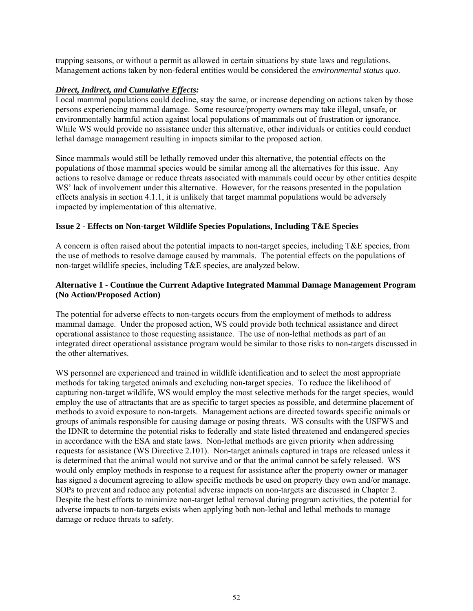trapping seasons, or without a permit as allowed in certain situations by state laws and regulations. Management actions taken by non-federal entities would be considered the *environmental status quo*.

### *Direct, Indirect, and Cumulative Effects:*

Local mammal populations could decline, stay the same, or increase depending on actions taken by those persons experiencing mammal damage. Some resource/property owners may take illegal, unsafe, or environmentally harmful action against local populations of mammals out of frustration or ignorance. While WS would provide no assistance under this alternative, other individuals or entities could conduct lethal damage management resulting in impacts similar to the proposed action.

Since mammals would still be lethally removed under this alternative, the potential effects on the populations of those mammal species would be similar among all the alternatives for this issue. Any actions to resolve damage or reduce threats associated with mammals could occur by other entities despite WS' lack of involvement under this alternative. However, for the reasons presented in the population effects analysis in section 4.1.1, it is unlikely that target mammal populations would be adversely impacted by implementation of this alternative.

## **Issue 2 - Effects on Non-target Wildlife Species Populations, Including T&E Species**

A concern is often raised about the potential impacts to non-target species, including T&E species, from the use of methods to resolve damage caused by mammals. The potential effects on the populations of non-target wildlife species, including T&E species, are analyzed below.

## **Alternative 1 - Continue the Current Adaptive Integrated Mammal Damage Management Program (No Action/Proposed Action)**

The potential for adverse effects to non-targets occurs from the employment of methods to address mammal damage. Under the proposed action, WS could provide both technical assistance and direct operational assistance to those requesting assistance. The use of non-lethal methods as part of an integrated direct operational assistance program would be similar to those risks to non-targets discussed in the other alternatives.

WS personnel are experienced and trained in wildlife identification and to select the most appropriate methods for taking targeted animals and excluding non-target species. To reduce the likelihood of capturing non-target wildlife, WS would employ the most selective methods for the target species, would employ the use of attractants that are as specific to target species as possible, and determine placement of methods to avoid exposure to non-targets. Management actions are directed towards specific animals or groups of animals responsible for causing damage or posing threats. WS consults with the USFWS and the IDNR to determine the potential risks to federally and state listed threatened and endangered species in accordance with the ESA and state laws. Non-lethal methods are given priority when addressing requests for assistance (WS Directive 2.101). Non-target animals captured in traps are released unless it is determined that the animal would not survive and or that the animal cannot be safely released. WS would only employ methods in response to a request for assistance after the property owner or manager has signed a document agreeing to allow specific methods be used on property they own and/or manage. SOPs to prevent and reduce any potential adverse impacts on non-targets are discussed in Chapter 2. Despite the best efforts to minimize non-target lethal removal during program activities, the potential for adverse impacts to non-targets exists when applying both non-lethal and lethal methods to manage damage or reduce threats to safety.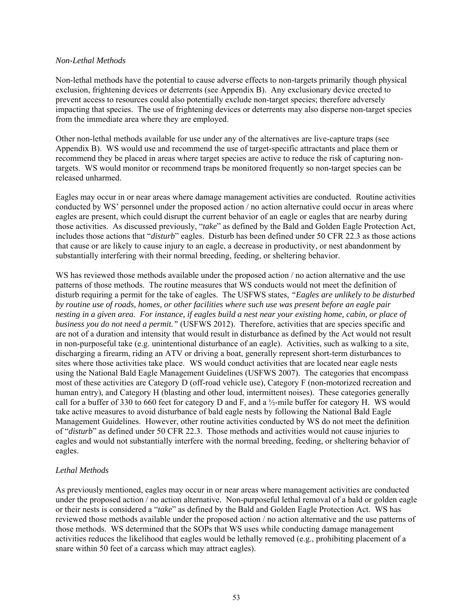#### *Non-Lethal Methods*

Non-lethal methods have the potential to cause adverse effects to non-targets primarily though physical exclusion, frightening devices or deterrents (see Appendix B). Any exclusionary device erected to prevent access to resources could also potentially exclude non-target species; therefore adversely impacting that species. The use of frightening devices or deterrents may also disperse non-target species from the immediate area where they are employed.

Other non-lethal methods available for use under any of the alternatives are live-capture traps (see Appendix B). WS would use and recommend the use of target-specific attractants and place them or recommend they be placed in areas where target species are active to reduce the risk of capturing nontargets. WS would monitor or recommend traps be monitored frequently so non-target species can be released unharmed.

Eagles may occur in or near areas where damage management activities are conducted. Routine activities conducted by WS' personnel under the proposed action / no action alternative could occur in areas where eagles are present, which could disrupt the current behavior of an eagle or eagles that are nearby during those activities. As discussed previously, "*take*" as defined by the Bald and Golden Eagle Protection Act, includes those actions that "*disturb*" eagles. Disturb has been defined under 50 CFR 22.3 as those actions that cause or are likely to cause injury to an eagle, a decrease in productivity, or nest abandonment by substantially interfering with their normal breeding, feeding, or sheltering behavior.

WS has reviewed those methods available under the proposed action / no action alternative and the use patterns of those methods. The routine measures that WS conducts would not meet the definition of disturb requiring a permit for the take of eagles. The USFWS states, *"Eagles are unlikely to be disturbed by routine use of roads, homes, or other facilities where such use was present before an eagle pair nesting in a given area. For instance, if eagles build a nest near your existing home, cabin, or place of business you do not need a permit."* (USFWS 2012). Therefore, activities that are species specific and are not of a duration and intensity that would result in disturbance as defined by the Act would not result in non-purposeful take (e.g. unintentional disturbance of an eagle). Activities, such as walking to a site, discharging a firearm, riding an ATV or driving a boat, generally represent short-term disturbances to sites where those activities take place. WS would conduct activities that are located near eagle nests using the National Bald Eagle Management Guidelines (USFWS 2007). The categories that encompass most of these activities are Category D (off-road vehicle use), Category F (non-motorized recreation and human entry), and Category H (blasting and other loud, intermittent noises). These categories generally call for a buffer of 330 to 660 feet for category D and F, and a  $\frac{1}{2}$ -mile buffer for category H. WS would take active measures to avoid disturbance of bald eagle nests by following the National Bald Eagle Management Guidelines. However, other routine activities conducted by WS do not meet the definition of "*disturb*" as defined under 50 CFR 22.3. Those methods and activities would not cause injuries to eagles and would not substantially interfere with the normal breeding, feeding, or sheltering behavior of eagles.

## *Lethal Methods*

As previously mentioned, eagles may occur in or near areas where management activities are conducted under the proposed action / no action alternative. Non-purposeful lethal removal of a bald or golden eagle or their nests is considered a "*take*" as defined by the Bald and Golden Eagle Protection Act. WS has reviewed those methods available under the proposed action / no action alternative and the use patterns of those methods. WS determined that the SOPs that WS uses while conducting damage management activities reduces the likelihood that eagles would be lethally removed (e.g., prohibiting placement of a snare within 50 feet of a carcass which may attract eagles).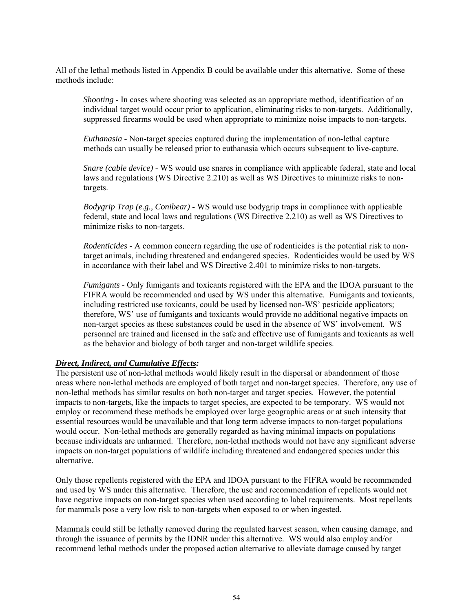All of the lethal methods listed in Appendix B could be available under this alternative. Some of these methods include:

*Shooting* - In cases where shooting was selected as an appropriate method, identification of an individual target would occur prior to application, eliminating risks to non-targets. Additionally, suppressed firearms would be used when appropriate to minimize noise impacts to non-targets.

*Euthanasia -* Non-target species captured during the implementation of non-lethal capture methods can usually be released prior to euthanasia which occurs subsequent to live-capture.

*Snare (cable device)* - WS would use snares in compliance with applicable federal, state and local laws and regulations (WS Directive 2.210) as well as WS Directives to minimize risks to nontargets.

*Bodygrip Trap (e.g., Conibear)* - WS would use bodygrip traps in compliance with applicable federal, state and local laws and regulations (WS Directive 2.210) as well as WS Directives to minimize risks to non-targets.

*Rodenticides* - A common concern regarding the use of rodenticides is the potential risk to nontarget animals, including threatened and endangered species. Rodenticides would be used by WS in accordance with their label and WS Directive 2.401 to minimize risks to non-targets.

*Fumigants* - Only fumigants and toxicants registered with the EPA and the IDOA pursuant to the FIFRA would be recommended and used by WS under this alternative. Fumigants and toxicants, including restricted use toxicants, could be used by licensed non-WS' pesticide applicators; therefore, WS' use of fumigants and toxicants would provide no additional negative impacts on non-target species as these substances could be used in the absence of WS' involvement. WS personnel are trained and licensed in the safe and effective use of fumigants and toxicants as well as the behavior and biology of both target and non-target wildlife species.

### *Direct, Indirect, and Cumulative Effects:*

The persistent use of non-lethal methods would likely result in the dispersal or abandonment of those areas where non-lethal methods are employed of both target and non-target species. Therefore, any use of non-lethal methods has similar results on both non-target and target species. However, the potential impacts to non-targets, like the impacts to target species, are expected to be temporary. WS would not employ or recommend these methods be employed over large geographic areas or at such intensity that essential resources would be unavailable and that long term adverse impacts to non-target populations would occur. Non-lethal methods are generally regarded as having minimal impacts on populations because individuals are unharmed. Therefore, non-lethal methods would not have any significant adverse impacts on non-target populations of wildlife including threatened and endangered species under this alternative.

Only those repellents registered with the EPA and IDOA pursuant to the FIFRA would be recommended and used by WS under this alternative. Therefore, the use and recommendation of repellents would not have negative impacts on non-target species when used according to label requirements. Most repellents for mammals pose a very low risk to non-targets when exposed to or when ingested.

Mammals could still be lethally removed during the regulated harvest season, when causing damage, and through the issuance of permits by the IDNR under this alternative. WS would also employ and/or recommend lethal methods under the proposed action alternative to alleviate damage caused by target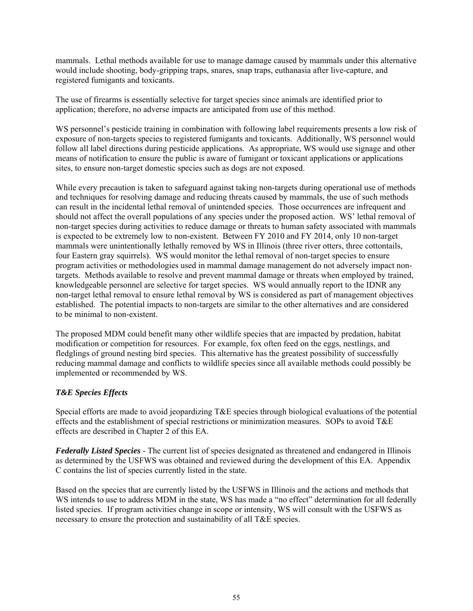mammals. Lethal methods available for use to manage damage caused by mammals under this alternative would include shooting, body-gripping traps, snares, snap traps, euthanasia after live-capture, and registered fumigants and toxicants.

The use of firearms is essentially selective for target species since animals are identified prior to application; therefore, no adverse impacts are anticipated from use of this method.

WS personnel's pesticide training in combination with following label requirements presents a low risk of exposure of non-targets species to registered fumigants and toxicants. Additionally, WS personnel would follow all label directions during pesticide applications. As appropriate, WS would use signage and other means of notification to ensure the public is aware of fumigant or toxicant applications or applications sites, to ensure non-target domestic species such as dogs are not exposed.

While every precaution is taken to safeguard against taking non-targets during operational use of methods and techniques for resolving damage and reducing threats caused by mammals, the use of such methods can result in the incidental lethal removal of unintended species. Those occurrences are infrequent and should not affect the overall populations of any species under the proposed action. WS' lethal removal of non-target species during activities to reduce damage or threats to human safety associated with mammals is expected to be extremely low to non-existent. Between FY 2010 and FY 2014, only 10 non-target mammals were unintentionally lethally removed by WS in Illinois (three river otters, three cottontails, four Eastern gray squirrels). WS would monitor the lethal removal of non-target species to ensure program activities or methodologies used in mammal damage management do not adversely impact nontargets. Methods available to resolve and prevent mammal damage or threats when employed by trained, knowledgeable personnel are selective for target species. WS would annually report to the IDNR any non-target lethal removal to ensure lethal removal by WS is considered as part of management objectives established. The potential impacts to non-targets are similar to the other alternatives and are considered to be minimal to non-existent.

The proposed MDM could benefit many other wildlife species that are impacted by predation, habitat modification or competition for resources. For example, fox often feed on the eggs, nestlings, and fledglings of ground nesting bird species. This alternative has the greatest possibility of successfully reducing mammal damage and conflicts to wildlife species since all available methods could possibly be implemented or recommended by WS.

## *T&E Species Effects*

Special efforts are made to avoid jeopardizing T&E species through biological evaluations of the potential effects and the establishment of special restrictions or minimization measures. SOPs to avoid T&E effects are described in Chapter 2 of this EA.

*Federally Listed Species* - The current list of species designated as threatened and endangered in Illinois as determined by the USFWS was obtained and reviewed during the development of this EA. Appendix C contains the list of species currently listed in the state.

Based on the species that are currently listed by the USFWS in Illinois and the actions and methods that WS intends to use to address MDM in the state, WS has made a "no effect" determination for all federally listed species. If program activities change in scope or intensity, WS will consult with the USFWS as necessary to ensure the protection and sustainability of all T&E species.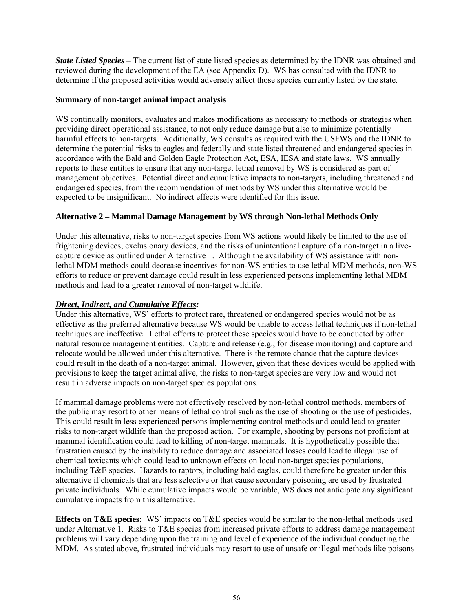*State Listed Species* – The current list of state listed species as determined by the IDNR was obtained and reviewed during the development of the EA (see Appendix D). WS has consulted with the IDNR to determine if the proposed activities would adversely affect those species currently listed by the state.

## **Summary of non-target animal impact analysis**

WS continually monitors, evaluates and makes modifications as necessary to methods or strategies when providing direct operational assistance, to not only reduce damage but also to minimize potentially harmful effects to non-targets. Additionally, WS consults as required with the USFWS and the IDNR to determine the potential risks to eagles and federally and state listed threatened and endangered species in accordance with the Bald and Golden Eagle Protection Act, ESA, IESA and state laws. WS annually reports to these entities to ensure that any non-target lethal removal by WS is considered as part of management objectives. Potential direct and cumulative impacts to non-targets, including threatened and endangered species, from the recommendation of methods by WS under this alternative would be expected to be insignificant. No indirect effects were identified for this issue.

# **Alternative 2 – Mammal Damage Management by WS through Non-lethal Methods Only**

Under this alternative, risks to non-target species from WS actions would likely be limited to the use of frightening devices, exclusionary devices, and the risks of unintentional capture of a non-target in a livecapture device as outlined under Alternative 1. Although the availability of WS assistance with nonlethal MDM methods could decrease incentives for non-WS entities to use lethal MDM methods, non-WS efforts to reduce or prevent damage could result in less experienced persons implementing lethal MDM methods and lead to a greater removal of non-target wildlife.

## *Direct, Indirect, and Cumulative Effects:*

Under this alternative, WS' efforts to protect rare, threatened or endangered species would not be as effective as the preferred alternative because WS would be unable to access lethal techniques if non-lethal techniques are ineffective. Lethal efforts to protect these species would have to be conducted by other natural resource management entities. Capture and release (e.g., for disease monitoring) and capture and relocate would be allowed under this alternative. There is the remote chance that the capture devices could result in the death of a non-target animal. However, given that these devices would be applied with provisions to keep the target animal alive, the risks to non-target species are very low and would not result in adverse impacts on non-target species populations.

If mammal damage problems were not effectively resolved by non-lethal control methods, members of the public may resort to other means of lethal control such as the use of shooting or the use of pesticides. This could result in less experienced persons implementing control methods and could lead to greater risks to non-target wildlife than the proposed action. For example, shooting by persons not proficient at mammal identification could lead to killing of non-target mammals. It is hypothetically possible that frustration caused by the inability to reduce damage and associated losses could lead to illegal use of chemical toxicants which could lead to unknown effects on local non-target species populations, including T&E species. Hazards to raptors, including bald eagles, could therefore be greater under this alternative if chemicals that are less selective or that cause secondary poisoning are used by frustrated private individuals. While cumulative impacts would be variable, WS does not anticipate any significant cumulative impacts from this alternative.

**Effects on T&E species:** WS' impacts on T&E species would be similar to the non-lethal methods used under Alternative 1. Risks to T&E species from increased private efforts to address damage management problems will vary depending upon the training and level of experience of the individual conducting the MDM. As stated above, frustrated individuals may resort to use of unsafe or illegal methods like poisons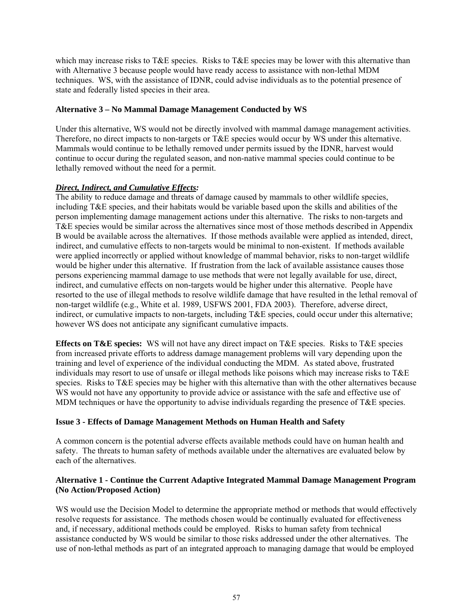which may increase risks to T&E species. Risks to T&E species may be lower with this alternative than with Alternative 3 because people would have ready access to assistance with non-lethal MDM techniques. WS, with the assistance of IDNR, could advise individuals as to the potential presence of state and federally listed species in their area.

## **Alternative 3 – No Mammal Damage Management Conducted by WS**

Under this alternative, WS would not be directly involved with mammal damage management activities. Therefore, no direct impacts to non-targets or T&E species would occur by WS under this alternative. Mammals would continue to be lethally removed under permits issued by the IDNR, harvest would continue to occur during the regulated season, and non-native mammal species could continue to be lethally removed without the need for a permit.

## *Direct, Indirect, and Cumulative Effects:*

The ability to reduce damage and threats of damage caused by mammals to other wildlife species, including T&E species, and their habitats would be variable based upon the skills and abilities of the person implementing damage management actions under this alternative. The risks to non-targets and T&E species would be similar across the alternatives since most of those methods described in Appendix B would be available across the alternatives. If those methods available were applied as intended, direct, indirect, and cumulative effects to non-targets would be minimal to non-existent. If methods available were applied incorrectly or applied without knowledge of mammal behavior, risks to non-target wildlife would be higher under this alternative. If frustration from the lack of available assistance causes those persons experiencing mammal damage to use methods that were not legally available for use, direct, indirect, and cumulative effects on non-targets would be higher under this alternative. People have resorted to the use of illegal methods to resolve wildlife damage that have resulted in the lethal removal of non-target wildlife (e.g., White et al. 1989, USFWS 2001, FDA 2003). Therefore, adverse direct, indirect, or cumulative impacts to non-targets, including T&E species, could occur under this alternative; however WS does not anticipate any significant cumulative impacts.

**Effects on T&E species:** WS will not have any direct impact on T&E species. Risks to T&E species from increased private efforts to address damage management problems will vary depending upon the training and level of experience of the individual conducting the MDM. As stated above, frustrated individuals may resort to use of unsafe or illegal methods like poisons which may increase risks to T&E species. Risks to T&E species may be higher with this alternative than with the other alternatives because WS would not have any opportunity to provide advice or assistance with the safe and effective use of MDM techniques or have the opportunity to advise individuals regarding the presence of T&E species.

## **Issue 3 - Effects of Damage Management Methods on Human Health and Safety**

A common concern is the potential adverse effects available methods could have on human health and safety. The threats to human safety of methods available under the alternatives are evaluated below by each of the alternatives.

## **Alternative 1 - Continue the Current Adaptive Integrated Mammal Damage Management Program (No Action/Proposed Action)**

WS would use the Decision Model to determine the appropriate method or methods that would effectively resolve requests for assistance. The methods chosen would be continually evaluated for effectiveness and, if necessary, additional methods could be employed. Risks to human safety from technical assistance conducted by WS would be similar to those risks addressed under the other alternatives. The use of non-lethal methods as part of an integrated approach to managing damage that would be employed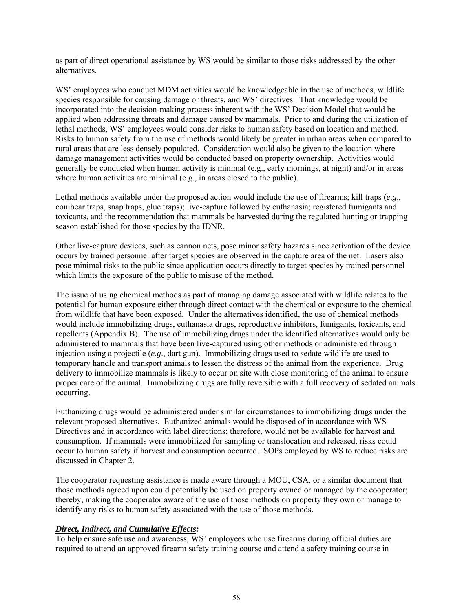as part of direct operational assistance by WS would be similar to those risks addressed by the other alternatives.

WS' employees who conduct MDM activities would be knowledgeable in the use of methods, wildlife species responsible for causing damage or threats, and WS' directives. That knowledge would be incorporated into the decision-making process inherent with the WS' Decision Model that would be applied when addressing threats and damage caused by mammals. Prior to and during the utilization of lethal methods, WS' employees would consider risks to human safety based on location and method. Risks to human safety from the use of methods would likely be greater in urban areas when compared to rural areas that are less densely populated. Consideration would also be given to the location where damage management activities would be conducted based on property ownership. Activities would generally be conducted when human activity is minimal (e.g., early mornings, at night) and/or in areas where human activities are minimal (e.g., in areas closed to the public).

Lethal methods available under the proposed action would include the use of firearms; kill traps (*e*.*g*., conibear traps, snap traps, glue traps); live-capture followed by euthanasia; registered fumigants and toxicants, and the recommendation that mammals be harvested during the regulated hunting or trapping season established for those species by the IDNR.

Other live-capture devices, such as cannon nets, pose minor safety hazards since activation of the device occurs by trained personnel after target species are observed in the capture area of the net. Lasers also pose minimal risks to the public since application occurs directly to target species by trained personnel which limits the exposure of the public to misuse of the method.

The issue of using chemical methods as part of managing damage associated with wildlife relates to the potential for human exposure either through direct contact with the chemical or exposure to the chemical from wildlife that have been exposed. Under the alternatives identified, the use of chemical methods would include immobilizing drugs, euthanasia drugs, reproductive inhibitors, fumigants, toxicants, and repellents (Appendix B). The use of immobilizing drugs under the identified alternatives would only be administered to mammals that have been live-captured using other methods or administered through injection using a projectile (*e*.*g*., dart gun). Immobilizing drugs used to sedate wildlife are used to temporary handle and transport animals to lessen the distress of the animal from the experience. Drug delivery to immobilize mammals is likely to occur on site with close monitoring of the animal to ensure proper care of the animal. Immobilizing drugs are fully reversible with a full recovery of sedated animals occurring.

Euthanizing drugs would be administered under similar circumstances to immobilizing drugs under the relevant proposed alternatives. Euthanized animals would be disposed of in accordance with WS Directives and in accordance with label directions; therefore, would not be available for harvest and consumption. If mammals were immobilized for sampling or translocation and released, risks could occur to human safety if harvest and consumption occurred. SOPs employed by WS to reduce risks are discussed in Chapter 2.

The cooperator requesting assistance is made aware through a MOU, CSA, or a similar document that those methods agreed upon could potentially be used on property owned or managed by the cooperator; thereby, making the cooperator aware of the use of those methods on property they own or manage to identify any risks to human safety associated with the use of those methods.

## *Direct, Indirect, and Cumulative Effects:*

To help ensure safe use and awareness, WS' employees who use firearms during official duties are required to attend an approved firearm safety training course and attend a safety training course in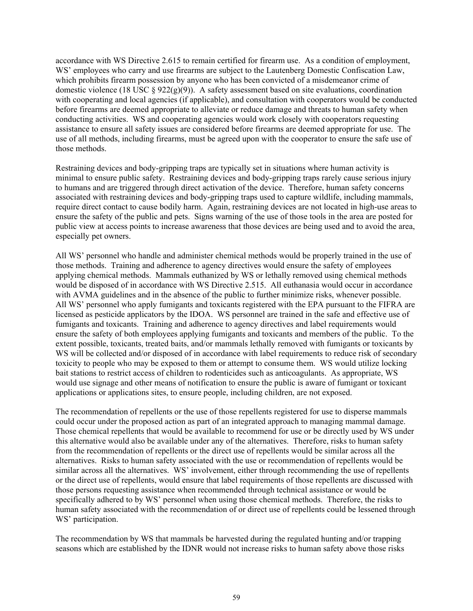accordance with WS Directive 2.615 to remain certified for firearm use. As a condition of employment, WS' employees who carry and use firearms are subject to the Lautenberg Domestic Confiscation Law, which prohibits firearm possession by anyone who has been convicted of a misdemeanor crime of domestic violence (18 USC § 922(g)(9)). A safety assessment based on site evaluations, coordination with cooperating and local agencies (if applicable), and consultation with cooperators would be conducted before firearms are deemed appropriate to alleviate or reduce damage and threats to human safety when conducting activities. WS and cooperating agencies would work closely with cooperators requesting assistance to ensure all safety issues are considered before firearms are deemed appropriate for use. The use of all methods, including firearms, must be agreed upon with the cooperator to ensure the safe use of those methods.

Restraining devices and body-gripping traps are typically set in situations where human activity is minimal to ensure public safety. Restraining devices and body-gripping traps rarely cause serious injury to humans and are triggered through direct activation of the device. Therefore, human safety concerns associated with restraining devices and body-gripping traps used to capture wildlife, including mammals, require direct contact to cause bodily harm. Again, restraining devices are not located in high-use areas to ensure the safety of the public and pets. Signs warning of the use of those tools in the area are posted for public view at access points to increase awareness that those devices are being used and to avoid the area, especially pet owners.

All WS' personnel who handle and administer chemical methods would be properly trained in the use of those methods. Training and adherence to agency directives would ensure the safety of employees applying chemical methods. Mammals euthanized by WS or lethally removed using chemical methods would be disposed of in accordance with WS Directive 2.515. All euthanasia would occur in accordance with AVMA guidelines and in the absence of the public to further minimize risks, whenever possible. All WS' personnel who apply fumigants and toxicants registered with the EPA pursuant to the FIFRA are licensed as pesticide applicators by the IDOA. WS personnel are trained in the safe and effective use of fumigants and toxicants. Training and adherence to agency directives and label requirements would ensure the safety of both employees applying fumigants and toxicants and members of the public. To the extent possible, toxicants, treated baits, and/or mammals lethally removed with fumigants or toxicants by WS will be collected and/or disposed of in accordance with label requirements to reduce risk of secondary toxicity to people who may be exposed to them or attempt to consume them. WS would utilize locking bait stations to restrict access of children to rodenticides such as anticoagulants. As appropriate, WS would use signage and other means of notification to ensure the public is aware of fumigant or toxicant applications or applications sites, to ensure people, including children, are not exposed.

The recommendation of repellents or the use of those repellents registered for use to disperse mammals could occur under the proposed action as part of an integrated approach to managing mammal damage. Those chemical repellents that would be available to recommend for use or be directly used by WS under this alternative would also be available under any of the alternatives. Therefore, risks to human safety from the recommendation of repellents or the direct use of repellents would be similar across all the alternatives. Risks to human safety associated with the use or recommendation of repellents would be similar across all the alternatives. WS' involvement, either through recommending the use of repellents or the direct use of repellents, would ensure that label requirements of those repellents are discussed with those persons requesting assistance when recommended through technical assistance or would be specifically adhered to by WS' personnel when using those chemical methods. Therefore, the risks to human safety associated with the recommendation of or direct use of repellents could be lessened through WS' participation.

The recommendation by WS that mammals be harvested during the regulated hunting and/or trapping seasons which are established by the IDNR would not increase risks to human safety above those risks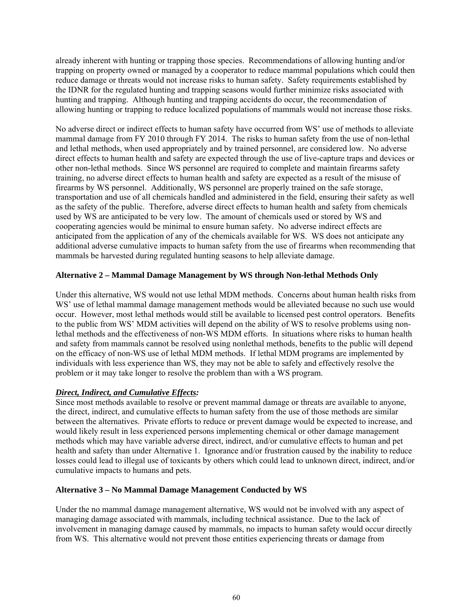already inherent with hunting or trapping those species. Recommendations of allowing hunting and/or trapping on property owned or managed by a cooperator to reduce mammal populations which could then reduce damage or threats would not increase risks to human safety. Safety requirements established by the IDNR for the regulated hunting and trapping seasons would further minimize risks associated with hunting and trapping. Although hunting and trapping accidents do occur, the recommendation of allowing hunting or trapping to reduce localized populations of mammals would not increase those risks.

No adverse direct or indirect effects to human safety have occurred from WS' use of methods to alleviate mammal damage from FY 2010 through FY 2014. The risks to human safety from the use of non-lethal and lethal methods, when used appropriately and by trained personnel, are considered low. No adverse direct effects to human health and safety are expected through the use of live-capture traps and devices or other non-lethal methods. Since WS personnel are required to complete and maintain firearms safety training, no adverse direct effects to human health and safety are expected as a result of the misuse of firearms by WS personnel. Additionally, WS personnel are properly trained on the safe storage, transportation and use of all chemicals handled and administered in the field, ensuring their safety as well as the safety of the public. Therefore, adverse direct effects to human health and safety from chemicals used by WS are anticipated to be very low. The amount of chemicals used or stored by WS and cooperating agencies would be minimal to ensure human safety. No adverse indirect effects are anticipated from the application of any of the chemicals available for WS. WS does not anticipate any additional adverse cumulative impacts to human safety from the use of firearms when recommending that mammals be harvested during regulated hunting seasons to help alleviate damage.

## **Alternative 2 – Mammal Damage Management by WS through Non-lethal Methods Only**

Under this alternative, WS would not use lethal MDM methods. Concerns about human health risks from WS' use of lethal mammal damage management methods would be alleviated because no such use would occur. However, most lethal methods would still be available to licensed pest control operators. Benefits to the public from WS' MDM activities will depend on the ability of WS to resolve problems using nonlethal methods and the effectiveness of non-WS MDM efforts. In situations where risks to human health and safety from mammals cannot be resolved using nonlethal methods, benefits to the public will depend on the efficacy of non-WS use of lethal MDM methods. If lethal MDM programs are implemented by individuals with less experience than WS, they may not be able to safely and effectively resolve the problem or it may take longer to resolve the problem than with a WS program.

# *Direct, Indirect, and Cumulative Effects:*

Since most methods available to resolve or prevent mammal damage or threats are available to anyone, the direct, indirect, and cumulative effects to human safety from the use of those methods are similar between the alternatives. Private efforts to reduce or prevent damage would be expected to increase, and would likely result in less experienced persons implementing chemical or other damage management methods which may have variable adverse direct, indirect, and/or cumulative effects to human and pet health and safety than under Alternative 1. Ignorance and/or frustration caused by the inability to reduce losses could lead to illegal use of toxicants by others which could lead to unknown direct, indirect, and/or cumulative impacts to humans and pets.

## **Alternative 3 – No Mammal Damage Management Conducted by WS**

Under the no mammal damage management alternative, WS would not be involved with any aspect of managing damage associated with mammals, including technical assistance. Due to the lack of involvement in managing damage caused by mammals, no impacts to human safety would occur directly from WS. This alternative would not prevent those entities experiencing threats or damage from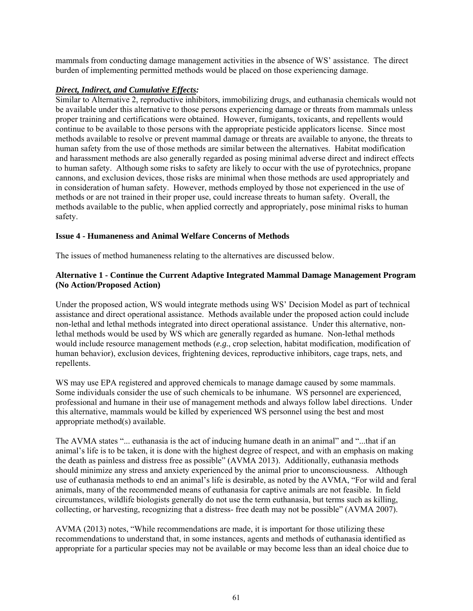mammals from conducting damage management activities in the absence of WS' assistance. The direct burden of implementing permitted methods would be placed on those experiencing damage.

## *Direct, Indirect, and Cumulative Effects:*

Similar to Alternative 2, reproductive inhibitors, immobilizing drugs, and euthanasia chemicals would not be available under this alternative to those persons experiencing damage or threats from mammals unless proper training and certifications were obtained. However, fumigants, toxicants, and repellents would continue to be available to those persons with the appropriate pesticide applicators license. Since most methods available to resolve or prevent mammal damage or threats are available to anyone, the threats to human safety from the use of those methods are similar between the alternatives. Habitat modification and harassment methods are also generally regarded as posing minimal adverse direct and indirect effects to human safety. Although some risks to safety are likely to occur with the use of pyrotechnics, propane cannons, and exclusion devices, those risks are minimal when those methods are used appropriately and in consideration of human safety. However, methods employed by those not experienced in the use of methods or are not trained in their proper use, could increase threats to human safety. Overall, the methods available to the public, when applied correctly and appropriately, pose minimal risks to human safety.

## **Issue 4 - Humaneness and Animal Welfare Concerns of Methods**

The issues of method humaneness relating to the alternatives are discussed below.

## **Alternative 1 - Continue the Current Adaptive Integrated Mammal Damage Management Program (No Action/Proposed Action)**

Under the proposed action, WS would integrate methods using WS' Decision Model as part of technical assistance and direct operational assistance. Methods available under the proposed action could include non-lethal and lethal methods integrated into direct operational assistance. Under this alternative, nonlethal methods would be used by WS which are generally regarded as humane. Non-lethal methods would include resource management methods (*e.g.*, crop selection, habitat modification, modification of human behavior), exclusion devices, frightening devices, reproductive inhibitors, cage traps, nets, and repellents.

WS may use EPA registered and approved chemicals to manage damage caused by some mammals. Some individuals consider the use of such chemicals to be inhumane. WS personnel are experienced, professional and humane in their use of management methods and always follow label directions. Under this alternative, mammals would be killed by experienced WS personnel using the best and most appropriate method(s) available.

The AVMA states "... euthanasia is the act of inducing humane death in an animal" and "...that if an animal's life is to be taken, it is done with the highest degree of respect, and with an emphasis on making the death as painless and distress free as possible" (AVMA 2013). Additionally, euthanasia methods should minimize any stress and anxiety experienced by the animal prior to unconsciousness. Although use of euthanasia methods to end an animal's life is desirable, as noted by the AVMA, "For wild and feral animals, many of the recommended means of euthanasia for captive animals are not feasible. In field circumstances, wildlife biologists generally do not use the term euthanasia, but terms such as killing, collecting, or harvesting, recognizing that a distress- free death may not be possible" (AVMA 2007).

AVMA (2013) notes, "While recommendations are made, it is important for those utilizing these recommendations to understand that, in some instances, agents and methods of euthanasia identified as appropriate for a particular species may not be available or may become less than an ideal choice due to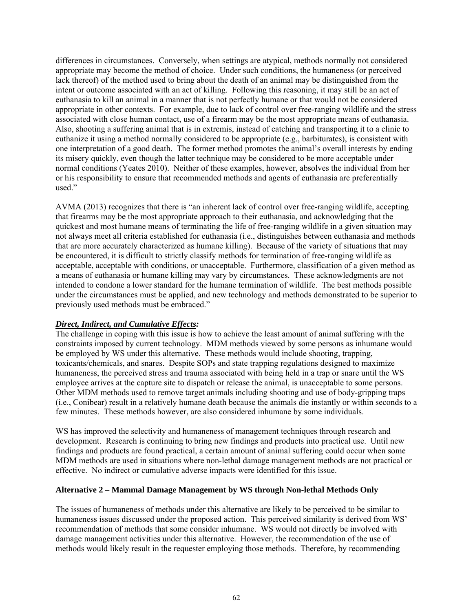differences in circumstances. Conversely, when settings are atypical, methods normally not considered appropriate may become the method of choice. Under such conditions, the humaneness (or perceived lack thereof) of the method used to bring about the death of an animal may be distinguished from the intent or outcome associated with an act of killing. Following this reasoning, it may still be an act of euthanasia to kill an animal in a manner that is not perfectly humane or that would not be considered appropriate in other contexts. For example, due to lack of control over free-ranging wildlife and the stress associated with close human contact, use of a firearm may be the most appropriate means of euthanasia. Also, shooting a suffering animal that is in extremis, instead of catching and transporting it to a clinic to euthanize it using a method normally considered to be appropriate (e.g., barbiturates), is consistent with one interpretation of a good death. The former method promotes the animal's overall interests by ending its misery quickly, even though the latter technique may be considered to be more acceptable under normal conditions (Yeates 2010). Neither of these examples, however, absolves the individual from her or his responsibility to ensure that recommended methods and agents of euthanasia are preferentially used."

AVMA (2013) recognizes that there is "an inherent lack of control over free-ranging wildlife, accepting that firearms may be the most appropriate approach to their euthanasia, and acknowledging that the quickest and most humane means of terminating the life of free-ranging wildlife in a given situation may not always meet all criteria established for euthanasia (i.e., distinguishes between euthanasia and methods that are more accurately characterized as humane killing). Because of the variety of situations that may be encountered, it is difficult to strictly classify methods for termination of free-ranging wildlife as acceptable, acceptable with conditions, or unacceptable. Furthermore, classification of a given method as a means of euthanasia or humane killing may vary by circumstances. These acknowledgments are not intended to condone a lower standard for the humane termination of wildlife. The best methods possible under the circumstances must be applied, and new technology and methods demonstrated to be superior to previously used methods must be embraced."

## *Direct, Indirect, and Cumulative Effects:*

The challenge in coping with this issue is how to achieve the least amount of animal suffering with the constraints imposed by current technology. MDM methods viewed by some persons as inhumane would be employed by WS under this alternative. These methods would include shooting, trapping, toxicants/chemicals, and snares. Despite SOPs and state trapping regulations designed to maximize humaneness, the perceived stress and trauma associated with being held in a trap or snare until the WS employee arrives at the capture site to dispatch or release the animal, is unacceptable to some persons. Other MDM methods used to remove target animals including shooting and use of body-gripping traps (i.e., Conibear) result in a relatively humane death because the animals die instantly or within seconds to a few minutes. These methods however, are also considered inhumane by some individuals.

WS has improved the selectivity and humaneness of management techniques through research and development. Research is continuing to bring new findings and products into practical use. Until new findings and products are found practical, a certain amount of animal suffering could occur when some MDM methods are used in situations where non-lethal damage management methods are not practical or effective. No indirect or cumulative adverse impacts were identified for this issue.

## **Alternative 2 – Mammal Damage Management by WS through Non-lethal Methods Only**

The issues of humaneness of methods under this alternative are likely to be perceived to be similar to humaneness issues discussed under the proposed action. This perceived similarity is derived from WS' recommendation of methods that some consider inhumane. WS would not directly be involved with damage management activities under this alternative. However, the recommendation of the use of methods would likely result in the requester employing those methods. Therefore, by recommending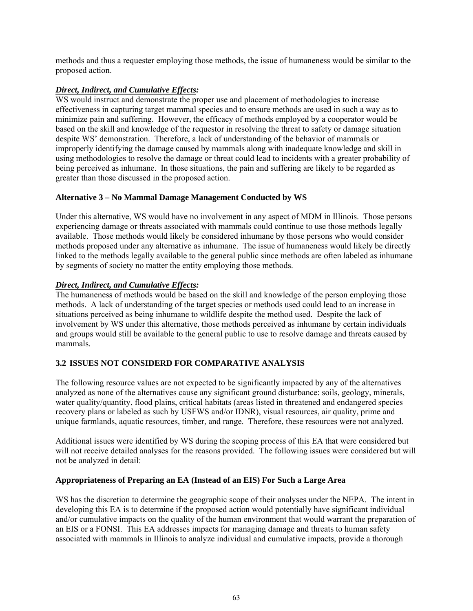methods and thus a requester employing those methods, the issue of humaneness would be similar to the proposed action.

# *Direct, Indirect, and Cumulative Effects:*

WS would instruct and demonstrate the proper use and placement of methodologies to increase effectiveness in capturing target mammal species and to ensure methods are used in such a way as to minimize pain and suffering. However, the efficacy of methods employed by a cooperator would be based on the skill and knowledge of the requestor in resolving the threat to safety or damage situation despite WS' demonstration. Therefore, a lack of understanding of the behavior of mammals or improperly identifying the damage caused by mammals along with inadequate knowledge and skill in using methodologies to resolve the damage or threat could lead to incidents with a greater probability of being perceived as inhumane. In those situations, the pain and suffering are likely to be regarded as greater than those discussed in the proposed action.

## **Alternative 3 – No Mammal Damage Management Conducted by WS**

Under this alternative, WS would have no involvement in any aspect of MDM in Illinois. Those persons experiencing damage or threats associated with mammals could continue to use those methods legally available. Those methods would likely be considered inhumane by those persons who would consider methods proposed under any alternative as inhumane. The issue of humaneness would likely be directly linked to the methods legally available to the general public since methods are often labeled as inhumane by segments of society no matter the entity employing those methods.

## *Direct, Indirect, and Cumulative Effects:*

The humaneness of methods would be based on the skill and knowledge of the person employing those methods. A lack of understanding of the target species or methods used could lead to an increase in situations perceived as being inhumane to wildlife despite the method used. Despite the lack of involvement by WS under this alternative, those methods perceived as inhumane by certain individuals and groups would still be available to the general public to use to resolve damage and threats caused by mammals.

# **3.2 ISSUES NOT CONSIDERD FOR COMPARATIVE ANALYSIS**

The following resource values are not expected to be significantly impacted by any of the alternatives analyzed as none of the alternatives cause any significant ground disturbance: soils, geology, minerals, water quality/quantity, flood plains, critical habitats (areas listed in threatened and endangered species recovery plans or labeled as such by USFWS and/or IDNR), visual resources, air quality, prime and unique farmlands, aquatic resources, timber, and range. Therefore, these resources were not analyzed.

Additional issues were identified by WS during the scoping process of this EA that were considered but will not receive detailed analyses for the reasons provided. The following issues were considered but will not be analyzed in detail:

## **Appropriateness of Preparing an EA (Instead of an EIS) For Such a Large Area**

WS has the discretion to determine the geographic scope of their analyses under the NEPA. The intent in developing this EA is to determine if the proposed action would potentially have significant individual and/or cumulative impacts on the quality of the human environment that would warrant the preparation of an EIS or a FONSI. This EA addresses impacts for managing damage and threats to human safety associated with mammals in Illinois to analyze individual and cumulative impacts, provide a thorough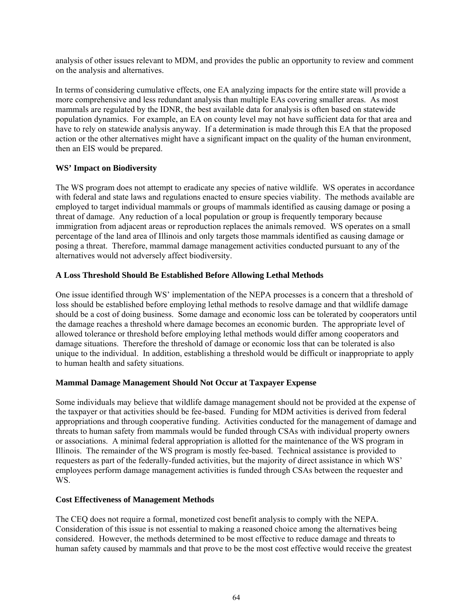analysis of other issues relevant to MDM, and provides the public an opportunity to review and comment on the analysis and alternatives.

In terms of considering cumulative effects, one EA analyzing impacts for the entire state will provide a more comprehensive and less redundant analysis than multiple EAs covering smaller areas. As most mammals are regulated by the IDNR, the best available data for analysis is often based on statewide population dynamics. For example, an EA on county level may not have sufficient data for that area and have to rely on statewide analysis anyway. If a determination is made through this EA that the proposed action or the other alternatives might have a significant impact on the quality of the human environment, then an EIS would be prepared.

## **WS' Impact on Biodiversity**

The WS program does not attempt to eradicate any species of native wildlife. WS operates in accordance with federal and state laws and regulations enacted to ensure species viability. The methods available are employed to target individual mammals or groups of mammals identified as causing damage or posing a threat of damage. Any reduction of a local population or group is frequently temporary because immigration from adjacent areas or reproduction replaces the animals removed. WS operates on a small percentage of the land area of Illinois and only targets those mammals identified as causing damage or posing a threat. Therefore, mammal damage management activities conducted pursuant to any of the alternatives would not adversely affect biodiversity.

## **A Loss Threshold Should Be Established Before Allowing Lethal Methods**

One issue identified through WS' implementation of the NEPA processes is a concern that a threshold of loss should be established before employing lethal methods to resolve damage and that wildlife damage should be a cost of doing business. Some damage and economic loss can be tolerated by cooperators until the damage reaches a threshold where damage becomes an economic burden. The appropriate level of allowed tolerance or threshold before employing lethal methods would differ among cooperators and damage situations. Therefore the threshold of damage or economic loss that can be tolerated is also unique to the individual. In addition, establishing a threshold would be difficult or inappropriate to apply to human health and safety situations.

## **Mammal Damage Management Should Not Occur at Taxpayer Expense**

Some individuals may believe that wildlife damage management should not be provided at the expense of the taxpayer or that activities should be fee-based. Funding for MDM activities is derived from federal appropriations and through cooperative funding. Activities conducted for the management of damage and threats to human safety from mammals would be funded through CSAs with individual property owners or associations. A minimal federal appropriation is allotted for the maintenance of the WS program in Illinois. The remainder of the WS program is mostly fee-based. Technical assistance is provided to requesters as part of the federally-funded activities, but the majority of direct assistance in which WS' employees perform damage management activities is funded through CSAs between the requester and WS.

## **Cost Effectiveness of Management Methods**

The CEQ does not require a formal, monetized cost benefit analysis to comply with the NEPA. Consideration of this issue is not essential to making a reasoned choice among the alternatives being considered. However, the methods determined to be most effective to reduce damage and threats to human safety caused by mammals and that prove to be the most cost effective would receive the greatest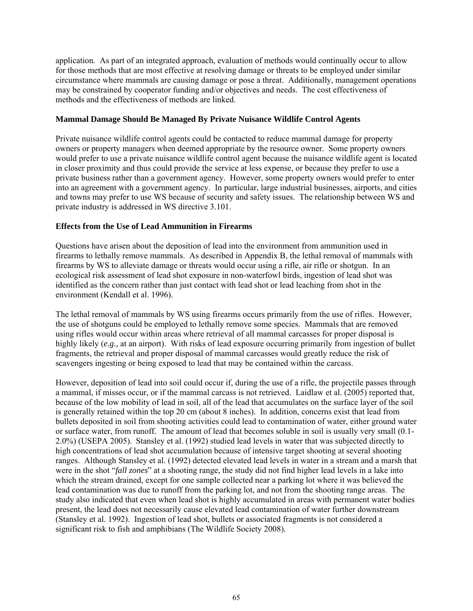application. As part of an integrated approach, evaluation of methods would continually occur to allow for those methods that are most effective at resolving damage or threats to be employed under similar circumstance where mammals are causing damage or pose a threat. Additionally, management operations may be constrained by cooperator funding and/or objectives and needs. The cost effectiveness of methods and the effectiveness of methods are linked.

## **Mammal Damage Should Be Managed By Private Nuisance Wildlife Control Agents**

Private nuisance wildlife control agents could be contacted to reduce mammal damage for property owners or property managers when deemed appropriate by the resource owner. Some property owners would prefer to use a private nuisance wildlife control agent because the nuisance wildlife agent is located in closer proximity and thus could provide the service at less expense, or because they prefer to use a private business rather than a government agency. However, some property owners would prefer to enter into an agreement with a government agency. In particular, large industrial businesses, airports, and cities and towns may prefer to use WS because of security and safety issues. The relationship between WS and private industry is addressed in WS directive 3.101.

## **Effects from the Use of Lead Ammunition in Firearms**

Questions have arisen about the deposition of lead into the environment from ammunition used in firearms to lethally remove mammals. As described in Appendix B, the lethal removal of mammals with firearms by WS to alleviate damage or threats would occur using a rifle, air rifle or shotgun. In an ecological risk assessment of lead shot exposure in non-waterfowl birds, ingestion of lead shot was identified as the concern rather than just contact with lead shot or lead leaching from shot in the environment (Kendall et al. 1996).

The lethal removal of mammals by WS using firearms occurs primarily from the use of rifles. However, the use of shotguns could be employed to lethally remove some species. Mammals that are removed using rifles would occur within areas where retrieval of all mammal carcasses for proper disposal is highly likely (*e.g.*, at an airport). With risks of lead exposure occurring primarily from ingestion of bullet fragments, the retrieval and proper disposal of mammal carcasses would greatly reduce the risk of scavengers ingesting or being exposed to lead that may be contained within the carcass.

However, deposition of lead into soil could occur if, during the use of a rifle, the projectile passes through a mammal, if misses occur, or if the mammal carcass is not retrieved. Laidlaw et al. (2005) reported that, because of the low mobility of lead in soil, all of the lead that accumulates on the surface layer of the soil is generally retained within the top 20 cm (about 8 inches). In addition, concerns exist that lead from bullets deposited in soil from shooting activities could lead to contamination of water, either ground water or surface water, from runoff. The amount of lead that becomes soluble in soil is usually very small (0.1- 2.0%) (USEPA 2005). Stansley et al. (1992) studied lead levels in water that was subjected directly to high concentrations of lead shot accumulation because of intensive target shooting at several shooting ranges. Although Stansley et al. (1992) detected elevated lead levels in water in a stream and a marsh that were in the shot "*fall zones*" at a shooting range, the study did not find higher lead levels in a lake into which the stream drained, except for one sample collected near a parking lot where it was believed the lead contamination was due to runoff from the parking lot, and not from the shooting range areas. The study also indicated that even when lead shot is highly accumulated in areas with permanent water bodies present, the lead does not necessarily cause elevated lead contamination of water further downstream (Stansley et al. 1992). Ingestion of lead shot, bullets or associated fragments is not considered a significant risk to fish and amphibians (The Wildlife Society 2008).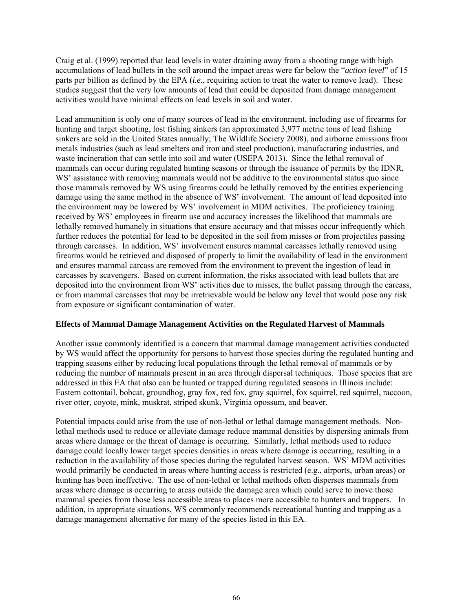Craig et al. (1999) reported that lead levels in water draining away from a shooting range with high accumulations of lead bullets in the soil around the impact areas were far below the "*action level*" of 15 parts per billion as defined by the EPA (*i.e.*, requiring action to treat the water to remove lead). These studies suggest that the very low amounts of lead that could be deposited from damage management activities would have minimal effects on lead levels in soil and water.

Lead ammunition is only one of many sources of lead in the environment, including use of firearms for hunting and target shooting, lost fishing sinkers (an approximated 3,977 metric tons of lead fishing sinkers are sold in the United States annually; The Wildlife Society 2008), and airborne emissions from metals industries (such as lead smelters and iron and steel production), manufacturing industries, and waste incineration that can settle into soil and water (USEPA 2013). Since the lethal removal of mammals can occur during regulated hunting seasons or through the issuance of permits by the IDNR, WS' assistance with removing mammals would not be additive to the environmental status quo since those mammals removed by WS using firearms could be lethally removed by the entities experiencing damage using the same method in the absence of WS' involvement. The amount of lead deposited into the environment may be lowered by WS' involvement in MDM activities. The proficiency training received by WS' employees in firearm use and accuracy increases the likelihood that mammals are lethally removed humanely in situations that ensure accuracy and that misses occur infrequently which further reduces the potential for lead to be deposited in the soil from misses or from projectiles passing through carcasses. In addition, WS' involvement ensures mammal carcasses lethally removed using firearms would be retrieved and disposed of properly to limit the availability of lead in the environment and ensures mammal carcass are removed from the environment to prevent the ingestion of lead in carcasses by scavengers. Based on current information, the risks associated with lead bullets that are deposited into the environment from WS' activities due to misses, the bullet passing through the carcass, or from mammal carcasses that may be irretrievable would be below any level that would pose any risk from exposure or significant contamination of water.

## **Effects of Mammal Damage Management Activities on the Regulated Harvest of Mammals**

Another issue commonly identified is a concern that mammal damage management activities conducted by WS would affect the opportunity for persons to harvest those species during the regulated hunting and trapping seasons either by reducing local populations through the lethal removal of mammals or by reducing the number of mammals present in an area through dispersal techniques. Those species that are addressed in this EA that also can be hunted or trapped during regulated seasons in Illinois include: Eastern cottontail, bobcat, groundhog, gray fox, red fox, gray squirrel, fox squirrel, red squirrel, raccoon, river otter, coyote, mink, muskrat, striped skunk, Virginia opossum, and beaver.

Potential impacts could arise from the use of non-lethal or lethal damage management methods. Nonlethal methods used to reduce or alleviate damage reduce mammal densities by dispersing animals from areas where damage or the threat of damage is occurring. Similarly, lethal methods used to reduce damage could locally lower target species densities in areas where damage is occurring, resulting in a reduction in the availability of those species during the regulated harvest season. WS' MDM activities would primarily be conducted in areas where hunting access is restricted (e.g., airports, urban areas) or hunting has been ineffective. The use of non-lethal or lethal methods often disperses mammals from areas where damage is occurring to areas outside the damage area which could serve to move those mammal species from those less accessible areas to places more accessible to hunters and trappers. In addition, in appropriate situations, WS commonly recommends recreational hunting and trapping as a damage management alternative for many of the species listed in this EA.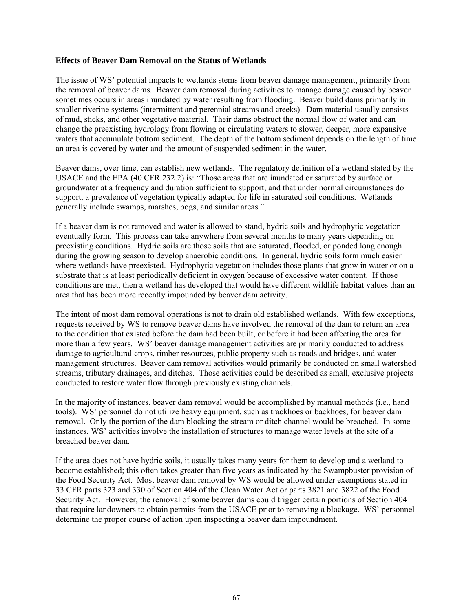#### **Effects of Beaver Dam Removal on the Status of Wetlands**

The issue of WS' potential impacts to wetlands stems from beaver damage management, primarily from the removal of beaver dams. Beaver dam removal during activities to manage damage caused by beaver sometimes occurs in areas inundated by water resulting from flooding. Beaver build dams primarily in smaller riverine systems (intermittent and perennial streams and creeks). Dam material usually consists of mud, sticks, and other vegetative material. Their dams obstruct the normal flow of water and can change the preexisting hydrology from flowing or circulating waters to slower, deeper, more expansive waters that accumulate bottom sediment. The depth of the bottom sediment depends on the length of time an area is covered by water and the amount of suspended sediment in the water.

Beaver dams, over time, can establish new wetlands. The regulatory definition of a wetland stated by the USACE and the EPA (40 CFR 232.2) is: "Those areas that are inundated or saturated by surface or groundwater at a frequency and duration sufficient to support, and that under normal circumstances do support, a prevalence of vegetation typically adapted for life in saturated soil conditions. Wetlands generally include swamps, marshes, bogs, and similar areas."

If a beaver dam is not removed and water is allowed to stand, hydric soils and hydrophytic vegetation eventually form. This process can take anywhere from several months to many years depending on preexisting conditions. Hydric soils are those soils that are saturated, flooded, or ponded long enough during the growing season to develop anaerobic conditions. In general, hydric soils form much easier where wetlands have preexisted. Hydrophytic vegetation includes those plants that grow in water or on a substrate that is at least periodically deficient in oxygen because of excessive water content. If those conditions are met, then a wetland has developed that would have different wildlife habitat values than an area that has been more recently impounded by beaver dam activity.

The intent of most dam removal operations is not to drain old established wetlands. With few exceptions, requests received by WS to remove beaver dams have involved the removal of the dam to return an area to the condition that existed before the dam had been built, or before it had been affecting the area for more than a few years. WS' beaver damage management activities are primarily conducted to address damage to agricultural crops, timber resources, public property such as roads and bridges, and water management structures. Beaver dam removal activities would primarily be conducted on small watershed streams, tributary drainages, and ditches. Those activities could be described as small, exclusive projects conducted to restore water flow through previously existing channels.

In the majority of instances, beaver dam removal would be accomplished by manual methods (i.e., hand tools). WS' personnel do not utilize heavy equipment, such as trackhoes or backhoes, for beaver dam removal. Only the portion of the dam blocking the stream or ditch channel would be breached. In some instances, WS' activities involve the installation of structures to manage water levels at the site of a breached beaver dam.

If the area does not have hydric soils, it usually takes many years for them to develop and a wetland to become established; this often takes greater than five years as indicated by the Swampbuster provision of the Food Security Act. Most beaver dam removal by WS would be allowed under exemptions stated in 33 CFR parts 323 and 330 of Section 404 of the Clean Water Act or parts 3821 and 3822 of the Food Security Act. However, the removal of some beaver dams could trigger certain portions of Section 404 that require landowners to obtain permits from the USACE prior to removing a blockage. WS' personnel determine the proper course of action upon inspecting a beaver dam impoundment.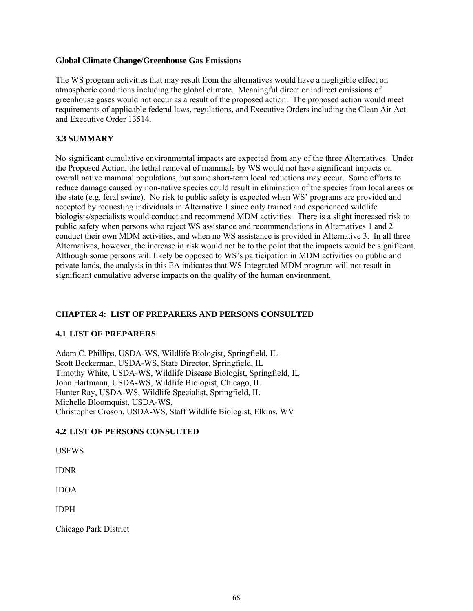#### **Global Climate Change/Greenhouse Gas Emissions**

The WS program activities that may result from the alternatives would have a negligible effect on atmospheric conditions including the global climate. Meaningful direct or indirect emissions of greenhouse gases would not occur as a result of the proposed action. The proposed action would meet requirements of applicable federal laws, regulations, and Executive Orders including the Clean Air Act and Executive Order 13514.

## **3.3 SUMMARY**

No significant cumulative environmental impacts are expected from any of the three Alternatives. Under the Proposed Action, the lethal removal of mammals by WS would not have significant impacts on overall native mammal populations, but some short-term local reductions may occur. Some efforts to reduce damage caused by non-native species could result in elimination of the species from local areas or the state (e.g. feral swine). No risk to public safety is expected when WS' programs are provided and accepted by requesting individuals in Alternative 1 since only trained and experienced wildlife biologists/specialists would conduct and recommend MDM activities. There is a slight increased risk to public safety when persons who reject WS assistance and recommendations in Alternatives 1 and 2 conduct their own MDM activities, and when no WS assistance is provided in Alternative 3. In all three Alternatives, however, the increase in risk would not be to the point that the impacts would be significant. Although some persons will likely be opposed to WS's participation in MDM activities on public and private lands, the analysis in this EA indicates that WS Integrated MDM program will not result in significant cumulative adverse impacts on the quality of the human environment.

## **CHAPTER 4: LIST OF PREPARERS AND PERSONS CONSULTED**

## **4.1 LIST OF PREPARERS**

Adam C. Phillips, USDA-WS, Wildlife Biologist, Springfield, IL Scott Beckerman, USDA-WS, State Director, Springfield, IL Timothy White, USDA-WS, Wildlife Disease Biologist, Springfield, IL John Hartmann, USDA-WS, Wildlife Biologist, Chicago, IL Hunter Ray, USDA-WS, Wildlife Specialist, Springfield, IL Michelle Bloomquist, USDA-WS, Christopher Croson, USDA-WS, Staff Wildlife Biologist, Elkins, WV

## **4.2 LIST OF PERSONS CONSULTED**

USFWS

IDNR

IDOA

IDPH

Chicago Park District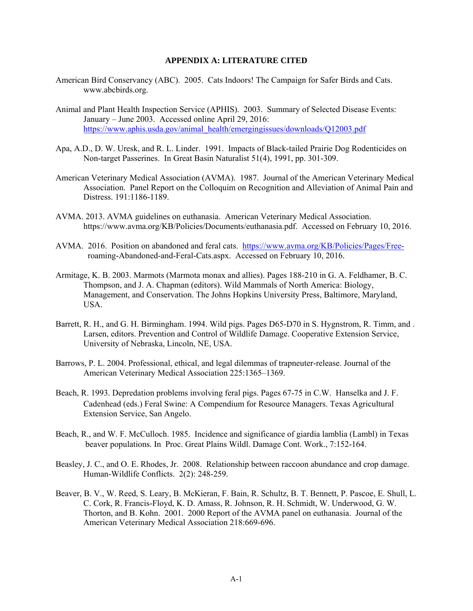#### **APPENDIX A: LITERATURE CITED**

- American Bird Conservancy (ABC). 2005. Cats Indoors! The Campaign for Safer Birds and Cats. www.abcbirds.org.
- Animal and Plant Health Inspection Service (APHIS). 2003. Summary of Selected Disease Events: January – June 2003. Accessed online April 29, 2016: https://www.aphis.usda.gov/animal\_health/emergingissues/downloads/Q12003.pdf
- Apa, A.D., D. W. Uresk, and R. L. Linder. 1991. Impacts of Black-tailed Prairie Dog Rodenticides on Non-target Passerines. In Great Basin Naturalist 51(4), 1991, pp. 301-309.
- American Veterinary Medical Association (AVMA). 1987. Journal of the American Veterinary Medical Association. Panel Report on the Colloquim on Recognition and Alleviation of Animal Pain and Distress. 191:1186-1189.
- AVMA. 2013. AVMA guidelines on euthanasia. American Veterinary Medical Association. https://www.avma.org/KB/Policies/Documents/euthanasia.pdf. Accessed on February 10, 2016.
- AVMA. 2016. Position on abandoned and feral cats. https://www.avma.org/KB/Policies/Pages/Free roaming-Abandoned-and-Feral-Cats.aspx. Accessed on February 10, 2016.
- Armitage, K. B. 2003. Marmots (Marmota monax and allies). Pages 188-210 in G. A. Feldhamer, B. C. Thompson, and J. A. Chapman (editors). Wild Mammals of North America: Biology, Management, and Conservation. The Johns Hopkins University Press, Baltimore, Maryland, USA.
- Barrett, R. H., and G. H. Birmingham. 1994. Wild pigs. Pages D65-D70 in S. Hygnstrom, R. Timm, and . Larsen, editors. Prevention and Control of Wildlife Damage. Cooperative Extension Service, University of Nebraska, Lincoln, NE, USA.
- Barrows, P. L. 2004. Professional, ethical, and legal dilemmas of trapneuter-release. Journal of the American Veterinary Medical Association 225:1365–1369.
- Beach, R. 1993. Depredation problems involving feral pigs. Pages 67-75 in C.W. Hanselka and J. F. Cadenhead (eds.) Feral Swine: A Compendium for Resource Managers. Texas Agricultural Extension Service, San Angelo.
- Beach, R., and W. F. McCulloch. 1985. Incidence and significance of giardia lamblia (Lambl) in Texas beaver populations. In Proc. Great Plains Wildl. Damage Cont. Work., 7:152-164.
- Beasley, J. C., and O. E. Rhodes, Jr. 2008. Relationship between raccoon abundance and crop damage. Human-Wildlife Conflicts. 2(2): 248-259.
- Beaver, B. V., W. Reed, S. Leary, B. McKieran, F. Bain, R. Schultz, B. T. Bennett, P. Pascoe, E. Shull, L. C. Cork, R. Francis-Floyd, K. D. Amass, R. Johnson, R. H. Schmidt, W. Underwood, G. W. Thorton, and B. Kohn. 2001. 2000 Report of the AVMA panel on euthanasia. Journal of the American Veterinary Medical Association 218:669-696.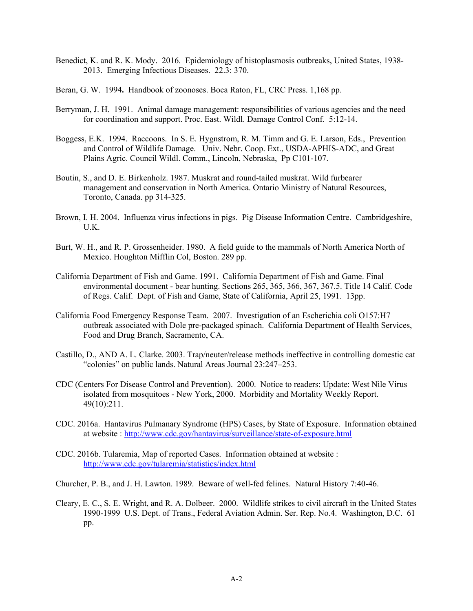- Benedict, K. and R. K. Mody. 2016. Epidemiology of histoplasmosis outbreaks, United States, 1938- 2013. Emerging Infectious Diseases. 22.3: 370.
- Beran, G. W. 1994**.** Handbook of zoonoses. Boca Raton, FL, CRC Press. 1,168 pp.
- Berryman, J. H. 1991. Animal damage management: responsibilities of various agencies and the need for coordination and support. Proc. East. Wildl. Damage Control Conf. 5:12-14.
- Boggess, E.K. 1994. Raccoons. In S. E. Hygnstrom, R. M. Timm and G. E. Larson, Eds., Prevention and Control of Wildlife Damage. Univ. Nebr. Coop. Ext., USDA-APHIS-ADC, and Great Plains Agric. Council Wildl. Comm., Lincoln, Nebraska, Pp C101-107.
- Boutin, S., and D. E. Birkenholz. 1987. Muskrat and round-tailed muskrat. Wild furbearer management and conservation in North America. Ontario Ministry of Natural Resources, Toronto, Canada. pp 314-325.
- Brown, I. H. 2004. Influenza virus infections in pigs. Pig Disease Information Centre. Cambridgeshire,  $U.K.$
- Burt, W. H., and R. P. Grossenheider. 1980. A field guide to the mammals of North America North of Mexico. Houghton Mifflin Col, Boston. 289 pp.
- California Department of Fish and Game. 1991. California Department of Fish and Game. Final environmental document - bear hunting. Sections 265, 365, 366, 367, 367.5. Title 14 Calif. Code of Regs. Calif. Dept. of Fish and Game, State of California, April 25, 1991. 13pp.
- California Food Emergency Response Team. 2007. Investigation of an Escherichia coli O157:H7 outbreak associated with Dole pre-packaged spinach. California Department of Health Services, Food and Drug Branch, Sacramento, CA.
- Castillo, D., AND A. L. Clarke. 2003. Trap/neuter/release methods ineffective in controlling domestic cat "colonies" on public lands. Natural Areas Journal 23:247–253.
- CDC (Centers For Disease Control and Prevention). 2000. Notice to readers: Update: West Nile Virus isolated from mosquitoes - New York, 2000. Morbidity and Mortality Weekly Report. 49(10):211.
- CDC. 2016a. Hantavirus Pulmanary Syndrome (HPS) Cases, by State of Exposure. Information obtained at website : http://www.cdc.gov/hantavirus/surveillance/state-of-exposure.html
- CDC. 2016b. Tularemia, Map of reported Cases. Information obtained at website : http://www.cdc.gov/tularemia/statistics/index.html
- Churcher, P. B., and J. H. Lawton. 1989. Beware of well-fed felines. Natural History 7:40-46.
- Cleary, E. C., S. E. Wright, and R. A. Dolbeer. 2000. Wildlife strikes to civil aircraft in the United States 1990-1999 U.S. Dept. of Trans., Federal Aviation Admin. Ser. Rep. No.4. Washington, D.C. 61 pp.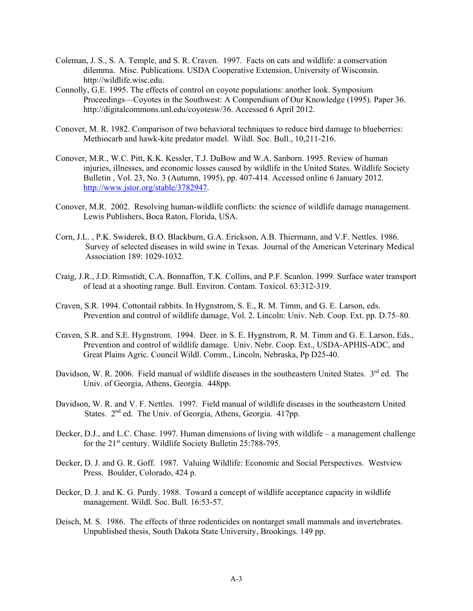- Coleman, J. S., S. A. Temple, and S. R. Craven. 1997. Facts on cats and wildlife: a conservation dilemma. Misc. Publications. USDA Cooperative Extension, University of Wisconsin. http://wildlife.wisc.edu.
- Connolly, G.E. 1995. The effects of control on coyote populations: another look. Symposium Proceedings—Coyotes in the Southwest: A Compendium of Our Knowledge (1995). Paper 36. http://digitalcommons.unl.edu/coyotesw/36. Accessed 6 April 2012.
- Conover, M. R. 1982. Comparison of two behavioral techniques to reduce bird damage to blueberries: Methiocarb and hawk-kite predator model. Wildl. Soc. Bull., 10,211-216.
- Conover, M.R., W.C. Pitt, K.K. Kessler, T.J. DuBow and W.A. Sanborn. 1995. Review of human injuries, illnesses, and economic losses caused by wildlife in the United States. Wildlife Society Bulletin , Vol. 23, No. 3 (Autumn, 1995), pp. 407-414. Accessed online 6 January 2012. http://www.jstor.org/stable/3782947.
- Conover, M.R. 2002. Resolving human-wildlife conflicts: the science of wildlife damage management. Lewis Publishers, Boca Raton, Florida, USA.
- Corn, J.L. , P.K. Swiderek, B.O. Blackburn, G.A. Erickson, A.B. Thiermann, and V.F. Nettles. 1986. Survey of selected diseases in wild swine in Texas. Journal of the American Veterinary Medical Association 189: 1029-1032.
- Craig, J.R., J.D. Rimsstidt, C.A. Bonnaffon, T.K. Collins, and P.F. Scanlon. 1999. Surface water transport of lead at a shooting range. Bull. Environ. Contam. Toxicol. 63:312-319.
- Craven, S.R. 1994. Cottontail rabbits. In Hygnstrom, S. E., R. M. Timm, and G. E. Larson, eds. Prevention and control of wildlife damage, Vol. 2. Lincoln: Univ. Neb. Coop. Ext. pp. D.75–80.
- Craven, S.R. and S.E. Hygnstrom. 1994. Deer. in S. E. Hygnstrom, R. M. Timm and G. E. Larson, Eds., Prevention and control of wildlife damage. Univ. Nebr. Coop. Ext., USDA-APHIS-ADC, and Great Plains Agric. Council Wildl. Comm., Lincoln, Nebraska, Pp D25-40.
- Davidson, W. R. 2006. Field manual of wildlife diseases in the southeastern United States. 3<sup>rd</sup> ed. The Univ. of Georgia, Athens, Georgia. 448pp.
- Davidson, W. R. and V. F. Nettles. 1997. Field manual of wildlife diseases in the southeastern United States.  $2<sup>nd</sup>$  ed. The Univ. of Georgia, Athens, Georgia. 417pp.
- Decker, D.J., and L.C. Chase. 1997. Human dimensions of living with wildlife a management challenge for the 21<sup>st</sup> century. Wildlife Society Bulletin 25:788-795.
- Decker, D. J. and G. R. Goff. 1987. Valuing Wildlife: Economic and Social Perspectives. Westview Press. Boulder, Colorado, 424 p.
- Decker, D. J. and K. G. Purdy. 1988. Toward a concept of wildlife acceptance capacity in wildlife management. Wildl. Soc. Bull. 16:53-57.
- Deisch, M. S. 1986. The effects of three rodenticides on nontarget small mammals and invertebrates. Unpublished thesis, South Dakota State University, Brookings. 149 pp.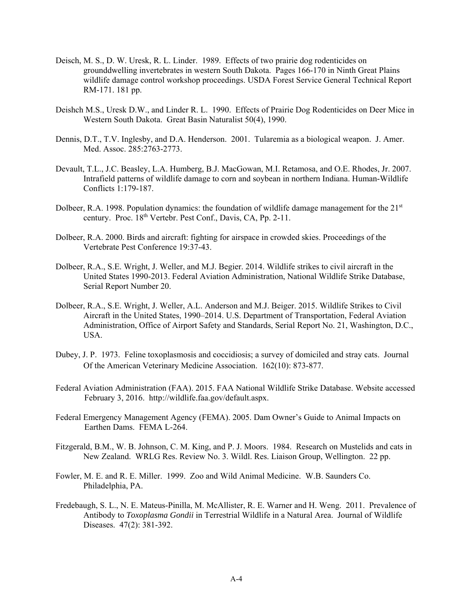- Deisch, M. S., D. W. Uresk, R. L. Linder. 1989.Effects of two prairie dog rodenticides on grounddwelling invertebrates in western South Dakota. Pages 166-170 in Ninth Great Plains wildlife damage control workshop proceedings. USDA Forest Service General Technical Report RM-171. 181 pp.
- Deishch M.S., Uresk D.W., and Linder R. L. 1990. Effects of Prairie Dog Rodenticides on Deer Mice in Western South Dakota. Great Basin Naturalist 50(4), 1990.
- Dennis, D.T., T.V. Inglesby, and D.A. Henderson. 2001. Tularemia as a biological weapon. J. Amer. Med. Assoc. 285:2763-2773.
- Devault, T.L., J.C. Beasley, L.A. Humberg, B.J. MacGowan, M.I. Retamosa, and O.E. Rhodes, Jr. 2007. Intrafield patterns of wildlife damage to corn and soybean in northern Indiana. Human-Wildlife Conflicts 1:179-187.
- Dolbeer, R.A. 1998. Population dynamics: the foundation of wildlife damage management for the 21<sup>st</sup> century. Proc. 18<sup>th</sup> Vertebr. Pest Conf., Davis, CA, Pp. 2-11.
- Dolbeer, R.A. 2000. Birds and aircraft: fighting for airspace in crowded skies. Proceedings of the Vertebrate Pest Conference 19:37-43.
- Dolbeer, R.A., S.E. Wright, J. Weller, and M.J. Begier. 2014. Wildlife strikes to civil aircraft in the United States 1990-2013. Federal Aviation Administration, National Wildlife Strike Database, Serial Report Number 20.
- Dolbeer, R.A., S.E. Wright, J. Weller, A.L. Anderson and M.J. Beiger. 2015. Wildlife Strikes to Civil Aircraft in the United States, 1990–2014. U.S. Department of Transportation, Federal Aviation Administration, Office of Airport Safety and Standards, Serial Report No. 21, Washington, D.C., USA.
- Dubey, J. P. 1973. Feline toxoplasmosis and coccidiosis; a survey of domiciled and stray cats. Journal Of the American Veterinary Medicine Association. 162(10): 873-877.
- Federal Aviation Administration (FAA). 2015. FAA National Wildlife Strike Database. Website accessed February 3, 2016. http://wildlife.faa.gov/default.aspx.
- Federal Emergency Management Agency (FEMA). 2005. Dam Owner's Guide to Animal Impacts on Earthen Dams. FEMA L-264.
- Fitzgerald, B.M., W. B. Johnson, C. M. King, and P. J. Moors. 1984. Research on Mustelids and cats in New Zealand. WRLG Res. Review No. 3. Wildl. Res. Liaison Group, Wellington. 22 pp.
- Fowler, M. E. and R. E. Miller. 1999. Zoo and Wild Animal Medicine. W.B. Saunders Co. Philadelphia, PA.
- Fredebaugh, S. L., N. E. Mateus-Pinilla, M. McAllister, R. E. Warner and H. Weng. 2011. Prevalence of Antibody to *Toxoplasma Gondii* in Terrestrial Wildlife in a Natural Area. Journal of Wildlife Diseases. 47(2): 381-392.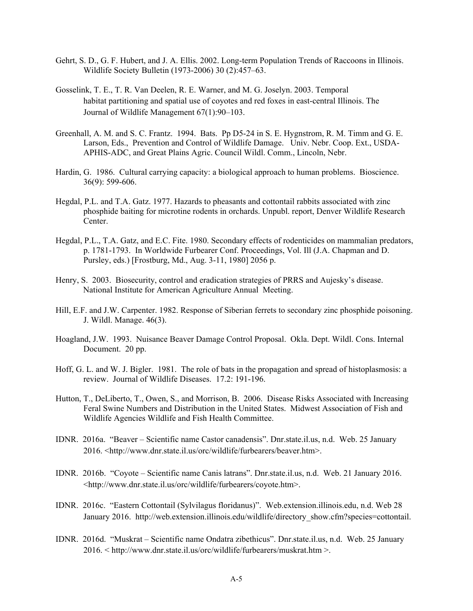- Gehrt, S. D., G. F. Hubert, and J. A. Ellis. 2002. Long-term Population Trends of Raccoons in Illinois. Wildlife Society Bulletin (1973-2006) 30 (2):457–63.
- Gosselink, T. E., T. R. Van Deelen, R. E. Warner, and M. G. Joselyn. 2003. Temporal habitat partitioning and spatial use of coyotes and red foxes in east-central Illinois. The Journal of Wildlife Management 67(1):90–103.
- Greenhall, A. M. and S. C. Frantz. 1994. Bats. Pp D5-24 in S. E. Hygnstrom, R. M. Timm and G. E. Larson, Eds., Prevention and Control of Wildlife Damage. Univ. Nebr. Coop. Ext., USDA-APHIS-ADC, and Great Plains Agric. Council Wildl. Comm., Lincoln, Nebr.
- Hardin, G. 1986. Cultural carrying capacity: a biological approach to human problems. Bioscience. 36(9): 599-606.
- Hegdal, P.L. and T.A. Gatz. 1977. Hazards to pheasants and cottontail rabbits associated with zinc phosphide baiting for microtine rodents in orchards. Unpubl. report, Denver Wildlife Research Center.
- Hegdal, P.L., T.A. Gatz, and E.C. Fite. 1980. Secondary effects of rodenticides on mammalian predators, p. 1781-1793. In Worldwide Furbearer Conf. Proceedings, Vol. Ill (J.A. Chapman and D. Pursley, eds.) [Frostburg, Md., Aug. 3-11, 1980] 2056 p.
- Henry, S. 2003. Biosecurity, control and eradication strategies of PRRS and Aujesky's disease. National Institute for American Agriculture Annual Meeting.
- Hill, E.F. and J.W. Carpenter. 1982. Response of Siberian ferrets to secondary zinc phosphide poisoning. J. Wildl. Manage. 46(3).
- Hoagland, J.W. 1993. Nuisance Beaver Damage Control Proposal. Okla. Dept. Wildl. Cons. Internal Document. 20 pp.
- Hoff, G. L. and W. J. Bigler. 1981. The role of bats in the propagation and spread of histoplasmosis: a review. Journal of Wildlife Diseases. 17.2: 191-196.
- Hutton, T., DeLiberto, T., Owen, S., and Morrison, B. 2006. Disease Risks Associated with Increasing Feral Swine Numbers and Distribution in the United States. Midwest Association of Fish and Wildlife Agencies Wildlife and Fish Health Committee.
- IDNR. 2016a. "Beaver Scientific name Castor canadensis". Dnr.state.il.us, n.d. Web. 25 January 2016. <http://www.dnr.state.il.us/orc/wildlife/furbearers/beaver.htm>.
- IDNR. 2016b. "Coyote Scientific name Canis latrans". Dnr.state.il.us, n.d. Web. 21 January 2016. <http://www.dnr.state.il.us/orc/wildlife/furbearers/coyote.htm>.
- IDNR. 2016c. "Eastern Cottontail (Sylvilagus floridanus)". Web.extension.illinois.edu, n.d. Web 28 January 2016. http://web.extension.illinois.edu/wildlife/directory\_show.cfm?species=cottontail.
- IDNR. 2016d. "Muskrat Scientific name Ondatra zibethicus". Dnr.state.il.us, n.d. Web. 25 January 2016. < http://www.dnr.state.il.us/orc/wildlife/furbearers/muskrat.htm >.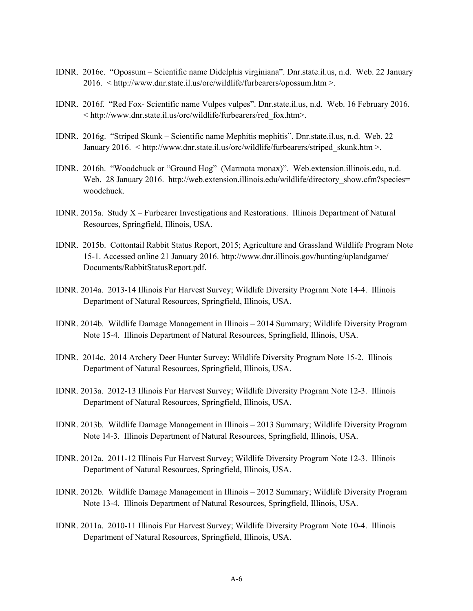- IDNR. 2016e. "Opossum Scientific name Didelphis virginiana". Dnr.state.il.us, n.d. Web. 22 January 2016. < http://www.dnr.state.il.us/orc/wildlife/furbearers/opossum.htm >.
- IDNR. 2016f. "Red Fox- Scientific name Vulpes vulpes". Dnr.state.il.us, n.d. Web. 16 February 2016. < http://www.dnr.state.il.us/orc/wildlife/furbearers/red\_fox.htm>.
- IDNR. 2016g. "Striped Skunk Scientific name Mephitis mephitis". Dnr.state.il.us, n.d. Web. 22 January 2016. < http://www.dnr.state.il.us/orc/wildlife/furbearers/striped\_skunk.htm >.
- IDNR. 2016h. "Woodchuck or "Ground Hog" (Marmota monax)". Web.extension.illinois.edu, n.d. Web. 28 January 2016. http://web.extension.illinois.edu/wildlife/directory\_show.cfm?species= woodchuck.
- IDNR. 2015a. Study X Furbearer Investigations and Restorations. Illinois Department of Natural Resources, Springfield, Illinois, USA.
- IDNR. 2015b. Cottontail Rabbit Status Report, 2015; Agriculture and Grassland Wildlife Program Note 15-1. Accessed online 21 January 2016. http://www.dnr.illinois.gov/hunting/uplandgame/ Documents/RabbitStatusReport.pdf.
- IDNR. 2014a. 2013-14 Illinois Fur Harvest Survey; Wildlife Diversity Program Note 14-4. Illinois Department of Natural Resources, Springfield, Illinois, USA.
- IDNR. 2014b. Wildlife Damage Management in Illinois 2014 Summary; Wildlife Diversity Program Note 15-4. Illinois Department of Natural Resources, Springfield, Illinois, USA.
- IDNR. 2014c. 2014 Archery Deer Hunter Survey; Wildlife Diversity Program Note 15-2. Illinois Department of Natural Resources, Springfield, Illinois, USA.
- IDNR. 2013a. 2012-13 Illinois Fur Harvest Survey; Wildlife Diversity Program Note 12-3. Illinois Department of Natural Resources, Springfield, Illinois, USA.
- IDNR. 2013b. Wildlife Damage Management in Illinois 2013 Summary; Wildlife Diversity Program Note 14-3. Illinois Department of Natural Resources, Springfield, Illinois, USA.
- IDNR. 2012a. 2011-12 Illinois Fur Harvest Survey; Wildlife Diversity Program Note 12-3. Illinois Department of Natural Resources, Springfield, Illinois, USA.
- IDNR. 2012b. Wildlife Damage Management in Illinois 2012 Summary; Wildlife Diversity Program Note 13-4. Illinois Department of Natural Resources, Springfield, Illinois, USA.
- IDNR. 2011a. 2010-11 Illinois Fur Harvest Survey; Wildlife Diversity Program Note 10-4. Illinois Department of Natural Resources, Springfield, Illinois, USA.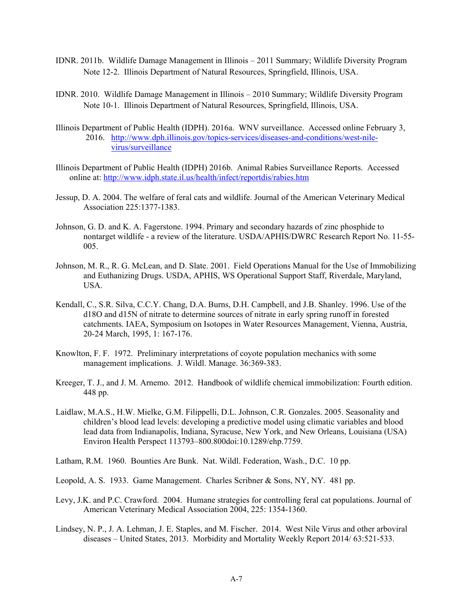- IDNR. 2011b. Wildlife Damage Management in Illinois 2011 Summary; Wildlife Diversity Program Note 12-2. Illinois Department of Natural Resources, Springfield, Illinois, USA.
- IDNR. 2010. Wildlife Damage Management in Illinois 2010 Summary; Wildlife Diversity Program Note 10-1. Illinois Department of Natural Resources, Springfield, Illinois, USA.
- Illinois Department of Public Health (IDPH). 2016a. WNV surveillance. Accessed online February 3, 2016. http://www.dph.illinois.gov/topics-services/diseases-and-conditions/west-nilevirus/surveillance
- Illinois Department of Public Health (IDPH) 2016b. Animal Rabies Surveillance Reports. Accessed online at: http://www.idph.state.il.us/health/infect/reportdis/rabies.htm
- Jessup, D. A. 2004. The welfare of feral cats and wildlife. Journal of the American Veterinary Medical Association 225:1377-1383.
- Johnson, G. D. and K. A. Fagerstone. 1994. Primary and secondary hazards of zinc phosphide to nontarget wildlife - a review of the literature. USDA/APHIS/DWRC Research Report No. 11-55- 005.
- Johnson, M. R., R. G. McLean, and D. Slate. 2001. Field Operations Manual for the Use of Immobilizing and Euthanizing Drugs. USDA, APHIS, WS Operational Support Staff, Riverdale, Maryland, USA.
- Kendall, C., S.R. Silva, C.C.Y. Chang, D.A. Burns, D.H. Campbell, and J.B. Shanley. 1996. Use of the d18O and d15N of nitrate to determine sources of nitrate in early spring runoff in forested catchments. IAEA, Symposium on Isotopes in Water Resources Management, Vienna, Austria, 20-24 March, 1995, 1: 167-176.
- Knowlton, F. F. 1972. Preliminary interpretations of coyote population mechanics with some management implications. J. Wildl. Manage. 36:369-383.
- Kreeger, T. J., and J. M. Arnemo. 2012. Handbook of wildlife chemical immobilization: Fourth edition. 448 pp.
- Laidlaw, M.A.S., H.W. Mielke, G.M. Filippelli, D.L. Johnson, C.R. Gonzales. 2005. Seasonality and children's blood lead levels: developing a predictive model using climatic variables and blood lead data from Indianapolis, Indiana, Syracuse, New York, and New Orleans, Louisiana (USA) Environ Health Perspect 113793–800.800doi:10.1289/ehp.7759.
- Latham, R.M. 1960. Bounties Are Bunk. Nat. Wildl. Federation, Wash., D.C. 10 pp.
- Leopold, A. S. 1933. Game Management. Charles Scribner & Sons, NY, NY. 481 pp.
- Levy, J.K. and P.C. Crawford. 2004. Humane strategies for controlling feral cat populations. Journal of American Veterinary Medical Association 2004, 225: 1354-1360.
- Lindsey, N. P., J. A. Lehman, J. E. Staples, and M. Fischer. 2014. West Nile Virus and other arboviral diseases – United States, 2013. Morbidity and Mortality Weekly Report 2014/ 63:521-533.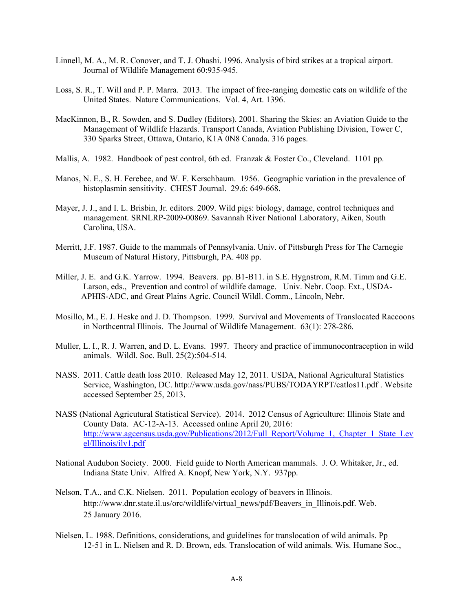- Linnell, M. A., M. R. Conover, and T. J. Ohashi. 1996. Analysis of bird strikes at a tropical airport. Journal of Wildlife Management 60:935-945.
- Loss, S. R., T. Will and P. P. Marra. 2013. The impact of free-ranging domestic cats on wildlife of the United States. Nature Communications. Vol. 4, Art. 1396.
- MacKinnon, B., R. Sowden, and S. Dudley (Editors). 2001. Sharing the Skies: an Aviation Guide to the Management of Wildlife Hazards. Transport Canada, Aviation Publishing Division, Tower C, 330 Sparks Street, Ottawa, Ontario, K1A 0N8 Canada. 316 pages.
- Mallis, A. 1982. Handbook of pest control, 6th ed. Franzak & Foster Co., Cleveland. 1101 pp.
- Manos, N. E., S. H. Ferebee, and W. F. Kerschbaum. 1956. Geographic variation in the prevalence of histoplasmin sensitivity. CHEST Journal. 29.6: 649-668.
- Mayer, J. J., and I. L. Brisbin, Jr. editors. 2009. Wild pigs: biology, damage, control techniques and management. SRNLRP-2009-00869. Savannah River National Laboratory, Aiken, South Carolina, USA.
- Merritt, J.F. 1987. Guide to the mammals of Pennsylvania. Univ. of Pittsburgh Press for The Carnegie Museum of Natural History, Pittsburgh, PA. 408 pp.
- Miller, J. E. and G.K. Yarrow. 1994. Beavers. pp. B1-B11. in S.E. Hygnstrom, R.M. Timm and G.E. Larson, eds., Prevention and control of wildlife damage. Univ. Nebr. Coop. Ext., USDA- APHIS-ADC, and Great Plains Agric. Council Wildl. Comm., Lincoln, Nebr.
- Mosillo, M., E. J. Heske and J. D. Thompson. 1999. Survival and Movements of Translocated Raccoons in Northcentral Illinois. The Journal of Wildlife Management. 63(1): 278-286.
- Muller, L. I., R. J. Warren, and D. L. Evans. 1997. Theory and practice of immunocontraception in wild animals. Wildl. Soc. Bull. 25(2):504-514.
- NASS. 2011. Cattle death loss 2010. Released May 12, 2011. USDA, National Agricultural Statistics Service, Washington, DC. http://www.usda.gov/nass/PUBS/TODAYRPT/catlos11.pdf . Website accessed September 25, 2013.
- NASS (National Agricutural Statistical Service). 2014. 2012 Census of Agriculture: Illinois State and County Data. AC-12-A-13. Accessed online April 20, 2016: http://www.agcensus.usda.gov/Publications/2012/Full\_Report/Volume\_1,\_Chapter\_1\_State\_Lev el/Illinois/ilv1.pdf
- National Audubon Society. 2000. Field guide to North American mammals. J. O. Whitaker, Jr., ed. Indiana State Univ. Alfred A. Knopf, New York, N.Y. 937pp.
- Nelson, T.A., and C.K. Nielsen. 2011. Population ecology of beavers in Illinois. http://www.dnr.state.il.us/orc/wildlife/virtual\_news/pdf/Beavers\_in\_Illinois.pdf. Web. 25 January 2016.
- Nielsen, L. 1988. Definitions, considerations, and guidelines for translocation of wild animals. Pp 12-51 in L. Nielsen and R. D. Brown, eds. Translocation of wild animals. Wis. Humane Soc.,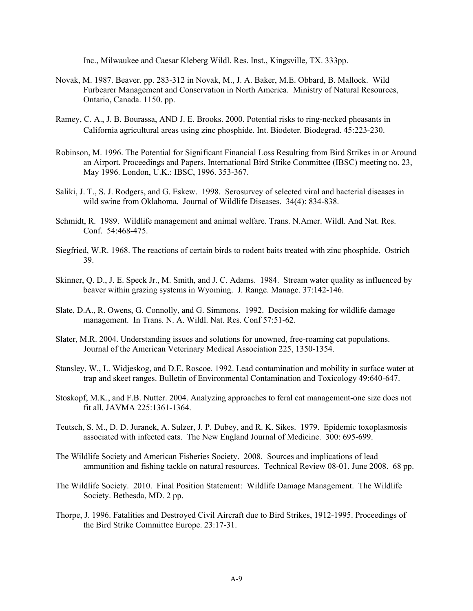Inc., Milwaukee and Caesar Kleberg Wildl. Res. Inst., Kingsville, TX. 333pp.

- Novak, M. 1987. Beaver. pp. 283-312 in Novak, M., J. A. Baker, M.E. Obbard, B. Mallock. Wild Furbearer Management and Conservation in North America. Ministry of Natural Resources, Ontario, Canada. 1150. pp.
- Ramey, C. A., J. B. Bourassa, AND J. E. Brooks. 2000. Potential risks to ring-necked pheasants in California agricultural areas using zinc phosphide. Int. Biodeter. Biodegrad. 45:223-230.
- Robinson, M. 1996. The Potential for Significant Financial Loss Resulting from Bird Strikes in or Around an Airport. Proceedings and Papers. International Bird Strike Committee (IBSC) meeting no. 23, May 1996. London, U.K.: IBSC, 1996. 353-367.
- Saliki, J. T., S. J. Rodgers, and G. Eskew. 1998. Serosurvey of selected viral and bacterial diseases in wild swine from Oklahoma. Journal of Wildlife Diseases. 34(4): 834-838.
- Schmidt, R. 1989. Wildlife management and animal welfare. Trans. N.Amer. Wildl. And Nat. Res. Conf. 54:468-475.
- Siegfried, W.R. 1968. The reactions of certain birds to rodent baits treated with zinc phosphide. Ostrich 39.
- Skinner, Q. D., J. E. Speck Jr., M. Smith, and J. C. Adams. 1984. Stream water quality as influenced by beaver within grazing systems in Wyoming. J. Range. Manage. 37:142-146.
- Slate, D.A., R. Owens, G. Connolly, and G. Simmons. 1992. Decision making for wildlife damage management. In Trans. N. A. Wildl. Nat. Res. Conf 57:51-62.
- Slater, M.R. 2004. Understanding issues and solutions for unowned, free-roaming cat populations. Journal of the American Veterinary Medical Association 225, 1350-1354.
- Stansley, W., L. Widjeskog, and D.E. Roscoe. 1992. Lead contamination and mobility in surface water at trap and skeet ranges. Bulletin of Environmental Contamination and Toxicology 49:640-647.
- Stoskopf, M.K., and F.B. Nutter. 2004. Analyzing approaches to feral cat management-one size does not fit all. JAVMA 225:1361-1364.
- Teutsch, S. M., D. D. Juranek, A. Sulzer, J. P. Dubey, and R. K. Sikes. 1979. Epidemic toxoplasmosis associated with infected cats. The New England Journal of Medicine. 300: 695-699.
- The Wildlife Society and American Fisheries Society. 2008. Sources and implications of lead ammunition and fishing tackle on natural resources. Technical Review 08-01. June 2008. 68 pp.
- The Wildlife Society. 2010. Final Position Statement: Wildlife Damage Management. The Wildlife Society. Bethesda, MD. 2 pp.
- Thorpe, J. 1996. Fatalities and Destroyed Civil Aircraft due to Bird Strikes, 1912-1995. Proceedings of the Bird Strike Committee Europe. 23:17-31.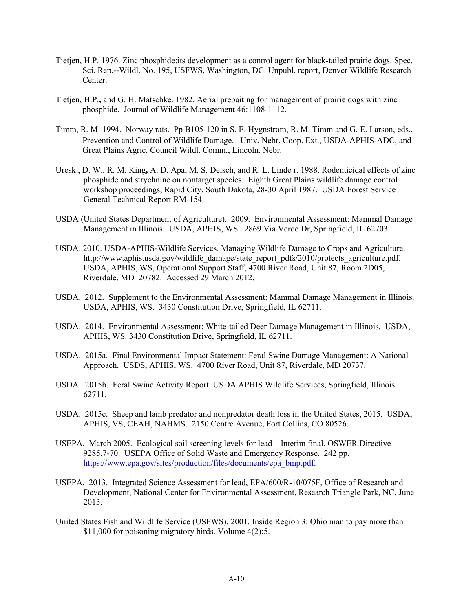- Tietjen, H.P. 1976. Zinc phosphide:its development as a control agent for black-tailed prairie dogs. Spec. Sci. Rep.--Wildl. No. 195, USFWS, Washington, DC. Unpubl. report, Denver Wildlife Research Center.
- Tietjen, H.P.**,** and G. H. Matschke. 1982. Aerial prebaiting for management of prairie dogs with zinc phosphide. Journal of Wildlife Management 46:1108-1112.
- Timm, R. M. 1994. Norway rats. Pp B105-120 in S. E. Hygnstrom, R. M. Timm and G. E. Larson, eds., Prevention and Control of Wildlife Damage. Univ. Nebr. Coop. Ext., USDA-APHIS-ADC, and Great Plains Agric. Council Wildl. Comm., Lincoln, Nebr.
- Uresk , D. W., R. M. King**,** A. D. Apa, M. S. Deisch, and R. L. Linde r. 1988. Rodenticidal effects of zinc phosphide and strychnine on nontarget species. Eighth Great Plains wildlife damage control workshop proceedings, Rapid City, South Dakota, 28-30 April 1987. USDA Forest Service General Technical Report RM-154.
- USDA (United States Department of Agriculture). 2009. Environmental Assessment: Mammal Damage Management in Illinois. USDA, APHIS, WS. 2869 Via Verde Dr, Springfield, IL 62703.
- USDA. 2010. USDA-APHIS-Wildlife Services. Managing Wildlife Damage to Crops and Agriculture. http://www.aphis.usda.gov/wildlife\_damage/state\_report\_pdfs/2010/protects\_agriculture.pdf. USDA, APHIS, WS, Operational Support Staff, 4700 River Road, Unit 87, Room 2D05, Riverdale, MD 20782. Accessed 29 March 2012.
- USDA. 2012. Supplement to the Environmental Assessment: Mammal Damage Management in Illinois. USDA, APHIS, WS. 3430 Constitution Drive, Springfield, IL 62711.
- USDA. 2014. Environmental Assessment: White-tailed Deer Damage Management in Illinois. USDA, APHIS, WS. 3430 Constitution Drive, Springfield, IL 62711.
- USDA. 2015a. Final Environmental Impact Statement: Feral Swine Damage Management: A National Approach. USDS, APHIS, WS. 4700 River Road, Unit 87, Riverdale, MD 20737.
- USDA. 2015b. Feral Swine Activity Report. USDA APHIS Wildlife Services, Springfield, Illinois 62711.
- USDA. 2015c. Sheep and lamb predator and nonpredator death loss in the United States, 2015. USDA, APHIS, VS, CEAH, NAHMS. 2150 Centre Avenue, Fort Collins, CO 80526.
- USEPA. March 2005. Ecological soil screening levels for lead Interim final. OSWER Directive 9285.7-70. USEPA Office of Solid Waste and Emergency Response. 242 pp. https://www.epa.gov/sites/production/files/documents/epa\_bmp.pdf.
- USEPA. 2013. Integrated Science Assessment for lead, EPA/600/R-10/075F, Office of Research and Development, National Center for Environmental Assessment, Research Triangle Park, NC, June 2013.
- United States Fish and Wildlife Service (USFWS). 2001. Inside Region 3: Ohio man to pay more than \$11,000 for poisoning migratory birds. Volume 4(2):5.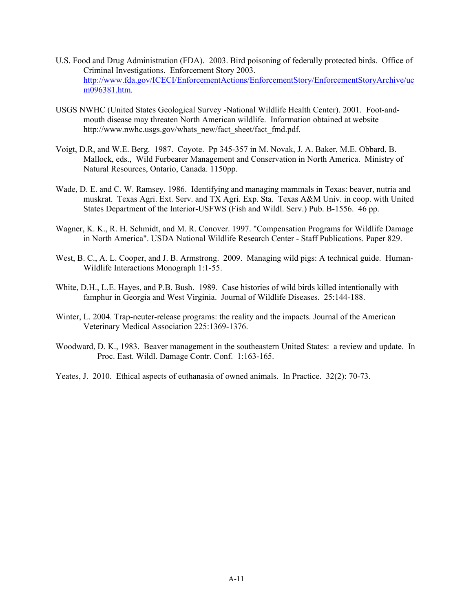- U.S. Food and Drug Administration (FDA). 2003. Bird poisoning of federally protected birds. Office of Criminal Investigations. Enforcement Story 2003. http://www.fda.gov/ICECI/EnforcementActions/EnforcementStory/EnforcementStoryArchive/uc m096381.htm.
- USGS NWHC (United States Geological Survey -National Wildlife Health Center). 2001. Foot-andmouth disease may threaten North American wildlife. Information obtained at website http://www.nwhc.usgs.gov/whats\_new/fact\_sheet/fact\_fmd.pdf.
- Voigt, D.R, and W.E. Berg. 1987. Coyote. Pp 345-357 in M. Novak, J. A. Baker, M.E. Obbard, B. Mallock, eds., Wild Furbearer Management and Conservation in North America. Ministry of Natural Resources, Ontario, Canada. 1150pp.
- Wade, D. E. and C. W. Ramsey. 1986. Identifying and managing mammals in Texas: beaver, nutria and muskrat. Texas Agri. Ext. Serv. and TX Agri. Exp. Sta. Texas A&M Univ. in coop. with United States Department of the Interior-USFWS (Fish and Wildl. Serv.) Pub. B-1556. 46 pp.
- Wagner, K. K., R. H. Schmidt, and M. R. Conover. 1997. "Compensation Programs for Wildlife Damage in North America". USDA National Wildlife Research Center - Staff Publications. Paper 829.
- West, B. C., A. L. Cooper, and J. B. Armstrong. 2009. Managing wild pigs: A technical guide. Human-Wildlife Interactions Monograph 1:1-55.
- White, D.H., L.E. Hayes, and P.B. Bush. 1989. Case histories of wild birds killed intentionally with famphur in Georgia and West Virginia. Journal of Wildlife Diseases. 25:144-188.
- Winter, L. 2004. Trap-neuter-release programs: the reality and the impacts. Journal of the American Veterinary Medical Association 225:1369-1376.
- Woodward, D. K., 1983. Beaver management in the southeastern United States: a review and update. In Proc. East. Wildl. Damage Contr. Conf. 1:163-165.
- Yeates, J. 2010. Ethical aspects of euthanasia of owned animals. In Practice. 32(2): 70-73.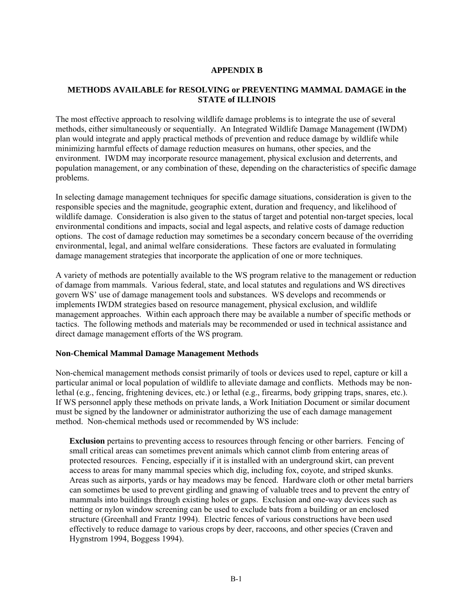# **APPENDIX B**

# **METHODS AVAILABLE for RESOLVING or PREVENTING MAMMAL DAMAGE in the STATE of ILLINOIS**

The most effective approach to resolving wildlife damage problems is to integrate the use of several methods, either simultaneously or sequentially. An Integrated Wildlife Damage Management (IWDM) plan would integrate and apply practical methods of prevention and reduce damage by wildlife while minimizing harmful effects of damage reduction measures on humans, other species, and the environment. IWDM may incorporate resource management, physical exclusion and deterrents, and population management, or any combination of these, depending on the characteristics of specific damage problems.

In selecting damage management techniques for specific damage situations, consideration is given to the responsible species and the magnitude, geographic extent, duration and frequency, and likelihood of wildlife damage. Consideration is also given to the status of target and potential non-target species, local environmental conditions and impacts, social and legal aspects, and relative costs of damage reduction options. The cost of damage reduction may sometimes be a secondary concern because of the overriding environmental, legal, and animal welfare considerations. These factors are evaluated in formulating damage management strategies that incorporate the application of one or more techniques.

A variety of methods are potentially available to the WS program relative to the management or reduction of damage from mammals. Various federal, state, and local statutes and regulations and WS directives govern WS' use of damage management tools and substances. WS develops and recommends or implements IWDM strategies based on resource management, physical exclusion, and wildlife management approaches. Within each approach there may be available a number of specific methods or tactics. The following methods and materials may be recommended or used in technical assistance and direct damage management efforts of the WS program.

### **Non-Chemical Mammal Damage Management Methods**

Non-chemical management methods consist primarily of tools or devices used to repel, capture or kill a particular animal or local population of wildlife to alleviate damage and conflicts. Methods may be nonlethal (e.g., fencing, frightening devices, etc.) or lethal (e.g., firearms, body gripping traps, snares, etc.). If WS personnel apply these methods on private lands, a Work Initiation Document or similar document must be signed by the landowner or administrator authorizing the use of each damage management method. Non-chemical methods used or recommended by WS include:

**Exclusion** pertains to preventing access to resources through fencing or other barriers. Fencing of small critical areas can sometimes prevent animals which cannot climb from entering areas of protected resources. Fencing, especially if it is installed with an underground skirt, can prevent access to areas for many mammal species which dig, including fox, coyote, and striped skunks. Areas such as airports, yards or hay meadows may be fenced. Hardware cloth or other metal barriers can sometimes be used to prevent girdling and gnawing of valuable trees and to prevent the entry of mammals into buildings through existing holes or gaps. Exclusion and one-way devices such as netting or nylon window screening can be used to exclude bats from a building or an enclosed structure (Greenhall and Frantz 1994). Electric fences of various constructions have been used effectively to reduce damage to various crops by deer, raccoons, and other species (Craven and Hygnstrom 1994, Boggess 1994).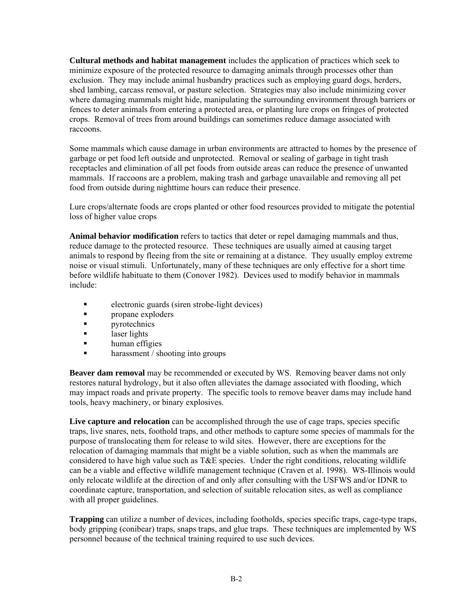**Cultural methods and habitat management** includes the application of practices which seek to minimize exposure of the protected resource to damaging animals through processes other than exclusion. They may include animal husbandry practices such as employing guard dogs, herders, shed lambing, carcass removal, or pasture selection. Strategies may also include minimizing cover where damaging mammals might hide, manipulating the surrounding environment through barriers or fences to deter animals from entering a protected area, or planting lure crops on fringes of protected crops. Removal of trees from around buildings can sometimes reduce damage associated with raccoons.

Some mammals which cause damage in urban environments are attracted to homes by the presence of garbage or pet food left outside and unprotected. Removal or sealing of garbage in tight trash receptacles and elimination of all pet foods from outside areas can reduce the presence of unwanted mammals. If raccoons are a problem, making trash and garbage unavailable and removing all pet food from outside during nighttime hours can reduce their presence.

Lure crops/alternate foods are crops planted or other food resources provided to mitigate the potential loss of higher value crops

**Animal behavior modification** refers to tactics that deter or repel damaging mammals and thus, reduce damage to the protected resource. These techniques are usually aimed at causing target animals to respond by fleeing from the site or remaining at a distance. They usually employ extreme noise or visual stimuli. Unfortunately, many of these techniques are only effective for a short time before wildlife habituate to them (Conover 1982). Devices used to modify behavior in mammals include:

- electronic guards (siren strobe-light devices)
- **propane** exploders
- **Property Property Property Property Property Property Property Property Property Property Property Property Property Property Property Property Property Property Property Property P**
- **a** laser lights
- **human** effigies
- harassment / shooting into groups

**Beaver dam removal** may be recommended or executed by WS. Removing beaver dams not only restores natural hydrology, but it also often alleviates the damage associated with flooding, which may impact roads and private property. The specific tools to remove beaver dams may include hand tools, heavy machinery, or binary explosives.

Live capture and relocation can be accomplished through the use of cage traps, species specific traps, live snares, nets, foothold traps, and other methods to capture some species of mammals for the purpose of translocating them for release to wild sites. However, there are exceptions for the relocation of damaging mammals that might be a viable solution, such as when the mammals are considered to have high value such as T&E species. Under the right conditions, relocating wildlife can be a viable and effective wildlife management technique (Craven et al. 1998). WS-Illinois would only relocate wildlife at the direction of and only after consulting with the USFWS and/or IDNR to coordinate capture, transportation, and selection of suitable relocation sites, as well as compliance with all proper guidelines.

**Trapping** can utilize a number of devices, including footholds, species specific traps, cage-type traps, body gripping (conibear) traps, snaps traps, and glue traps. These techniques are implemented by WS personnel because of the technical training required to use such devices.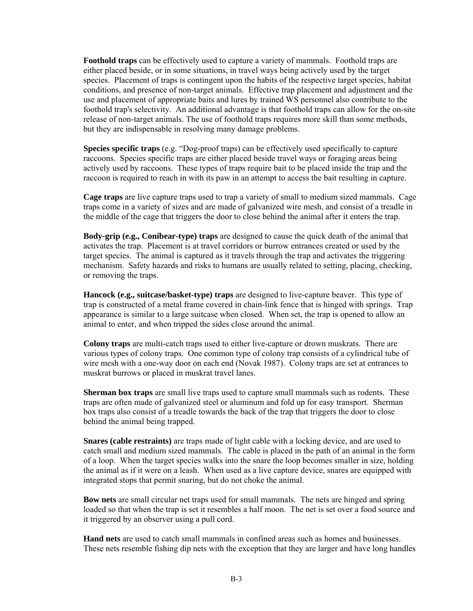**Foothold traps** can be effectively used to capture a variety of mammals. Foothold traps are either placed beside, or in some situations, in travel ways being actively used by the target species. Placement of traps is contingent upon the habits of the respective target species, habitat conditions, and presence of non-target animals. Effective trap placement and adjustment and the use and placement of appropriate baits and lures by trained WS personnel also contribute to the foothold trap's selectivity. An additional advantage is that foothold traps can allow for the on-site release of non-target animals. The use of foothold traps requires more skill than some methods, but they are indispensable in resolving many damage problems.

**Species specific traps** (e.g. "Dog-proof traps) can be effectively used specifically to capture raccoons. Species specific traps are either placed beside travel ways or foraging areas being actively used by raccoons. These types of traps require bait to be placed inside the trap and the raccoon is required to reach in with its paw in an attempt to access the bait resulting in capture.

**Cage traps** are live capture traps used to trap a variety of small to medium sized mammals. Cage traps come in a variety of sizes and are made of galvanized wire mesh, and consist of a treadle in the middle of the cage that triggers the door to close behind the animal after it enters the trap.

**Body-grip (e.g., Conibear-type) traps** are designed to cause the quick death of the animal that activates the trap. Placement is at travel corridors or burrow entrances created or used by the target species. The animal is captured as it travels through the trap and activates the triggering mechanism. Safety hazards and risks to humans are usually related to setting, placing, checking, or removing the traps.

**Hancock (e.g., suitcase/basket-type) traps** are designed to live-capture beaver. This type of trap is constructed of a metal frame covered in chain-link fence that is hinged with springs. Trap appearance is similar to a large suitcase when closed. When set, the trap is opened to allow an animal to enter, and when tripped the sides close around the animal.

**Colony traps** are multi-catch traps used to either live-capture or drown muskrats. There are various types of colony traps. One common type of colony trap consists of a cylindrical tube of wire mesh with a one-way door on each end (Novak 1987). Colony traps are set at entrances to muskrat burrows or placed in muskrat travel lanes.

**Sherman box traps** are small live traps used to capture small mammals such as rodents. These traps are often made of galvanized steel or aluminum and fold up for easy transport. Sherman box traps also consist of a treadle towards the back of the trap that triggers the door to close behind the animal being trapped.

**Snares (cable restraints)** are traps made of light cable with a locking device, and are used to catch small and medium sized mammals. The cable is placed in the path of an animal in the form of a loop. When the target species walks into the snare the loop becomes smaller in size, holding the animal as if it were on a leash. When used as a live capture device, snares are equipped with integrated stops that permit snaring, but do not choke the animal.

**Bow nets** are small circular net traps used for small mammals. The nets are hinged and spring loaded so that when the trap is set it resembles a half moon. The net is set over a food source and it triggered by an observer using a pull cord.

**Hand nets** are used to catch small mammals in confined areas such as homes and businesses. These nets resemble fishing dip nets with the exception that they are larger and have long handles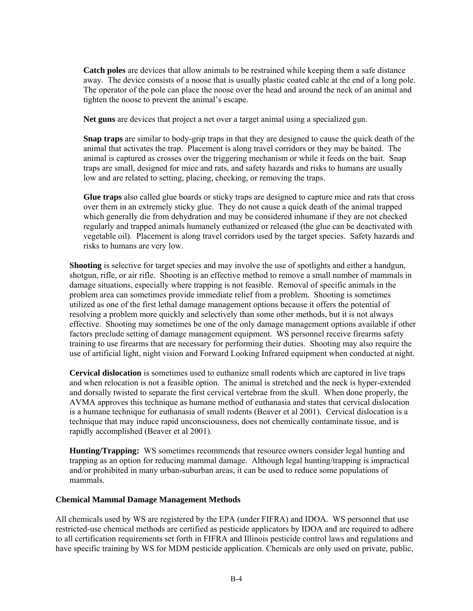**Catch poles** are devices that allow animals to be restrained while keeping them a safe distance away. The device consists of a noose that is usually plastic coated cable at the end of a long pole. The operator of the pole can place the noose over the head and around the neck of an animal and tighten the noose to prevent the animal's escape.

**Net guns** are devices that project a net over a target animal using a specialized gun.

**Snap traps** are similar to body-grip traps in that they are designed to cause the quick death of the animal that activates the trap. Placement is along travel corridors or they may be baited. The animal is captured as crosses over the triggering mechanism or while it feeds on the bait. Snap traps are small, designed for mice and rats, and safety hazards and risks to humans are usually low and are related to setting, placing, checking, or removing the traps.

**Glue traps** also called glue boards or sticky traps are designed to capture mice and rats that cross over them in an extremely sticky glue. They do not cause a quick death of the animal trapped which generally die from dehydration and may be considered inhumane if they are not checked regularly and trapped animals humanely euthanized or released (the glue can be deactivated with vegetable oil). Placement is along travel corridors used by the target species. Safety hazards and risks to humans are very low.

**Shooting** is selective for target species and may involve the use of spotlights and either a handgun, shotgun, rifle, or air rifle. Shooting is an effective method to remove a small number of mammals in damage situations, especially where trapping is not feasible. Removal of specific animals in the problem area can sometimes provide immediate relief from a problem. Shooting is sometimes utilized as one of the first lethal damage management options because it offers the potential of resolving a problem more quickly and selectively than some other methods, but it is not always effective. Shooting may sometimes be one of the only damage management options available if other factors preclude setting of damage management equipment. WS personnel receive firearms safety training to use firearms that are necessary for performing their duties. Shooting may also require the use of artificial light, night vision and Forward Looking Infrared equipment when conducted at night.

**Cervical dislocation** is sometimes used to euthanize small rodents which are captured in live traps and when relocation is not a feasible option. The animal is stretched and the neck is hyper-extended and dorsally twisted to separate the first cervical vertebrae from the skull. When done properly, the AVMA approves this technique as humane method of euthanasia and states that cervical dislocation is a humane technique for euthanasia of small rodents (Beaver et al 2001). Cervical dislocation is a technique that may induce rapid unconsciousness, does not chemically contaminate tissue, and is rapidly accomplished (Beaver et al 2001).

**Hunting/Trapping:** WS sometimes recommends that resource owners consider legal hunting and trapping as an option for reducing mammal damage. Although legal hunting/trapping is impractical and/or prohibited in many urban-suburban areas, it can be used to reduce some populations of mammals.

# **Chemical Mammal Damage Management Methods**

All chemicals used by WS are registered by the EPA (under FIFRA) and IDOA. WS personnel that use restricted-use chemical methods are certified as pesticide applicators by IDOA and are required to adhere to all certification requirements set forth in FIFRA and Illinois pesticide control laws and regulations and have specific training by WS for MDM pesticide application. Chemicals are only used on private, public,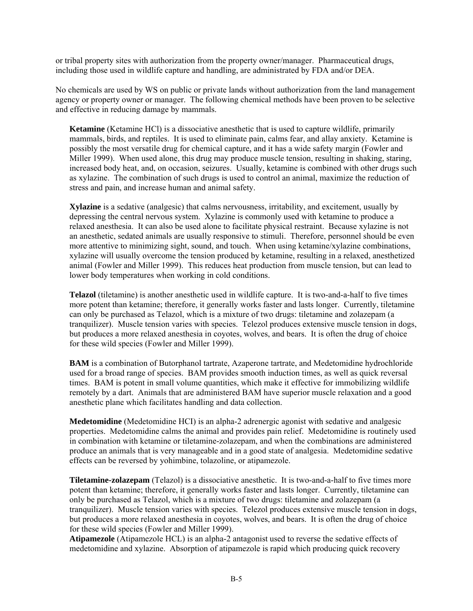or tribal property sites with authorization from the property owner/manager. Pharmaceutical drugs, including those used in wildlife capture and handling, are administrated by FDA and/or DEA.

No chemicals are used by WS on public or private lands without authorization from the land management agency or property owner or manager. The following chemical methods have been proven to be selective and effective in reducing damage by mammals.

**Ketamine** (Ketamine HCl) is a dissociative anesthetic that is used to capture wildlife, primarily mammals, birds, and reptiles. It is used to eliminate pain, calms fear, and allay anxiety. Ketamine is possibly the most versatile drug for chemical capture, and it has a wide safety margin (Fowler and Miller 1999). When used alone, this drug may produce muscle tension, resulting in shaking, staring, increased body heat, and, on occasion, seizures. Usually, ketamine is combined with other drugs such as xylazine. The combination of such drugs is used to control an animal, maximize the reduction of stress and pain, and increase human and animal safety.

**Xylazine** is a sedative (analgesic) that calms nervousness, irritability, and excitement, usually by depressing the central nervous system. Xylazine is commonly used with ketamine to produce a relaxed anesthesia. It can also be used alone to facilitate physical restraint. Because xylazine is not an anesthetic, sedated animals are usually responsive to stimuli. Therefore, personnel should be even more attentive to minimizing sight, sound, and touch. When using ketamine/xylazine combinations, xylazine will usually overcome the tension produced by ketamine, resulting in a relaxed, anesthetized animal (Fowler and Miller 1999). This reduces heat production from muscle tension, but can lead to lower body temperatures when working in cold conditions.

**Telazol** (tiletamine) is another anesthetic used in wildlife capture. It is two-and-a-half to five times more potent than ketamine; therefore, it generally works faster and lasts longer. Currently, tiletamine can only be purchased as Telazol, which is a mixture of two drugs: tiletamine and zolazepam (a tranquilizer). Muscle tension varies with species. Telezol produces extensive muscle tension in dogs, but produces a more relaxed anesthesia in coyotes, wolves, and bears. It is often the drug of choice for these wild species (Fowler and Miller 1999).

**BAM** is a combination of Butorphanol tartrate, Azaperone tartrate, and Medetomidine hydrochloride used for a broad range of species. BAM provides smooth induction times, as well as quick reversal times. BAM is potent in small volume quantities, which make it effective for immobilizing wildlife remotely by a dart. Animals that are administered BAM have superior muscle relaxation and a good anesthetic plane which facilitates handling and data collection.

**Medetomidine** (Medetomidine HCI) is an alpha-2 adrenergic agonist with sedative and analgesic properties. Medetomidine calms the animal and provides pain relief. Medetomidine is routinely used in combination with ketamine or tiletamine-zolazepam, and when the combinations are administered produce an animals that is very manageable and in a good state of analgesia. Medetomidine sedative effects can be reversed by yohimbine, tolazoline, or atipamezole.

**Tiletamine-zolazepam** (Telazol) is a dissociative anesthetic. It is two-and-a-half to five times more potent than ketamine; therefore, it generally works faster and lasts longer. Currently, tiletamine can only be purchased as Telazol, which is a mixture of two drugs: tiletamine and zolazepam (a tranquilizer). Muscle tension varies with species. Telezol produces extensive muscle tension in dogs, but produces a more relaxed anesthesia in coyotes, wolves, and bears. It is often the drug of choice for these wild species (Fowler and Miller 1999).

**Atipamezole** (Atipamezole HCL) is an alpha-2 antagonist used to reverse the sedative effects of medetomidine and xylazine. Absorption of atipamezole is rapid which producing quick recovery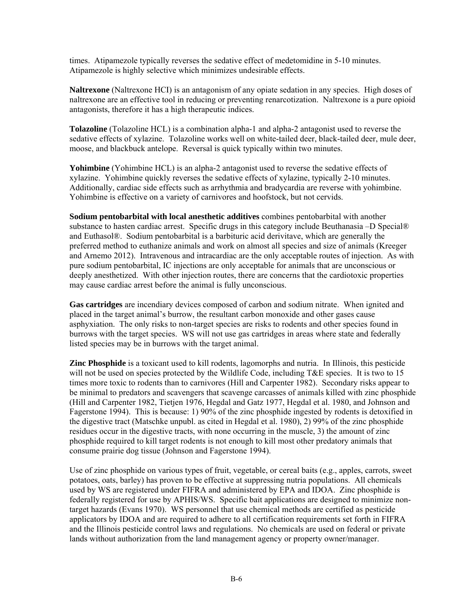times. Atipamezole typically reverses the sedative effect of medetomidine in 5-10 minutes. Atipamezole is highly selective which minimizes undesirable effects.

**Naltrexone** (Naltrexone HCI) is an antagonism of any opiate sedation in any species. High doses of naltrexone are an effective tool in reducing or preventing renarcotization. Naltrexone is a pure opioid antagonists, therefore it has a high therapeutic indices.

**Tolazoline** (Tolazoline HCL) is a combination alpha-1 and alpha-2 antagonist used to reverse the sedative effects of xylazine. Tolazoline works well on white-tailed deer, black-tailed deer, mule deer, moose, and blackbuck antelope. Reversal is quick typically within two minutes.

**Yohimbine** (Yohimbine HCL) is an alpha-2 antagonist used to reverse the sedative effects of xylazine. Yohimbine quickly reverses the sedative effects of xylazine, typically 2-10 minutes. Additionally, cardiac side effects such as arrhythmia and bradycardia are reverse with yohimbine. Yohimbine is effective on a variety of carnivores and hoofstock, but not cervids.

**Sodium pentobarbital with local anesthetic additives** combines pentobarbital with another substance to hasten cardiac arrest. Specific drugs in this category include Beuthanasia –D Special® and Euthasol®. Sodium pentobarbital is a barbituric acid derivitave, which are generally the preferred method to euthanize animals and work on almost all species and size of animals (Kreeger and Arnemo 2012). Intravenous and intracardiac are the only acceptable routes of injection. As with pure sodium pentobarbital, IC injections are only acceptable for animals that are unconscious or deeply anesthetized. With other injection routes, there are concerns that the cardiotoxic properties may cause cardiac arrest before the animal is fully unconscious.

**Gas cartridges** are incendiary devices composed of carbon and sodium nitrate. When ignited and placed in the target animal's burrow, the resultant carbon monoxide and other gases cause asphyxiation. The only risks to non-target species are risks to rodents and other species found in burrows with the target species. WS will not use gas cartridges in areas where state and federally listed species may be in burrows with the target animal.

**Zinc Phosphide** is a toxicant used to kill rodents, lagomorphs and nutria. In Illinois, this pesticide will not be used on species protected by the Wildlife Code, including  $T\&E$  species. It is two to 15 times more toxic to rodents than to carnivores (Hill and Carpenter 1982). Secondary risks appear to be minimal to predators and scavengers that scavenge carcasses of animals killed with zinc phosphide (Hill and Carpenter 1982, Tietjen 1976, Hegdal and Gatz 1977, Hegdal et al. 1980, and Johnson and Fagerstone 1994). This is because: 1) 90% of the zinc phosphide ingested by rodents is detoxified in the digestive tract (Matschke unpubl. as cited in Hegdal et al. 1980), 2) 99% of the zinc phosphide residues occur in the digestive tracts, with none occurring in the muscle, 3) the amount of zinc phosphide required to kill target rodents is not enough to kill most other predatory animals that consume prairie dog tissue (Johnson and Fagerstone 1994).

Use of zinc phosphide on various types of fruit, vegetable, or cereal baits (e.g., apples, carrots, sweet potatoes, oats, barley) has proven to be effective at suppressing nutria populations. All chemicals used by WS are registered under FIFRA and administered by EPA and IDOA. Zinc phosphide is federally registered for use by APHIS/WS. Specific bait applications are designed to minimize nontarget hazards (Evans 1970). WS personnel that use chemical methods are certified as pesticide applicators by IDOA and are required to adhere to all certification requirements set forth in FIFRA and the Illinois pesticide control laws and regulations. No chemicals are used on federal or private lands without authorization from the land management agency or property owner/manager.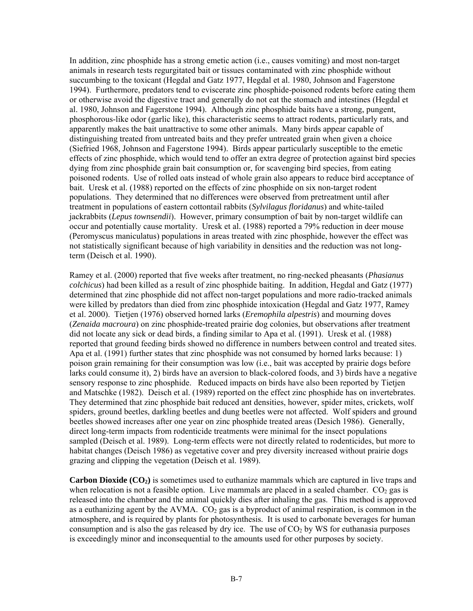In addition, zinc phosphide has a strong emetic action (i.e., causes vomiting) and most non-target animals in research tests regurgitated bait or tissues contaminated with zinc phosphide without succumbing to the toxicant (Hegdal and Gatz 1977, Hegdal et al. 1980, Johnson and Fagerstone 1994). Furthermore, predators tend to eviscerate zinc phosphide-poisoned rodents before eating them or otherwise avoid the digestive tract and generally do not eat the stomach and intestines (Hegdal et al. 1980, Johnson and Fagerstone 1994). Although zinc phosphide baits have a strong, pungent, phosphorous-like odor (garlic like), this characteristic seems to attract rodents, particularly rats, and apparently makes the bait unattractive to some other animals. Many birds appear capable of distinguishing treated from untreated baits and they prefer untreated grain when given a choice (Siefried 1968, Johnson and Fagerstone 1994). Birds appear particularly susceptible to the emetic effects of zinc phosphide, which would tend to offer an extra degree of protection against bird species dying from zinc phosphide grain bait consumption or, for scavenging bird species, from eating poisoned rodents. Use of rolled oats instead of whole grain also appears to reduce bird acceptance of bait. Uresk et al. (1988) reported on the effects of zinc phosphide on six non-target rodent populations. They determined that no differences were observed from pretreatment until after treatment in populations of eastern cottontail rabbits (*Sylvilagus floridanus*) and white-tailed jackrabbits (*Lepus townsendii*). However, primary consumption of bait by non-target wildlife can occur and potentially cause mortality. Uresk et al. (1988) reported a 79% reduction in deer mouse (Peromyscus maniculatus) populations in areas treated with zinc phosphide, however the effect was not statistically significant because of high variability in densities and the reduction was not longterm (Deisch et al. 1990).

Ramey et al. (2000) reported that five weeks after treatment, no ring-necked pheasants (*Phasianus colchicus*) had been killed as a result of zinc phosphide baiting. In addition, Hegdal and Gatz (1977) determined that zinc phosphide did not affect non-target populations and more radio-tracked animals were killed by predators than died from zinc phosphide intoxication (Hegdal and Gatz 1977, Ramey et al. 2000). Tietjen (1976) observed horned larks (*Eremophila alpestris*) and mourning doves (*Zenaida macroura*) on zinc phosphide-treated prairie dog colonies, but observations after treatment did not locate any sick or dead birds, a finding similar to Apa et al. (1991). Uresk et al. (1988) reported that ground feeding birds showed no difference in numbers between control and treated sites. Apa et al. (1991) further states that zinc phosphide was not consumed by horned larks because: 1) poison grain remaining for their consumption was low (i.e., bait was accepted by prairie dogs before larks could consume it), 2) birds have an aversion to black-colored foods, and 3) birds have a negative sensory response to zinc phosphide. Reduced impacts on birds have also been reported by Tietjen and Matschke (1982). Deisch et al. (1989) reported on the effect zinc phosphide has on invertebrates. They determined that zinc phosphide bait reduced ant densities, however, spider mites, crickets, wolf spiders, ground beetles, darkling beetles and dung beetles were not affected. Wolf spiders and ground beetles showed increases after one year on zinc phosphide treated areas (Desich 1986). Generally, direct long-term impacts from rodenticide treatments were minimal for the insect populations sampled (Deisch et al. 1989). Long-term effects were not directly related to rodenticides, but more to habitat changes (Deisch 1986) as vegetative cover and prey diversity increased without prairie dogs grazing and clipping the vegetation (Deisch et al. 1989).

**Carbon Dioxide (CO2)** is sometimes used to euthanize mammals which are captured in live traps and when relocation is not a feasible option. Live mammals are placed in a sealed chamber.  $CO<sub>2</sub>$  gas is released into the chamber and the animal quickly dies after inhaling the gas. This method is approved as a euthanizing agent by the AVMA.  $CO<sub>2</sub>$  gas is a byproduct of animal respiration, is common in the atmosphere, and is required by plants for photosynthesis. It is used to carbonate beverages for human consumption and is also the gas released by dry ice. The use of  $CO<sub>2</sub>$  by WS for euthanasia purposes is exceedingly minor and inconsequential to the amounts used for other purposes by society.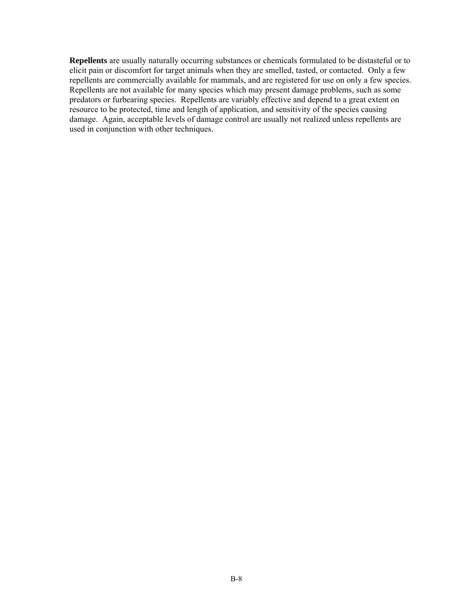**Repellents** are usually naturally occurring substances or chemicals formulated to be distasteful or to elicit pain or discomfort for target animals when they are smelled, tasted, or contacted. Only a few repellents are commercially available for mammals, and are registered for use on only a few species. Repellents are not available for many species which may present damage problems, such as some predators or furbearing species. Repellents are variably effective and depend to a great extent on resource to be protected, time and length of application, and sensitivity of the species causing damage. Again, acceptable levels of damage control are usually not realized unless repellents are used in conjunction with other techniques.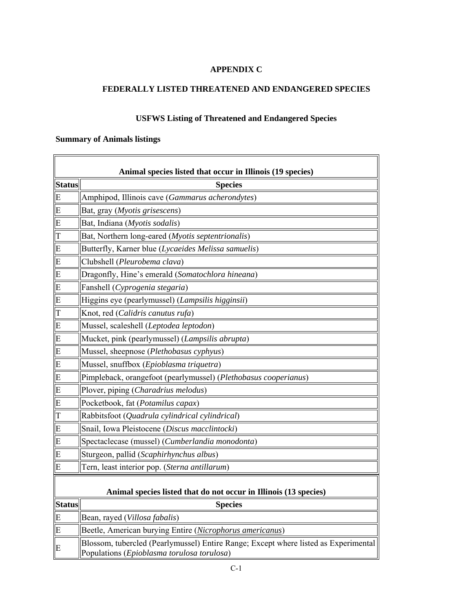# **APPENDIX C**

# **FEDERALLY LISTED THREATENED AND ENDANGERED SPECIES**

# **USFWS Listing of Threatened and Endangered Species**

# **Summary of Animals listings**

| Animal species listed that occur in Illinois (19 species)        |                                                                                                                                   |  |
|------------------------------------------------------------------|-----------------------------------------------------------------------------------------------------------------------------------|--|
| <b>Status</b>                                                    | <b>Species</b>                                                                                                                    |  |
| E                                                                | Amphipod, Illinois cave (Gammarus acherondytes)                                                                                   |  |
| E                                                                | Bat, gray (Myotis grisescens)                                                                                                     |  |
| E                                                                | Bat, Indiana (Myotis sodalis)                                                                                                     |  |
| T                                                                | Bat, Northern long-eared (Myotis septentrionalis)                                                                                 |  |
| E                                                                | Butterfly, Karner blue (Lycaeides Melissa samuelis)                                                                               |  |
| E                                                                | Clubshell (Pleurobema clava)                                                                                                      |  |
| E                                                                | Dragonfly, Hine's emerald (Somatochlora hineana)                                                                                  |  |
| E                                                                | Fanshell (Cyprogenia stegaria)                                                                                                    |  |
| E                                                                | Higgins eye (pearlymussel) (Lampsilis higginsii)                                                                                  |  |
| T                                                                | Knot, red (Calidris canutus rufa)                                                                                                 |  |
| E                                                                | Mussel, scaleshell (Leptodea leptodon)                                                                                            |  |
| E                                                                | Mucket, pink (pearlymussel) (Lampsilis abrupta)                                                                                   |  |
| E                                                                | Mussel, sheepnose (Plethobasus cyphyus)                                                                                           |  |
| E                                                                | Mussel, snuffbox (Epioblasma triquetra)                                                                                           |  |
| E                                                                | Pimpleback, orangefoot (pearlymussel) (Plethobasus cooperianus)                                                                   |  |
| E                                                                | Plover, piping (Charadrius melodus)                                                                                               |  |
| E                                                                | Pocketbook, fat (Potamilus capax)                                                                                                 |  |
| T                                                                | Rabbitsfoot (Quadrula cylindrical cylindrical)                                                                                    |  |
| E                                                                | Snail, Iowa Pleistocene (Discus macclintocki)                                                                                     |  |
| E                                                                | Spectaclecase (mussel) (Cumberlandia monodonta)                                                                                   |  |
| E                                                                | Sturgeon, pallid (Scaphirhynchus albus)                                                                                           |  |
| E                                                                | Tern, least interior pop. (Sterna antillarum)                                                                                     |  |
| Animal species listed that do not occur in Illinois (13 species) |                                                                                                                                   |  |
| <b>Status</b>                                                    | <b>Species</b>                                                                                                                    |  |
| ${\bf E}$                                                        | Bean, rayed (Villosa fabalis)                                                                                                     |  |
| E                                                                | Beetle, American burying Entire (Nicrophorus americanus)                                                                          |  |
| E                                                                | Blossom, tubercled (Pearlymussel) Entire Range; Except where listed as Experimental<br>Populations (Epioblasma torulosa torulosa) |  |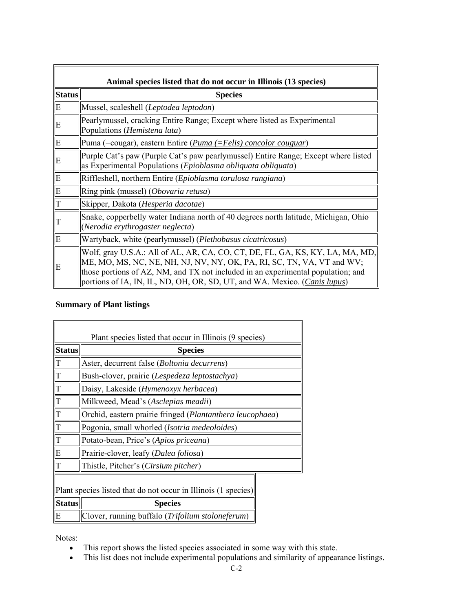| Animal species listed that do not occur in Illinois (13 species) |                                                                                                                                                                                                                                                                                                                                   |  |
|------------------------------------------------------------------|-----------------------------------------------------------------------------------------------------------------------------------------------------------------------------------------------------------------------------------------------------------------------------------------------------------------------------------|--|
| <b>Status</b>                                                    | <b>Species</b>                                                                                                                                                                                                                                                                                                                    |  |
| E                                                                | Mussel, scaleshell (Leptodea leptodon)                                                                                                                                                                                                                                                                                            |  |
| E                                                                | Pearlymussel, cracking Entire Range; Except where listed as Experimental<br>Populations (Hemistena lata)                                                                                                                                                                                                                          |  |
| IЕ                                                               | Puma (=cougar), eastern Entire ( <i>Puma (=Felis) concolor couguar</i> )                                                                                                                                                                                                                                                          |  |
| E                                                                | Purple Cat's paw (Purple Cat's paw pearlymussel) Entire Range; Except where listed<br>as Experimental Populations (Epioblasma obliquata obliquata)                                                                                                                                                                                |  |
| E                                                                | Riffleshell, northern Entire (Epioblasma torulosa rangiana)                                                                                                                                                                                                                                                                       |  |
| E                                                                | Ring pink (mussel) (Obovaria retusa)                                                                                                                                                                                                                                                                                              |  |
| T                                                                | Skipper, Dakota (Hesperia dacotae)                                                                                                                                                                                                                                                                                                |  |
| IТ                                                               | Shake, copperbelly water Indiana north of 40 degrees north latitude, Michigan, Ohio<br>(Nerodia erythrogaster neglecta)                                                                                                                                                                                                           |  |
| IΕ                                                               | Wartyback, white (pearlymussel) (Plethobasus cicatricosus)                                                                                                                                                                                                                                                                        |  |
| IЕ                                                               | Wolf, gray U.S.A.: All of AL, AR, CA, CO, CT, DE, FL, GA, KS, KY, LA, MA, MD,<br>ME, MO, MS, NC, NE, NH, NJ, NV, NY, OK, PA, RI, SC, TN, VA, VT and WV;<br>those portions of AZ, NM, and TX not included in an experimental population; and<br>portions of IA, IN, IL, ND, OH, OR, SD, UT, and WA. Mexico. ( <i>Canis lupus</i> ) |  |

# **Summary of Plant listings**

Ē.

| Plant species listed that occur in Illinois (9 species)        |                                                           |  |
|----------------------------------------------------------------|-----------------------------------------------------------|--|
| <b>Status</b>                                                  | <b>Species</b>                                            |  |
| $\mathbf T$                                                    | Aster, decurrent false (Boltonia decurrens)               |  |
| $\overline{T}$                                                 | Bush-clover, prairie (Lespedeza leptostachya)             |  |
| $\frac{1}{T}$                                                  | Daisy, Lakeside (Hymenoxyx herbacea)                      |  |
|                                                                | Milkweed, Mead's (Asclepias meadii)                       |  |
| $\overline{T}$                                                 | Orchid, eastern prairie fringed (Plantanthera leucophaea) |  |
| $\overline{T}$                                                 | Pogonia, small whorled (Isotria medeoloides)              |  |
|                                                                | Potato-bean, Price's (Apios priceana)                     |  |
| $\overline{E}$                                                 | Prairie-clover, leafy (Dalea foliosa)                     |  |
|                                                                | Thistle, Pitcher's (Cirsium pitcher)                      |  |
| Plant species listed that do not occur in Illinois (1 species) |                                                           |  |
| <b>Status</b>                                                  | <b>Species</b>                                            |  |
| E                                                              | Clover, running buffalo (Trifolium stoloneferum)          |  |

Notes:

- This report shows the listed species associated in some way with this state.
- This list does not include experimental populations and similarity of appearance listings.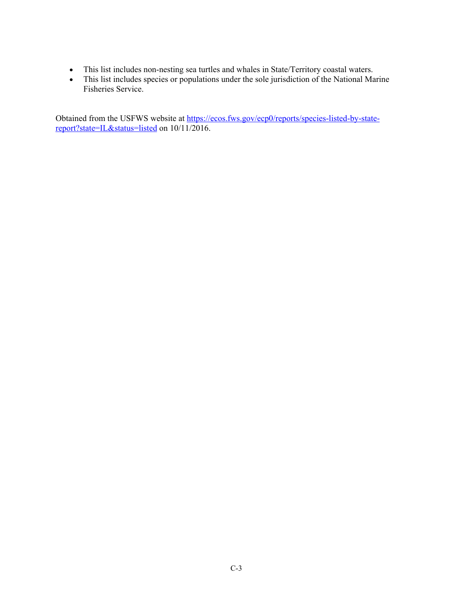- This list includes non-nesting sea turtles and whales in State/Territory coastal waters.
- This list includes species or populations under the sole jurisdiction of the National Marine Fisheries Service.

Obtained from the USFWS website at https://ecos.fws.gov/ecp0/reports/species-listed-by-statereport?state=IL&status=listed on 10/11/2016.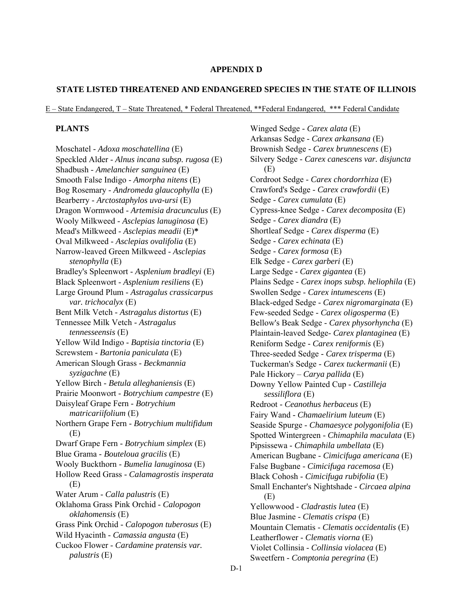#### **APPENDIX D**

#### **STATE LISTED THREATENED AND ENDANGERED SPECIES IN THE STATE OF ILLINOIS**

E – State Endangered, T – State Threatened, \* Federal Threatened, \*\*Federal Endangered, \*\*\* Federal Candidate

### **PLANTS**

Moschatel - *Adoxa moschatellina* (E) Speckled Alder - *Alnus incana subsp. rugosa* (E) Shadbush - *Amelanchier sanguinea* (E) Smooth False Indigo - *Amorpha nitens* (E) Bog Rosemary - *Andromeda glaucophylla* (E) Bearberry - *Arctostaphylos uva-ursi* (E) Dragon Wormwood - *Artemisia dracunculus* (E) Wooly Milkweed - *Asclepias lanuginosa* (E) Mead's Milkweed - *Asclepias meadii* (E)**\*** Oval Milkweed - *Asclepias ovalifolia* (E) Narrow-leaved Green Milkweed - *Asclepias stenophylla* (E) Bradley's Spleenwort - *Asplenium bradleyi* (E) Black Spleenwort - *Asplenium resiliens* (E) Large Ground Plum - *Astragalus crassicarpus var. trichocalyx* (E) Bent Milk Vetch - *Astragalus distortus* (E) Tennessee Milk Vetch - *Astragalus tennesseensis* (E) Yellow Wild Indigo - *Baptisia tinctoria* (E) Screwstem - *Bartonia paniculata* (E) American Slough Grass - *Beckmannia syzigachne* (E) Yellow Birch - *Betula alleghaniensis* (E) Prairie Moonwort - *Botrychium campestre* (E) Daisyleaf Grape Fern - *Botrychium matricariifolium* (E) Northern Grape Fern - *Botrychium multifidum* (E) Dwarf Grape Fern - *Botrychium simplex* (E) Blue Grama - *Bouteloua gracilis* (E) Wooly Buckthorn - *Bumelia lanuginosa* (E) Hollow Reed Grass - *Calamagrostis insperata* (E) Water Arum - *Calla palustris* (E) Oklahoma Grass Pink Orchid - *Calopogon oklahomensis* (E) Grass Pink Orchid - *Calopogon tuberosus* (E) Wild Hyacinth - *Camassia angusta* (E) Cuckoo Flower - *Cardamine pratensis var. palustris* (E)

Winged Sedge - *Carex alata* (E) Arkansas Sedge - *Carex arkansana* (E) Brownish Sedge - *Carex brunnescens* (E) Silvery Sedge - *Carex canescens var. disjuncta* (E) Cordroot Sedge - *Carex chordorrhiza* (E) Crawford's Sedge - *Carex crawfordii* (E) Sedge - *Carex cumulata* (E) Cypress-knee Sedge - *Carex decomposita* (E) Sedge - *Carex diandra* (E) Shortleaf Sedge - *Carex disperma* (E) Sedge - *Carex echinata* (E) Sedge - *Carex formosa* (E) Elk Sedge - *Carex garberi* (E) Large Sedge - *Carex gigantea* (E) Plains Sedge - *Carex inops subsp. heliophila* (E) Swollen Sedge - *Carex intumescens* (E) Black-edged Sedge - *Carex nigromarginata* (E) Few-seeded Sedge - *Carex oligosperma* (E) Bellow's Beak Sedge - *Carex physorhyncha* (E) Plaintain-leaved Sedge- *Carex plantaginea* (E) Reniform Sedge - *Carex reniformis* (E) Three-seeded Sedge - *Carex trisperma* (E) Tuckerman's Sedge - *Carex tuckermanii* (E) Pale Hickory – *Carya pallida* (E) Downy Yellow Painted Cup - *Castilleja sessiliflora* (E) Redroot - *Ceanothus herbaceus* (E) Fairy Wand - *Chamaelirium luteum* (E) Seaside Spurge - *Chamaesyce polygonifolia* (E) Spotted Wintergreen - *Chimaphila maculata* (E) Pipsissewa - *Chimaphila umbellata* (E) American Bugbane - *Cimicifuga americana* (E) False Bugbane - *Cimicifuga racemosa* (E) Black Cohosh - *Cimicifuga rubifolia* (E) Small Enchanter's Nightshade - *Circaea alpina*  (E) Yellowwood - *Cladrastis lutea* (E) Blue Jasmine - *Clematis crispa* (E) Mountain Clematis - *Clematis occidentalis* (E) Leatherflower - *Clematis viorna* (E) Violet Collinsia - *Collinsia violacea* (E) Sweetfern - *Comptonia peregrina* (E)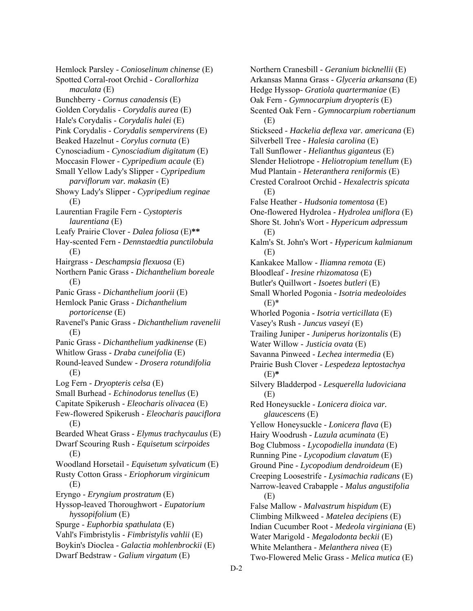Hemlock Parsley - *Conioselinum chinense* (E) Spotted Corral-root Orchid - *Corallorhiza maculata* (E) Bunchberry - *Cornus canadensis* (E) Golden Corydalis - *Corydalis aurea* (E) Hale's Corydalis - *Corydalis halei* (E) Pink Corydalis - *Corydalis sempervirens* (E) Beaked Hazelnut - *Corylus cornuta* (E) Cynosciadium - *Cynosciadium digitatum* (E) Moccasin Flower - *Cypripedium acaule* (E) Small Yellow Lady's Slipper - *Cypripedium parviflorum var. makasin* (E) Showy Lady's Slipper - *Cypripedium reginae* (E) Laurentian Fragile Fern - *Cystopteris laurentiana* (E) Leafy Prairie Clover - *Dalea foliosa* (E)**\*\*** Hay-scented Fern - *Dennstaedtia punctilobula* (E) Hairgrass - *Deschampsia flexuosa* (E) Northern Panic Grass - *Dichanthelium boreale* (E) Panic Grass - *Dichanthelium joorii* (E) Hemlock Panic Grass - *Dichanthelium portoricense* (E) Ravenel's Panic Grass - *Dichanthelium ravenelii* (E) Panic Grass - *Dichanthelium yadkinense* (E) Whitlow Grass - *Draba cuneifolia* (E) Round-leaved Sundew - *Drosera rotundifolia* (E) Log Fern - *Dryopteris celsa* (E) Small Burhead - *Echinodorus tenellus* (E) Capitate Spikerush - *Eleocharis olivacea* (E) Few-flowered Spikerush - *Eleocharis pauciflora* (E) Bearded Wheat Grass - *Elymus trachycaulus* (E) Dwarf Scouring Rush - *Equisetum scirpoides* (E) Woodland Horsetail - *Equisetum sylvaticum* (E) Rusty Cotton Grass - *Eriophorum virginicum* (E) Eryngo - *Eryngium prostratum* (E) Hyssop-leaved Thoroughwort - *Eupatorium hyssopifolium* (E) Spurge - *Euphorbia spathulata* (E) Vahl's Fimbristylis - *Fimbristylis vahlii* (E) Boykin's Dioclea - *Galactia mohlenbrockii* (E) Dwarf Bedstraw - *Galium virgatum* (E)

Northern Cranesbill - *Geranium bicknellii* (E) Arkansas Manna Grass - *Glyceria arkansana* (E) Hedge Hyssop- *Gratiola quartermaniae* (E) Oak Fern - *Gymnocarpium dryopteris* (E) Scented Oak Fern - *Gymnocarpium robertianum* (E) Stickseed - *Hackelia deflexa var. americana* (E) Silverbell Tree - *Halesia carolina* (E) Tall Sunflower - *Helianthus giganteus* (E) Slender Heliotrope - *Heliotropium tenellum* (E) Mud Plantain - *Heteranthera reniformis* (E) Crested Coralroot Orchid - *Hexalectris spicata* (E) False Heather - *Hudsonia tomentosa* (E) One-flowered Hydrolea - *Hydrolea uniflora* (E) Shore St. John's Wort - *Hypericum adpressum* (E) Kalm's St. John's Wort - *Hypericum kalmianum* (E) Kankakee Mallow - *Iliamna remota* (E) Bloodleaf - *Iresine rhizomatosa* (E) Butler's Quillwort - *Isoetes butleri* (E) Small Whorled Pogonia - *Isotria medeoloides*  $(E)$ \* Whorled Pogonia - *Isotria verticillata* (E) Vasey's Rush - *Juncus vaseyi* (E) Trailing Juniper - *Juniperus horizontalis* (E) Water Willow - *Justicia ovata* (E) Savanna Pinweed - *Lechea intermedia* (E) Prairie Bush Clover - *Lespedeza leptostachya* (E)**\*** Silvery Bladderpod - *Lesquerella ludoviciana* (E) Red Honeysuckle - *Lonicera dioica var. glaucescens* (E) Yellow Honeysuckle - *Lonicera flava* (E) Hairy Woodrush - *Luzula acuminata* (E) Bog Clubmoss - *Lycopodiella inundata* (E) Running Pine - *Lycopodium clavatum* (E) Ground Pine - *Lycopodium dendroideum* (E) Creeping Loosestrife - *Lysimachia radicans* (E) Narrow-leaved Crabapple - *Malus angustifolia* (E) False Mallow - *Malvastrum hispidum* (E) Climbing Milkweed - *Matelea decipiens* (E) Indian Cucumber Root - *Medeola virginiana* (E) Water Marigold - *Megalodonta beckii* (E) White Melanthera - *Melanthera nivea* (E) Two-Flowered Melic Grass - *Melica mutica* (E)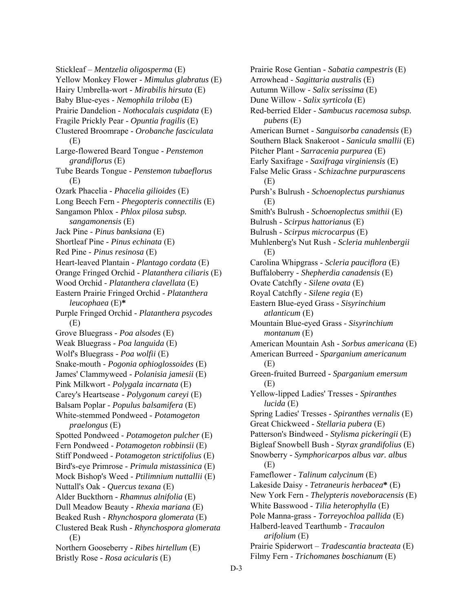Stickleaf – *Mentzelia oligosperma* (E) Yellow Monkey Flower - *Mimulus glabratus* (E) Hairy Umbrella-wort - *Mirabilis hirsuta* (E) Baby Blue-eyes - *Nemophila triloba* (E) Prairie Dandelion - *Nothocalais cuspidata* (E) Fragile Prickly Pear - *Opuntia fragilis* (E) Clustered Broomrape - *Orobanche fasciculata* (E) Large-flowered Beard Tongue - *Penstemon grandiflorus* (E) Tube Beards Tongue - *Penstemon tubaeflorus* (E) Ozark Phacelia - *Phacelia gilioides* (E) Long Beech Fern - *Phegopteris connectilis* (E) Sangamon Phlox - *Phlox pilosa subsp. sangamonensis* (E) Jack Pine - *Pinus banksiana* (E) Shortleaf Pine - *Pinus echinata* (E) Red Pine - *Pinus resinosa* (E) Heart-leaved Plantain - *Plantago cordata* (E) Orange Fringed Orchid - *Platanthera ciliaris* (E) Wood Orchid - *Platanthera clavellata* (E) Eastern Prairie Fringed Orchid - *Platanthera leucophaea* (E)**\*** Purple Fringed Orchid - *Platanthera psycodes* (E) Grove Bluegrass - *Poa alsodes* (E) Weak Bluegrass - *Poa languida* (E) Wolf's Bluegrass - *Poa wolfii* (E) Snake-mouth - *Pogonia ophioglossoides* (E) James' Clammyweed - *Polanisia jamesii* (E) Pink Milkwort - *Polygala incarnata* (E) Carey's Heartsease - *Polygonum careyi* (E) Balsam Poplar - *Populus balsamifera* (E) White-stemmed Pondweed - *Potamogeton praelongus* (E) Spotted Pondweed - *Potamogeton pulcher* (E) Fern Pondweed - *Potamogeton robbinsii* (E) Stiff Pondweed - *Potamogeton strictifolius* (E) Bird's-eye Primrose - *Primula mistassinica* (E) Mock Bishop's Weed - *Ptilimnium nuttallii* (E) Nuttall's Oak - *Quercus texana* (E) Alder Buckthorn - *Rhamnus alnifolia* (E) Dull Meadow Beauty - *Rhexia mariana* (E) Beaked Rush - *Rhynchospora glomerata* (E) Clustered Beak Rush - *Rhynchospora glomerata* (E) Northern Gooseberry - *Ribes hirtellum* (E) Bristly Rose - *Rosa acicularis* (E)

Prairie Rose Gentian - *Sabatia campestris* (E) Arrowhead - *Sagittaria australis* (E) Autumn Willow - *Salix serissima* (E) Dune Willow - *Salix syrticola* (E) Red-berried Elder - *Sambucus racemosa subsp. pubens* (E) American Burnet - *Sanguisorba canadensis* (E) Southern Black Snakeroot - *Sanicula smallii* (E) Pitcher Plant - *Sarracenia purpurea* (E) Early Saxifrage - *Saxifraga virginiensis* (E) False Melic Grass - *Schizachne purpurascens* (E) Pursh's Bulrush - *Schoenoplectus purshianus* (E) Smith's Bulrush - *Schoenoplectus smithii* (E) Bulrush - *Scirpus hattorianus* (E) Bulrush - *Scirpus microcarpus* (E) Muhlenberg's Nut Rush - *Scleria muhlenbergii* (E) Carolina Whipgrass - *Scleria pauciflora* (E) Buffaloberry - *Shepherdia canadensis* (E) Ovate Catchfly - *Silene ovata* (E) Royal Catchfly - *Silene regia* (E) Eastern Blue-eyed Grass - *Sisyrinchium atlanticum* (E) Mountain Blue-eyed Grass - *Sisyrinchium montanum* (E) American Mountain Ash - *Sorbus americana* (E) American Burreed - *Sparganium americanum* (E) Green-fruited Burreed *- Sparganium emersum* (E) Yellow-lipped Ladies' Tresses *- Spiranthes lucida* (E) Spring Ladies' Tresses - *Spiranthes vernalis* (E) Great Chickweed - *Stellaria pubera* (E) Patterson's Bindweed - *Stylisma pickeringii* (E) Bigleaf Snowbell Bush - *Styrax grandifolius* (E) Snowberry - *Symphoricarpos albus var. albus* (E) Fameflower - *Talinum calycinum* (E) Lakeside Daisy - *Tetraneuris herbacea***\*** (E) New York Fern - *Thelypteris noveboracensis* (E) White Basswood - *Tilia heterophylla* (E) Pole Manna-grass - *Torreyochloa pallida* (E) Halberd-leaved Tearthumb - *Tracaulon arifolium* (E) Prairie Spiderwort – *Tradescantia bracteata* (E) Filmy Fern - *Trichomanes boschianum* (E)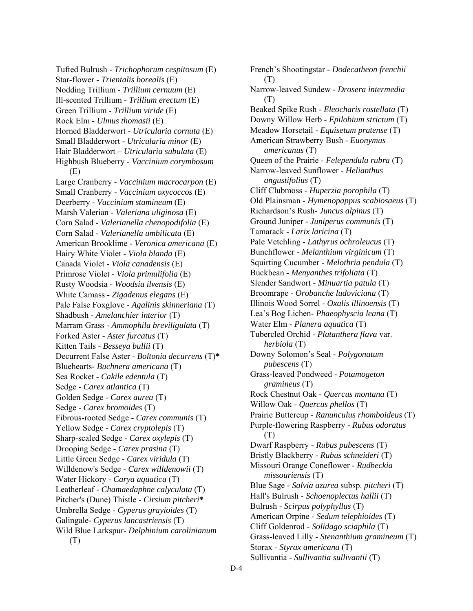Tufted Bulrush - *Trichophorum cespitosum* (E) Star-flower - *Trientalis borealis* (E) Nodding Trillium - *Trillium cernuum* (E) Ill-scented Trillium - *Trillium erectum* (E) Green Trillium - *Trillium viride* (E) Rock Elm - *Ulmus thomasii* (E) Horned Bladderwort - *Utricularia cornuta* (E) Small Bladderwort - *Utricularia minor* (E) Hair Bladderwort – *Utricularia subulata* (E) Highbush Blueberry - *Vaccinium corymbosum* (E) Large Cranberry - *Vaccinium macrocarpon* (E) Small Cranberry - *Vaccinium oxycoccos* (E) Deerberry - *Vaccinium stamineum* (E) Marsh Valerian - *Valeriana uliginosa* (E) Corn Salad - *Valerianella chenopodifolia* (E) Corn Salad - *Valerianella umbilicata* (E) American Brooklime - *Veronica americana* (E) Hairy White Violet - *Viola blanda* (E) Canada Violet - *Viola canadensis* (E) Primrose Violet - *Viola primulifolia* (E) Rusty Woodsia - *Woodsia ilvensis* (E) White Camass - *Zigadenus elegans* (E) Pale False Foxglove - *Agalinis skinneriana* (T) Shadbush - *Amelanchier interior* (T) Marram Grass - *Ammophila breviligulata* (T) Forked Aster - *Aster furcatus* (T) Kitten Tails - *Besseya bullii* (T) Decurrent False Aster - *Boltonia decurrens* (T)**\*** Bluehearts- *Buchnera americana* (T) Sea Rocket - *Cakile edentula* (T) Sedge - *Carex atlantica* (T) Golden Sedge - *Carex aurea* (T) Sedge - *Carex bromoides* (T) Fibrous-rooted Sedge - *Carex communis* (T) Yellow Sedge - *Carex cryptolepis* (T) Sharp-scaled Sedge - *Carex oxylepis* (T) Drooping Sedge - *Carex prasina* (T) Little Green Sedge - *Carex viridula* (T) Willdenow's Sedge - *Carex willdenowii* (T) Water Hickory - *Carya aquatica* (T) Leatherleaf - *Chamaedaphne calyculata* (T) Pitcher's (Dune) Thistle - *Cirsium pitcheri***\*** Umbrella Sedge - *Cyperus grayioides* (T) Galingale- *Cyperus lancastriensis* (T) Wild Blue Larkspur- *Delphinium carolinianum* (T)

French's Shootingstar - *Dodecatheon frenchii* (T) Narrow-leaved Sundew - *Drosera intermedia* (T) Beaked Spike Rush - *Eleocharis rostellata* (T) Downy Willow Herb - *Epilobium strictum* (T) Meadow Horsetail - *Equisetum pratense* (T) American Strawberry Bush - *Euonymus americanus* (T) Queen of the Prairie - *Felependula rubra* (T) Narrow-leaved Sunflower - *Helianthus angustifolius* (T) Cliff Clubmoss - *Huperzia porophila* (T) Old Plainsman - *Hymenopappus scabiosaeus* (T) Richardson's Rush- *Juncus alpinus* (T) Ground Juniper - *Juniperus communis* (T) Tamarack - *Larix laricina* (T) Pale Vetchling - *Lathyrus ochroleucus* (T) Bunchflower - *Melanthium virginicum* (T) Squirting Cucumber - *Melothria pendula* (T) Buckbean - *Menyanthes trifoliata* (T) Slender Sandwort - *Minuartia patula* (T) Broomrape - *Orobanche ludoviciana* (T) Illinois Wood Sorrel - *Oxalis illinoensis* (T) Lea's Bog Lichen- *Phaeophyscia leana* (T) Water Elm - *Planera aquatica* (T) Tubercled Orchid - *Platanthera flava* var. *herbiola* (T) Downy Solomon's Seal - *Polygonatum pubescens* (T) Grass-leaved Pondweed - *Potamogeton gramineus* (T) Rock Chestnut Oak - *Quercus montana* (T) Willow Oak - *Quercus phellos* (T) Prairie Buttercup - *Ranunculus rhomboideus* (T) Purple-flowering Raspberry - *Rubus odoratus* (T) Dwarf Raspberry - *Rubus pubescens* (T) Bristly Blackberry - *Rubus schneideri* (T) Missouri Orange Coneflower - *Rudbeckia missouriensis* (T) Blue Sage - *Salvia azurea* subsp. *pitcheri* (T) Hall's Bulrush - *Schoenoplectus hallii* (T) Bulrush - *Scirpus polyphyllus* (T) American Orpine - *Sedum telephioides* (T) Cliff Goldenrod - *Solidago sciaphila* (T) Grass-leaved Lilly - *Stenanthium gramineum* (T) Storax - *Styrax americana* (T) Sullivantia - *Sullivantia sullivantii* (T)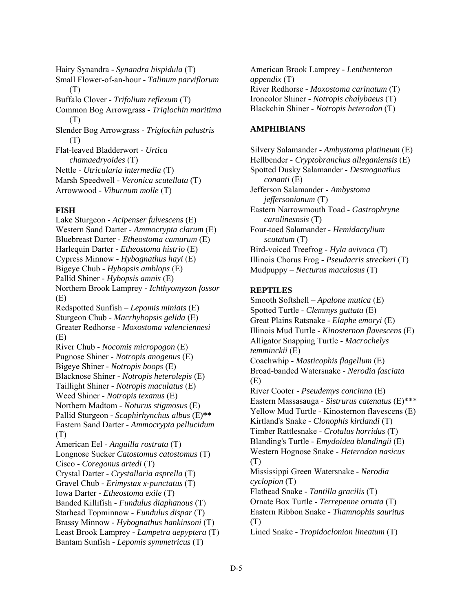Hairy Synandra - *Synandra hispidula* (T) Small Flower-of-an-hour - *Talinum parviflorum* (T) Buffalo Clover - *Trifolium reflexum* (T) Common Bog Arrowgrass - *Triglochin maritima* (T) Slender Bog Arrowgrass - *Triglochin palustris* (T) Flat-leaved Bladderwort - *Urtica chamaedryoides* (T) Nettle - *Utricularia intermedia* (T) Marsh Speedwell - *Veronica scutellata* (T) Arrowwood - *Viburnum molle* (T)

# **FISH**

Lake Sturgeon *- Acipenser fulvescens* (E) Western Sand Darter *- Ammocrypta clarum* (E) Bluebreast Darter *- Etheostoma camurum* (E) Harlequin Darter *- Etheostoma histrio* (E) Cypress Minnow *- Hybognathus hayi* (E) Bigeye Chub *- Hybopsis amblops* (E) Pallid Shiner *- Hybopsis amnis* (E) Northern Brook Lamprey *- Ichthyomyzon fossor* (E) Redspotted Sunfish – *Lepomis miniats* (E) Sturgeon Chub *- Macrhybopsis gelida* (E) Greater Redhorse *- Moxostoma valenciennesi* (E) River Chub *- Nocomis micropogon* (E) Pugnose Shiner *- Notropis anogenus* (E) Bigeye Shiner *- Notropis boops* (E) Blacknose Shiner *- Notropis heterolepis* (E) Taillight Shiner *- Notropis maculatus* (E) Weed Shiner *- Notropis texanus* (E) Northern Madtom *- Noturus stigmosus* (E) Pallid Sturgeon *- Scaphirhynchus albus* (E)**\*\*** Eastern Sand Darter *- Ammocrypta pellucidum* (T) American Eel - *Anguilla rostrata* (T) Longnose Sucker *Catostomus catostomus* (T) Cisco - *Coregonus artedi* (T) Crystal Darter - *Crystallaria asprella* (T) Gravel Chub *- Erimystax x-punctatus* (T) Iowa Darter *- Etheostoma exile* (T) Banded Killifish *- Fundulus diaphanous* (T) Starhead Topminnow *- Fundulus dispar* (T) Brassy Minnow - *Hybognathus hankinsoni* (T) Least Brook Lamprey *- Lampetra aepyptera* (T) Bantam Sunfish *- Lepomis symmetricus* (T)

American Brook Lamprey *- Lenthenteron appendix* (T) River Redhorse *- Moxostoma carinatum* (T) Ironcolor Shiner *- Notropis chalybaeus* (T) Blackchin Shiner - *Notropis heterodon* (T)

# **AMPHIBIANS**

Silvery Salamander - *Ambystoma platineum* (E) Hellbender - *Cryptobranchus alleganiensis* (E) Spotted Dusky Salamander - *Desmognathus conanti* (E) Jefferson Salamander - *Ambystoma jeffersonianum* (T) Eastern Narrowmouth Toad - *Gastrophryne carolinesnsis* (T) Four-toed Salamander - *Hemidactylium scutatum* (T) Bird-voiced Treefrog *- Hyla avivoca* (T) Illinois Chorus Frog - *Pseudacris streckeri* (T) Mudpuppy – *Necturus maculosus* (T)

# **REPTILES**

Smooth Softshell – *Apalone mutica* (E) Spotted Turtle - *Clemmys guttata* (E) Great Plains Ratsnake - *Elaphe emoryi* (E) Illinois Mud Turtle - *Kinosternon flavescens* (E) Alligator Snapping Turtle - *Macrochelys temminckii* (E) Coachwhip - *Masticophis flagellum* (E) Broad-banded Watersnake - *Nerodia fasciata* (E) River Cooter - *Pseudemys concinna* (E) Eastern Massasauga - *Sistrurus catenatus* (E)\*\*\* Yellow Mud Turtle - Kinosternon flavescens (E) Kirtland's Snake - *Clonophis kirtlandi* (T) Timber Rattlesnake - *Crotalus horridus* (T) Blanding's Turtle - *Emydoidea blandingii* (E) Western Hognose Snake - *Heterodon nasicus* (T) Mississippi Green Watersnake - *Nerodia cyclopion* (T) Flathead Snake - *Tantilla gracilis* (T) Ornate Box Turtle - *Terrepenne ornata* (T) Eastern Ribbon Snake - *Thamnophis sauritus* (T) Lined Snake *- Tropidoclonion lineatum* (T)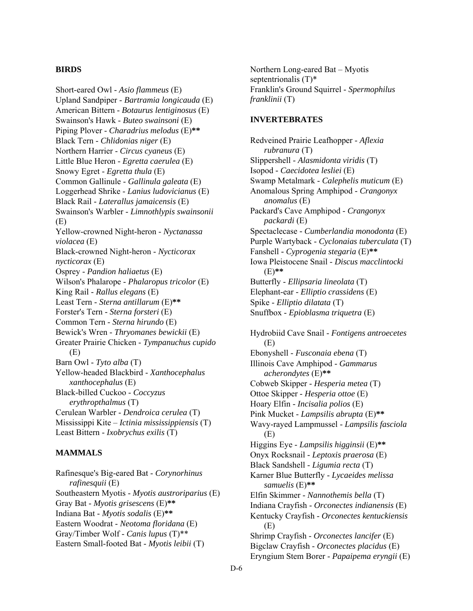#### **BIRDS**

Short-eared Owl - *Asio flammeus* (E) Upland Sandpiper - *Bartramia longicauda* (E) American Bittern - *Botaurus lentiginosus* (E) Swainson's Hawk - *Buteo swainsoni* (E) Piping Plover - *Charadrius melodus* (E)**\*\*** Black Tern - *Chlidonias niger* (E) Northern Harrier - *Circus cyaneus* (E) Little Blue Heron - *Egretta caerulea* (E) Snowy Egret - *Egretta thula* (E) Common Gallinule - *Gallinula galeata* (E) Loggerhead Shrike - *Lanius ludovicianus* (E) Black Rail - *Laterallus jamaicensis* (E) Swainson's Warbler - *Limnothlypis swainsonii* (E) Yellow-crowned Night-heron - *Nyctanassa violacea* (E) Black-crowned Night-heron - *Nycticorax nycticorax* (E) Osprey - *Pandion haliaetus* (E) Wilson's Phalarope - *Phalaropus tricolor* (E) King Rail - *Rallus elegans* (E) Least Tern - *Sterna antillarum* (E)**\*\*** Forster's Tern - *Sterna forsteri* (E) Common Tern - *Sterna hirundo* (E) Bewick's Wren - *Thryomanes bewickii* (E) Greater Prairie Chicken - *Tympanuchus cupido* (E) Barn Owl - *Tyto alba* (T) Yellow-headed Blackbird - *Xanthocephalus xanthocephalus* (E) Black-billed Cuckoo - *Coccyzus erythropthalmus* (T) Cerulean Warbler - *Dendroica cerulea* (T) Mississippi Kite – *Ictinia mississippiensis* (T) Least Bittern - *Ixobrychus exilis* (T)

# **MAMMALS**

Rafinesque's Big-eared Bat - *Corynorhinus rafinesquii* (E) Southeastern Myotis - *Myotis austroriparius* (E) Gray Bat - *Myotis grisescens* (E)**\*\*** Indiana Bat - *Myotis sodalis* (E)**\*\*** Eastern Woodrat - *Neotoma floridana* (E) Gray/Timber Wolf - *Canis lupus* (T)\*\* Eastern Small-footed Bat - *Myotis leibii* (T)

Northern Long-eared Bat – Myotis septentrionalis (T)\* Franklin's Ground Squirrel - *Spermophilus franklinii* (T)

#### **INVERTEBRATES**

Redveined Prairie Leafhopper - *Aflexia rubranura* (T) Slippershell - *Alasmidonta viridis* (T) Isopod *- Caecidotea lesliei* (E) Swamp Metalmark - *Calephelis muticum* (E) Anomalous Spring Amphipod - *Crangonyx anomalus* (E) Packard's Cave Amphipod - *Crangonyx packardi* (E) Spectaclecase *- Cumberlandia monodonta* (E) Purple Wartyback - *Cyclonaias tuberculata* (T) Fanshell *- Cyprogenia stegaria* (E)**\*\*** Iowa Pleistocene Snail - *Discus macclintocki* (E)**\*\*** Butterfly - *Ellipsaria lineolata* (T) Elephant-ear - *Elliptio crassidens* (E) Spike - *Elliptio dilatata* (T) Snuffbox - *Epioblasma triquetra* (E) Hydrobiid Cave Snail - *Fontigens antroecetes* (E) Ebonyshell - *Fusconaia ebena* (T) Illinois Cave Amphipod - *Gammarus acherondytes* (E)**\*\*** Cobweb Skipper - *Hesperia metea* (T) Ottoe Skipper - *Hesperia ottoe* (E) Hoary Elfin - *Incisalia polios* (E) Pink Mucket - *Lampsilis abrupta* (E)**\*\*** Wavy-rayed Lampmussel - *Lampsilis fasciola* (E) Higgins Eye - *Lampsilis higginsii* (E)**\*\*** Onyx Rocksnail - *Leptoxis praerosa* (E) Black Sandshell - *Ligumia recta* (T) Karner Blue Butterfly - *Lycaeides melissa samuelis* (E)**\*\*** Elfin Skimmer - *Nannothemis bella* (T) Indiana Crayfish - *Orconectes indianensis* (E)

Kentucky Crayfish - *Orconectes kentuckiensis* (E)

Shrimp Crayfish - *Orconectes lancifer* (E) Bigclaw Crayfish - *Orconectes placidus* (E) Eryngium Stem Borer - *Papaipema eryngii* (E)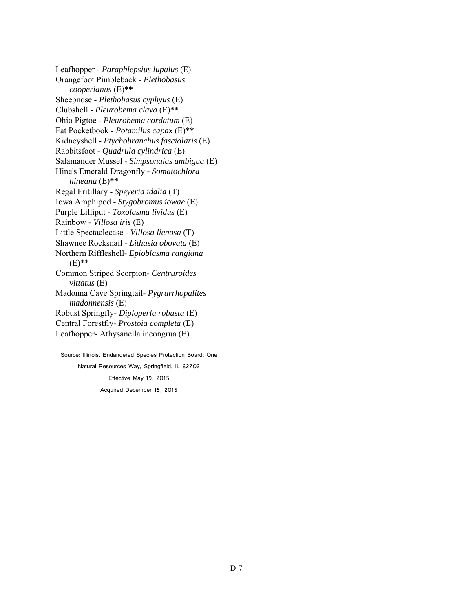Leafhopper - *Paraphlepsius lupalus* (E) Orangefoot Pimpleback *- Plethobasus cooperianus* (E)**\*\*** Sheepnose - *Plethobasus cyphyus* (E) Clubshell - *Pleurobema clava* (E)**\*\*** Ohio Pigtoe - *Pleurobema cordatum* (E) Fat Pocketbook - *Potamilus capax* (E)**\*\*** Kidneyshell - *Ptychobranchus fasciolaris* (E) Rabbitsfoot - *Quadrula cylindrica* (E) Salamander Mussel - *Simpsonaias ambigua* (E) Hine's Emerald Dragonfly - *Somatochlora hineana* (E)**\*\*** Regal Fritillary - *Speyeria idalia* (T) Iowa Amphipod - *Stygobromus iowae* (E) Purple Lilliput - *Toxolasma lividus* (E) Rainbow - *Villosa iris* (E) Little Spectaclecase - *Villosa lienosa* (T) Shawnee Rocksnail - *Lithasia obovata* (E) Northern Riffleshell- *Epioblasma rangiana* (E)\*\* Common Striped Scorpion- *Centruroides vittatus* (E) Madonna Cave Springtail- *Pygrarrhopalites madonnensis* (E) Robust Springfly- *Diploperla robusta* (E) Central Forestfly- *Prostoia completa* (E) Leafhopper- Athysanella incongrua (E) Source: Illinois. Endandered Species Protection Board, One

Natural Resources Way, Springfield, IL 62702 Effective May 19, 2015 Acquired December 15, 2015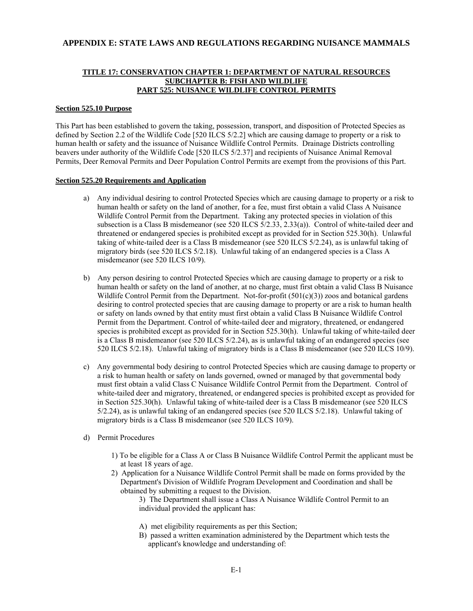### **APPENDIX E: STATE LAWS AND REGULATIONS REGARDING NUISANCE MAMMALS**

### **TITLE 17: CONSERVATION CHAPTER 1: DEPARTMENT OF NATURAL RESOURCES SUBCHAPTER B: FISH AND WILDLIFE PART 525: NUISANCE WILDLIFE CONTROL PERMITS**

#### **Section 525.10 Purpose**

This Part has been established to govern the taking, possession, transport, and disposition of Protected Species as defined by Section 2.2 of the Wildlife Code [520 ILCS 5/2.2] which are causing damage to property or a risk to human health or safety and the issuance of Nuisance Wildlife Control Permits. Drainage Districts controlling beavers under authority of the Wildlife Code [520 ILCS 5/2.37] and recipients of Nuisance Animal Removal Permits, Deer Removal Permits and Deer Population Control Permits are exempt from the provisions of this Part.

#### **Section 525.20 Requirements and Application**

- a) Any individual desiring to control Protected Species which are causing damage to property or a risk to human health or safety on the land of another, for a fee, must first obtain a valid Class A Nuisance Wildlife Control Permit from the Department. Taking any protected species in violation of this subsection is a Class B misdemeanor (see 520 ILCS 5/2.33, 2.33(a)). Control of white-tailed deer and threatened or endangered species is prohibited except as provided for in Section 525.30(h). Unlawful taking of white-tailed deer is a Class B misdemeanor (see 520 ILCS 5/2.24), as is unlawful taking of migratory birds (see 520 ILCS 5/2.18). Unlawful taking of an endangered species is a Class A misdemeanor (see 520 ILCS 10/9).
- b) Any person desiring to control Protected Species which are causing damage to property or a risk to human health or safety on the land of another, at no charge, must first obtain a valid Class B Nuisance Wildlife Control Permit from the Department. Not-for-profit  $(501(c)(3))$  zoos and botanical gardens desiring to control protected species that are causing damage to property or are a risk to human health or safety on lands owned by that entity must first obtain a valid Class B Nuisance Wildlife Control Permit from the Department. Control of white-tailed deer and migratory, threatened, or endangered species is prohibited except as provided for in Section 525.30(h). Unlawful taking of white-tailed deer is a Class B misdemeanor (see 520 ILCS 5/2.24), as is unlawful taking of an endangered species (see 520 ILCS 5/2.18). Unlawful taking of migratory birds is a Class B misdemeanor (see 520 ILCS 10/9).
- c) Any governmental body desiring to control Protected Species which are causing damage to property or a risk to human health or safety on lands governed, owned or managed by that governmental body must first obtain a valid Class C Nuisance Wildlife Control Permit from the Department. Control of white-tailed deer and migratory, threatened, or endangered species is prohibited except as provided for in Section 525.30(h). Unlawful taking of white-tailed deer is a Class B misdemeanor (see 520 ILCS 5/2.24), as is unlawful taking of an endangered species (see 520 ILCS 5/2.18). Unlawful taking of migratory birds is a Class B misdemeanor (see 520 ILCS 10/9).
- d) Permit Procedures
	- 1) To be eligible for a Class A or Class B Nuisance Wildlife Control Permit the applicant must be at least 18 years of age.
	- 2) Application for a Nuisance Wildlife Control Permit shall be made on forms provided by the Department's Division of Wildlife Program Development and Coordination and shall be obtained by submitting a request to the Division.
		- 3) The Department shall issue a Class A Nuisance Wildlife Control Permit to an individual provided the applicant has:
		- A) met eligibility requirements as per this Section;
		- B) passed a written examination administered by the Department which tests the applicant's knowledge and understanding of: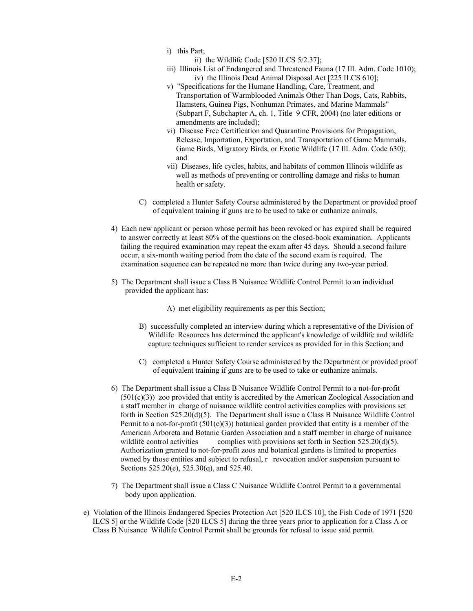- i) this Part;
	- ii) the Wildlife Code [520 ILCS 5/2.37];
- iii) Illinois List of Endangered and Threatened Fauna (17 Ill. Adm. Code 1010); iv) the Illinois Dead Animal Disposal Act [225 ILCS 610];
- v) "Specifications for the Humane Handling, Care, Treatment, and Transportation of Warmblooded Animals Other Than Dogs, Cats, Rabbits, Hamsters, Guinea Pigs, Nonhuman Primates, and Marine Mammals" (Subpart F, Subchapter A, ch. 1, Title 9 CFR, 2004) (no later editions or amendments are included);
- vi) Disease Free Certification and Quarantine Provisions for Propagation, Release, Importation, Exportation, and Transportation of Game Mammals, Game Birds, Migratory Birds, or Exotic Wildlife (17 Ill. Adm. Code 630); and
- vii) Diseases, life cycles, habits, and habitats of common Illinois wildlife as well as methods of preventing or controlling damage and risks to human health or safety.
- C) completed a Hunter Safety Course administered by the Department or provided proof of equivalent training if guns are to be used to take or euthanize animals.
- 4) Each new applicant or person whose permit has been revoked or has expired shall be required to answer correctly at least 80% of the questions on the closed-book examination. Applicants failing the required examination may repeat the exam after 45 days. Should a second failure occur, a six-month waiting period from the date of the second exam is required. The examination sequence can be repeated no more than twice during any two-year period.
- 5) The Department shall issue a Class B Nuisance Wildlife Control Permit to an individual provided the applicant has:
	- A) met eligibility requirements as per this Section;
	- B) successfully completed an interview during which a representative of the Division of Wildlife Resources has determined the applicant's knowledge of wildlife and wildlife capture techniques sufficient to render services as provided for in this Section; and
	- C) completed a Hunter Safety Course administered by the Department or provided proof of equivalent training if guns are to be used to take or euthanize animals.
- 6) The Department shall issue a Class B Nuisance Wildlife Control Permit to a not-for-profit  $(501(c)(3))$  zoo provided that entity is accredited by the American Zoological Association and a staff member in charge of nuisance wildlife control activities complies with provisions set forth in Section 525.20(d)(5). The Department shall issue a Class B Nuisance Wildlife Control Permit to a not-for-profit  $(501(c)(3))$  botanical garden provided that entity is a member of the American Arboreta and Botanic Garden Association and a staff member in charge of nuisance wildlife control activities complies with provisions set forth in Section  $525.20(d)(5)$ . Authorization granted to not-for-profit zoos and botanical gardens is limited to properties owned by those entities and subject to refusal, r revocation and/or suspension pursuant to Sections 525.20(e), 525.30(q), and 525.40.
- 7) The Department shall issue a Class C Nuisance Wildlife Control Permit to a governmental body upon application.
- e) Violation of the Illinois Endangered Species Protection Act [520 ILCS 10], the Fish Code of 1971 [520 ILCS 5] or the Wildlife Code [520 ILCS 5] during the three years prior to application for a Class A or Class B Nuisance Wildlife Control Permit shall be grounds for refusal to issue said permit.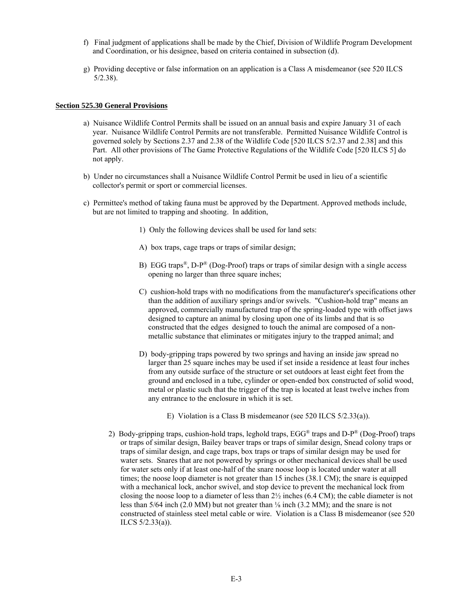- f) Final judgment of applications shall be made by the Chief, Division of Wildlife Program Development and Coordination, or his designee, based on criteria contained in subsection (d).
- g) Providing deceptive or false information on an application is a Class A misdemeanor (see 520 ILCS 5/2.38).

#### **Section 525.30 General Provisions**

- a) Nuisance Wildlife Control Permits shall be issued on an annual basis and expire January 31 of each year. Nuisance Wildlife Control Permits are not transferable. Permitted Nuisance Wildlife Control is governed solely by Sections 2.37 and 2.38 of the Wildlife Code [520 ILCS 5/2.37 and 2.38] and this Part. All other provisions of The Game Protective Regulations of the Wildlife Code [520 ILCS 5] do not apply.
- b) Under no circumstances shall a Nuisance Wildlife Control Permit be used in lieu of a scientific collector's permit or sport or commercial licenses.
- c) Permittee's method of taking fauna must be approved by the Department. Approved methods include, but are not limited to trapping and shooting. In addition,
	- 1) Only the following devices shall be used for land sets:
	- A) box traps, cage traps or traps of similar design;
	- B) EGG traps<sup>®</sup>, D-P<sup>®</sup> (Dog-Proof) traps or traps of similar design with a single access opening no larger than three square inches;
	- C) cushion-hold traps with no modifications from the manufacturer's specifications other than the addition of auxiliary springs and/or swivels. "Cushion-hold trap" means an approved, commercially manufactured trap of the spring-loaded type with offset jaws designed to capture an animal by closing upon one of its limbs and that is so constructed that the edges designed to touch the animal are composed of a nonmetallic substance that eliminates or mitigates injury to the trapped animal; and
	- D) body-gripping traps powered by two springs and having an inside jaw spread no larger than 25 square inches may be used if set inside a residence at least four inches from any outside surface of the structure or set outdoors at least eight feet from the ground and enclosed in a tube, cylinder or open-ended box constructed of solid wood, metal or plastic such that the trigger of the trap is located at least twelve inches from any entrance to the enclosure in which it is set.
		- E) Violation is a Class B misdemeanor (see 520 ILCS 5/2.33(a)).
	- 2) Body-gripping traps, cushion-hold traps, leghold traps,  $EGG^{\mathcal{B}}$  traps and D-P $^{\mathcal{B}}$  (Dog-Proof) traps or traps of similar design, Bailey beaver traps or traps of similar design, Snead colony traps or traps of similar design, and cage traps, box traps or traps of similar design may be used for water sets. Snares that are not powered by springs or other mechanical devices shall be used for water sets only if at least one-half of the snare noose loop is located under water at all times; the noose loop diameter is not greater than 15 inches (38.1 CM); the snare is equipped with a mechanical lock, anchor swivel, and stop device to prevent the mechanical lock from closing the noose loop to a diameter of less than  $2\frac{1}{2}$  inches (6.4 CM); the cable diameter is not less than 5/64 inch (2.0 MM) but not greater than ⅛ inch (3.2 MM); and the snare is not constructed of stainless steel metal cable or wire. Violation is a Class B misdemeanor (see 520 ILCS 5/2.33(a)).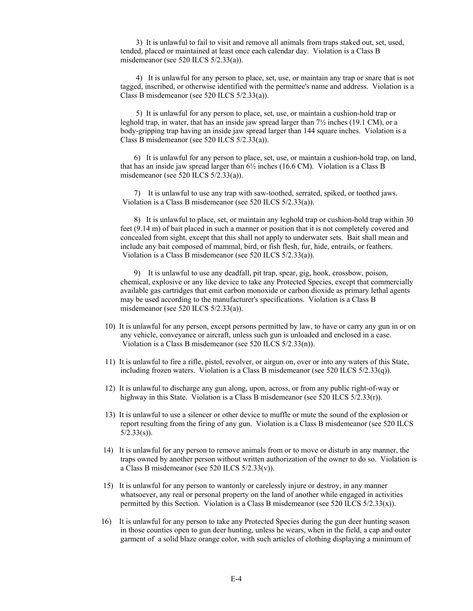3) It is unlawful to fail to visit and remove all animals from traps staked out, set, used, tended, placed or maintained at least once each calendar day. Violation is a Class B misdemeanor (see 520 ILCS 5/2.33(a)).

 4) It is unlawful for any person to place, set, use, or maintain any trap or snare that is not tagged, inscribed, or otherwise identified with the permittee's name and address. Violation is a Class B misdemeanor (see 520 ILCS 5/2.33(a)).

 5) It is unlawful for any person to place, set, use, or maintain a cushion-hold trap or leghold trap, in water, that has an inside jaw spread larger than 7½ inches (19.1 CM), or a body-gripping trap having an inside jaw spread larger than 144 square inches. Violation is a Class B misdemeanor (see 520 ILCS 5/2.33(a)).

 6) It is unlawful for any person to place, set, use, or maintain a cushion-hold trap, on land, that has an inside jaw spread larger than  $6\frac{1}{2}$  inches (16.6 CM). Violation is a Class B misdemeanor (see 520 ILCS 5/2.33(a)).

 7) It is unlawful to use any trap with saw-toothed, serrated, spiked, or toothed jaws. Violation is a Class B misdemeanor (see 520 ILCS 5/2.33(a)).

 8) It is unlawful to place, set, or maintain any leghold trap or cushion-hold trap within 30 feet (9.14 m) of bait placed in such a manner or position that it is not completely covered and concealed from sight, except that this shall not apply to underwater sets. Bait shall mean and include any bait composed of mammal, bird, or fish flesh, fur, hide, entrails, or feathers. Violation is a Class B misdemeanor (see 520 ILCS 5/2.33(a)).

 9) It is unlawful to use any deadfall, pit trap, spear, gig, hook, crossbow, poison, chemical, explosive or any like device to take any Protected Species, except that commercially available gas cartridges that emit carbon monoxide or carbon dioxide as primary lethal agents may be used according to the manufacturer's specifications. Violation is a Class B misdemeanor (see 520 ILCS 5/2.33(a)).

- 10) It is unlawful for any person, except persons permitted by law, to have or carry any gun in or on any vehicle, conveyance or aircraft, unless such gun is unloaded and enclosed in a case. Violation is a Class B misdemeanor (see 520 ILCS 5/2.33(n)).
- 11) It is unlawful to fire a rifle, pistol, revolver, or airgun on, over or into any waters of this State, including frozen waters. Violation is a Class B misdemeanor (see 520 ILCS 5/2.33(q)).
- 12) It is unlawful to discharge any gun along, upon, across, or from any public right-of-way or highway in this State. Violation is a Class B misdemeanor (see 520 ILCS 5/2.33(r)).
- 13) It is unlawful to use a silencer or other device to muffle or mute the sound of the explosion or report resulting from the firing of any gun. Violation is a Class B misdemeanor (see 520 ILCS  $5/2.33(s)$ ).
- 14) It is unlawful for any person to remove animals from or to move or disturb in any manner, the traps owned by another person without written authorization of the owner to do so. Violation is a Class B misdemeanor (see 520 ILCS 5/2.33(v)).
- 15) It is unlawful for any person to wantonly or carelessly injure or destroy, in any manner whatsoever, any real or personal property on the land of another while engaged in activities permitted by this Section. Violation is a Class B misdemeanor (see 520 ILCS  $5/2.33(x)$ ).
- 16) It is unlawful for any person to take any Protected Species during the gun deer hunting season in those counties open to gun deer hunting, unless he wears, when in the field, a cap and outer garment of a solid blaze orange color, with such articles of clothing displaying a minimum of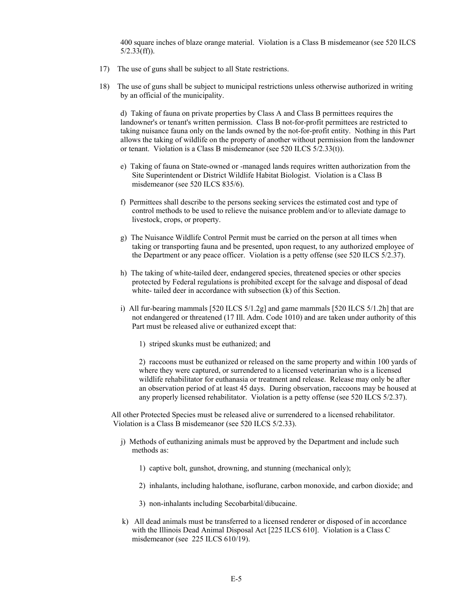400 square inches of blaze orange material. Violation is a Class B misdemeanor (see 520 ILCS 5/2.33(ff)).

- 17) The use of guns shall be subject to all State restrictions.
- 18) The use of guns shall be subject to municipal restrictions unless otherwise authorized in writing by an official of the municipality.

d) Taking of fauna on private properties by Class A and Class B permittees requires the landowner's or tenant's written permission. Class B not-for-profit permittees are restricted to taking nuisance fauna only on the lands owned by the not-for-profit entity. Nothing in this Part allows the taking of wildlife on the property of another without permission from the landowner or tenant. Violation is a Class B misdemeanor (see 520 ILCS 5/2.33(t)).

- e) Taking of fauna on State-owned or -managed lands requires written authorization from the Site Superintendent or District Wildlife Habitat Biologist. Violation is a Class B misdemeanor (see 520 ILCS 835/6).
- f) Permittees shall describe to the persons seeking services the estimated cost and type of control methods to be used to relieve the nuisance problem and/or to alleviate damage to livestock, crops, or property.
- g) The Nuisance Wildlife Control Permit must be carried on the person at all times when taking or transporting fauna and be presented, upon request, to any authorized employee of the Department or any peace officer. Violation is a petty offense (see 520 ILCS 5/2.37).
- h) The taking of white-tailed deer, endangered species, threatened species or other species protected by Federal regulations is prohibited except for the salvage and disposal of dead white- tailed deer in accordance with subsection (k) of this Section.
- i) All fur-bearing mammals [520 ILCS 5/1.2g] and game mammals [520 ILCS 5/1.2h] that are not endangered or threatened (17 Ill. Adm. Code 1010) and are taken under authority of this Part must be released alive or euthanized except that:
	- 1) striped skunks must be euthanized; and

2) raccoons must be euthanized or released on the same property and within 100 yards of where they were captured, or surrendered to a licensed veterinarian who is a licensed wildlife rehabilitator for euthanasia or treatment and release. Release may only be after an observation period of at least 45 days. During observation, raccoons may be housed at any properly licensed rehabilitator. Violation is a petty offense (see 520 ILCS 5/2.37).

All other Protected Species must be released alive or surrendered to a licensed rehabilitator. Violation is a Class B misdemeanor (see 520 ILCS 5/2.33).

- j) Methods of euthanizing animals must be approved by the Department and include such methods as:
	- 1) captive bolt, gunshot, drowning, and stunning (mechanical only);
	- 2) inhalants, including halothane, isoflurane, carbon monoxide, and carbon dioxide; and
	- 3) non-inhalants including Secobarbital/dibucaine.
- k) All dead animals must be transferred to a licensed renderer or disposed of in accordance with the Illinois Dead Animal Disposal Act [225 ILCS 610]. Violation is a Class C misdemeanor (see 225 ILCS 610/19).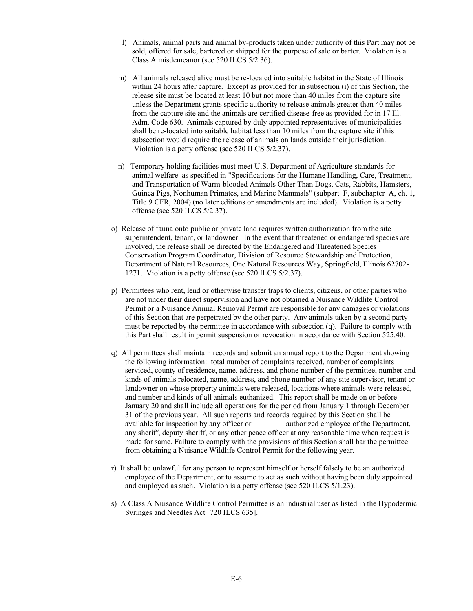- l) Animals, animal parts and animal by-products taken under authority of this Part may not be sold, offered for sale, bartered or shipped for the purpose of sale or barter. Violation is a Class A misdemeanor (see 520 ILCS 5/2.36).
- m) All animals released alive must be re-located into suitable habitat in the State of Illinois within 24 hours after capture. Except as provided for in subsection (i) of this Section, the release site must be located at least 10 but not more than 40 miles from the capture site unless the Department grants specific authority to release animals greater than 40 miles from the capture site and the animals are certified disease-free as provided for in 17 Ill. Adm. Code 630. Animals captured by duly appointed representatives of municipalities shall be re-located into suitable habitat less than 10 miles from the capture site if this subsection would require the release of animals on lands outside their jurisdiction. Violation is a petty offense (see 520 ILCS 5/2.37).
- n) Temporary holding facilities must meet U.S. Department of Agriculture standards for animal welfare as specified in "Specifications for the Humane Handling, Care, Treatment, and Transportation of Warm-blooded Animals Other Than Dogs, Cats, Rabbits, Hamsters, Guinea Pigs, Nonhuman Primates, and Marine Mammals" (subpart F, subchapter A, ch. 1, Title 9 CFR, 2004) (no later editions or amendments are included). Violation is a petty offense (see 520 ILCS 5/2.37).
- o) Release of fauna onto public or private land requires written authorization from the site superintendent, tenant, or landowner. In the event that threatened or endangered species are involved, the release shall be directed by the Endangered and Threatened Species Conservation Program Coordinator, Division of Resource Stewardship and Protection, Department of Natural Resources, One Natural Resources Way, Springfield, Illinois 62702- 1271. Violation is a petty offense (see 520 ILCS 5/2.37).
- p) Permittees who rent, lend or otherwise transfer traps to clients, citizens, or other parties who are not under their direct supervision and have not obtained a Nuisance Wildlife Control Permit or a Nuisance Animal Removal Permit are responsible for any damages or violations of this Section that are perpetrated by the other party. Any animals taken by a second party must be reported by the permittee in accordance with subsection (q). Failure to comply with this Part shall result in permit suspension or revocation in accordance with Section 525.40.
- q) All permittees shall maintain records and submit an annual report to the Department showing the following information: total number of complaints received, number of complaints serviced, county of residence, name, address, and phone number of the permittee, number and kinds of animals relocated, name, address, and phone number of any site supervisor, tenant or landowner on whose property animals were released, locations where animals were released, and number and kinds of all animals euthanized. This report shall be made on or before January 20 and shall include all operations for the period from January 1 through December 31 of the previous year. All such reports and records required by this Section shall be available for inspection by any officer or authorized employee of the Department, any sheriff, deputy sheriff, or any other peace officer at any reasonable time when request is made for same. Failure to comply with the provisions of this Section shall bar the permittee from obtaining a Nuisance Wildlife Control Permit for the following year.
- r) It shall be unlawful for any person to represent himself or herself falsely to be an authorized employee of the Department, or to assume to act as such without having been duly appointed and employed as such. Violation is a petty offense (see 520 ILCS 5/1.23).
- s) A Class A Nuisance Wildlife Control Permittee is an industrial user as listed in the Hypodermic Syringes and Needles Act [720 ILCS 635].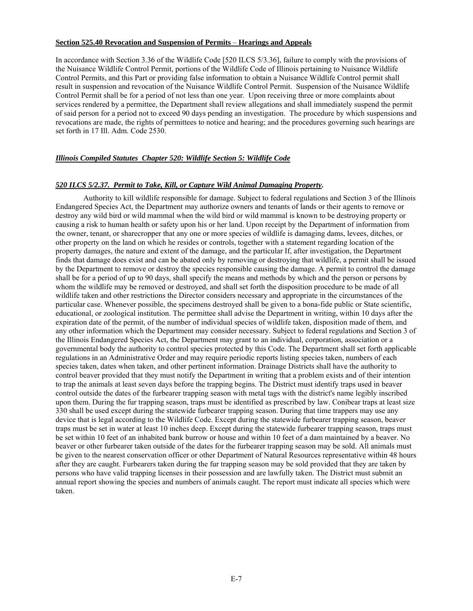#### **Section 525.40 Revocation and Suspension of Permits** – **Hearings and Appeals**

In accordance with Section 3.36 of the Wildlife Code [520 ILCS 5/3.36], failure to comply with the provisions of the Nuisance Wildlife Control Permit, portions of the Wildlife Code of Illinois pertaining to Nuisance Wildlife Control Permits, and this Part or providing false information to obtain a Nuisance Wildlife Control permit shall result in suspension and revocation of the Nuisance Wildlife Control Permit. Suspension of the Nuisance Wildlife Control Permit shall be for a period of not less than one year. Upon receiving three or more complaints about services rendered by a permittee, the Department shall review allegations and shall immediately suspend the permit of said person for a period not to exceed 90 days pending an investigation. The procedure by which suspensions and revocations are made, the rights of permittees to notice and hearing; and the procedures governing such hearings are set forth in 17 Ill. Adm. Code 2530.

#### *Illinois Compiled Statutes Chapter 520: Wildlife Section 5: Wildlife Code*

#### *520 ILCS 5/2.37. Permit to Take, Kill, or Capture Wild Animal Damaging Property.*

 Authority to kill wildlife responsible for damage. Subject to federal regulations and Section 3 of the Illinois Endangered Species Act, the Department may authorize owners and tenants of lands or their agents to remove or destroy any wild bird or wild mammal when the wild bird or wild mammal is known to be destroying property or causing a risk to human health or safety upon his or her land. Upon receipt by the Department of information from the owner, tenant, or sharecropper that any one or more species of wildlife is damaging dams, levees, ditches, or other property on the land on which he resides or controls, together with a statement regarding location of the property damages, the nature and extent of the damage, and the particular If, after investigation, the Department finds that damage does exist and can be abated only by removing or destroying that wildlife, a permit shall be issued by the Department to remove or destroy the species responsible causing the damage. A permit to control the damage shall be for a period of up to 90 days, shall specify the means and methods by which and the person or persons by whom the wildlife may be removed or destroyed, and shall set forth the disposition procedure to be made of all wildlife taken and other restrictions the Director considers necessary and appropriate in the circumstances of the particular case. Whenever possible, the specimens destroyed shall be given to a bona-fide public or State scientific, educational, or zoological institution. The permittee shall advise the Department in writing, within 10 days after the expiration date of the permit, of the number of individual species of wildlife taken, disposition made of them, and any other information which the Department may consider necessary. Subject to federal regulations and Section 3 of the Illinois Endangered Species Act, the Department may grant to an individual, corporation, association or a governmental body the authority to control species protected by this Code. The Department shall set forth applicable regulations in an Administrative Order and may require periodic reports listing species taken, numbers of each species taken, dates when taken, and other pertinent information. Drainage Districts shall have the authority to control beaver provided that they must notify the Department in writing that a problem exists and of their intention to trap the animals at least seven days before the trapping begins. The District must identify traps used in beaver control outside the dates of the furbearer trapping season with metal tags with the district's name legibly inscribed upon them. During the fur trapping season, traps must be identified as prescribed by law. Conibear traps at least size 330 shall be used except during the statewide furbearer trapping season. During that time trappers may use any device that is legal according to the Wildlife Code. Except during the statewide furbearer trapping season, beaver traps must be set in water at least 10 inches deep. Except during the statewide furbearer trapping season, traps must be set within 10 feet of an inhabited bank burrow or house and within 10 feet of a dam maintained by a beaver. No beaver or other furbearer taken outside of the dates for the furbearer trapping season may be sold. All animals must be given to the nearest conservation officer or other Department of Natural Resources representative within 48 hours after they are caught. Furbearers taken during the fur trapping season may be sold provided that they are taken by persons who have valid trapping licenses in their possession and are lawfully taken. The District must submit an annual report showing the species and numbers of animals caught. The report must indicate all species which were taken.